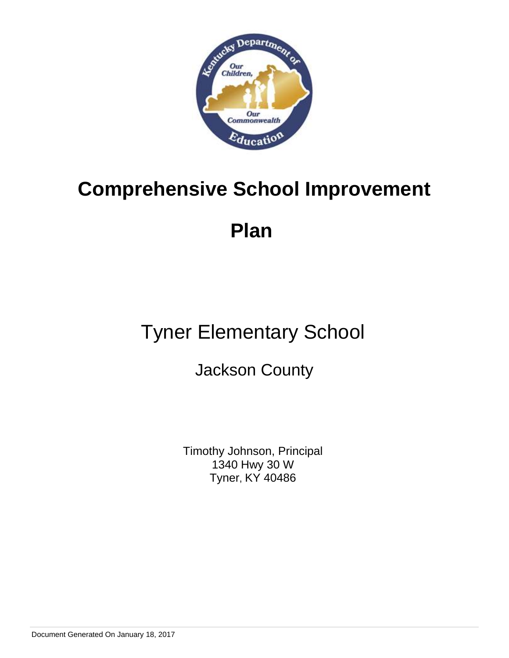

# **Plan**

# Tyner Elementary School

# Jackson County

Timothy Johnson, Principal 1340 Hwy 30 W Tyner, KY 40486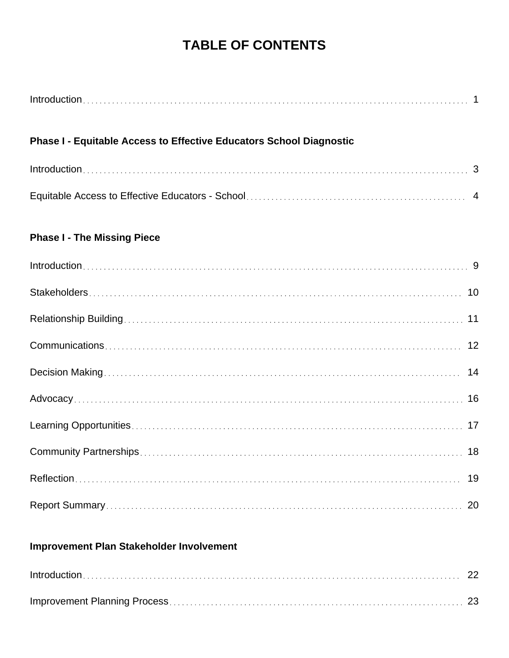# **TABLE OF CONTENTS**

| Phase I - Equitable Access to Effective Educators School Diagnostic |  |
|---------------------------------------------------------------------|--|
|                                                                     |  |
|                                                                     |  |
| <b>Phase I - The Missing Piece</b>                                  |  |
|                                                                     |  |
|                                                                     |  |
|                                                                     |  |
|                                                                     |  |
|                                                                     |  |
|                                                                     |  |
|                                                                     |  |
|                                                                     |  |
| 19                                                                  |  |
|                                                                     |  |

# **Improvement Plan Stakeholder Involvement**

| $Introduction \dots 22$ |  |
|-------------------------|--|
|                         |  |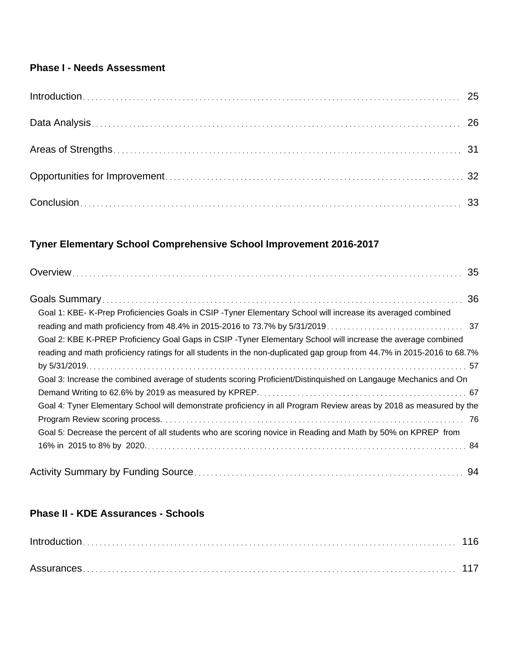# **Phase I - Needs Assessment**

# **Tyner Elementary School Comprehensive School Improvement 2016-2017**

| Goal 1: KBE- K-Prep Proficiencies Goals in CSIP - Tyner Elementary School will increase its averaged combined          |    |
|------------------------------------------------------------------------------------------------------------------------|----|
|                                                                                                                        |    |
| Goal 2: KBE K-PREP Proficiency Goal Gaps in CSIP -Tyner Elementary School will increase the average combined           |    |
| reading and math proficiency ratings for all students in the non-duplicated gap group from 44.7% in 2015-2016 to 68.7% |    |
|                                                                                                                        |    |
| Goal 3: Increase the combined average of students scoring Proficient/Distinguished on Langauge Mechanics and On        |    |
|                                                                                                                        |    |
| Goal 4: Tyner Elementary School will demonstrate proficiency in all Program Review areas by 2018 as measured by the    |    |
|                                                                                                                        |    |
| Goal 5: Decrease the percent of all students who are scoring novice in Reading and Math by 50% on KPREP from           |    |
|                                                                                                                        |    |
|                                                                                                                        | 94 |

# **Phase II - KDE Assurances - Schools**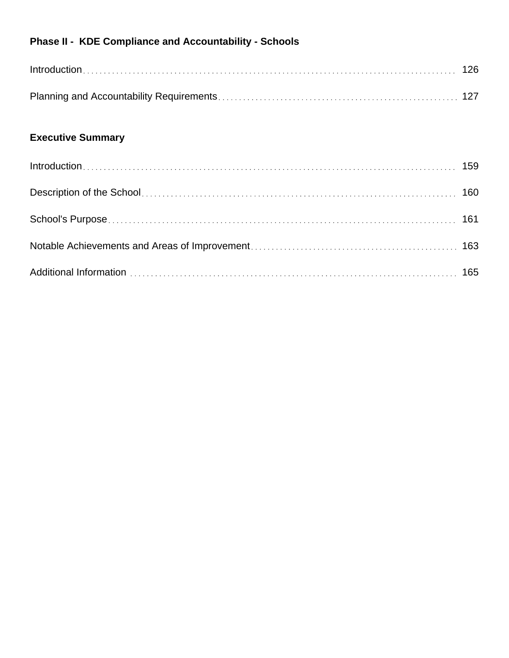# **Phase II - KDE Compliance and Accountability - Schools**

# **Executive Summary**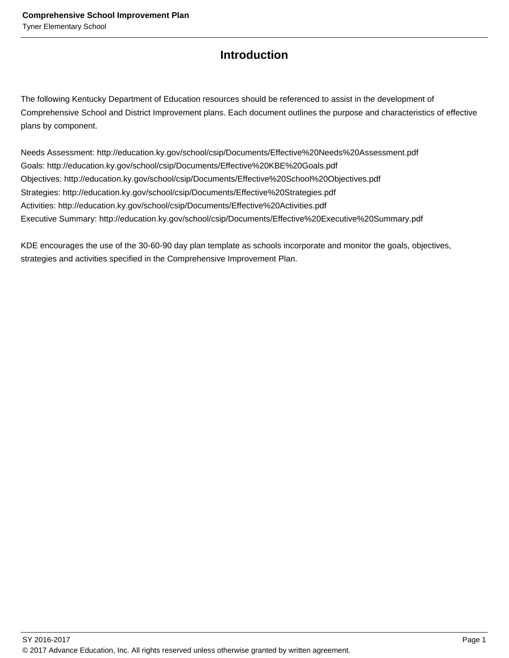# **Introduction**

The following Kentucky Department of Education resources should be referenced to assist in the development of Comprehensive School and District Improvement plans. Each document outlines the purpose and characteristics of effective plans by component.

Needs Assessment: http://education.ky.gov/school/csip/Documents/Effective%20Needs%20Assessment.pdf Goals: http://education.ky.gov/school/csip/Documents/Effective%20KBE%20Goals.pdf Objectives: http://education.ky.gov/school/csip/Documents/Effective%20School%20Objectives.pdf Strategies: http://education.ky.gov/school/csip/Documents/Effective%20Strategies.pdf Activities: http://education.ky.gov/school/csip/Documents/Effective%20Activities.pdf Executive Summary: http://education.ky.gov/school/csip/Documents/Effective%20Executive%20Summary.pdf

KDE encourages the use of the 30-60-90 day plan template as schools incorporate and monitor the goals, objectives, strategies and activities specified in the Comprehensive Improvement Plan.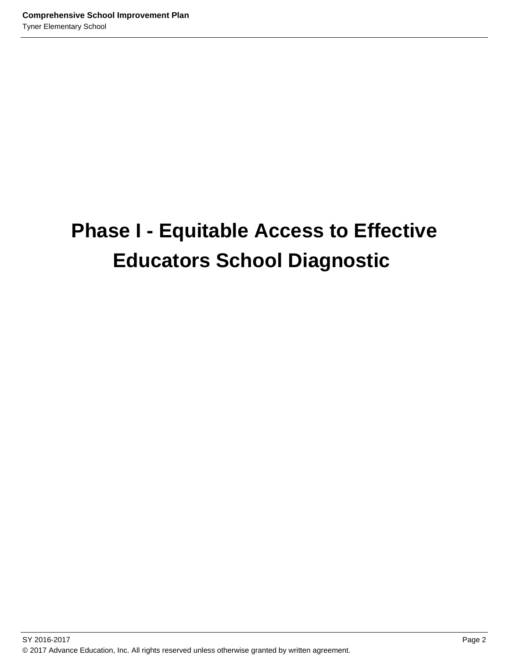# **Phase I - Equitable Access to Effective Educators School Diagnostic**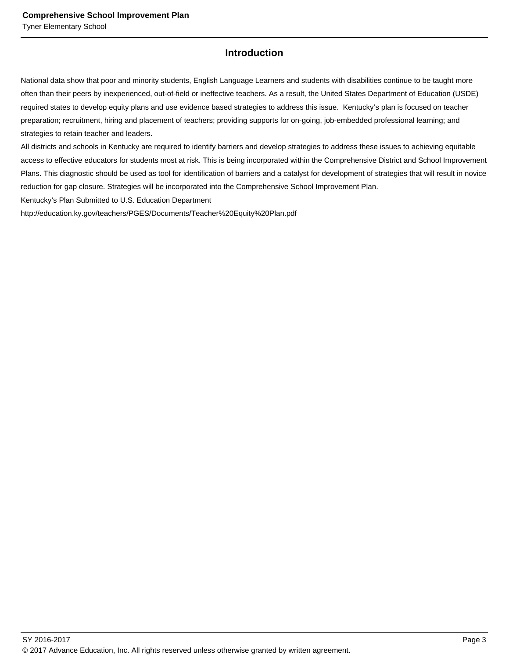# **Introduction**

National data show that poor and minority students, English Language Learners and students with disabilities continue to be taught more often than their peers by inexperienced, out-of-field or ineffective teachers. As a result, the United States Department of Education (USDE) required states to develop equity plans and use evidence based strategies to address this issue. Kentucky's plan is focused on teacher preparation; recruitment, hiring and placement of teachers; providing supports for on-going, job-embedded professional learning; and strategies to retain teacher and leaders.

All districts and schools in Kentucky are required to identify barriers and develop strategies to address these issues to achieving equitable access to effective educators for students most at risk. This is being incorporated within the Comprehensive District and School Improvement Plans. This diagnostic should be used as tool for identification of barriers and a catalyst for development of strategies that will result in novice reduction for gap closure. Strategies will be incorporated into the Comprehensive School Improvement Plan.

Kentucky's Plan Submitted to U.S. Education Department

http://education.ky.gov/teachers/PGES/Documents/Teacher%20Equity%20Plan.pdf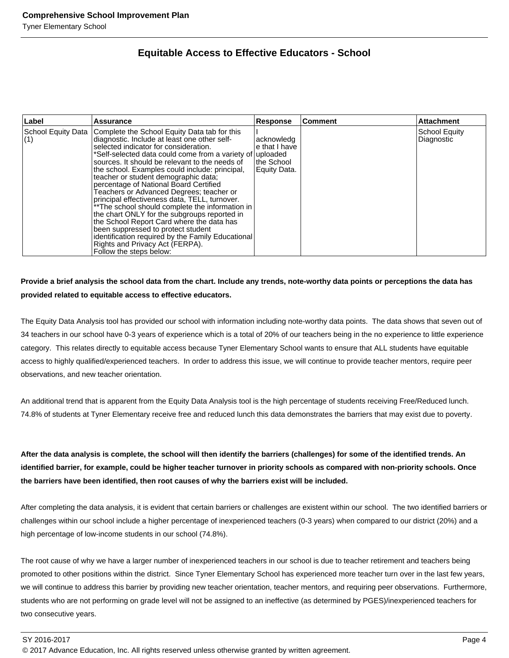# **Equitable Access to Effective Educators - School**

| Label | Assurance                                                                                                                                                                                                                                                                                                                                                                                                                                                                                                                                                                                                                                                                                                                                                                                                           | <b>Response</b>                                           | Comment | <b>Attachment</b>                  |
|-------|---------------------------------------------------------------------------------------------------------------------------------------------------------------------------------------------------------------------------------------------------------------------------------------------------------------------------------------------------------------------------------------------------------------------------------------------------------------------------------------------------------------------------------------------------------------------------------------------------------------------------------------------------------------------------------------------------------------------------------------------------------------------------------------------------------------------|-----------------------------------------------------------|---------|------------------------------------|
| (1)   | School Equity Data   Complete the School Equity Data tab for this<br>diagnostic. Include at least one other self-<br>selected indicator for consideration.<br>*Self-selected data could come from a variety of uploaded<br>sources. It should be relevant to the needs of<br>the school. Examples could include: principal,<br>teacher or student demographic data;<br>percentage of National Board Certified<br>Teachers or Advanced Degrees; teacher or<br>principal effectiveness data, TELL, turnover.<br>**The school should complete the information in<br>the chart ONLY for the subgroups reported in<br>the School Report Card where the data has<br>been suppressed to protect student<br>identification required by the Family Educational<br>Rights and Privacy Act (FERPA).<br>Follow the steps below: | acknowledg<br>e that I have<br>the School<br>Equity Data. |         | <b>School Equity</b><br>Diagnostic |

### **Provide a brief analysis the school data from the chart. Include any trends, note-worthy data points or perceptions the data has provided related to equitable access to effective educators.**

The Equity Data Analysis tool has provided our school with information including note-worthy data points. The data shows that seven out of 34 teachers in our school have 0-3 years of experience which is a total of 20% of our teachers being in the no experience to little experience category. This relates directly to equitable access because Tyner Elementary School wants to ensure that ALL students have equitable access to highly qualified/experienced teachers. In order to address this issue, we will continue to provide teacher mentors, require peer observations, and new teacher orientation.

An additional trend that is apparent from the Equity Data Analysis tool is the high percentage of students receiving Free/Reduced lunch. 74.8% of students at Tyner Elementary receive free and reduced lunch this data demonstrates the barriers that may exist due to poverty.

**After the data analysis is complete, the school will then identify the barriers (challenges) for some of the identified trends. An identified barrier, for example, could be higher teacher turnover in priority schools as compared with non-priority schools. Once the barriers have been identified, then root causes of why the barriers exist will be included.**

After completing the data analysis, it is evident that certain barriers or challenges are existent within our school. The two identified barriers or challenges within our school include a higher percentage of inexperienced teachers (0-3 years) when compared to our district (20%) and a high percentage of low-income students in our school (74.8%).

The root cause of why we have a larger number of inexperienced teachers in our school is due to teacher retirement and teachers being promoted to other positions within the district. Since Tyner Elementary School has experienced more teacher turn over in the last few years, we will continue to address this barrier by providing new teacher orientation, teacher mentors, and requiring peer observations. Furthermore, students who are not performing on grade level will not be assigned to an ineffective (as determined by PGES)/inexperienced teachers for two consecutive years.

© 2017 Advance Education, Inc. All rights reserved unless otherwise granted by written agreement.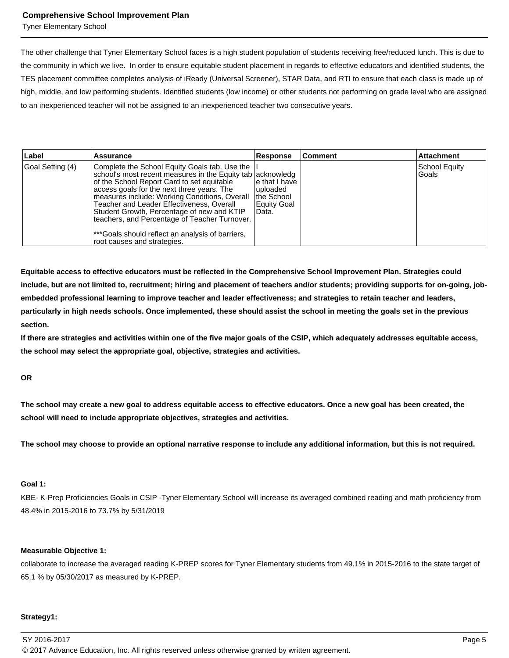Tyner Elementary School

The other challenge that Tyner Elementary School faces is a high student population of students receiving free/reduced lunch. This is due to the community in which we live. In order to ensure equitable student placement in regards to effective educators and identified students, the TES placement committee completes analysis of iReady (Universal Screener), STAR Data, and RTI to ensure that each class is made up of high, middle, and low performing students. Identified students (low income) or other students not performing on grade level who are assigned to an inexperienced teacher will not be assigned to an inexperienced teacher two consecutive years.

| Label            | <b>Assurance</b>                                                                                                                                                                                                                                                                                                                                                                                                                                                                         | Response                                                          | <b>Comment</b> | <b>Attachment</b>        |
|------------------|------------------------------------------------------------------------------------------------------------------------------------------------------------------------------------------------------------------------------------------------------------------------------------------------------------------------------------------------------------------------------------------------------------------------------------------------------------------------------------------|-------------------------------------------------------------------|----------------|--------------------------|
| Goal Setting (4) | Complete the School Equity Goals tab. Use the<br>school's most recent measures in the Equity tab acknowledg<br>of the School Report Card to set equitable<br>access goals for the next three years. The<br>measures include: Working Conditions, Overall<br>Teacher and Leader Effectiveness, Overall<br>Student Growth, Percentage of new and KTIP<br>Iteachers, and Percentage of Teacher Turnover.<br>***Goals should reflect an analysis of barriers,<br>root causes and strategies. | le that I have<br>luploaded<br>the School<br>Equity Goal<br>Data. |                | School Equity<br>l Goals |

**Equitable access to effective educators must be reflected in the Comprehensive School Improvement Plan. Strategies could include, but are not limited to, recruitment; hiring and placement of teachers and/or students; providing supports for on-going, jobembedded professional learning to improve teacher and leader effectiveness; and strategies to retain teacher and leaders, particularly in high needs schools. Once implemented, these should assist the school in meeting the goals set in the previous section.**

**If there are strategies and activities within one of the five major goals of the CSIP, which adequately addresses equitable access, the school may select the appropriate goal, objective, strategies and activities.**

**OR**

**The school may create a new goal to address equitable access to effective educators. Once a new goal has been created, the school will need to include appropriate objectives, strategies and activities.**

**The school may choose to provide an optional narrative response to include any additional information, but this is not required.**

#### **Goal 1:**

KBE- K-Prep Proficiencies Goals in CSIP -Tyner Elementary School will increase its averaged combined reading and math proficiency from 48.4% in 2015-2016 to 73.7% by 5/31/2019

#### **Measurable Objective 1:**

collaborate to increase the averaged reading K-PREP scores for Tyner Elementary students from 49.1% in 2015-2016 to the state target of 65.1 % by 05/30/2017 as measured by K-PREP.

#### **Strategy1:**

SY 2016-2017 Page 5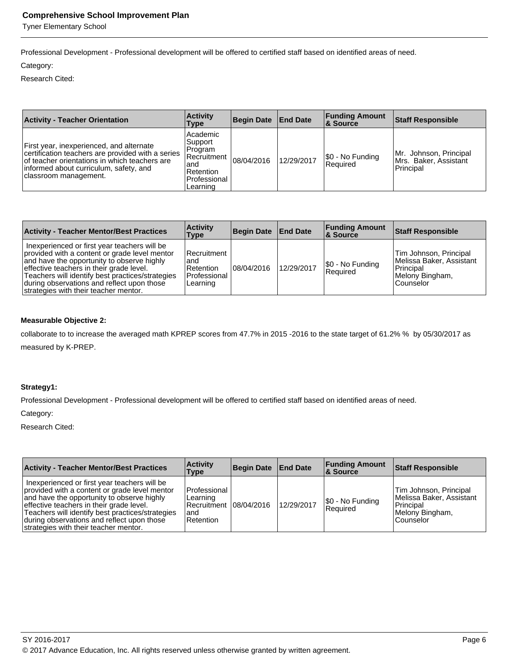Tyner Elementary School

Professional Development - Professional development will be offered to certified staff based on identified areas of need.

#### Category:

Research Cited:

| <b>Activity - Teacher Orientation</b>                                                                                                                                                                             | <b>Activity</b><br>Type                                                                           | <b>Begin Date End Date</b> |            | <b>Funding Amount</b><br>∣& Source | <b>Staff Responsible</b>                                     |
|-------------------------------------------------------------------------------------------------------------------------------------------------------------------------------------------------------------------|---------------------------------------------------------------------------------------------------|----------------------------|------------|------------------------------------|--------------------------------------------------------------|
| First year, inexperienced, and alternate<br>certification teachers are provided with a series<br>of teacher orientations in which teachers are<br>informed about curriculum, safety, and<br>classroom management. | Academic<br> Support<br>Program<br>lRecruitment ⊺<br>and<br>Retention<br>Professional<br>Learning | 08/04/2016                 | 12/29/2017 | S0 - No Funding<br>Required        | Mr. Johnson, Principal<br>Mrs. Baker, Assistant<br>Principal |

| <b>Activity - Teacher Mentor/Best Practices</b>                                                                                                                                                                                                                                                                                    | <b>Activity</b><br>Type                                         | Begin Date End Date |            | <b>Funding Amount</b><br><b>8 Source</b> | <b>Staff Responsible</b>                                                                        |
|------------------------------------------------------------------------------------------------------------------------------------------------------------------------------------------------------------------------------------------------------------------------------------------------------------------------------------|-----------------------------------------------------------------|---------------------|------------|------------------------------------------|-------------------------------------------------------------------------------------------------|
| Inexperienced or first year teachers will be<br>provided with a content or grade level mentor<br>and have the opportunity to observe highly<br>effective teachers in their grade level.<br>Teachers will identify best practices/strategies<br>during observations and reflect upon those<br>strategies with their teacher mentor. | l Recruitment<br>and<br>l Retention<br>Professional<br>Learning | 08/04/2016          | 12/29/2017 | \$0 - No Funding<br><b>Required</b>      | Tim Johnson, Principal<br>Melissa Baker, Assistant<br>Principal<br>Melony Bingham,<br>Counselor |

#### **Measurable Objective 2:**

collaborate to to increase the averaged math KPREP scores from 47.7% in 2015 -2016 to the state target of 61.2% % by 05/30/2017 as measured by K-PREP.

### **Strategy1:**

Professional Development - Professional development will be offered to certified staff based on identified areas of need.

#### Category:

Research Cited:

| <b>Activity - Teacher Mentor/Best Practices</b>                                                                                                                                                                                                                                                                                    | <b>Activity</b><br>Type                                                  | Begin Date   End Date |            | <b>Funding Amount</b><br>∣& Source | Staff Responsible                                                                               |
|------------------------------------------------------------------------------------------------------------------------------------------------------------------------------------------------------------------------------------------------------------------------------------------------------------------------------------|--------------------------------------------------------------------------|-----------------------|------------|------------------------------------|-------------------------------------------------------------------------------------------------|
| Inexperienced or first year teachers will be<br>provided with a content or grade level mentor<br>and have the opportunity to observe highly<br>effective teachers in their grade level.<br>Teachers will identify best practices/strategies<br>during observations and reflect upon those<br>strategies with their teacher mentor. | Professional<br>Learning<br>Recruitment 108/04/2016<br>land<br>Retention |                       | 12/29/2017 | \$0 - No Funding<br>Required       | Tim Johnson, Principal<br>Melissa Baker, Assistant<br>Principal<br>Melony Bingham,<br>Counselor |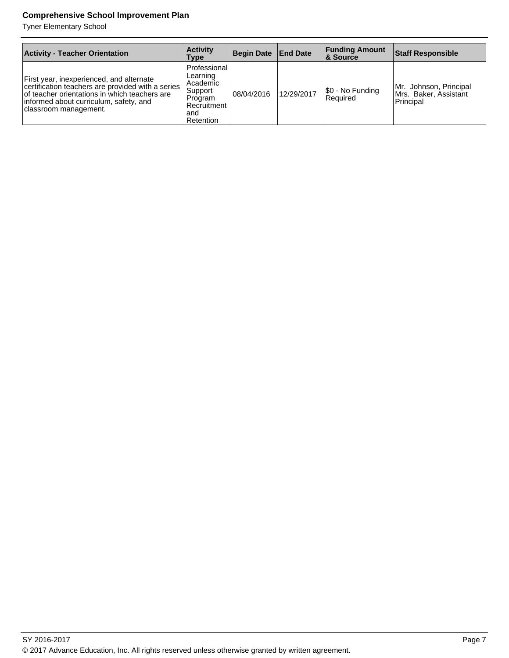Tyner Elementary School

| <b>Activity - Teacher Orientation</b>                                                                                                                                                                             | <b>Activity</b><br>Type                                                                                           | <b>Begin Date</b> | <b>End Date</b> | <b>Funding Amount</b><br><b>8</b> Source | <b>Staff Responsible</b>                                     |
|-------------------------------------------------------------------------------------------------------------------------------------------------------------------------------------------------------------------|-------------------------------------------------------------------------------------------------------------------|-------------------|-----------------|------------------------------------------|--------------------------------------------------------------|
| First year, inexperienced, and alternate<br>certification teachers are provided with a series<br>of teacher orientations in which teachers are<br>informed about curriculum, safety, and<br>classroom management. | <b>Professional</b><br>Learning<br>l Academic<br> Support<br>Program<br>l Recruitment<br>land<br><b>Retention</b> | 08/04/2016        | 12/29/2017      | \$0 - No Funding<br>l Reauired           | Mr. Johnson, Principal<br>Mrs. Baker, Assistant<br>Principal |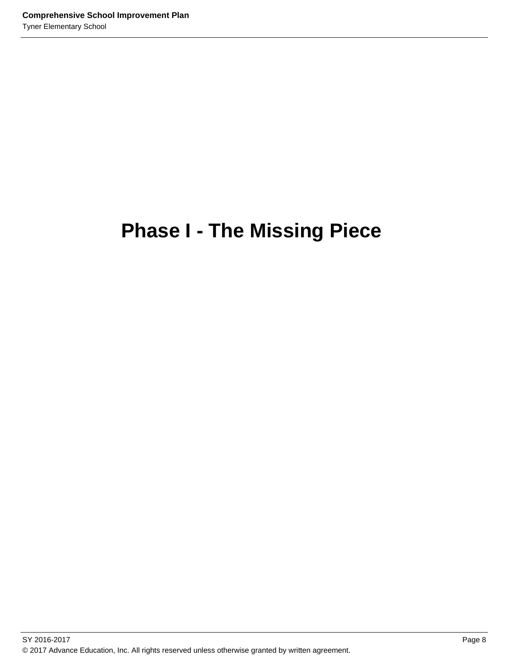# **Phase I - The Missing Piece**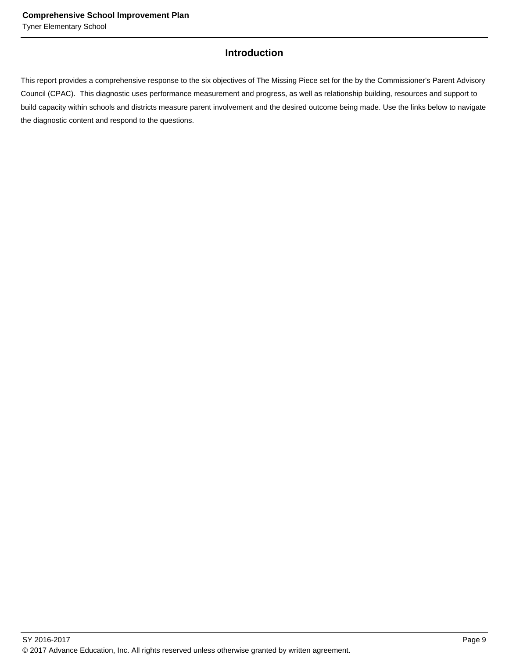# **Introduction**

This report provides a comprehensive response to the six objectives of The Missing Piece set for the by the Commissioner's Parent Advisory Council (CPAC). This diagnostic uses performance measurement and progress, as well as relationship building, resources and support to build capacity within schools and districts measure parent involvement and the desired outcome being made. Use the links below to navigate the diagnostic content and respond to the questions.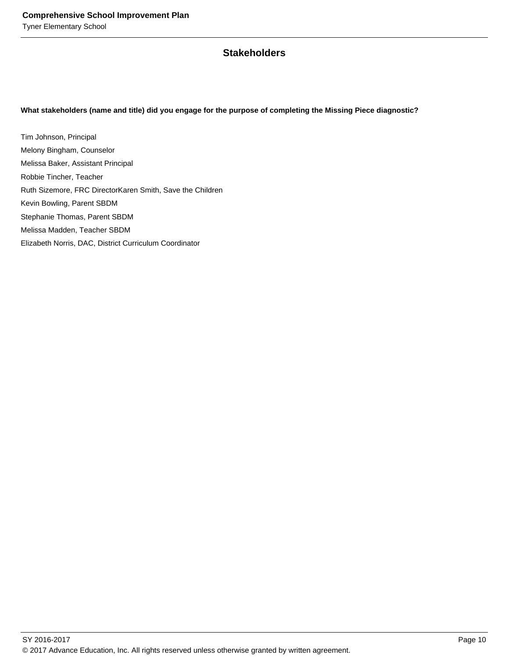# **Stakeholders**

#### **What stakeholders (name and title) did you engage for the purpose of completing the Missing Piece diagnostic?**

Tim Johnson, Principal Melony Bingham, Counselor Melissa Baker, Assistant Principal Robbie Tincher, Teacher Ruth Sizemore, FRC DirectorKaren Smith, Save the Children Kevin Bowling, Parent SBDM Stephanie Thomas, Parent SBDM Melissa Madden, Teacher SBDM Elizabeth Norris, DAC, District Curriculum Coordinator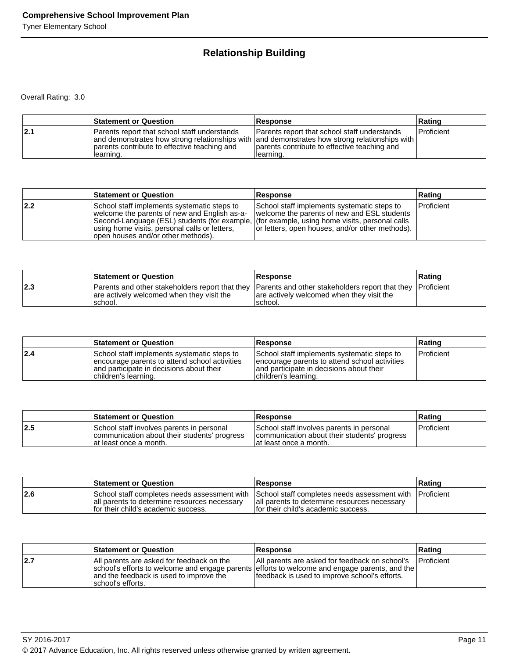# **Relationship Building**

|     | <b>Statement or Question</b>                                                                               | <b>Response</b>                                                                                                                                                                                                  | Rating            |
|-----|------------------------------------------------------------------------------------------------------------|------------------------------------------------------------------------------------------------------------------------------------------------------------------------------------------------------------------|-------------------|
| 2.1 | Parents report that school staff understands<br>parents contribute to effective teaching and<br>Ilearning. | Parents report that school staff understands<br>  and demonstrates how strong relationships with   and demonstrates how strong relationships with  <br>parents contribute to effective teaching and<br>Hearning. | <b>Proficient</b> |

|     | <b>Statement or Question</b>                                                                                                                                                                                                                                                         | <b>Response</b>                                                                                                                               | Rating            |
|-----|--------------------------------------------------------------------------------------------------------------------------------------------------------------------------------------------------------------------------------------------------------------------------------------|-----------------------------------------------------------------------------------------------------------------------------------------------|-------------------|
| 2.2 | School staff implements systematic steps to<br>welcome the parents of new and English as-a-<br>Second-Language (ESL) students (for example, (for example, using home visits, personal calls<br>using home visits, personal calls or letters,<br>(lopen houses and/or other methods). | School staff implements systematic steps to<br>welcome the parents of new and ESL students<br>or letters, open houses, and/or other methods). | <b>Proficient</b> |

|     | <b>Statement or Question</b>                          | <b>Response</b>                                                                                                                                                     | Rating |
|-----|-------------------------------------------------------|---------------------------------------------------------------------------------------------------------------------------------------------------------------------|--------|
| 2.3 | are actively welcomed when they visit the<br>'school. | Parents and other stakeholders report that they Parents and other stakeholders report that they Proficient<br>are actively welcomed when they visit the<br>'school. |        |

|     | <b>Statement or Question</b>                                                                                                                                      | <b>Response</b>                                                                                                                                                   | ∣Ratinq    |
|-----|-------------------------------------------------------------------------------------------------------------------------------------------------------------------|-------------------------------------------------------------------------------------------------------------------------------------------------------------------|------------|
| 2.4 | School staff implements systematic steps to<br>encourage parents to attend school activities<br>land participate in decisions about their<br>children's learning. | School staff implements systematic steps to<br>encourage parents to attend school activities<br>land participate in decisions about their<br>children's learning. | Proficient |

|     | <b>Statement or Question</b>                                                                                         | <b>Response</b>                                                                                                      | Rating       |
|-----|----------------------------------------------------------------------------------------------------------------------|----------------------------------------------------------------------------------------------------------------------|--------------|
| 2.5 | School staff involves parents in personal<br>communication about their students' progress<br>lat least once a month. | School staff involves parents in personal<br>communication about their students' progress<br>lat least once a month. | l Proficient |

|     | <b>Statement or Question</b>                                                          | <b>Response</b>                                                                                                                                                                                | Rating |
|-----|---------------------------------------------------------------------------------------|------------------------------------------------------------------------------------------------------------------------------------------------------------------------------------------------|--------|
| 2.6 | all parents to determine resources necessary<br>If or their child's academic success. | School staff completes needs assessment with School staff completes needs assessment with IProficient<br>all parents to determine resources necessary<br>If or their child's academic success. |        |

|     | <b>Statement or Question</b>                                                                              | <b>Response</b>                                                                                                                                                                                  | Rating             |
|-----|-----------------------------------------------------------------------------------------------------------|--------------------------------------------------------------------------------------------------------------------------------------------------------------------------------------------------|--------------------|
| 2.7 | All parents are asked for feedback on the<br>and the feedback is used to improve the<br>school's efforts. | All parents are asked for feedback on school's<br>school's efforts to welcome and engage parents efforts to welcome and engage parents, and the<br>feedback is used to improve school's efforts. | <b>IProficient</b> |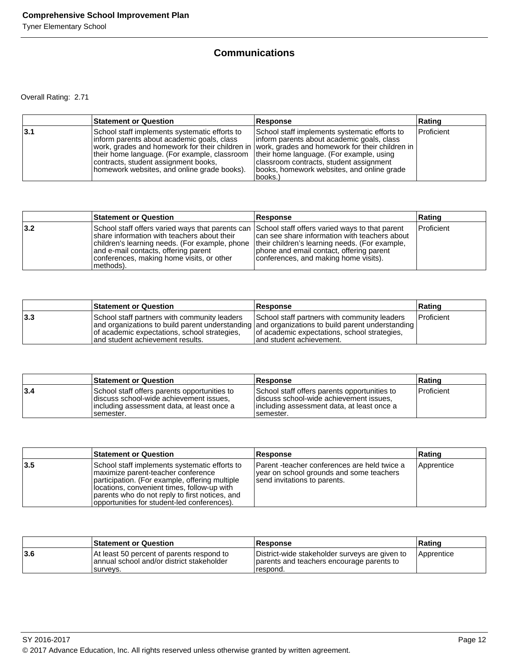# **Communications**

|     | <b>Statement or Question</b>                                                                                                                                                                                                       | Response                                                                                                                                                                                                                                                                                                                                        | Rating     |
|-----|------------------------------------------------------------------------------------------------------------------------------------------------------------------------------------------------------------------------------------|-------------------------------------------------------------------------------------------------------------------------------------------------------------------------------------------------------------------------------------------------------------------------------------------------------------------------------------------------|------------|
| 3.1 | School staff implements systematic efforts to<br>Inform parents about academic goals, class<br>their home language. (For example, classroom<br>contracts, student assignment books,<br>homework websites, and online grade books). | School staff implements systematic efforts to<br>Inform parents about academic goals, class<br>work, grades and homework for their children in vwork, grades and homework for their children in<br>their home language. (For example, using<br>classroom contracts, student assignment<br>books, homework websites, and online grade<br>books.) | Proficient |

|     | <b>Statement or Question</b>                                                                                                                                                                                                                                                                        | <b>Response</b>                                                                                                                                                                      | Rating            |
|-----|-----------------------------------------------------------------------------------------------------------------------------------------------------------------------------------------------------------------------------------------------------------------------------------------------------|--------------------------------------------------------------------------------------------------------------------------------------------------------------------------------------|-------------------|
| 3.2 | School staff offers varied ways that parents can School staff offers varied ways to that parent<br>share information with teachers about their<br>children's learning needs. (For example, phone<br>and e-mail contacts, offering parent<br>conferences, making home visits, or other<br> methods). | can see share information with teachers about<br>their children's learning needs. (For example,<br>phone and email contact, offering parent<br>conferences, and making home visits). | <b>Proficient</b> |

|     | <b>Statement or Question</b>                                                                                                      | <b>Response</b>                                                                                                                                                                                                              | Rating              |
|-----|-----------------------------------------------------------------------------------------------------------------------------------|------------------------------------------------------------------------------------------------------------------------------------------------------------------------------------------------------------------------------|---------------------|
| 3.3 | School staff partners with community leaders<br>of academic expectations, school strategies,<br>land student achievement results. | School staff partners with community leaders<br>and organizations to build parent understanding and organizations to build parent understanding<br>of academic expectations, school strategies,<br>land student achievement. | <b>I</b> Proficient |

|     | <b>Statement or Question</b>                                                                                                                         | <b>Response</b>                                                                                                                                     | ∣Ratinq    |
|-----|------------------------------------------------------------------------------------------------------------------------------------------------------|-----------------------------------------------------------------------------------------------------------------------------------------------------|------------|
| 3.4 | School staff offers parents opportunities to<br>discuss school-wide achievement issues.<br>lincluding assessment data, at least once a<br>Isemester. | School staff offers parents opportunities to<br>discuss school-wide achievement issues.<br>lincluding assessment data, at least once a<br>semester. | Proficient |

|     | <b>Statement or Question</b>                                                                                                                                                                                                                                                          | Response                                                                                                                 | Rating     |
|-----|---------------------------------------------------------------------------------------------------------------------------------------------------------------------------------------------------------------------------------------------------------------------------------------|--------------------------------------------------------------------------------------------------------------------------|------------|
| 3.5 | School staff implements systematic efforts to<br>maximize parent-teacher conference<br>participation. (For example, offering multiple<br>locations, convenient times, follow-up with<br>parents who do not reply to first notices, and<br>opportunities for student-led conferences). | Parent -teacher conferences are held twice a<br>year on school grounds and some teachers<br>send invitations to parents. | Apprentice |

|      | <b>Statement or Question</b>                                                                        | Response                                                                                                 | ∣Ratinɑ           |
|------|-----------------------------------------------------------------------------------------------------|----------------------------------------------------------------------------------------------------------|-------------------|
| 13.6 | At least 50 percent of parents respond to<br>annual school and/or district stakeholder<br>Isurvevs. | District-wide stakeholder surveys are given to<br>parents and teachers encourage parents to<br>Trespond. | <b>Apprentice</b> |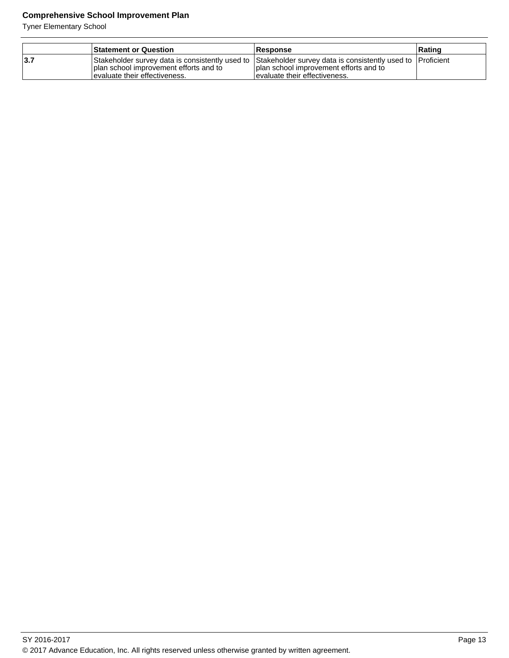Tyner Elementary School

|            | <b>Statement or Question</b>                                                                                                                                                               | <b>Response</b>                                                            | ∣Ratinɑ |
|------------|--------------------------------------------------------------------------------------------------------------------------------------------------------------------------------------------|----------------------------------------------------------------------------|---------|
| <b>3.7</b> | Stakeholder survey data is consistently used to Stakeholder survey data is consistently used to [Proficient]<br>I plan school improvement efforts and to<br>levaluate their effectiveness. | I plan school improvement efforts and to<br>levaluate their effectiveness. |         |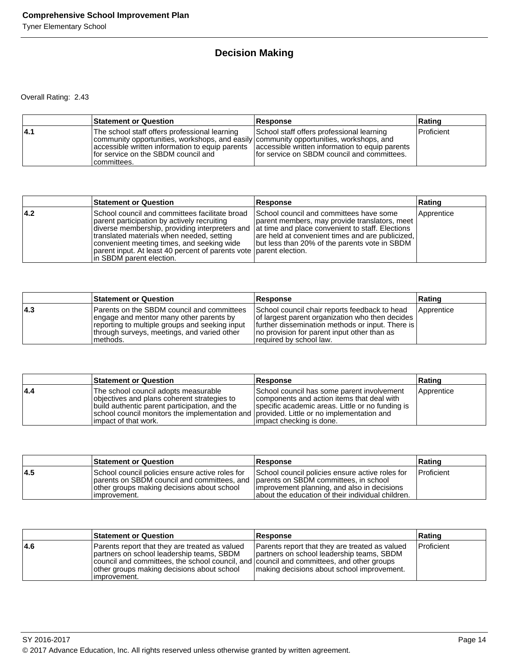# **Decision Making**

|      | <b>Statement or Question</b>                                                                                                                                                                                                                                                                      | <b>Response</b>                                                                            | ∣Ratinq           |
|------|---------------------------------------------------------------------------------------------------------------------------------------------------------------------------------------------------------------------------------------------------------------------------------------------------|--------------------------------------------------------------------------------------------|-------------------|
| 14.1 | The school staff offers professional learning<br>community opportunities, workshops, and easily community opportunities, workshops, and<br>accessible written information to equip parents accessible written information to equip parents<br>for service on the SBDM council and<br>Icommittees. | School staff offers professional learning<br>If or service on SBDM council and committees. | <b>Proficient</b> |

|      | <b>Statement or Question</b>                                                                                                                                                                                                                                                                                                                                                                   | Response                                                                                                                                                                                       | Rating     |
|------|------------------------------------------------------------------------------------------------------------------------------------------------------------------------------------------------------------------------------------------------------------------------------------------------------------------------------------------------------------------------------------------------|------------------------------------------------------------------------------------------------------------------------------------------------------------------------------------------------|------------|
| 14.2 | School council and committees facilitate broad<br>parent participation by actively recruiting<br>diverse membership, providing interpreters and  at time and place convenient to staff. Elections<br>translated materials when needed, setting<br>convenient meeting times, and seeking wide<br>parent input. At least 40 percent of parents vote parent election.<br>In SBDM parent election. | School council and committees have some<br>parent members, may provide translators, meet<br>are held at convenient times and are publicized,<br>Jbut less than 20% of the parents vote in SBDM | Apprentice |

|     | <b>Statement or Question</b>                                                                                                                                                                        | <b>Response</b>                                                                                                                                                                                                                 | ∣Ratinɑ           |
|-----|-----------------------------------------------------------------------------------------------------------------------------------------------------------------------------------------------------|---------------------------------------------------------------------------------------------------------------------------------------------------------------------------------------------------------------------------------|-------------------|
| 4.3 | Parents on the SBDM council and committees<br>engage and mentor many other parents by<br>reporting to multiple groups and seeking input<br>through surveys, meetings, and varied other<br>Imethods. | School council chair reports feedback to head<br>of largest parent organization who then decides<br>further dissemination methods or input. There is<br>Ino provision for parent input other than as<br>required by school law. | <b>Apprentice</b> |

|     | <b>Statement or Question</b>                                                                                                                                                                                                                              | <b>Response</b>                                                                                                                                                          | Rating     |
|-----|-----------------------------------------------------------------------------------------------------------------------------------------------------------------------------------------------------------------------------------------------------------|--------------------------------------------------------------------------------------------------------------------------------------------------------------------------|------------|
| 4.4 | The school council adopts measurable<br>objectives and plans coherent strategies to<br>build authentic parent participation, and the<br>school council monitors the implementation and provided. Little or no implementation and<br>limpact of that work. | School council has some parent involvement<br>components and action items that deal with<br>specific academic areas. Little or no funding is<br>impact checking is done. | Apprentice |

|     | <b>Statement or Question</b>                                                                                                                                                                        | <b>Response</b>                                                                                                                                     | Rating       |
|-----|-----------------------------------------------------------------------------------------------------------------------------------------------------------------------------------------------------|-----------------------------------------------------------------------------------------------------------------------------------------------------|--------------|
| 4.5 | School council policies ensure active roles for<br>parents on SBDM council and committees, and parents on SBDM committees, in school<br>other groups making decisions about school<br>Timprovement. | School council policies ensure active roles for<br>Improvement planning, and also in decisions<br>about the education of their individual children. | l Proficient |

|     | <b>Statement or Question</b>                                                                                                                                                                                                                           | <b>Response</b>                                                                                                                           | Rating            |
|-----|--------------------------------------------------------------------------------------------------------------------------------------------------------------------------------------------------------------------------------------------------------|-------------------------------------------------------------------------------------------------------------------------------------------|-------------------|
| 4.6 | Parents report that they are treated as valued<br>partners on school leadership teams, SBDM<br>council and committees, the school council, and council and committees, and other groups<br>other groups making decisions about school<br>limprovement. | Parents report that they are treated as valued<br>partners on school leadership teams, SBDM<br>making decisions about school improvement. | <b>Proficient</b> |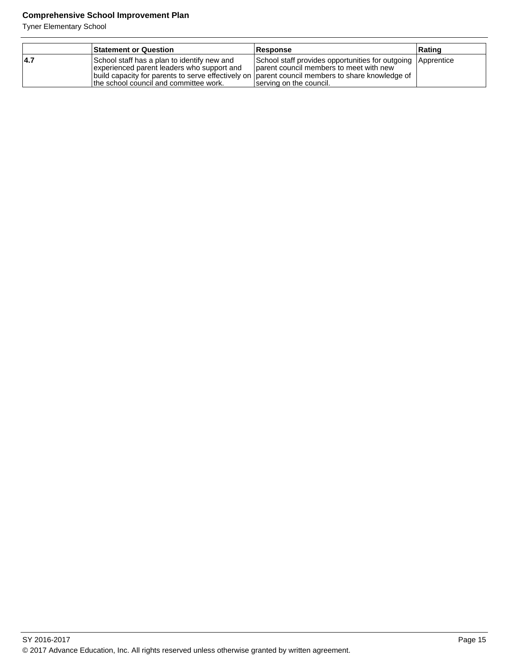Tyner Elementary School

|      | <b>Statement or Question</b>                                                                                                                                                                                                             | Response                                                                                                                          | Rating |
|------|------------------------------------------------------------------------------------------------------------------------------------------------------------------------------------------------------------------------------------------|-----------------------------------------------------------------------------------------------------------------------------------|--------|
| 14.7 | School staff has a plan to identify new and<br>experienced parent leaders who support and<br> build capacity for parents to serve effectively on  parent council members to share knowledge of<br>the school council and committee work. | School staff provides opportunities for outgoing Apprentice<br>parent council members to meet with new<br>serving on the council. |        |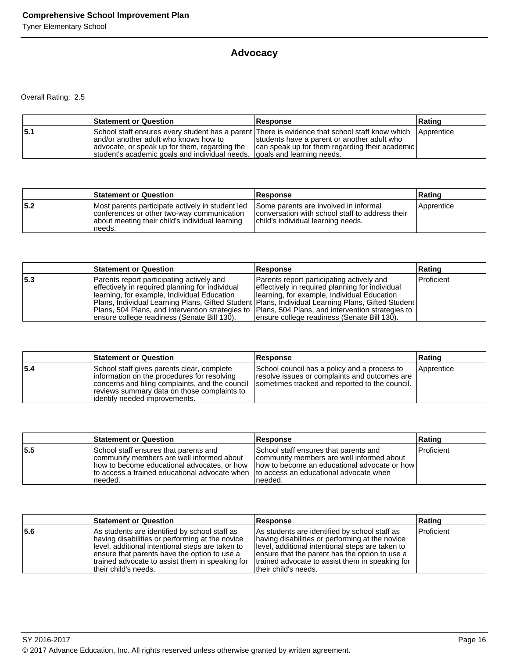# **Advocacy**

|     | <b>Statement or Question</b>                                                                                                                                                                                                                                            | <b>Response</b>                                                                               | Rating     |
|-----|-------------------------------------------------------------------------------------------------------------------------------------------------------------------------------------------------------------------------------------------------------------------------|-----------------------------------------------------------------------------------------------|------------|
| 5.1 | School staff ensures every student has a parent There is evidence that school staff know which<br>land/or another adult who knows how to<br>advocate, or speak up for them, regarding the<br>student's academic goals and individual needs.   goals and learning needs. | students have a parent or another adult who<br>can speak up for them regarding their academic | Apprentice |

|     | <b>Statement or Question</b>                                                                                                                                | <b>Response</b>                                                                                                                | ∣Ratinɑ    |
|-----|-------------------------------------------------------------------------------------------------------------------------------------------------------------|--------------------------------------------------------------------------------------------------------------------------------|------------|
| 5.2 | Most parents participate actively in student led<br>conferences or other two-way communication<br>about meeting their child's individual learning<br>needs. | Some parents are involved in informal<br>conversation with school staff to address their<br>child's individual learning needs. | Apprentice |

|     | <b>Statement or Question</b>                                                                                                                                                                                                                                                                                                                                                                              | Response                                                                                                                                                                                     | Rating     |
|-----|-----------------------------------------------------------------------------------------------------------------------------------------------------------------------------------------------------------------------------------------------------------------------------------------------------------------------------------------------------------------------------------------------------------|----------------------------------------------------------------------------------------------------------------------------------------------------------------------------------------------|------------|
| 5.3 | Parents report participating actively and<br>effectively in required planning for individual<br>Ilearning, for example, Individual Education<br> Plans, Individual Learning Plans, Gifted Student   Plans, Individual Learning Plans, Gifted Student<br>Plans, 504 Plans, and intervention strategies to  Plans, 504 Plans, and intervention strategies to<br>ensure college readiness (Senate Bill 130). | Parents report participating actively and<br>effectively in required planning for individual<br>Ilearning, for example, Individual Education<br>Jensure college readiness (Senate Bill 130). | Proficient |

|     | <b>Statement or Question</b>                                                                                                                                                                                                   | <b>Response</b>                                                                                                                                 | Rating     |
|-----|--------------------------------------------------------------------------------------------------------------------------------------------------------------------------------------------------------------------------------|-------------------------------------------------------------------------------------------------------------------------------------------------|------------|
| 5.4 | School staff gives parents clear, complete<br>linformation on the procedures for resolving<br>concerns and filing complaints, and the council<br>reviews summary data on those complaints to<br>lidentifv needed improvements. | School council has a policy and a process to<br>resolve issues or complaints and outcomes are<br>sometimes tracked and reported to the council. | Apprentice |

|     | <b>Statement or Question</b>                                                                                                                                                                   | <b>Response</b>                                                                                                                                                                           | Rating     |
|-----|------------------------------------------------------------------------------------------------------------------------------------------------------------------------------------------------|-------------------------------------------------------------------------------------------------------------------------------------------------------------------------------------------|------------|
| 5.5 | School staff ensures that parents and<br>community members are well informed about<br>how to become educational advocates, or how<br>Ito access a trained educational advocate when<br>needed. | School staff ensures that parents and<br>community members are well informed about<br>Thow to become an educational advocate or how<br>Ito access an educational advocate when<br>needed. | Proficient |

|     | <b>Statement or Question</b>                                                                                                                                                                                                                                                     | <b>Response</b>                                                                                                                                                                                                                                                                     | Rating       |
|-----|----------------------------------------------------------------------------------------------------------------------------------------------------------------------------------------------------------------------------------------------------------------------------------|-------------------------------------------------------------------------------------------------------------------------------------------------------------------------------------------------------------------------------------------------------------------------------------|--------------|
| 5.6 | As students are identified by school staff as<br>having disabilities or performing at the novice<br>level, additional intentional steps are taken to<br>ensure that parents have the option to use a<br>trained advocate to assist them in speaking for<br>Itheir child's needs. | As students are identified by school staff as<br>having disabilities or performing at the novice<br>Ilevel, additional intentional steps are taken to<br>ensure that the parent has the option to use a<br>trained advocate to assist them in speaking for<br>ltheir child's needs. | l Proficient |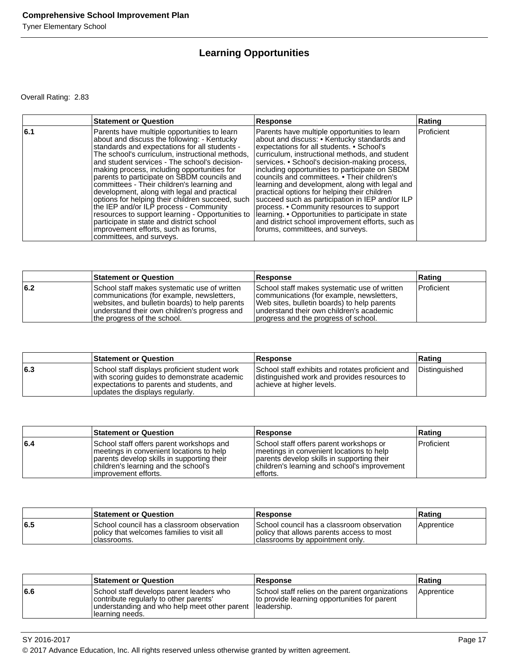# **Learning Opportunities**

|     | <b>Statement or Question</b>                                                                                                                                                                                                                                                                                                                                                                                                                                                                                                                                                                                                                                                                                  | <b>Response</b>                                                                                                                                                                                                                                                                                                                                                                                                                                                                                                                                                                                                                                                                             | Rating     |
|-----|---------------------------------------------------------------------------------------------------------------------------------------------------------------------------------------------------------------------------------------------------------------------------------------------------------------------------------------------------------------------------------------------------------------------------------------------------------------------------------------------------------------------------------------------------------------------------------------------------------------------------------------------------------------------------------------------------------------|---------------------------------------------------------------------------------------------------------------------------------------------------------------------------------------------------------------------------------------------------------------------------------------------------------------------------------------------------------------------------------------------------------------------------------------------------------------------------------------------------------------------------------------------------------------------------------------------------------------------------------------------------------------------------------------------|------------|
| 6.1 | Parents have multiple opportunities to learn<br>about and discuss the following: - Kentucky<br>standards and expectations for all students -<br>The school's curriculum, instructional methods,<br>and student services - The school's decision-<br>making process, including opportunities for<br>parents to participate on SBDM councils and<br>committees - Their children's learning and<br>development, along with legal and practical<br>options for helping their children succeed, such<br>the IEP and/or ILP process - Community<br>resources to support learning - Opportunities to<br>participate in state and district school<br>improvement efforts, such as forums,<br>committees, and surveys. | Parents have multiple opportunities to learn<br>about and discuss: • Kentucky standards and<br>expectations for all students. • School's<br>curriculum, instructional methods, and student<br>services. • School's decision-making process,<br>including opportunities to participate on SBDM<br>councils and committees. • Their children's<br>learning and development, along with legal and<br>practical options for helping their children<br>succeed such as participation in IEP and/or ILP<br>process. • Community resources to support<br>learning. • Opportunities to participate in state<br>and district school improvement efforts, such as<br>forums, committees, and surveys. | Proficient |

|     | <b>Statement or Question</b>                                                                                                                                                                                               | <b>Response</b>                                                                                                                                                                                                              | Rating     |
|-----|----------------------------------------------------------------------------------------------------------------------------------------------------------------------------------------------------------------------------|------------------------------------------------------------------------------------------------------------------------------------------------------------------------------------------------------------------------------|------------|
| 6.2 | School staff makes systematic use of written<br>communications (for example, newsletters,<br>websites, and bulletin boards) to help parents<br>understand their own children's progress and<br>the progress of the school. | School staff makes systematic use of written<br>communications (for example, newsletters,<br>Web sites, bulletin boards) to help parents<br>understand their own children's academic<br>progress and the progress of school. | Proficient |

|     | <b>Statement or Question</b>                                                                                                                                                 | <b>Response</b>                                                                                                               | <b>Rating</b> |
|-----|------------------------------------------------------------------------------------------------------------------------------------------------------------------------------|-------------------------------------------------------------------------------------------------------------------------------|---------------|
| 6.3 | School staff displays proficient student work<br>with scoring guides to demonstrate academic<br>expectations to parents and students, and<br>updates the displays regularly. | School staff exhibits and rotates proficient and<br>distinguished work and provides resources to<br>achieve at higher levels. | Distinguished |

|     | <b>Statement or Question</b>                                                                                                                                                                        | <b>Response</b>                                                                                                                                                                                | Rating     |
|-----|-----------------------------------------------------------------------------------------------------------------------------------------------------------------------------------------------------|------------------------------------------------------------------------------------------------------------------------------------------------------------------------------------------------|------------|
| 6.4 | School staff offers parent workshops and<br>meetings in convenient locations to help<br>parents develop skills in supporting their<br>children's learning and the school's<br>limprovement efforts. | School staff offers parent workshops or<br>Imeetings in convenient locations to help<br>parents develop skills in supporting their<br>children's learning and school's improvement<br>efforts. | Proficient |

|     | <b>Statement or Question</b>                                                                             | Response                                                                                                                     | Rating            |
|-----|----------------------------------------------------------------------------------------------------------|------------------------------------------------------------------------------------------------------------------------------|-------------------|
| 6.5 | ISchool council has a classroom observation<br>policy that welcomes families to visit all<br>classrooms. | I School council has a classroom observation<br>policy that allows parents access to most<br>classrooms by appointment only. | <b>Apprentice</b> |

|     | <b>Statement or Question</b>                                                                                                                           | <b>Response</b>                                                                                                 | Rating     |
|-----|--------------------------------------------------------------------------------------------------------------------------------------------------------|-----------------------------------------------------------------------------------------------------------------|------------|
| 6.6 | School staff develops parent leaders who<br>contribute regularly to other parents'<br>understanding and who help meet other parent<br>Ilearning needs. | School staff relies on the parent organizations<br>to provide learning opportunities for parent<br>lleadership. | Apprentice |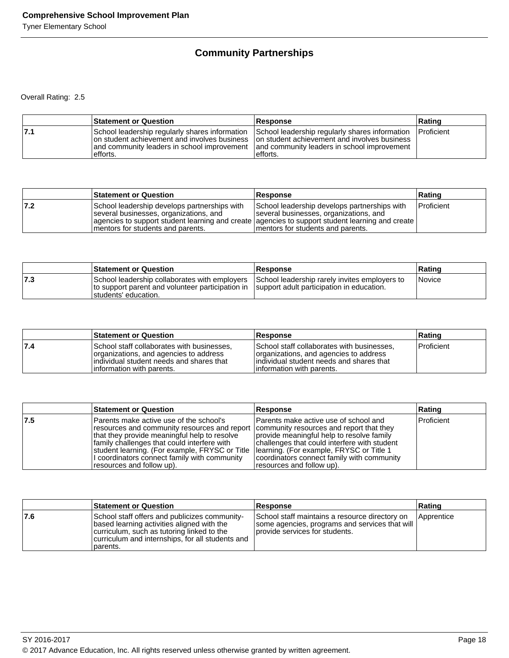# **Community Partnerships**

|     | <b>Statement or Question</b>                                                                                                                               | <b>Response</b>                                                                                                                                           | Rating            |
|-----|------------------------------------------------------------------------------------------------------------------------------------------------------------|-----------------------------------------------------------------------------------------------------------------------------------------------------------|-------------------|
| 7.1 | School leadership regularly shares information<br>on student achievement and involves business<br>land community leaders in school improvement<br>efforts. | School leadership regularly shares information<br>on student achievement and involves business<br>and community leaders in school improvement<br>efforts. | <b>Proficient</b> |

|     | <b>Statement or Question</b>                                                                                                 | <b>Response</b>                                                                                                                                                                                                                 | <b>Rating</b> |
|-----|------------------------------------------------------------------------------------------------------------------------------|---------------------------------------------------------------------------------------------------------------------------------------------------------------------------------------------------------------------------------|---------------|
| 7.2 | School leadership develops partnerships with<br>several businesses, organizations, and<br>Imentors for students and parents. | School leadership develops partnerships with<br>several businesses, organizations, and<br>agencies to support student learning and create agencies to support student learning and create<br>Imentors for students and parents. | Proficient    |

|     | <b>Statement or Question</b>                                                                                                                                                                                       | Response | ∣Ratinɑ       |
|-----|--------------------------------------------------------------------------------------------------------------------------------------------------------------------------------------------------------------------|----------|---------------|
| 7.3 | School leadership collaborates with employers School leadership rarely invites employers to<br>to support parent and volunteer participation in Support adult participation in education.<br>Istudents' education. |          | <i>Novice</i> |

|     | <b>Statement or Question</b>                                                                                                                                   | Response                                                                                                                                                       | Rating            |
|-----|----------------------------------------------------------------------------------------------------------------------------------------------------------------|----------------------------------------------------------------------------------------------------------------------------------------------------------------|-------------------|
| 7.4 | School staff collaborates with businesses,<br>organizations, and agencies to address<br>individual student needs and shares that<br>linformation with parents. | School staff collaborates with businesses.<br>organizations, and agencies to address<br>individual student needs and shares that<br>linformation with parents. | <b>Proficient</b> |

|     | <b>Statement or Question</b>                                                                                                                                                                                                                                                                                                                                                                                | Response                                                                                                                                                                                                       | Rating            |
|-----|-------------------------------------------------------------------------------------------------------------------------------------------------------------------------------------------------------------------------------------------------------------------------------------------------------------------------------------------------------------------------------------------------------------|----------------------------------------------------------------------------------------------------------------------------------------------------------------------------------------------------------------|-------------------|
| 7.5 | lParents make active use of the school's<br>resources and community resources and report   community resources and report that they<br>that they provide meaningful help to resolve<br>family challenges that could interfere with<br>student learning. (For example, FRYSC or Title  learning. (For example, FRYSC or Title 1<br>I coordinators connect family with community<br>resources and follow up). | lParents make active use of school and<br>provide meaningful help to resolve family<br>challenges that could interfere with student<br>coordinators connect family with community<br>resources and follow up). | <b>Proficient</b> |

|      | <b>Statement or Question</b>                                                                                                                                                                              | <b>Response</b>                                                                                                                       | Rating       |
|------|-----------------------------------------------------------------------------------------------------------------------------------------------------------------------------------------------------------|---------------------------------------------------------------------------------------------------------------------------------------|--------------|
| 17.6 | School staff offers and publicizes community-<br>based learning activities aligned with the<br>curriculum, such as tutoring linked to the<br>curriculum and internships, for all students and<br>parents. | School staff maintains a resource directory on<br>  some agencies, programs and services that will<br>Iprovide services for students. | l Apprentice |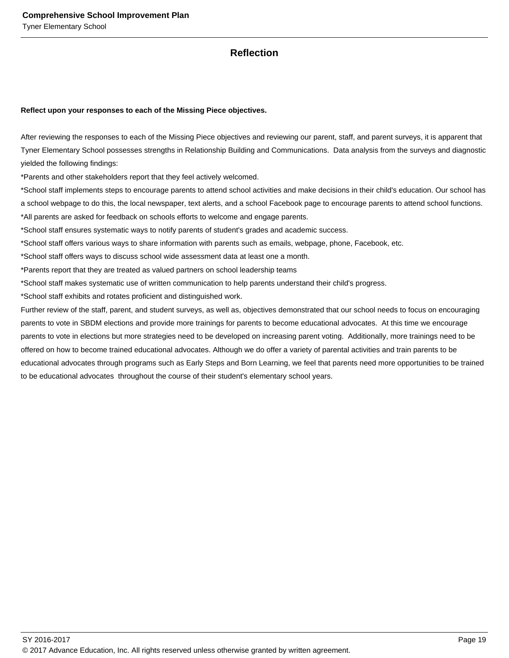### **Reflection**

#### **Reflect upon your responses to each of the Missing Piece objectives.**

After reviewing the responses to each of the Missing Piece objectives and reviewing our parent, staff, and parent surveys, it is apparent that Tyner Elementary School possesses strengths in Relationship Building and Communications. Data analysis from the surveys and diagnostic yielded the following findings:

\*Parents and other stakeholders report that they feel actively welcomed.

\*School staff implements steps to encourage parents to attend school activities and make decisions in their child's education. Our school has a school webpage to do this, the local newspaper, text alerts, and a school Facebook page to encourage parents to attend school functions. \*All parents are asked for feedback on schools efforts to welcome and engage parents.

\*School staff ensures systematic ways to notify parents of student's grades and academic success.

\*School staff offers various ways to share information with parents such as emails, webpage, phone, Facebook, etc.

\*School staff offers ways to discuss school wide assessment data at least one a month.

\*Parents report that they are treated as valued partners on school leadership teams

\*School staff makes systematic use of written communication to help parents understand their child's progress.

\*School staff exhibits and rotates proficient and distinguished work.

Further review of the staff, parent, and student surveys, as well as, objectives demonstrated that our school needs to focus on encouraging parents to vote in SBDM elections and provide more trainings for parents to become educational advocates. At this time we encourage parents to vote in elections but more strategies need to be developed on increasing parent voting. Additionally, more trainings need to be offered on how to become trained educational advocates. Although we do offer a variety of parental activities and train parents to be educational advocates through programs such as Early Steps and Born Learning, we feel that parents need more opportunities to be trained to be educational advocates throughout the course of their student's elementary school years.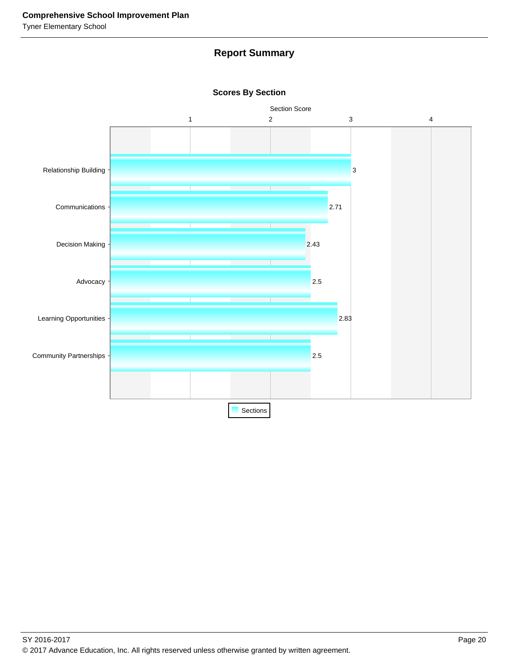# **Report Summary**



#### **Scores By Section**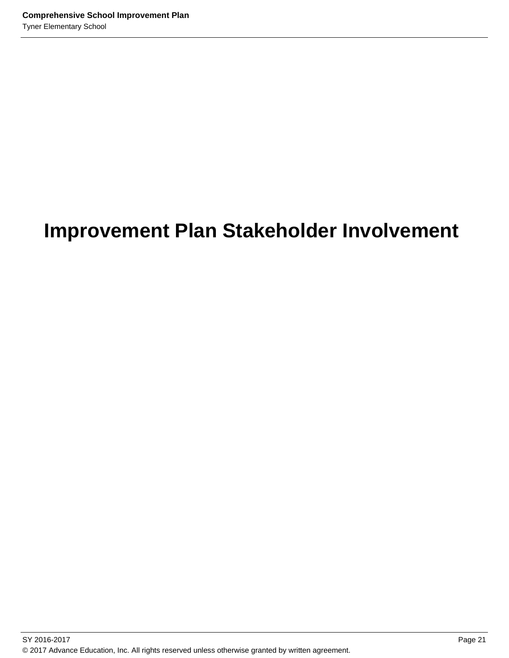# **Improvement Plan Stakeholder Involvement**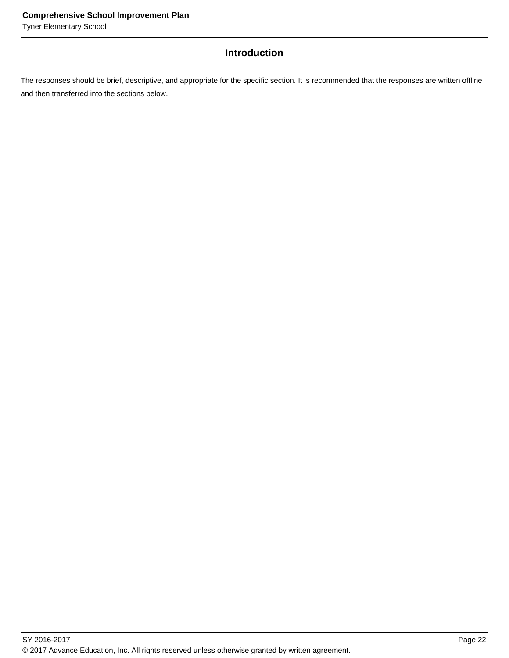# **Introduction**

The responses should be brief, descriptive, and appropriate for the specific section. It is recommended that the responses are written offline and then transferred into the sections below.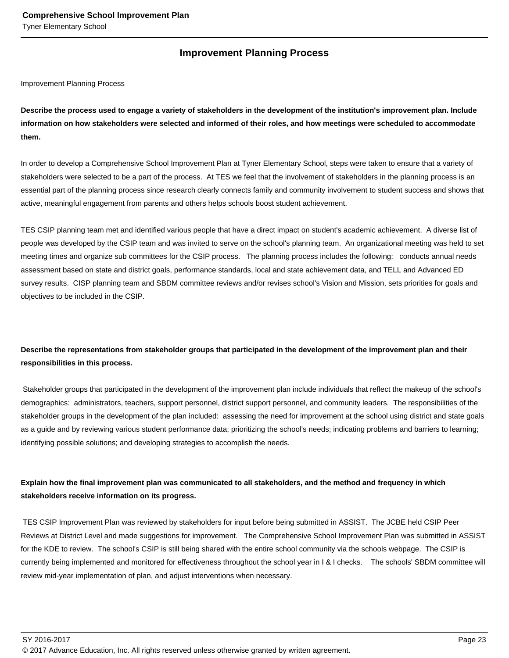### **Improvement Planning Process**

Improvement Planning Process

**Describe the process used to engage a variety of stakeholders in the development of the institution's improvement plan. Include information on how stakeholders were selected and informed of their roles, and how meetings were scheduled to accommodate them.** 

In order to develop a Comprehensive School Improvement Plan at Tyner Elementary School, steps were taken to ensure that a variety of stakeholders were selected to be a part of the process. At TES we feel that the involvement of stakeholders in the planning process is an essential part of the planning process since research clearly connects family and community involvement to student success and shows that active, meaningful engagement from parents and others helps schools boost student achievement.

TES CSIP planning team met and identified various people that have a direct impact on student's academic achievement. A diverse list of people was developed by the CSIP team and was invited to serve on the school's planning team. An organizational meeting was held to set meeting times and organize sub committees for the CSIP process. The planning process includes the following: conducts annual needs assessment based on state and district goals, performance standards, local and state achievement data, and TELL and Advanced ED survey results. CISP planning team and SBDM committee reviews and/or revises school's Vision and Mission, sets priorities for goals and objectives to be included in the CSIP.

# **Describe the representations from stakeholder groups that participated in the development of the improvement plan and their responsibilities in this process.**

 Stakeholder groups that participated in the development of the improvement plan include individuals that reflect the makeup of the school's demographics: administrators, teachers, support personnel, district support personnel, and community leaders. The responsibilities of the stakeholder groups in the development of the plan included: assessing the need for improvement at the school using district and state goals as a guide and by reviewing various student performance data; prioritizing the school's needs; indicating problems and barriers to learning; identifying possible solutions; and developing strategies to accomplish the needs.

### **Explain how the final improvement plan was communicated to all stakeholders, and the method and frequency in which stakeholders receive information on its progress.**

 TES CSIP Improvement Plan was reviewed by stakeholders for input before being submitted in ASSIST. The JCBE held CSIP Peer Reviews at District Level and made suggestions for improvement. The Comprehensive School Improvement Plan was submitted in ASSIST for the KDE to review. The school's CSIP is still being shared with the entire school community via the schools webpage. The CSIP is currently being implemented and monitored for effectiveness throughout the school year in I & I checks. The schools' SBDM committee will review mid-year implementation of plan, and adjust interventions when necessary.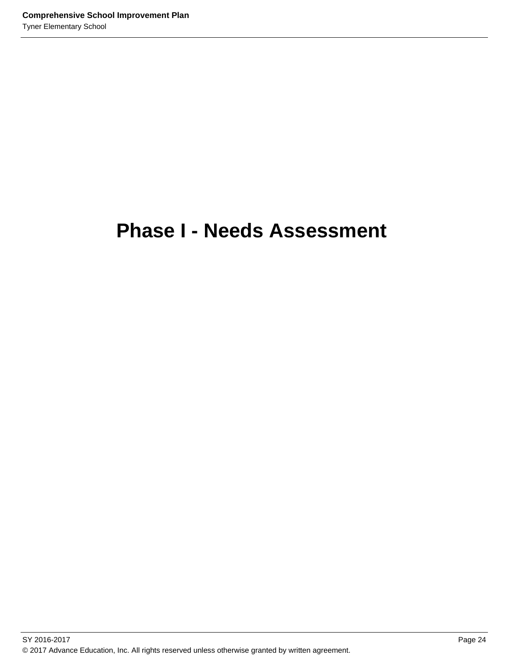# **Phase I - Needs Assessment**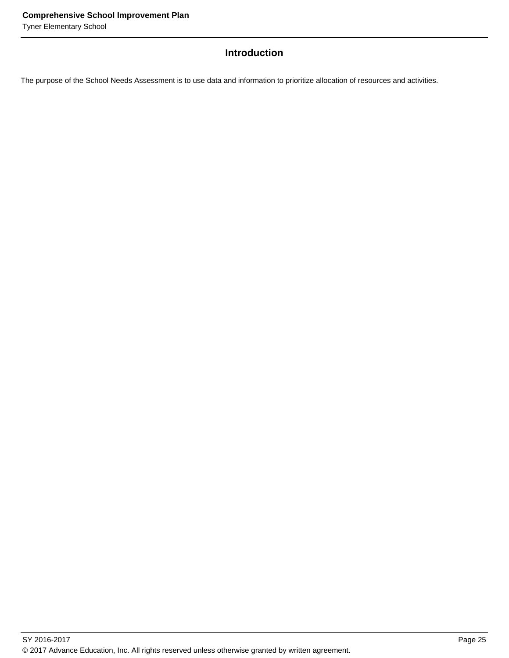# **Introduction**

The purpose of the School Needs Assessment is to use data and information to prioritize allocation of resources and activities.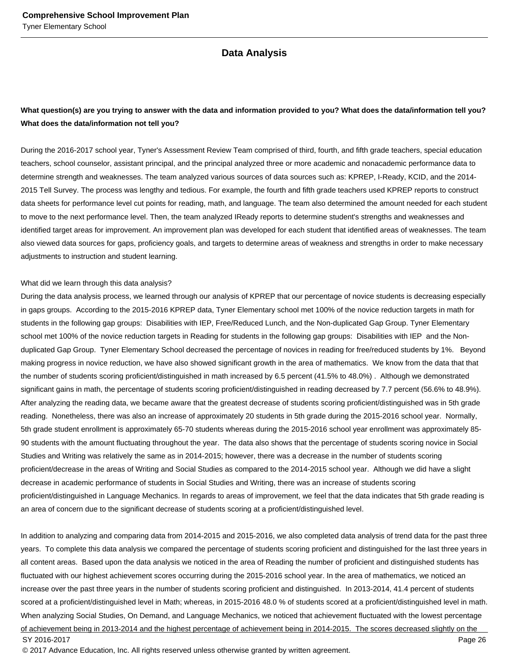#### **Data Analysis**

### **What question(s) are you trying to answer with the data and information provided to you? What does the data/information tell you? What does the data/information not tell you?**

During the 2016-2017 school year, Tyner's Assessment Review Team comprised of third, fourth, and fifth grade teachers, special education teachers, school counselor, assistant principal, and the principal analyzed three or more academic and nonacademic performance data to determine strength and weaknesses. The team analyzed various sources of data sources such as: KPREP, I-Ready, KCID, and the 2014- 2015 Tell Survey. The process was lengthy and tedious. For example, the fourth and fifth grade teachers used KPREP reports to construct data sheets for performance level cut points for reading, math, and language. The team also determined the amount needed for each student to move to the next performance level. Then, the team analyzed IReady reports to determine student's strengths and weaknesses and identified target areas for improvement. An improvement plan was developed for each student that identified areas of weaknesses. The team also viewed data sources for gaps, proficiency goals, and targets to determine areas of weakness and strengths in order to make necessary adjustments to instruction and student learning.

#### What did we learn through this data analysis?

During the data analysis process, we learned through our analysis of KPREP that our percentage of novice students is decreasing especially in gaps groups. According to the 2015-2016 KPREP data, Tyner Elementary school met 100% of the novice reduction targets in math for students in the following gap groups: Disabilities with IEP, Free/Reduced Lunch, and the Non-duplicated Gap Group. Tyner Elementary school met 100% of the novice reduction targets in Reading for students in the following gap groups: Disabilities with IEP and the Nonduplicated Gap Group. Tyner Elementary School decreased the percentage of novices in reading for free/reduced students by 1%. Beyond making progress in novice reduction, we have also showed significant growth in the area of mathematics. We know from the data that that the number of students scoring proficient/distinguished in math increased by 6.5 percent (41.5% to 48.0%) . Although we demonstrated significant gains in math, the percentage of students scoring proficient/distinguished in reading decreased by 7.7 percent (56.6% to 48.9%). After analyzing the reading data, we became aware that the greatest decrease of students scoring proficient/distinguished was in 5th grade reading. Nonetheless, there was also an increase of approximately 20 students in 5th grade during the 2015-2016 school year. Normally, 5th grade student enrollment is approximately 65-70 students whereas during the 2015-2016 school year enrollment was approximately 85- 90 students with the amount fluctuating throughout the year. The data also shows that the percentage of students scoring novice in Social Studies and Writing was relatively the same as in 2014-2015; however, there was a decrease in the number of students scoring proficient/decrease in the areas of Writing and Social Studies as compared to the 2014-2015 school year. Although we did have a slight decrease in academic performance of students in Social Studies and Writing, there was an increase of students scoring proficient/distinguished in Language Mechanics. In regards to areas of improvement, we feel that the data indicates that 5th grade reading is an area of concern due to the significant decrease of students scoring at a proficient/distinguished level.

In addition to analyzing and comparing data from 2014-2015 and 2015-2016, we also completed data analysis of trend data for the past three years. To complete this data analysis we compared the percentage of students scoring proficient and distinguished for the last three years in all content areas. Based upon the data analysis we noticed in the area of Reading the number of proficient and distinguished students has fluctuated with our highest achievement scores occurring during the 2015-2016 school year. In the area of mathematics, we noticed an increase over the past three years in the number of students scoring proficient and distinguished. In 2013-2014, 41.4 percent of students scored at a proficient/distinguished level in Math; whereas, in 2015-2016 48.0 % of students scored at a proficient/distinguished level in math. When analyzing Social Studies, On Demand, and Language Mechanics, we noticed that achievement fluctuated with the lowest percentage of achievement being in 2013-2014 and the highest percentage of achievement being in 2014-2015. The scores decreased slightly on the SY 2016-2017 Page 26

© 2017 Advance Education, Inc. All rights reserved unless otherwise granted by written agreement.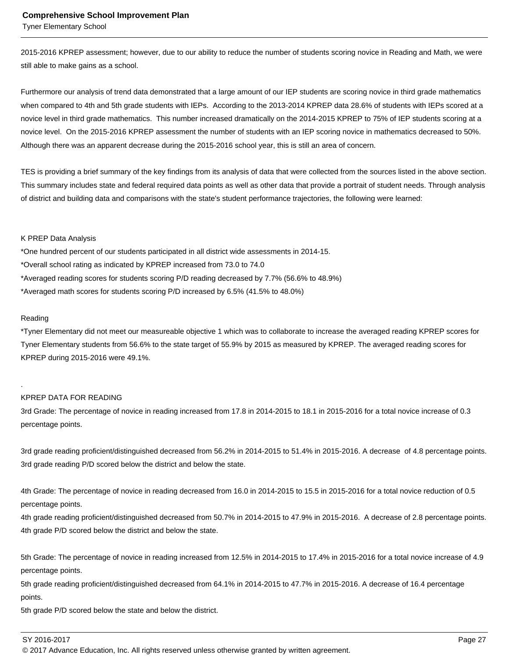Tyner Elementary School

2015-2016 KPREP assessment; however, due to our ability to reduce the number of students scoring novice in Reading and Math, we were still able to make gains as a school.

Furthermore our analysis of trend data demonstrated that a large amount of our IEP students are scoring novice in third grade mathematics when compared to 4th and 5th grade students with IEPs. According to the 2013-2014 KPREP data 28.6% of students with IEPs scored at a novice level in third grade mathematics. This number increased dramatically on the 2014-2015 KPREP to 75% of IEP students scoring at a novice level. On the 2015-2016 KPREP assessment the number of students with an IEP scoring novice in mathematics decreased to 50%. Although there was an apparent decrease during the 2015-2016 school year, this is still an area of concern.

TES is providing a brief summary of the key findings from its analysis of data that were collected from the sources listed in the above section. This summary includes state and federal required data points as well as other data that provide a portrait of student needs. Through analysis of district and building data and comparisons with the state's student performance trajectories, the following were learned:

#### K PREP Data Analysis

- \*One hundred percent of our students participated in all district wide assessments in 2014-15.
- \*Overall school rating as indicated by KPREP increased from 73.0 to 74.0
- \*Averaged reading scores for students scoring P/D reading decreased by 7.7% (56.6% to 48.9%)
- \*Averaged math scores for students scoring P/D increased by 6.5% (41.5% to 48.0%)

#### Reading

.

\*Tyner Elementary did not meet our measureable objective 1 which was to collaborate to increase the averaged reading KPREP scores for Tyner Elementary students from 56.6% to the state target of 55.9% by 2015 as measured by KPREP. The averaged reading scores for KPREP during 2015-2016 were 49.1%.

#### KPREP DATA FOR READING

3rd Grade: The percentage of novice in reading increased from 17.8 in 2014-2015 to 18.1 in 2015-2016 for a total novice increase of 0.3 percentage points.

3rd grade reading proficient/distinguished decreased from 56.2% in 2014-2015 to 51.4% in 2015-2016. A decrease of 4.8 percentage points. 3rd grade reading P/D scored below the district and below the state.

4th Grade: The percentage of novice in reading decreased from 16.0 in 2014-2015 to 15.5 in 2015-2016 for a total novice reduction of 0.5 percentage points.

4th grade reading proficient/distinguished decreased from 50.7% in 2014-2015 to 47.9% in 2015-2016. A decrease of 2.8 percentage points. 4th grade P/D scored below the district and below the state.

5th Grade: The percentage of novice in reading increased from 12.5% in 2014-2015 to 17.4% in 2015-2016 for a total novice increase of 4.9 percentage points.

5th grade reading proficient/distinguished decreased from 64.1% in 2014-2015 to 47.7% in 2015-2016. A decrease of 16.4 percentage points.

5th grade P/D scored below the state and below the district.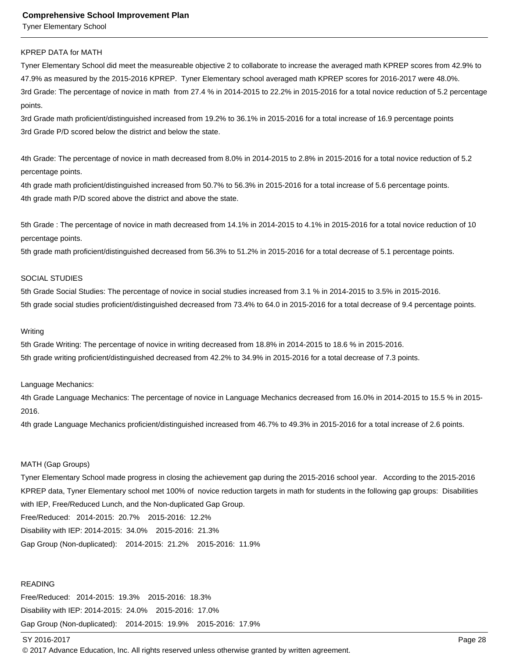Tyner Elementary School

#### KPREP DATA for MATH

Tyner Elementary School did meet the measureable objective 2 to collaborate to increase the averaged math KPREP scores from 42.9% to 47.9% as measured by the 2015-2016 KPREP. Tyner Elementary school averaged math KPREP scores for 2016-2017 were 48.0%. 3rd Grade: The percentage of novice in math from 27.4 % in 2014-2015 to 22.2% in 2015-2016 for a total novice reduction of 5.2 percentage points.

3rd Grade math proficient/distinguished increased from 19.2% to 36.1% in 2015-2016 for a total increase of 16.9 percentage points 3rd Grade P/D scored below the district and below the state.

4th Grade: The percentage of novice in math decreased from 8.0% in 2014-2015 to 2.8% in 2015-2016 for a total novice reduction of 5.2 percentage points.

4th grade math proficient/distinguished increased from 50.7% to 56.3% in 2015-2016 for a total increase of 5.6 percentage points. 4th grade math P/D scored above the district and above the state.

5th Grade : The percentage of novice in math decreased from 14.1% in 2014-2015 to 4.1% in 2015-2016 for a total novice reduction of 10 percentage points.

5th grade math proficient/distinguished decreased from 56.3% to 51.2% in 2015-2016 for a total decrease of 5.1 percentage points.

#### SOCIAL STUDIES

5th Grade Social Studies: The percentage of novice in social studies increased from 3.1 % in 2014-2015 to 3.5% in 2015-2016. 5th grade social studies proficient/distinguished decreased from 73.4% to 64.0 in 2015-2016 for a total decrease of 9.4 percentage points.

#### Writing

5th Grade Writing: The percentage of novice in writing decreased from 18.8% in 2014-2015 to 18.6 % in 2015-2016. 5th grade writing proficient/distinguished decreased from 42.2% to 34.9% in 2015-2016 for a total decrease of 7.3 points.

#### Language Mechanics:

4th Grade Language Mechanics: The percentage of novice in Language Mechanics decreased from 16.0% in 2014-2015 to 15.5 % in 2015- 2016.

4th grade Language Mechanics proficient/distinguished increased from 46.7% to 49.3% in 2015-2016 for a total increase of 2.6 points.

#### MATH (Gap Groups)

Tyner Elementary School made progress in closing the achievement gap during the 2015-2016 school year. According to the 2015-2016 KPREP data, Tyner Elementary school met 100% of novice reduction targets in math for students in the following gap groups: Disabilities with IEP, Free/Reduced Lunch, and the Non-duplicated Gap Group. Free/Reduced: 2014-2015: 20.7% 2015-2016: 12.2% Disability with IEP: 2014-2015: 34.0% 2015-2016: 21.3%

Gap Group (Non-duplicated): 2014-2015: 21.2% 2015-2016: 11.9%

#### READING

Free/Reduced: 2014-2015: 19.3% 2015-2016: 18.3% Disability with IEP: 2014-2015: 24.0% 2015-2016: 17.0% Gap Group (Non-duplicated): 2014-2015: 19.9% 2015-2016: 17.9%

#### SY 2016-2017 Page 28

© 2017 Advance Education, Inc. All rights reserved unless otherwise granted by written agreement.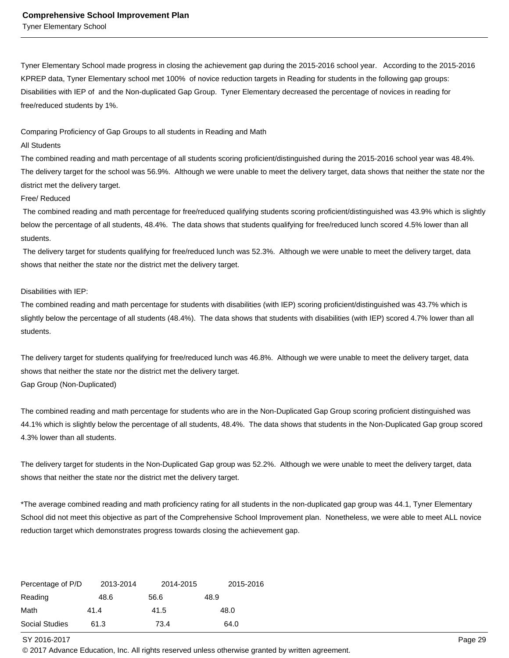Tyner Elementary School

Tyner Elementary School made progress in closing the achievement gap during the 2015-2016 school year. According to the 2015-2016 KPREP data, Tyner Elementary school met 100% of novice reduction targets in Reading for students in the following gap groups: Disabilities with IEP of and the Non-duplicated Gap Group. Tyner Elementary decreased the percentage of novices in reading for free/reduced students by 1%.

Comparing Proficiency of Gap Groups to all students in Reading and Math

#### All Students

The combined reading and math percentage of all students scoring proficient/distinguished during the 2015-2016 school year was 48.4%. The delivery target for the school was 56.9%. Although we were unable to meet the delivery target, data shows that neither the state nor the district met the delivery target.

#### Free/ Reduced

 The combined reading and math percentage for free/reduced qualifying students scoring proficient/distinguished was 43.9% which is slightly below the percentage of all students, 48.4%. The data shows that students qualifying for free/reduced lunch scored 4.5% lower than all students.

 The delivery target for students qualifying for free/reduced lunch was 52.3%. Although we were unable to meet the delivery target, data shows that neither the state nor the district met the delivery target.

#### Disabilities with IEP:

The combined reading and math percentage for students with disabilities (with IEP) scoring proficient/distinguished was 43.7% which is slightly below the percentage of all students (48.4%). The data shows that students with disabilities (with IEP) scored 4.7% lower than all students.

The delivery target for students qualifying for free/reduced lunch was 46.8%. Although we were unable to meet the delivery target, data shows that neither the state nor the district met the delivery target. Gap Group (Non-Duplicated)

The combined reading and math percentage for students who are in the Non-Duplicated Gap Group scoring proficient distinguished was 44.1% which is slightly below the percentage of all students, 48.4%. The data shows that students in the Non-Duplicated Gap group scored 4.3% lower than all students.

The delivery target for students in the Non-Duplicated Gap group was 52.2%. Although we were unable to meet the delivery target, data shows that neither the state nor the district met the delivery target.

 \*The average combined reading and math proficiency rating for all students in the non-duplicated gap group was 44.1, Tyner Elementary School did not meet this objective as part of the Comprehensive School Improvement plan. Nonetheless, we were able to meet ALL novice reduction target which demonstrates progress towards closing the achievement gap.

| Percentage of P/D | 2013-2014 | 2014-2015 | 2015-2016 |
|-------------------|-----------|-----------|-----------|
| Reading           | 48.6      | 56.6      | 48.9      |
| Math              | 41.4      | 41.5      | 48.0      |
| Social Studies    | 61.3      | 73.4      | 64.0      |

SY 2016-2017 Page 29

© 2017 Advance Education, Inc. All rights reserved unless otherwise granted by written agreement.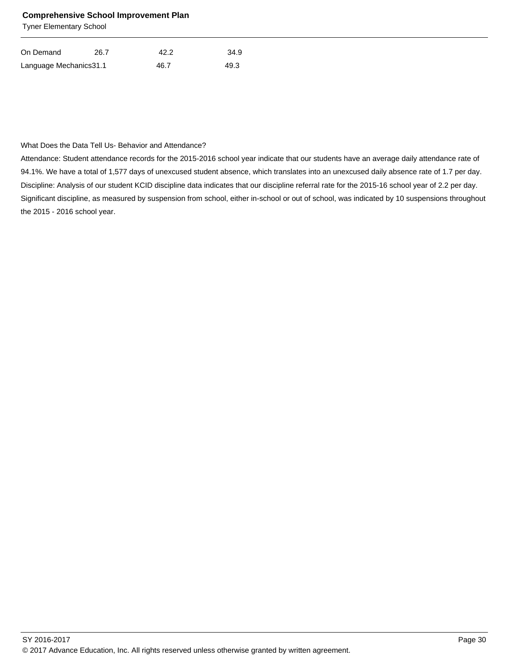Tyner Elementary School

| On Demand               | 26.7 | 42.2 | 34.9 |
|-------------------------|------|------|------|
| Language Mechanics 31.1 |      | 46.7 | 49.3 |

#### What Does the Data Tell Us- Behavior and Attendance?

Attendance: Student attendance records for the 2015-2016 school year indicate that our students have an average daily attendance rate of 94.1%. We have a total of 1,577 days of unexcused student absence, which translates into an unexcused daily absence rate of 1.7 per day. Discipline: Analysis of our student KCID discipline data indicates that our discipline referral rate for the 2015-16 school year of 2.2 per day. Significant discipline, as measured by suspension from school, either in-school or out of school, was indicated by 10 suspensions throughout the 2015 - 2016 school year.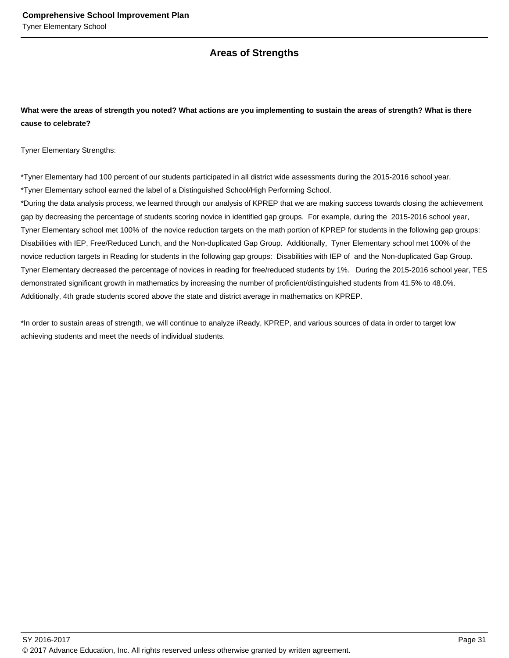## **Areas of Strengths**

### **What were the areas of strength you noted? What actions are you implementing to sustain the areas of strength? What is there cause to celebrate?**

Tyner Elementary Strengths:

\*Tyner Elementary had 100 percent of our students participated in all district wide assessments during the 2015-2016 school year. \*Tyner Elementary school earned the label of a Distinguished School/High Performing School.

\*During the data analysis process, we learned through our analysis of KPREP that we are making success towards closing the achievement gap by decreasing the percentage of students scoring novice in identified gap groups. For example, during the 2015-2016 school year, Tyner Elementary school met 100% of the novice reduction targets on the math portion of KPREP for students in the following gap groups: Disabilities with IEP, Free/Reduced Lunch, and the Non-duplicated Gap Group. Additionally, Tyner Elementary school met 100% of the novice reduction targets in Reading for students in the following gap groups: Disabilities with IEP of and the Non-duplicated Gap Group. Tyner Elementary decreased the percentage of novices in reading for free/reduced students by 1%. During the 2015-2016 school year, TES demonstrated significant growth in mathematics by increasing the number of proficient/distinguished students from 41.5% to 48.0%. Additionally, 4th grade students scored above the state and district average in mathematics on KPREP.

\*In order to sustain areas of strength, we will continue to analyze iReady, KPREP, and various sources of data in order to target low achieving students and meet the needs of individual students.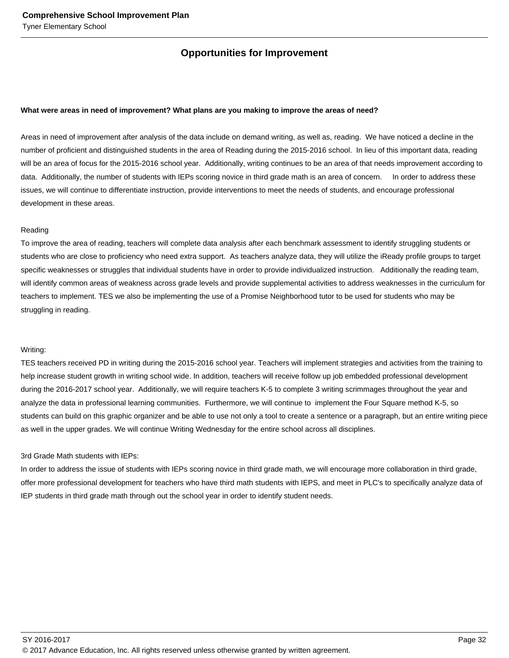# **Opportunities for Improvement**

#### **What were areas in need of improvement? What plans are you making to improve the areas of need?**

Areas in need of improvement after analysis of the data include on demand writing, as well as, reading. We have noticed a decline in the number of proficient and distinguished students in the area of Reading during the 2015-2016 school. In lieu of this important data, reading will be an area of focus for the 2015-2016 school year. Additionally, writing continues to be an area of that needs improvement according to data. Additionally, the number of students with IEPs scoring novice in third grade math is an area of concern. In order to address these issues, we will continue to differentiate instruction, provide interventions to meet the needs of students, and encourage professional development in these areas.

#### Reading

To improve the area of reading, teachers will complete data analysis after each benchmark assessment to identify struggling students or students who are close to proficiency who need extra support. As teachers analyze data, they will utilize the iReady profile groups to target specific weaknesses or struggles that individual students have in order to provide individualized instruction. Additionally the reading team, will identify common areas of weakness across grade levels and provide supplemental activities to address weaknesses in the curriculum for teachers to implement. TES we also be implementing the use of a Promise Neighborhood tutor to be used for students who may be struggling in reading.

#### Writing:

TES teachers received PD in writing during the 2015-2016 school year. Teachers will implement strategies and activities from the training to help increase student growth in writing school wide. In addition, teachers will receive follow up job embedded professional development during the 2016-2017 school year. Additionally, we will require teachers K-5 to complete 3 writing scrimmages throughout the year and analyze the data in professional learning communities. Furthermore, we will continue to implement the Four Square method K-5, so students can build on this graphic organizer and be able to use not only a tool to create a sentence or a paragraph, but an entire writing piece as well in the upper grades. We will continue Writing Wednesday for the entire school across all disciplines.

#### 3rd Grade Math students with IEPs:

In order to address the issue of students with IEPs scoring novice in third grade math, we will encourage more collaboration in third grade, offer more professional development for teachers who have third math students with IEPS, and meet in PLC's to specifically analyze data of IEP students in third grade math through out the school year in order to identify student needs.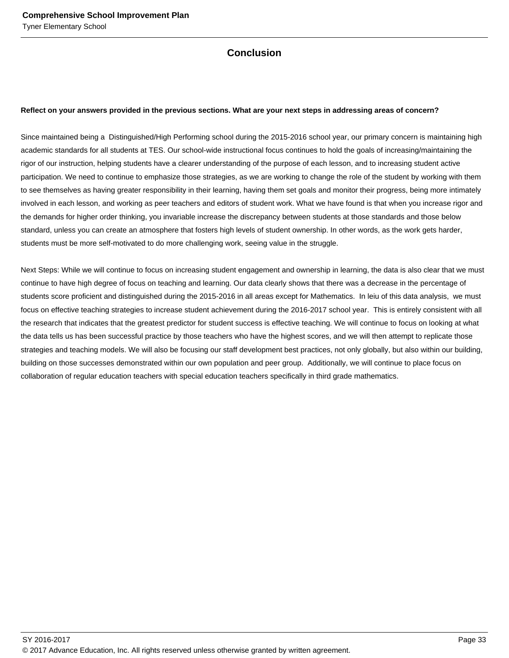# **Conclusion**

#### **Reflect on your answers provided in the previous sections. What are your next steps in addressing areas of concern?**

Since maintained being a Distinguished/High Performing school during the 2015-2016 school year, our primary concern is maintaining high academic standards for all students at TES. Our school-wide instructional focus continues to hold the goals of increasing/maintaining the rigor of our instruction, helping students have a clearer understanding of the purpose of each lesson, and to increasing student active participation. We need to continue to emphasize those strategies, as we are working to change the role of the student by working with them to see themselves as having greater responsibility in their learning, having them set goals and monitor their progress, being more intimately involved in each lesson, and working as peer teachers and editors of student work. What we have found is that when you increase rigor and the demands for higher order thinking, you invariable increase the discrepancy between students at those standards and those below standard, unless you can create an atmosphere that fosters high levels of student ownership. In other words, as the work gets harder, students must be more self-motivated to do more challenging work, seeing value in the struggle.

Next Steps: While we will continue to focus on increasing student engagement and ownership in learning, the data is also clear that we must continue to have high degree of focus on teaching and learning. Our data clearly shows that there was a decrease in the percentage of students score proficient and distinguished during the 2015-2016 in all areas except for Mathematics. In leiu of this data analysis, we must focus on effective teaching strategies to increase student achievement during the 2016-2017 school year. This is entirely consistent with all the research that indicates that the greatest predictor for student success is effective teaching. We will continue to focus on looking at what the data tells us has been successful practice by those teachers who have the highest scores, and we will then attempt to replicate those strategies and teaching models. We will also be focusing our staff development best practices, not only globally, but also within our building, building on those successes demonstrated within our own population and peer group. Additionally, we will continue to place focus on collaboration of regular education teachers with special education teachers specifically in third grade mathematics.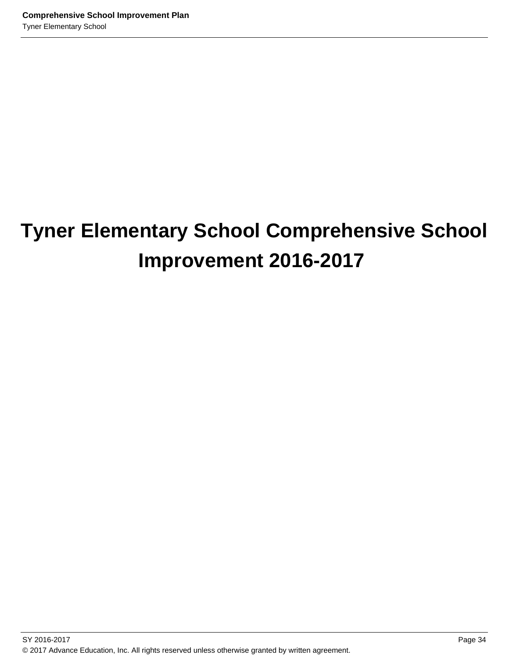# **Tyner Elementary School Comprehensive School Improvement 2016-2017**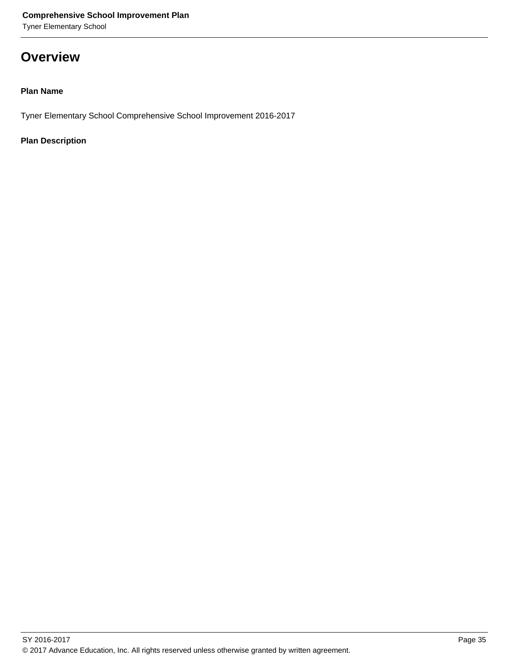Tyner Elementary School

# **Overview**

# **Plan Name**

Tyner Elementary School Comprehensive School Improvement 2016-2017

# **Plan Description**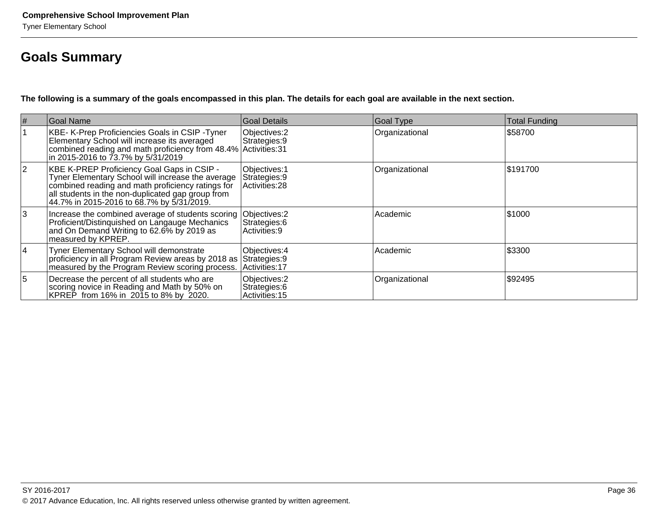# **Goals Summary**

**The following is a summary of the goals encompassed in this plan. The details for each goal are available in the next section.**

| #              | Goal Name                                                                                                                                                                                                                                              | Goal Details                                     | <b>Goal Type</b> | Total Funding |
|----------------|--------------------------------------------------------------------------------------------------------------------------------------------------------------------------------------------------------------------------------------------------------|--------------------------------------------------|------------------|---------------|
|                | KBE- K-Prep Proficiencies Goals in CSIP - Tyner<br>Elementary School will increase its averaged<br>combined reading and math proficiency from 48.4% Activities: 31<br>in 2015-2016 to 73.7% by 5/31/2019                                               | Objectives: 2<br>Strategies: 9                   | Organizational   | \$58700       |
| 2              | KBE K-PREP Proficiency Goal Gaps in CSIP -<br>Tyner Elementary School will increase the average<br>combined reading and math proficiency ratings for<br>all students in the non-duplicated gap group from<br>44.7% in 2015-2016 to 68.7% by 5/31/2019. | Objectives: 1<br>Strategies: 9<br>Activities: 28 | Organizational   | \$191700      |
| 3              | Increase the combined average of students scoring Objectives: 2<br>Proficient/Distinguished on Langauge Mechanics<br>and On Demand Writing to 62.6% by 2019 as<br>measured by KPREP.                                                                   | Strategies: 6<br>Activities: 9                   | Academic         | \$1000        |
| 14             | Tyner Elementary School will demonstrate<br>proficiency in all Program Review areas by 2018 as<br>measured by the Program Review scoring process.                                                                                                      | Objectives: 4<br>Strategies: 9<br>Activities: 17 | Academic         | \$3300        |
| $\overline{5}$ | Decrease the percent of all students who are<br>scoring novice in Reading and Math by 50% on<br>KPREP from 16% in 2015 to 8% by 2020.                                                                                                                  | Objectives: 2<br>Strategies: 6<br>Activities: 15 | Organizational   | \$92495       |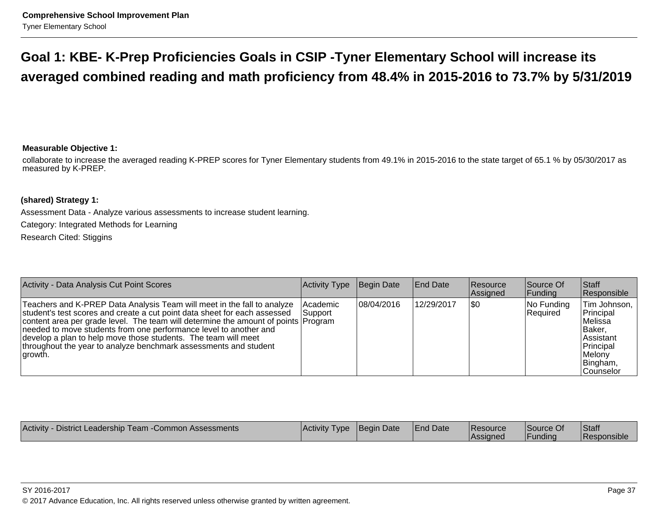# **Goal 1: KBE- K-Prep Proficiencies Goals in CSIP -Tyner Elementary School will increase itsaveraged combined reading and math proficiency from 48.4% in 2015-2016 to 73.7% by 5/31/2019**

# **Measurable Objective 1:**

collaborate to increase the averaged reading K-PREP scores for Tyner Elementary students from 49.1% in 2015-2016 to the state target of 65.1 % by 05/30/2017 asmeasured by K-PREP.

# **(shared) Strategy 1:**

Assessment Data - Analyze various assessments to increase student learning.Category: Integrated Methods for LearningResearch Cited: Stiggins

| Activity - Data Analysis Cut Point Scores                                                                                                                                                                                                                                                                                                                                                                                                                         | Activity Type         | Begin Date | <b>End Date</b> | Resource<br>Assigned | Source Of<br> Funding  | <b>Staff</b><br>Responsible                                                                                                 |
|-------------------------------------------------------------------------------------------------------------------------------------------------------------------------------------------------------------------------------------------------------------------------------------------------------------------------------------------------------------------------------------------------------------------------------------------------------------------|-----------------------|------------|-----------------|----------------------|------------------------|-----------------------------------------------------------------------------------------------------------------------------|
| Teachers and K-PREP Data Analysis Team will meet in the fall to analyze<br>student's test scores and create a cut point data sheet for each assessed<br>content area per grade level. The team will determine the amount of points Program<br>needed to move students from one performance level to another and<br>develop a plan to help move those students. The team will meet<br>throughout the year to analyze benchmark assessments and student<br>∣arowth. | Academic<br> Support_ | 08/04/2016 | 12/29/2017      | \$0                  | No Funding<br>Required | Tim Johnson,<br>Principal<br>lMelissa<br>IBaker.<br><b>Assistant</b><br>Principal<br>Melony<br>Bingham,<br><b>Counselor</b> |

| Activity<br>- District Leadership Team - Common Assessments | Activity Type | Begin Date | <b>End Date</b> | <b>Resource</b><br><b>Assigned</b> | Source Of<br>sunding | Staff<br><b>IResponsible</b> |
|-------------------------------------------------------------|---------------|------------|-----------------|------------------------------------|----------------------|------------------------------|
|-------------------------------------------------------------|---------------|------------|-----------------|------------------------------------|----------------------|------------------------------|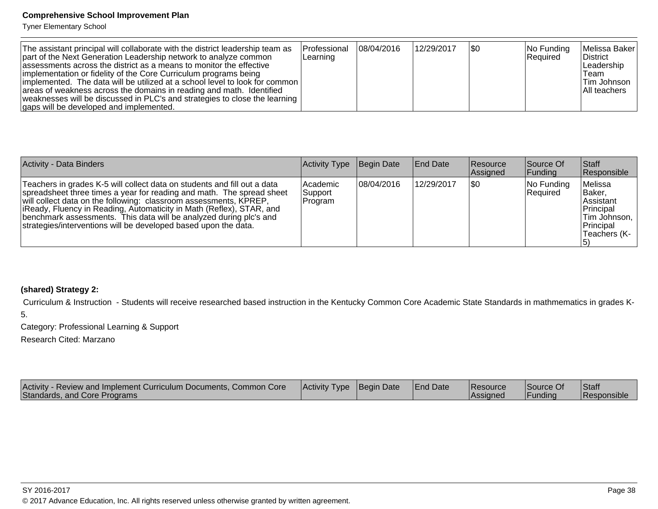Tyner Elementary School

| The assistant principal will collaborate with the district leadership team as<br>part of the Next Generation Leadership network to analyze common<br>assessments across the district as a means to monitor the effective<br>implementation or fidelity of the Core Curriculum programs being<br> implemented. The data will be utilized at a school level to look for common  <br>areas of weakness across the domains in reading and math. Identified<br>weaknesses will be discussed in PLC's and strategies to close the learning<br>gaps will be developed and implemented. | l Professional<br>Learning | 108/04/2016 | 12/29/2017 | 1\$0 | $ No$ Funding<br> Reauired | Melissa Baker<br><b>District</b><br>Leadership<br>Team<br>∣Tim Johnson<br>All teachers |
|---------------------------------------------------------------------------------------------------------------------------------------------------------------------------------------------------------------------------------------------------------------------------------------------------------------------------------------------------------------------------------------------------------------------------------------------------------------------------------------------------------------------------------------------------------------------------------|----------------------------|-------------|------------|------|----------------------------|----------------------------------------------------------------------------------------|
|---------------------------------------------------------------------------------------------------------------------------------------------------------------------------------------------------------------------------------------------------------------------------------------------------------------------------------------------------------------------------------------------------------------------------------------------------------------------------------------------------------------------------------------------------------------------------------|----------------------------|-------------|------------|------|----------------------------|----------------------------------------------------------------------------------------|

| Activity - Data Binders                                                                                                                                                                                                                                                                                                                                                                                                                  | Activity Type                    | Begin Date | <b>End Date</b> | Resource<br>Assigned | Source Of<br>Funding   | <b>Staff</b><br>Responsible                                                                                 |
|------------------------------------------------------------------------------------------------------------------------------------------------------------------------------------------------------------------------------------------------------------------------------------------------------------------------------------------------------------------------------------------------------------------------------------------|----------------------------------|------------|-----------------|----------------------|------------------------|-------------------------------------------------------------------------------------------------------------|
| Teachers in grades K-5 will collect data on students and fill out a data<br>spreadsheet three times a year for reading and math. The spread sheet<br>will collect data on the following: classroom assessments, KPREP,<br>liReady, Fluency in Reading, Automaticity in Math (Reflex), STAR, and<br>benchmark assessments. This data will be analyzed during plc's and<br>strategies/interventions will be developed based upon the data. | l Academic<br>Support<br>Program | 08/04/2016 | 12/29/2017      | 1\$0                 | No Funding<br>Required | Melissa<br><b>Baker.</b><br><b>Assistant</b><br>Principal<br>  Tim Johnson,  <br>Principal<br>'Teachers (K- |

# **(shared) Strategy 2:**

Curriculum & Instruction - Students will receive researched based instruction in the Kentucky Common Core Academic State Standards in mathmematics in grades K-

5.

Category: Professional Learning & Support

Research Cited: Marzano

| Activity - Review and Implement Curriculum Documents, Common Core<br>Standards, and Core Programs | <b>Activity Type Begin Date</b> |  | <b>End Date</b> | <b>Resource</b><br><b>Assigned</b> | Source Of<br> Funding | <b>Staff</b><br>Responsible |
|---------------------------------------------------------------------------------------------------|---------------------------------|--|-----------------|------------------------------------|-----------------------|-----------------------------|
|---------------------------------------------------------------------------------------------------|---------------------------------|--|-----------------|------------------------------------|-----------------------|-----------------------------|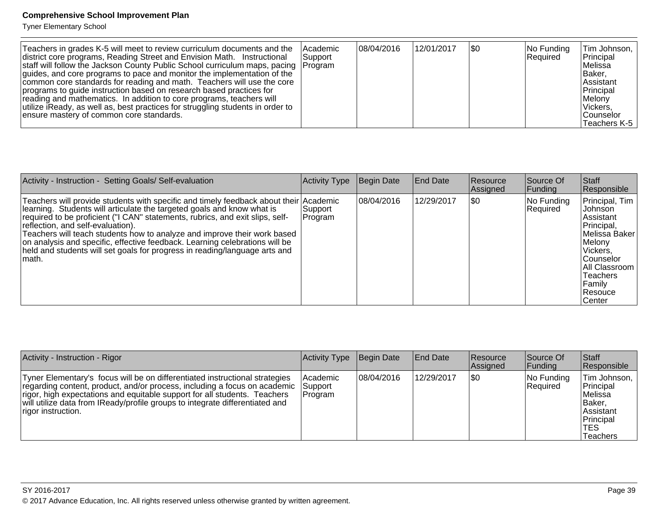Tyner Elementary School

| Activity - Instruction - Setting Goals/ Self-evaluation                                                                                                                                                                                                                                                                                                                                                                                                                                                                                  | Activity Type      | Begin Date | End Date   | Resource<br>Assigned | lSource Of<br> Funding | <b>Staff</b><br>Responsible                                                                                                                                                   |
|------------------------------------------------------------------------------------------------------------------------------------------------------------------------------------------------------------------------------------------------------------------------------------------------------------------------------------------------------------------------------------------------------------------------------------------------------------------------------------------------------------------------------------------|--------------------|------------|------------|----------------------|------------------------|-------------------------------------------------------------------------------------------------------------------------------------------------------------------------------|
| Teachers will provide students with specific and timely feedback about their Academic<br>learning. Students will articulate the targeted goals and know what is<br>required to be proficient ("I CAN" statements, rubrics, and exit slips, self-<br>reflection, and self-evaluation).<br>Teachers will teach students how to analyze and improve their work based<br>on analysis and specific, effective feedback. Learning celebrations will be<br>held and students will set goals for progress in reading/language arts and<br>Imath. | Support<br>Program | 08/04/2016 | 12/29/2017 | <b>\$0</b>           | No Funding<br>Required | Principal, Tim<br><b>Johnson</b><br>Assistant<br>Principal,<br>lMelissa Baker<br>Melony<br>Vickers,<br>lCounselor<br>All Classroom<br>Teachers<br>Family<br>Resouce<br>Center |

| Activity - Instruction - Rigor                                                                                                                                                                                                                                                                                                                      | Activity Type        | Begin Date | <b>End Date</b> | <b>Resource</b><br>Assigned | Source Of<br> Funding            | <b>Staff</b><br>Responsible                                                                            |
|-----------------------------------------------------------------------------------------------------------------------------------------------------------------------------------------------------------------------------------------------------------------------------------------------------------------------------------------------------|----------------------|------------|-----------------|-----------------------------|----------------------------------|--------------------------------------------------------------------------------------------------------|
| Tyner Elementary's focus will be on differentiated instructional strategies<br>regarding content, product, and/or process, including a focus on academic Support<br>rigor, high expectations and equitable support for all students. Teachers<br>will utilize data from IReady/profile groups to integrate differentiated and<br>rigor instruction. | lAcademic<br>Program | 08/04/2016 | 12/29/2017      | \$0                         | $ No$ Funding<br><b>Required</b> | Tim Johnson,<br>Principal<br>lMelissa<br> Baker,<br><b>Assistant</b><br>Principal<br>'TES<br>lTeachers |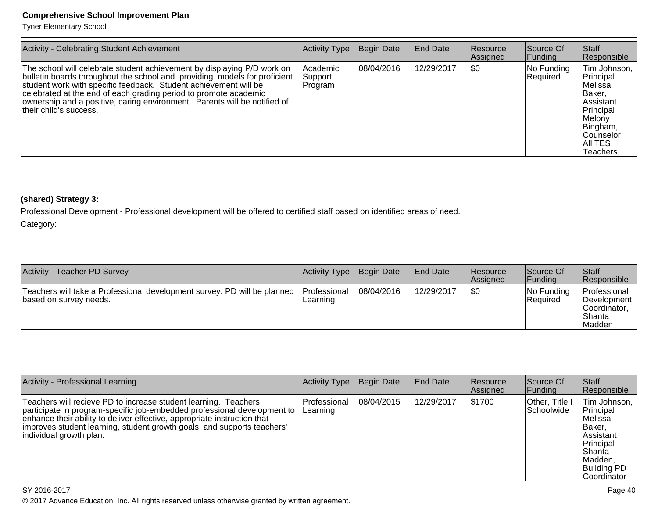Tyner Elementary School

| Activity - Celebrating Student Achievement                                                                                                                                                                                                                                                                                                                                                          | Activity Type                  | <b>Begin Date</b> | <b>End Date</b> | Resource<br>Assigned | Source Of<br> Funding  | Staff<br>Responsible                                                                                                                      |
|-----------------------------------------------------------------------------------------------------------------------------------------------------------------------------------------------------------------------------------------------------------------------------------------------------------------------------------------------------------------------------------------------------|--------------------------------|-------------------|-----------------|----------------------|------------------------|-------------------------------------------------------------------------------------------------------------------------------------------|
| The school will celebrate student achievement by displaying P/D work on<br>bulletin boards throughout the school and providing models for proficient<br>student work with specific feedback. Student achievement will be<br>celebrated at the end of each grading period to promote academic<br>ownership and a positive, caring environment. Parents will be notified of<br>their child's success. | Academic<br>Support<br>Program | 08/04/2016        | 12/29/2017      | \$0                  | No Funding<br>Required | Tim Johnson,<br>Principal<br>Melissa<br>Baker,<br>Assistant<br>Principal<br>Melony<br>Bingham,<br>Counselor<br>AII TES<br><b>Teachers</b> |

# **(shared) Strategy 3:**

Professional Development - Professional development will be offered to certified staff based on identified areas of need.

Category:

| Activity - Teacher PD Survey                                                                       | Activity Type                   | Begin Date | <b>End Date</b> | <b>Resource</b><br>Assigned | Source Of<br>Funding          | Staff<br>Responsible                                              |
|----------------------------------------------------------------------------------------------------|---------------------------------|------------|-----------------|-----------------------------|-------------------------------|-------------------------------------------------------------------|
| Teachers will take a Professional development survey. PD will be planned<br>based on survey needs. | <b>Professional</b><br>Learning | 08/04/2016 | 12/29/2017      | 1\$0                        | No Funding<br><b>Required</b> | Professional<br>Development  <br>Coordinator.<br>Shanta<br>Madden |

| Activity - Professional Learning                                                                                                                                                                                                                                                                                               | Activity Type            | Begin Date | <b>End Date</b> | <b>Resource</b><br>Assigned | Source Of<br>Funding         | Staff<br>Responsible                                                                                                                       |
|--------------------------------------------------------------------------------------------------------------------------------------------------------------------------------------------------------------------------------------------------------------------------------------------------------------------------------|--------------------------|------------|-----------------|-----------------------------|------------------------------|--------------------------------------------------------------------------------------------------------------------------------------------|
| Teachers will recieve PD to increase student learning. Teachers<br> participate in program-specific job-embedded professional development to<br>enhance their ability to deliver effective, appropriate instruction that<br>improves student learning, student growth goals, and supports teachers'<br>individual growth plan. | Professional<br>Learning | 08/04/2015 | 12/29/2017      | \$1700                      | Other, Title I<br>Schoolwide | ⊦Tim Johnson,  <br>Principal<br>lMelissa<br> Baker,<br>lAssistant<br>Principal<br>lShanta<br>Madden,<br><b>Building PD</b><br>lCoordinator |

SY 2016-2017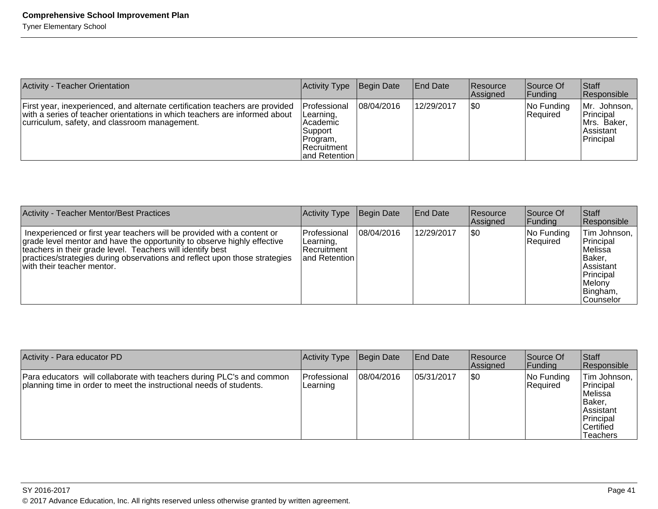| Activity - Teacher Orientation                                                                                                                                                                              | Activity Type                                                                                              | Begin Date | <b>End Date</b> | <b>Resource</b><br>Assigned | Source Of<br> Funding  | <b>Staff</b><br>Responsible                                          |
|-------------------------------------------------------------------------------------------------------------------------------------------------------------------------------------------------------------|------------------------------------------------------------------------------------------------------------|------------|-----------------|-----------------------------|------------------------|----------------------------------------------------------------------|
| First year, inexperienced, and alternate certification teachers are provided<br>with a series of teacher orientations in which teachers are informed about<br>curriculum, safety, and classroom management. | Professional<br>Learning,<br> Academic<br> Support <br> Program,<br><b>Recruitment</b><br>land Retention I | 08/04/2016 | 12/29/2017      | <b>\$0</b>                  | No Funding<br>Required | Mr. Johnson,<br>Principal<br>IMrs. Baker.<br> Assistant<br>Principal |

| Activity - Teacher Mentor/Best Practices                                                                                                                                                                                                                                                                                      | <b>Activity Type</b>                                                  | Begin Date | <b>End Date</b> | <b>Resource</b><br>Assigned | Source Of<br> Funding  | <b>Staff</b><br>Responsible                                                                                           |
|-------------------------------------------------------------------------------------------------------------------------------------------------------------------------------------------------------------------------------------------------------------------------------------------------------------------------------|-----------------------------------------------------------------------|------------|-----------------|-----------------------------|------------------------|-----------------------------------------------------------------------------------------------------------------------|
| In experienced or first year teachers will be provided with a content or<br>grade level mentor and have the opportunity to observe highly effective<br>teachers in their grade level. Teachers will identify best<br>practices/strategies during observations and reflect upon those strategies<br>with their teacher mentor. | <b>IProfessional</b><br>Learning,<br>lRecruitment<br>land Retention I | 08/04/2016 | 12/29/2017      | 1\$0                        | No Funding<br>Required | Tim Johnson,<br>Principal<br>lMelissa<br>IBaker.<br><b>Assistant</b><br>Principal<br>Melony<br>Bingham,<br> Counselor |

| Activity - Para educator PD                                                                                                                  | <b>Activity Type</b>      | Begin Date | <b>End Date</b> | <b>Resource</b><br><b>Assigned</b> | Source Of<br> Funding  | Staff<br>Responsible                                                                                   |
|----------------------------------------------------------------------------------------------------------------------------------------------|---------------------------|------------|-----------------|------------------------------------|------------------------|--------------------------------------------------------------------------------------------------------|
| Para educators will collaborate with teachers during PLC's and common<br>planning time in order to meet the instructional needs of students. | lProfessional<br>Learning | 08/04/2016 | 05/31/2017      | \$0                                | No Funding<br>Required | Tim Johnson,<br>Principal<br>lMelissa<br> Baker.<br>l Assistant<br>Principal<br>lCertified<br>Teachers |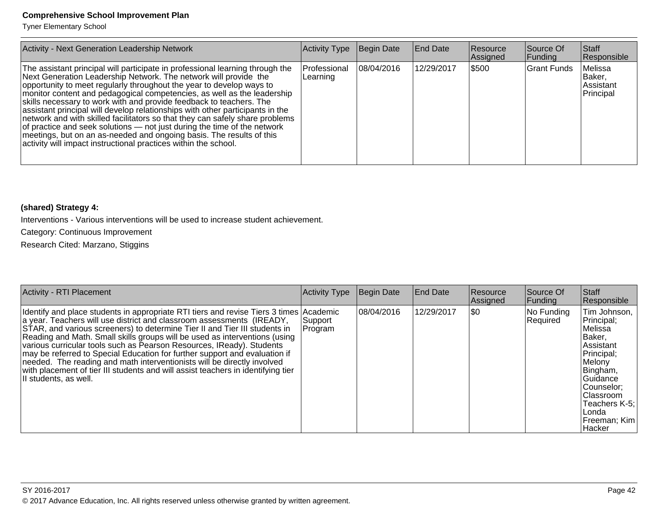Tyner Elementary School

| <b>Activity - Next Generation Leadership Network</b>                                                                                                                                                                                                                                                                                                                                                                                                                                                                                                                                                                                                                                                                                                                | Activity Type            | Begin Date | <b>End Date</b> | <b>Resource</b><br>Assigned | Source Of<br> Funding | <b>Staff</b><br>Responsible                 |
|---------------------------------------------------------------------------------------------------------------------------------------------------------------------------------------------------------------------------------------------------------------------------------------------------------------------------------------------------------------------------------------------------------------------------------------------------------------------------------------------------------------------------------------------------------------------------------------------------------------------------------------------------------------------------------------------------------------------------------------------------------------------|--------------------------|------------|-----------------|-----------------------------|-----------------------|---------------------------------------------|
| The assistant principal will participate in professional learning through the<br>Next Generation Leadership Network. The network will provide the<br>opportunity to meet regularly throughout the year to develop ways to<br>monitor content and pedagogical competencies, as well as the leadership<br>skills necessary to work with and provide feedback to teachers. The<br>assistant principal will develop relationships with other participants in the<br>network and with skilled facilitators so that they can safely share problems<br>of practice and seek solutions — not just during the time of the network<br>meetings, but on an as-needed and ongoing basis. The results of this<br>activity will impact instructional practices within the school. | Professional<br>Learning | 08/04/2016 | 12/29/2017      | \$500                       | IGrant Funds          | Melissa<br>Baker,<br>Assistant<br>Principal |

# **(shared) Strategy 4:**

Interventions - Various interventions will be used to increase student achievement.

Category: Continuous Improvement

Research Cited: Marzano, Stiggins

| <b>Activity - RTI Placement</b>                                                                                                                                                                                                                                                                                                                                                                                                                                                                                                                                                                                                                                            | <b>Activity Type</b> | Begin Date | <b>End Date</b> | Resource<br>Assigned | Source Of<br> Funding  | Staff<br>Responsible                                                                                                                                                                        |
|----------------------------------------------------------------------------------------------------------------------------------------------------------------------------------------------------------------------------------------------------------------------------------------------------------------------------------------------------------------------------------------------------------------------------------------------------------------------------------------------------------------------------------------------------------------------------------------------------------------------------------------------------------------------------|----------------------|------------|-----------------|----------------------|------------------------|---------------------------------------------------------------------------------------------------------------------------------------------------------------------------------------------|
| Identify and place students in appropriate RTI tiers and revise Tiers 3 times Academic<br>a year. Teachers will use district and classroom assessments (IREADY,<br>STAR, and various screeners) to determine Tier II and Tier III students in<br>Reading and Math. Small skills groups will be used as interventions (using<br>various curricular tools such as Pearson Resources, IReady). Students<br>may be referred to Special Education for further support and evaluation if<br>needed. The reading and math interventionists will be directly involved<br>with placement of tier III students and will assist teachers in identifying tier<br>Il students, as well. | Support<br>Program   | 08/04/2016 | 12/29/2017      | \$0                  | No Funding<br>Required | Tim Johnson,<br>Principal;<br>Melissa<br>Baker,<br>Assistant<br>Principal;<br>Melony<br>Bingham,<br>Guidance<br>Counselor;<br>Classroom<br>Teachers K-5:<br>Londa<br>Freeman; Kim<br>Hacker |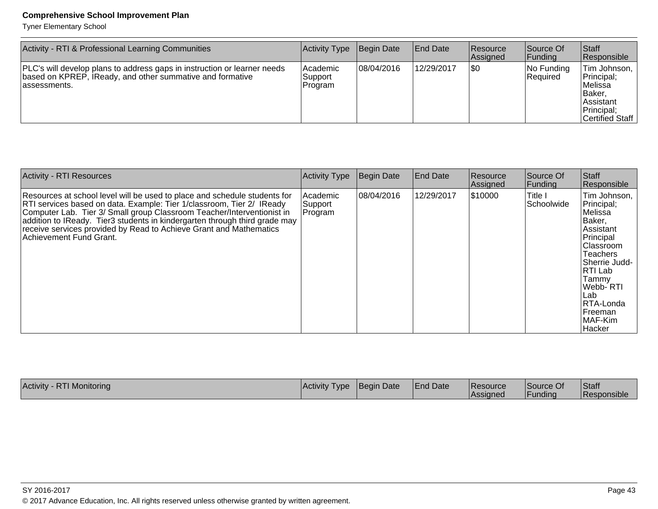Tyner Elementary School

| Activity - RTI & Professional Learning Communities                                                                                                     | Activity Type                    | Begin Date  | <b>End Date</b> | Resource<br>Assigned | Source Of<br> Funding      | <b>Staff</b><br>Responsible                                                                                     |
|--------------------------------------------------------------------------------------------------------------------------------------------------------|----------------------------------|-------------|-----------------|----------------------|----------------------------|-----------------------------------------------------------------------------------------------------------------|
| PLC's will develop plans to address gaps in instruction or learner needs<br>based on KPREP, IReady, and other summative and formative<br>lassessments. | l Academic<br>Support<br>Program | 108/04/2016 | 12/29/2017      | 1\$0                 | $ No$ Funding<br> Reauired | Tim Johnson,  <br>Principal;<br><i>IMelissa</i><br>Baker,<br><b>Assistant</b><br>Principal;<br> Certified Staff |

| <b>Activity - RTI Resources</b>                                                                                                                                                                                                                                                                                                                                                                             | <b>Activity Type</b>           | Begin Date | <b>End Date</b> | Resource<br>Assigned | Source Of<br>Funding  | Staff<br>Responsible                                                                                                                                                                                                             |
|-------------------------------------------------------------------------------------------------------------------------------------------------------------------------------------------------------------------------------------------------------------------------------------------------------------------------------------------------------------------------------------------------------------|--------------------------------|------------|-----------------|----------------------|-----------------------|----------------------------------------------------------------------------------------------------------------------------------------------------------------------------------------------------------------------------------|
| Resources at school level will be used to place and schedule students for<br>RTI services based on data. Example: Tier 1/classroom, Tier 2/ IReady<br>Computer Lab. Tier 3/ Small group Classroom Teacher/Interventionist in<br>addition to IReady. Tier3 students in kindergarten through third grade may<br>receive services provided by Read to Achieve Grant and Mathematics<br>Achievement Fund Grant. | Academic<br>Support<br>Program | 08/04/2016 | 12/29/2017      | 510000               | Title I<br>Schoolwide | Tim Johnson,<br>Principal;<br>Melissa<br>Baker,<br>Assistant<br>Principal<br><b>Classroom</b><br><b>Teachers</b><br>Sherrie Judd-<br> RTI Lab<br>Tammy<br>lWebb- RTI<br>Lab<br>RTA-Londa<br><b>IFreeman</b><br>MAF-Kim<br>Hacker |

| Activity - RTI Monitoring | <b>Activity Type</b> | Begin Date | <b>End Date</b> | <b>Resource</b><br><b>Assigned</b> | Source Of<br> Funding | Staff<br><b>IResponsible</b> |
|---------------------------|----------------------|------------|-----------------|------------------------------------|-----------------------|------------------------------|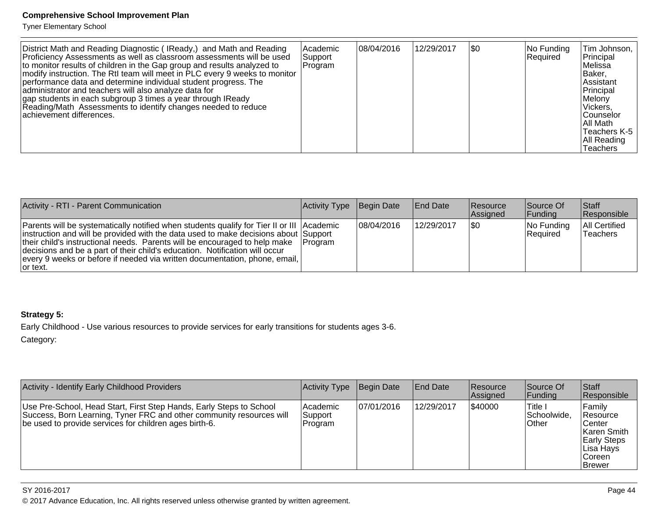Tyner Elementary School

| District Math and Reading Diagnostic (IReady,) and Math and Reading<br>Proficiency Assessments as well as classroom assessments will be used<br>to monitor results of children in the Gap group and results analyzed to<br>modify instruction. The RtI team will meet in PLC every 9 weeks to monitor<br>performance data and determine individual student progress. The<br>administrator and teachers will also analyze data for<br>gap students in each subgroup 3 times a year through IReady<br>Reading/Math Assessments to identify changes needed to reduce<br>lachievement differences. | l Academic<br>Support<br> Program | 08/04/2016 | 12/29/2017 | <b>SO</b> | No Funding <br>Required | Tim Johnson,  <br>Principal<br>lMelissa<br>IBaker.<br>Assistant<br>Principal<br>Melony<br>l Vickers.<br><b>Counselor</b><br>IAII Math<br>Teachers K-5<br>All Reading<br>Teachers |
|------------------------------------------------------------------------------------------------------------------------------------------------------------------------------------------------------------------------------------------------------------------------------------------------------------------------------------------------------------------------------------------------------------------------------------------------------------------------------------------------------------------------------------------------------------------------------------------------|-----------------------------------|------------|------------|-----------|-------------------------|----------------------------------------------------------------------------------------------------------------------------------------------------------------------------------|
|------------------------------------------------------------------------------------------------------------------------------------------------------------------------------------------------------------------------------------------------------------------------------------------------------------------------------------------------------------------------------------------------------------------------------------------------------------------------------------------------------------------------------------------------------------------------------------------------|-----------------------------------|------------|------------|-----------|-------------------------|----------------------------------------------------------------------------------------------------------------------------------------------------------------------------------|

| Activity - RTI - Parent Communication                                                                                                                                                                                                                                                                                                                                                                                                              | Activity Type   | Begin Date  | <b>End Date</b> | Resource<br>Assigned | Source Of<br><b>Funding</b> | <b>Staff</b><br>Responsible             |
|----------------------------------------------------------------------------------------------------------------------------------------------------------------------------------------------------------------------------------------------------------------------------------------------------------------------------------------------------------------------------------------------------------------------------------------------------|-----------------|-------------|-----------------|----------------------|-----------------------------|-----------------------------------------|
| <b>Parents will be systematically notified when students qualify for Tier II or III Academic</b><br>instruction and will be provided with the data used to make decisions about Support<br>their child's instructional needs. Parents will be encouraged to help make<br>decisions and be a part of their child's education. Notification will occur<br>every 9 weeks or before if needed via written documentation, phone, email,<br>$ $ or text. | <b>IProgram</b> | 108/04/2016 | 12/29/2017      | \$0                  | No Funding<br>Required      | <b>All Certified</b><br><b>Teachers</b> |

# **Strategy 5:**

Early Childhood - Use various resources to provide services for early transitions for students ages 3-6.

Category:

| Activity - Identify Early Childhood Providers                                                                                                                                                         | Activity Type                    | Begin Date | <b>End Date</b> | <b>Resource</b><br>Assigned | Source Of<br> Funding            | Staff<br>Responsible                                                                                       |
|-------------------------------------------------------------------------------------------------------------------------------------------------------------------------------------------------------|----------------------------------|------------|-----------------|-----------------------------|----------------------------------|------------------------------------------------------------------------------------------------------------|
| Use Pre-School, Head Start, First Step Hands, Early Steps to School<br>Success, Born Learning, Tyner FRC and other community resources will<br>be used to provide services for children ages birth-6. | l Academic<br>Support<br>Program | 07/01/2016 | 12/29/2017      | 540000                      | 'Title I<br>Schoolwide.<br>Other | Family<br>∣Resource<br>Center<br>Karen Smith<br><b>Early Steps</b><br>Lisa Hays<br>Coreen<br><b>Brewer</b> |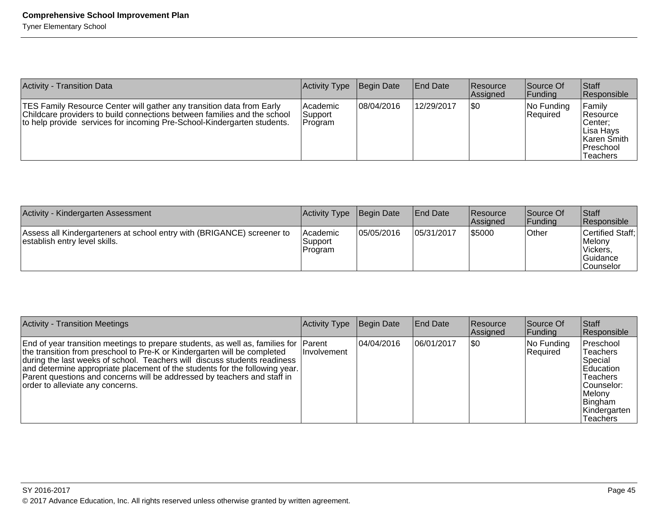| <b>Activity - Transition Data</b>                                                                                                                                                                                            | Activity Type                    | Begin Date | <b>End Date</b> | <b>Resource</b><br><b>Assigned</b> | Source Of<br> Funding            | Staff<br>Responsible                                                                         |
|------------------------------------------------------------------------------------------------------------------------------------------------------------------------------------------------------------------------------|----------------------------------|------------|-----------------|------------------------------------|----------------------------------|----------------------------------------------------------------------------------------------|
| TES Family Resource Center will gather any transition data from Early<br>Childcare providers to build connections between families and the school<br>to help provide services for incoming Pre-School-Kindergarten students. | lAcademic<br> Support<br>Program | 08/04/2016 | 12/29/2017      | <b>SO</b>                          | $ No$ Funding<br><b>Required</b> | Family<br>∣Resource<br>Center:<br>Lisa Havs<br>⊺Karen Smith<br> Preschool<br><b>Teachers</b> |

| Activity - Kindergarten Assessment                                                                      | Activity Type                  | Begin Date | <b>End Date</b> | <b>Resource</b><br><b>Assigned</b> | Source Of<br><b>Funding</b> | <b>Staff</b><br>Responsible                                            |
|---------------------------------------------------------------------------------------------------------|--------------------------------|------------|-----------------|------------------------------------|-----------------------------|------------------------------------------------------------------------|
| Assess all Kindergarteners at school entry with (BRIGANCE) screener to<br>establish entry level skills. | Academic<br>Support<br>Program | 05/05/2016 | 05/31/2017      | \$5000                             | <b>Other</b>                | Certified Staff:<br>Melony<br>Vickers.<br>Guidance<br><b>Counselor</b> |

| <b>Activity - Transition Meetings</b>                                                                                                                                                                                                                                                                                                                                                                                                         | Activity Type       | Begin Date  | <b>End Date</b> | Resource<br>Assigned | Source Of<br> Funding  | Staff<br>Responsible                                                                                                             |
|-----------------------------------------------------------------------------------------------------------------------------------------------------------------------------------------------------------------------------------------------------------------------------------------------------------------------------------------------------------------------------------------------------------------------------------------------|---------------------|-------------|-----------------|----------------------|------------------------|----------------------------------------------------------------------------------------------------------------------------------|
| End of year transition meetings to prepare students, as well as, families for  Parent<br>the transition from preschool to Pre-K or Kindergarten will be completed<br>during the last weeks of school. Teachers will discuss students readiness<br>and determine appropriate placement of the students for the following year.<br>Parent questions and concerns will be addressed by teachers and staff in<br>order to alleviate any concerns. | <b>Ilnvolvement</b> | 104/04/2016 | 106/01/2017     | \$0                  | No Funding<br>Required | Preschool<br>Teachers<br>Special<br>Education<br><b>Teachers</b><br> Counselor:<br>Melony<br>Bingham<br>Kindergarten<br>Teachers |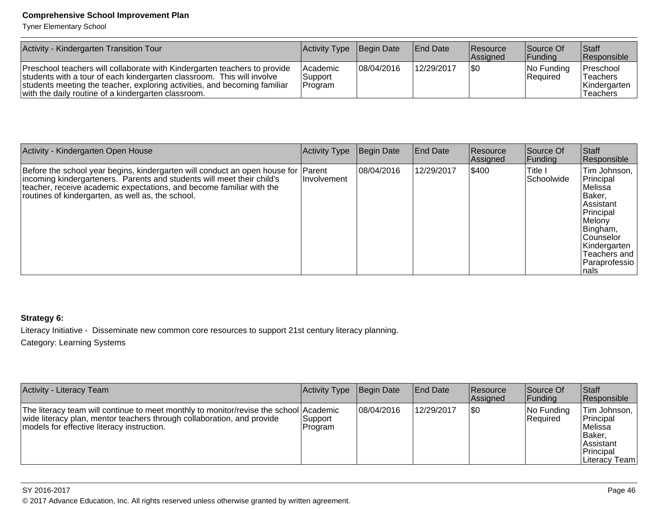Tyner Elementary School

| Activity - Kindergarten Transition Tour                                                                                                                                                                                                                                                 | Activity Type                         | Begin Date | <b>End Date</b> | Resource<br><b>Assigned</b> | Source Of<br><b>IFunding</b> | Staff<br>Responsible                                                  |
|-----------------------------------------------------------------------------------------------------------------------------------------------------------------------------------------------------------------------------------------------------------------------------------------|---------------------------------------|------------|-----------------|-----------------------------|------------------------------|-----------------------------------------------------------------------|
| Preschool teachers will collaborate with Kindergarten teachers to provide<br>students with a tour of each kindergarten classroom. This will involve<br>students meeting the teacher, exploring activities, and becoming familiar<br>with the daily routine of a kindergarten classroom. | <b>Academic</b><br>Support<br>Program | 08/04/2016 | 12/29/2017      | 1\$0                        | $ No$ Funding<br>Required    | Preschool<br><sup>1</sup> Teachers<br>Kindergarten<br><b>Teachers</b> |

| Activity - Kindergarten Open House                                                                                                                                                                                                                                                       | Activity Type      | Begin Date | <b>End Date</b> | Resource<br>Assigned | Source Of<br><b>IFunding</b> | Staff<br>Responsible                                                                                                                                                          |
|------------------------------------------------------------------------------------------------------------------------------------------------------------------------------------------------------------------------------------------------------------------------------------------|--------------------|------------|-----------------|----------------------|------------------------------|-------------------------------------------------------------------------------------------------------------------------------------------------------------------------------|
| Before the school year begins, kindergarten will conduct an open house for Parent<br>incoming kindergarteners. Parents and students will meet their child's<br>teacher, receive academic expectations, and become familiar with the<br>routines of kindergarten, as well as, the school. | <b>Involvement</b> | 08/04/2016 | 12/29/2017      | \$400                | lTitle I<br>Schoolwide       | Tim Johnson,<br>Principal<br> Melissa<br>Baker,<br>Assistant<br>Principal<br>Melony<br>Bingham,<br><b>Counselor</b><br>Kindergarten<br>Teachers and<br>Paraprofessio<br>Inals |

# **Strategy 6:**

Literacy Initiative - Disseminate new common core resources to support 21st century literacy planning.

Category: Learning Systems

| Activity - Literacy Team                                                                                                                                                                                      | <b>Activity Type</b> | Begin Date  | <b>End Date</b> | <b>Resource</b><br>Assigned | Source Of<br> Funding      | Staff<br>Responsible                                                                                  |
|---------------------------------------------------------------------------------------------------------------------------------------------------------------------------------------------------------------|----------------------|-------------|-----------------|-----------------------------|----------------------------|-------------------------------------------------------------------------------------------------------|
| The literacy team will continue to meet monthly to monitor/revise the school Academic<br>wide literacy plan, mentor teachers through collaboration, and provide<br>models for effective literacy instruction. | Support<br>Program   | 108/04/2016 | 12/29/2017      | 1\$0                        | $ No$ Funding<br> Reauired | Tim Johnson,  <br>Principal<br>l Melissa<br> Baker,<br><b>Assistant</b><br>Principal<br>Literacy Team |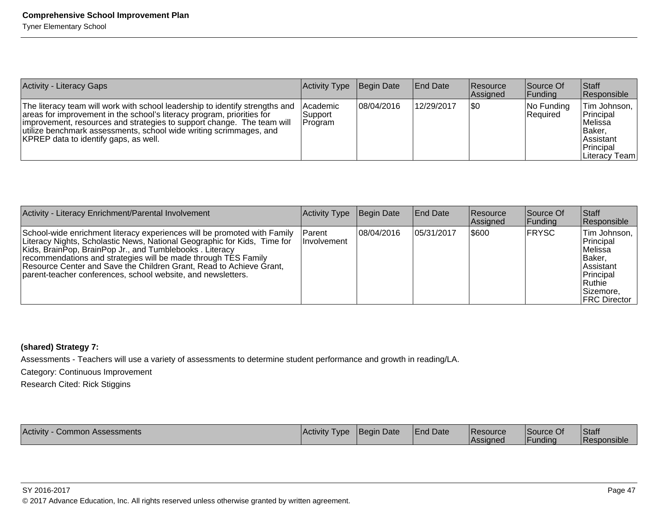| <b>Activity - Literacy Gaps</b>                                                                                                                                                                                                                                                                                                                  | Activity Type                   | Begin Date | <b>End Date</b> | Resource<br>Assigned | Source Of<br> Funding         | <b>Staff</b><br>Responsible                                                                    |
|--------------------------------------------------------------------------------------------------------------------------------------------------------------------------------------------------------------------------------------------------------------------------------------------------------------------------------------------------|---------------------------------|------------|-----------------|----------------------|-------------------------------|------------------------------------------------------------------------------------------------|
| The literacy team will work with school leadership to identify strengths and<br>areas for improvement in the school's literacy program, priorities for<br> improvement, resources and strategies to support change. The team will<br>utilize benchmark assessments, school wide writing scrimmages, and<br>KPREP data to identify gaps, as well. | Academic<br>Support<br> Program | 08/04/2016 | 12/29/2017      | \$0                  | No Funding<br><b>Required</b> | Tim Johnson,  <br>Principal<br>Melissa<br> Baker,<br>lAssistant<br>Principal<br>Literacy Teaml |

| Activity - Literacy Enrichment/Parental Involvement                                                                                                                                                                                                                                                                                                                                                                      | <b>Activity Type</b>         | Begin Date  | <b>End Date</b> | <b>Resource</b><br>Assigned | Source Of<br> Funding | <b>Staff</b><br>Responsible                                                                                               |
|--------------------------------------------------------------------------------------------------------------------------------------------------------------------------------------------------------------------------------------------------------------------------------------------------------------------------------------------------------------------------------------------------------------------------|------------------------------|-------------|-----------------|-----------------------------|-----------------------|---------------------------------------------------------------------------------------------------------------------------|
| School-wide enrichment literacy experiences will be promoted with Family<br>Literacy Nights, Scholastic News, National Geographic for Kids, Time for<br>Kids, BrainPop, BrainPop Jr., and Tumblebooks. Literacy<br>recommendations and strategies will be made through TES Family<br>Resource Center and Save the Children Grant, Read to Achieve Grant,<br>parent-teacher conferences, school website, and newsletters. | Parent<br><b>Involvement</b> | 108/04/2016 | 05/31/2017      | \$600                       | <b>FRYSC</b>          | Tim Johnson.<br>Principal<br>lMelissa<br>Baker,<br>Assistant<br>Principal<br> Ruthie<br>lSizemore.<br><b>FRC Director</b> |

# **(shared) Strategy 7:**

Assessments - Teachers will use a variety of assessments to determine student performance and growth in reading/LA.

Category: Continuous Improvement

Research Cited: Rick Stiggins

| Activity -<br><b>Activity</b><br>√ Common Assessments<br>Type <sup>1</sup> | <b>IBegin Date</b> | <b>End Date</b> | Resource<br><b>Assigned</b> | Source Of<br><u>IFundina</u> | <b>Staff</b><br>Responsible |
|----------------------------------------------------------------------------|--------------------|-----------------|-----------------------------|------------------------------|-----------------------------|
|----------------------------------------------------------------------------|--------------------|-----------------|-----------------------------|------------------------------|-----------------------------|

SY 2016-2017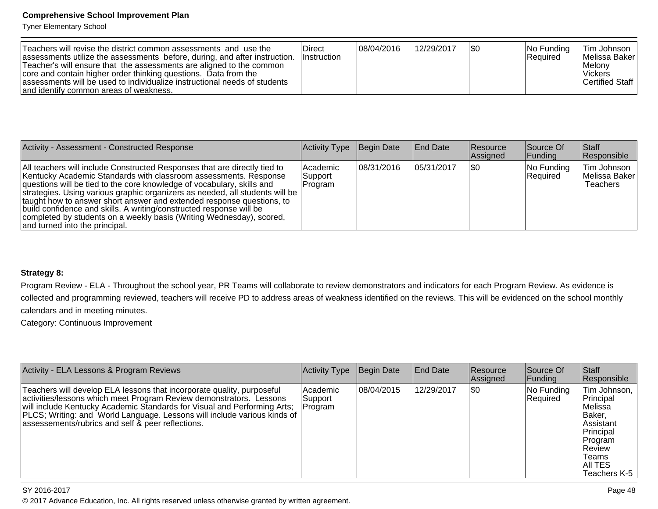Tyner Elementary School

| Teachers will revise the district common assessments and use the<br>assessments utilize the assessments before, during, and after instruction.<br>Teacher's will ensure that the assessments are aligned to the common<br>core and contain higher order thinking questions. Data from the<br>assessments will be used to individualize instructional needs of students<br>and identify common areas of weakness. | <b>Direct</b><br><b>Instruction</b> | 08/04/2016 | 12/29/2017 |  | $ No$ Funding<br>Required | lTim Johnson I<br> Melissa Baker <br>Melony<br><b>Vickers</b><br><b>Certified Staff</b> |
|------------------------------------------------------------------------------------------------------------------------------------------------------------------------------------------------------------------------------------------------------------------------------------------------------------------------------------------------------------------------------------------------------------------|-------------------------------------|------------|------------|--|---------------------------|-----------------------------------------------------------------------------------------|
|------------------------------------------------------------------------------------------------------------------------------------------------------------------------------------------------------------------------------------------------------------------------------------------------------------------------------------------------------------------------------------------------------------------|-------------------------------------|------------|------------|--|---------------------------|-----------------------------------------------------------------------------------------|

| Activity - Assessment - Constructed Response                                                                                                                                                                                                                                                                                                                                                                                                                                                                                                                      | Activity Type                    | Begin Date | <b>End Date</b> | Resource<br>Assigned | Source Of<br> Funding   | Staff<br>Responsible                     |
|-------------------------------------------------------------------------------------------------------------------------------------------------------------------------------------------------------------------------------------------------------------------------------------------------------------------------------------------------------------------------------------------------------------------------------------------------------------------------------------------------------------------------------------------------------------------|----------------------------------|------------|-----------------|----------------------|-------------------------|------------------------------------------|
| All teachers will include Constructed Responses that are directly tied to<br>Kentucky Academic Standards with classroom assessments. Response<br>questions will be tied to the core knowledge of vocabulary, skills and<br>strategies. Using various graphic organizers as needed, all students will be<br>taught how to answer short answer and extended response questions, to<br>build confidence and skills. A writing/constructed response will be<br>completed by students on a weekly basis (Writing Wednesday), scored,<br>and turned into the principal. | Academic<br> Support_<br>Program | 08/31/2016 | 05/31/2017      | 1\$0                 | No Funding<br> Reauired | Tim Johnson<br>Melissa Baker<br>Teachers |

# **Strategy 8:**

Program Review - ELA - Throughout the school year, PR Teams will collaborate to review demonstrators and indicators for each Program Review. As evidence is collected and programming reviewed, teachers will receive PD to address areas of weakness identified on the reviews. This will be evidenced on the school monthlycalendars and in meeting minutes.

Category: Continuous Improvement

| Activity - ELA Lessons & Program Reviews                                                                                                                                                                                                                                                                                                                   | Activity Type                  | <b>Begin Date</b> | <b>End Date</b> | <b>Resource</b><br>Assigned | Source Of<br> Funding  | Staff<br>Responsible                                                                                                                 |
|------------------------------------------------------------------------------------------------------------------------------------------------------------------------------------------------------------------------------------------------------------------------------------------------------------------------------------------------------------|--------------------------------|-------------------|-----------------|-----------------------------|------------------------|--------------------------------------------------------------------------------------------------------------------------------------|
| Teachers will develop ELA lessons that incorporate quality, purposeful<br>activities/lessons which meet Program Review demonstrators. Lessons<br>will include Kentucky Academic Standards for Visual and Performing Arts;<br>PLCS; Writing: and World Language. Lessons will include various kinds of<br>assessements/rubrics and self & peer reflections. | Academic<br>Support<br>Program | 08/04/2015        | 12/29/2017      | \$0                         | No Funding<br>Required | ITim Johnson, I<br>Principal<br>Melissa<br>Baker,<br>Assistant<br>Principal<br>Program<br>Review<br>Teams<br>AII TES<br>Teachers K-5 |

#### SY 2016-2017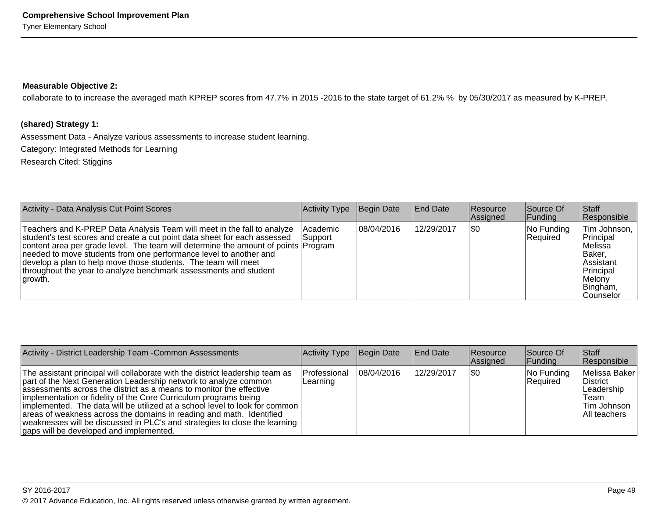## **Measurable Objective 2:**

collaborate to to increase the averaged math KPREP scores from 47.7% in 2015 -2016 to the state target of 61.2% % by 05/30/2017 as measured by K-PREP.

# **(shared) Strategy 1:**

Assessment Data - Analyze various assessments to increase student learning.

Category: Integrated Methods for Learning

Research Cited: Stiggins

| Activity - Data Analysis Cut Point Scores                                                                                                                                                                                                                                                                                                                                                                                                                         | Activity Type        | Begin Date | <b>End Date</b> | Resource<br>Assigned | Source Of<br> Funding  | Staff<br>Responsible                                                                                          |
|-------------------------------------------------------------------------------------------------------------------------------------------------------------------------------------------------------------------------------------------------------------------------------------------------------------------------------------------------------------------------------------------------------------------------------------------------------------------|----------------------|------------|-----------------|----------------------|------------------------|---------------------------------------------------------------------------------------------------------------|
| Teachers and K-PREP Data Analysis Team will meet in the fall to analyze<br>student's test scores and create a cut point data sheet for each assessed<br>content area per grade level. The team will determine the amount of points Program<br>needed to move students from one performance level to another and<br>develop a plan to help move those students. The team will meet<br>throughout the year to analyze benchmark assessments and student<br> growth. | lAcademic<br>Support | 08/04/2016 | 12/29/2017      | \$0                  | No Funding<br>Required | Tim Johnson,<br>Principal<br>Melissa<br>Baker.<br>lAssistant<br>Principal<br>Melonv<br>Bingham,<br>lCounselor |

| Activity - District Leadership Team - Common Assessments                                                                                                                                                                                                                                                                                                                                                                                                                                                                                                                        | Activity Type             | Begin Date | End Date   | <b>Resource</b><br>Assigned | Source Of<br><b>Funding</b> | <b>Staff</b><br>Responsible                                                              |
|---------------------------------------------------------------------------------------------------------------------------------------------------------------------------------------------------------------------------------------------------------------------------------------------------------------------------------------------------------------------------------------------------------------------------------------------------------------------------------------------------------------------------------------------------------------------------------|---------------------------|------------|------------|-----------------------------|-----------------------------|------------------------------------------------------------------------------------------|
| The assistant principal will collaborate with the district leadership team as<br>part of the Next Generation Leadership network to analyze common<br>assessments across the district as a means to monitor the effective<br>implementation or fidelity of the Core Curriculum programs being<br>implemented. The data will be utilized at a school level to look for common<br>areas of weakness across the domains in reading and math. Identified<br> weaknesses will be discussed in PLC's and strategies to close the learning  <br>gaps will be developed and implemented. | lProfessional<br>Learning | 08/04/2016 | 12/29/2017 | 1\$0                        | No Funding<br>Required      | Melissa Baker<br>∣District<br>Leadership<br>lTeam.<br><b>Tim Johnson</b><br>All teachers |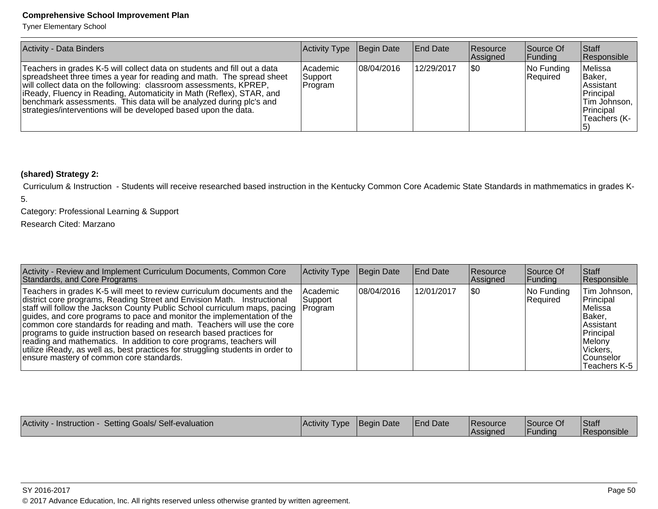Tyner Elementary School

| Activity - Data Binders                                                                                                                                                                                                                                                                                                                                                                                                                  | Activity Type                  | Begin Date | End Date   | Resource<br>Assigned | Source Of<br> Funding  | <b>Staff</b><br>Responsible                                                                               |
|------------------------------------------------------------------------------------------------------------------------------------------------------------------------------------------------------------------------------------------------------------------------------------------------------------------------------------------------------------------------------------------------------------------------------------------|--------------------------------|------------|------------|----------------------|------------------------|-----------------------------------------------------------------------------------------------------------|
| Teachers in grades K-5 will collect data on students and fill out a data<br>spreadsheet three times a year for reading and math. The spread sheet<br>will collect data on the following: classroom assessments, KPREP,<br>liReady, Fluency in Reading, Automaticity in Math (Reflex), STAR, and<br>benchmark assessments. This data will be analyzed during plc's and<br>strategies/interventions will be developed based upon the data. | Academic<br>Support<br>Program | 08/04/2016 | 12/29/2017 | 1\$0                 | No Funding<br>Required | Melissa<br><b>Baker.</b><br><b>Assistant</b><br>Principal<br> Tim Johnson,  <br>Principal<br>Teachers (K- |

# **(shared) Strategy 2:**

 Curriculum & Instruction - Students will receive researched based instruction in the Kentucky Common Core Academic State Standards in mathmematics in grades K-5.

Category: Professional Learning & Support

Research Cited: Marzano

| Activity - Review and Implement Curriculum Documents, Common Core<br>Standards, and Core Programs                                                                                                                                                                                                                                                                                                                                                                                                                                                                                                                                                                          | Activity Type                | Begin Date | <b>End Date</b> | <b>Resource</b><br>Assigned | Source Of<br> Funding  | <b>Staff</b><br>Responsible                                                                                                                         |
|----------------------------------------------------------------------------------------------------------------------------------------------------------------------------------------------------------------------------------------------------------------------------------------------------------------------------------------------------------------------------------------------------------------------------------------------------------------------------------------------------------------------------------------------------------------------------------------------------------------------------------------------------------------------------|------------------------------|------------|-----------------|-----------------------------|------------------------|-----------------------------------------------------------------------------------------------------------------------------------------------------|
| Teachers in grades K-5 will meet to review curriculum documents and the<br>district core programs, Reading Street and Envision Math. Instructional<br>staff will follow the Jackson County Public School curriculum maps, pacing Program<br>guides, and core programs to pace and monitor the implementation of the<br>common core standards for reading and math. Teachers will use the core<br>programs to guide instruction based on research based practices for<br>reading and mathematics. In addition to core programs, teachers will<br>utilize iReady, as well as, best practices for struggling students in order to<br>ensure mastery of common core standards. | <b>Academic</b><br> Support_ | 08/04/2016 | 12/01/2017      | \$0                         | No Funding<br>Required | Tim Johnson,<br>Principal<br>lMelissa<br>IBaker.<br>lAssistant<br>Principal<br><i><b>IMelony</b></i><br>l Vickers.<br> Counselor<br>lTeachers K-5 I |

|  | <b>Assigned</b> | IFundina | <b>Responsible</b> |
|--|-----------------|----------|--------------------|
|--|-----------------|----------|--------------------|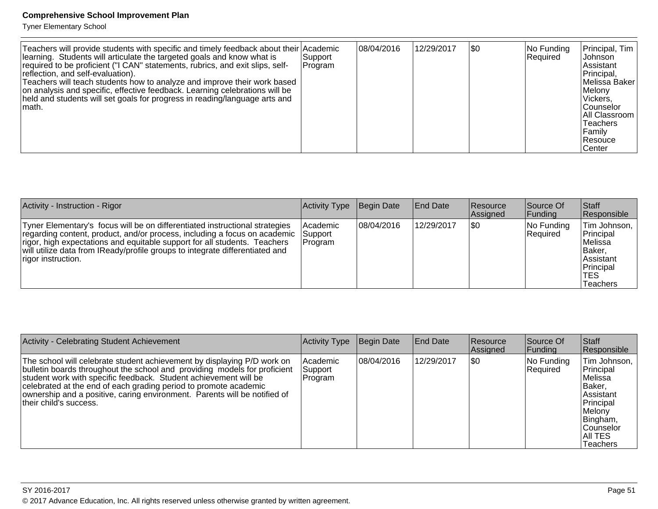Tyner Elementary School

| Teachers will provide students with specific and timely feedback about their Academic<br>learning. Students will articulate the targeted goals and know what is<br>required to be proficient ("I CAN" statements, rubrics, and exit slips, self-<br>reflection, and self-evaluation).<br>Teachers will teach students how to analyze and improve their work based<br>on analysis and specific, effective feedback. Learning celebrations will be<br>held and students will set goals for progress in reading/language arts and<br>⊺math. | Support <br> Program | 08/04/2016 | 12/29/2017 | \$0 | No Funding<br>Required | Principal, Tim<br><b>Johnson</b><br>Assistant<br>Principal,<br> Melissa Baker<br>Melony<br>Vickers,<br> Counselor<br>All Classroom<br>lTeachers<br>Family<br> Resouce<br>∣Center |
|------------------------------------------------------------------------------------------------------------------------------------------------------------------------------------------------------------------------------------------------------------------------------------------------------------------------------------------------------------------------------------------------------------------------------------------------------------------------------------------------------------------------------------------|----------------------|------------|------------|-----|------------------------|----------------------------------------------------------------------------------------------------------------------------------------------------------------------------------|
|------------------------------------------------------------------------------------------------------------------------------------------------------------------------------------------------------------------------------------------------------------------------------------------------------------------------------------------------------------------------------------------------------------------------------------------------------------------------------------------------------------------------------------------|----------------------|------------|------------|-----|------------------------|----------------------------------------------------------------------------------------------------------------------------------------------------------------------------------|

| Activity - Instruction - Rigor                                                                                                                                                                                                                                                                                                              | Activity Type                           | Begin Date | <b>End Date</b> | <b>Resource</b><br>Assigned | Source Of<br> Funding  | <b>Staff</b><br>Responsible                                                                           |
|---------------------------------------------------------------------------------------------------------------------------------------------------------------------------------------------------------------------------------------------------------------------------------------------------------------------------------------------|-----------------------------------------|------------|-----------------|-----------------------------|------------------------|-------------------------------------------------------------------------------------------------------|
| Tyner Elementary's focus will be on differentiated instructional strategies<br>regarding content, product, and/or process, including a focus on academic<br>rigor, high expectations and equitable support for all students. Teachers<br>will utilize data from IReady/profile groups to integrate differentiated and<br>rigor instruction. | <b>Academic</b><br> Support<br> Program | 08/04/2016 | 12/29/2017      | 1\$0                        | No Funding<br>Required | Tim Johnson,<br>Principal<br>lMelissa<br>lBaker.<br><b>Assistant</b><br>Principal<br>'TES<br>Teachers |

| Activity - Celebrating Student Achievement                                                                                                                                                                                                                                                                                                                                                          | Activity Type                  | Begin Date  | <b>End Date</b> | <b>Resource</b><br>Assigned | Source Of<br><b>Funding</b> | ∣Staff<br>Responsible                                                                                                                         |
|-----------------------------------------------------------------------------------------------------------------------------------------------------------------------------------------------------------------------------------------------------------------------------------------------------------------------------------------------------------------------------------------------------|--------------------------------|-------------|-----------------|-----------------------------|-----------------------------|-----------------------------------------------------------------------------------------------------------------------------------------------|
| The school will celebrate student achievement by displaying P/D work on<br>bulletin boards throughout the school and providing models for proficient<br>student work with specific feedback. Student achievement will be<br>celebrated at the end of each grading period to promote academic<br>ownership and a positive, caring environment. Parents will be notified of<br>their child's success. | Academic<br>Support<br>Program | 108/04/2016 | 12/29/2017      | \$0                         | No Funding<br>Required      | Tim Johnson,<br>Principal<br>lMelissa<br>IBaker.<br>Assistant<br>Principal<br>Melony<br>Bingham,<br> Counselor<br>IAII TES<br><b>Teachers</b> |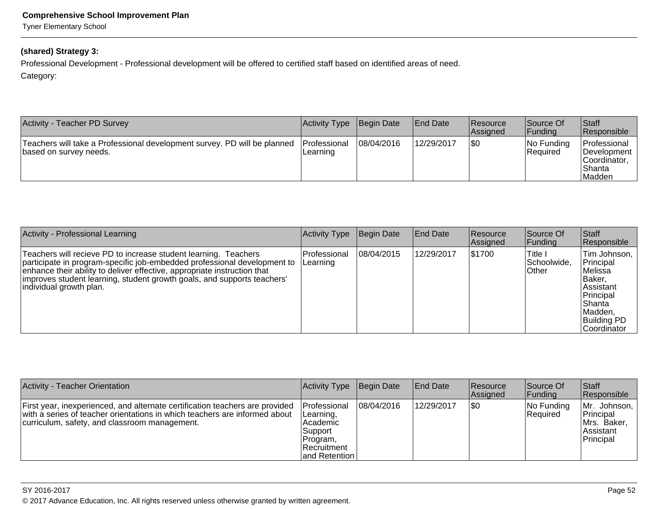Tyner Elementary School

# **(shared) Strategy 3:**

Professional Development - Professional development will be offered to certified staff based on identified areas of need.

Category:

| Activity - Teacher PD Survey                                                                       | Activity Type                    | Begin Date | <b>End Date</b> | <b>Resource</b><br>Assigned | Source Of<br>Funding   | Staff<br>Responsible                                                      |
|----------------------------------------------------------------------------------------------------|----------------------------------|------------|-----------------|-----------------------------|------------------------|---------------------------------------------------------------------------|
| Teachers will take a Professional development survey. PD will be planned<br>based on survey needs. | <b>IProfessional</b><br>Learning | 08/04/2016 | 12/29/2017      | \$0                         | No Funding<br>Required | Professional<br><b>Development</b><br>∣Coordinator.<br>l Shanta<br>Madden |

| <b>Activity - Professional Learning</b>                                                                                                                                                                                                                                                                                        | Activity Type            | Begin Date | <b>End Date</b> | <b>Resource</b><br>Assigned | Source Of<br> Funding                               | <b>Staff</b><br>Responsible                                                                                                             |
|--------------------------------------------------------------------------------------------------------------------------------------------------------------------------------------------------------------------------------------------------------------------------------------------------------------------------------|--------------------------|------------|-----------------|-----------------------------|-----------------------------------------------------|-----------------------------------------------------------------------------------------------------------------------------------------|
| Teachers will recieve PD to increase student learning. Teachers<br>participate in program-specific job-embedded professional development to<br>enhance their ability to deliver effective, appropriate instruction that<br>improves student learning, student growth goals, and supports teachers'<br> individual growth plan. | Professional<br>Learning | 08/04/2015 | 12/29/2017      | \$1700                      | <sup>1</sup> Title i<br>Schoolwide,<br><b>Other</b> | Tim Johnson,<br>Principal<br>lMelissa<br>IBaker.<br>lAssistant<br>Principal<br> Shanta<br>Madden,<br><b>Building PD</b><br>ICoordinator |

| <b>Activity - Teacher Orientation</b>                                                                                                                                                                       | Activity Type                                                                                      | Begin Date | <b>IEnd Date</b> | <b>Resource</b><br>Assigned | Source Of<br> Funding  | <b>Staff</b><br>Responsible                                               |
|-------------------------------------------------------------------------------------------------------------------------------------------------------------------------------------------------------------|----------------------------------------------------------------------------------------------------|------------|------------------|-----------------------------|------------------------|---------------------------------------------------------------------------|
| First year, inexperienced, and alternate certification teachers are provided<br>with a series of teacher orientations in which teachers are informed about<br>curriculum, safety, and classroom management. | Professional<br>ILearning,<br>Academic<br>Support<br>Program,<br>l Recruitment<br>land Retention I | 08/04/2016 | 12/29/2017       | \$0                         | No Funding<br>Required | Mr. Johnson,<br>Principal<br>Mrs. Baker,<br><b>Assistant</b><br>Principal |

#### SY 2016-2017

en and the set of the set of the set of the set of the set of the set of the set of the set of the set of the set of the set of the set of the set of the set of the set of the set of the set of the set of the set of the se © 2017 Advance Education, Inc. All rights reserved unless otherwise granted by written agreement.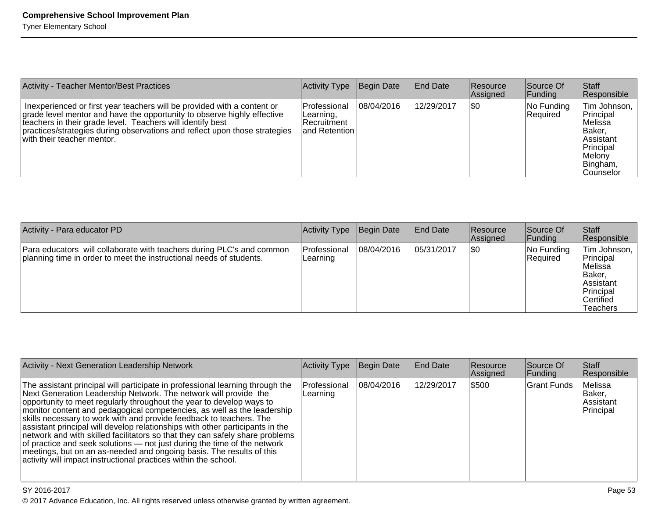| <b>Activity - Teacher Mentor/Best Practices</b>                                                                                                                                                                                                                                                                              | Activity Type                                                    | Begin Date | <b>End Date</b> | <b>Resource</b><br>Assigned | Source Of<br> Funding  | <b>Staff</b><br>Responsible                                                                                          |
|------------------------------------------------------------------------------------------------------------------------------------------------------------------------------------------------------------------------------------------------------------------------------------------------------------------------------|------------------------------------------------------------------|------------|-----------------|-----------------------------|------------------------|----------------------------------------------------------------------------------------------------------------------|
| Inexperienced or first year teachers will be provided with a content or<br>grade level mentor and have the opportunity to observe highly effective<br>teachers in their grade level. Teachers will identify best<br>practices/strategies during observations and reflect upon those strategies<br>with their teacher mentor. | l Professional<br>Learning,<br>l Recruitment<br>land Retention I | 08/04/2016 | 12/29/2017      | \$0                         | No Funding<br>Required | Tim Johnson,<br>Principal<br>lMelissa<br>IBaker.<br>Assistant<br>Principal<br>Melony<br>Bingham,<br><b>Counselor</b> |

| Activity - Para educator PD                                                                                                                  | Activity Type                    | Begin Date | <b>IEnd Date</b> | <b>Resource</b><br><b>Assigned</b> | Source Of<br> Funding  | Staff<br>Responsible                                                                                   |
|----------------------------------------------------------------------------------------------------------------------------------------------|----------------------------------|------------|------------------|------------------------------------|------------------------|--------------------------------------------------------------------------------------------------------|
| Para educators will collaborate with teachers during PLC's and common<br>planning time in order to meet the instructional needs of students. | <b>IProfessional</b><br>Learning | 08/04/2016 | 05/31/2017       | \$0                                | No Funding<br>Required | ∣Tim Johnson.<br>Principal<br>lMelissa<br> Baker.<br>lAssistant<br>Principal<br>lCertified<br>Teachers |

| Activity - Next Generation Leadership Network                                                                                                                                                                                                                                                                                                                                                                                                                                                                                                                                                                                                                                                                                                                         | Activity Type            | Begin Date  | <b>End Date</b> | <b>Resource</b><br>Assigned | Source Of<br> Funding | <b>Staff</b><br>Responsible                 |
|-----------------------------------------------------------------------------------------------------------------------------------------------------------------------------------------------------------------------------------------------------------------------------------------------------------------------------------------------------------------------------------------------------------------------------------------------------------------------------------------------------------------------------------------------------------------------------------------------------------------------------------------------------------------------------------------------------------------------------------------------------------------------|--------------------------|-------------|-----------------|-----------------------------|-----------------------|---------------------------------------------|
| The assistant principal will participate in professional learning through the<br>Next Generation Leadership Network. The network will provide the<br>opportunity to meet regularly throughout the year to develop ways to<br>monitor content and pedagogical competencies, as well as the leadership<br>skills necessary to work with and provide feedback to teachers. The<br>assistant principal will develop relationships with other participants in the<br>network and with skilled facilitators so that they can safely share problems<br>of practice and seek solutions $-$ not just during the time of the network<br>meetings, but on an as-needed and ongoing basis. The results of this<br>activity will impact instructional practices within the school. | Professional<br>Learning | 108/04/2016 | 12/29/2017      | \$500                       | <b>IGrant Funds</b>   | Melissa<br>Baker,<br>Assistant<br>Principal |

SY 2016-2017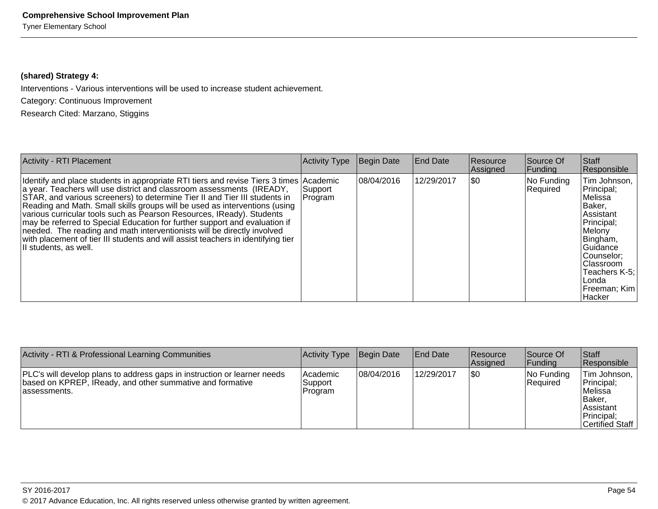# **(shared) Strategy 4:**

Interventions - Various interventions will be used to increase student achievement.

Category: Continuous Improvement

Research Cited: Marzano, Stiggins

| Activity - RTI Placement                                                                                                                                                                                                                                                                                                                                                                                                                                                                                                                                                                                                                                                   | <b>Activity Type</b> | Begin Date | <b>End Date</b> | <b>Resource</b><br>Assigned | Source Of<br>Funding   | Staff<br>Responsible                                                                                                                                                                                         |
|----------------------------------------------------------------------------------------------------------------------------------------------------------------------------------------------------------------------------------------------------------------------------------------------------------------------------------------------------------------------------------------------------------------------------------------------------------------------------------------------------------------------------------------------------------------------------------------------------------------------------------------------------------------------------|----------------------|------------|-----------------|-----------------------------|------------------------|--------------------------------------------------------------------------------------------------------------------------------------------------------------------------------------------------------------|
| Identify and place students in appropriate RTI tiers and revise Tiers 3 times Academic<br>a year. Teachers will use district and classroom assessments (IREADY,<br>STAR, and various screeners) to determine Tier II and Tier III students in<br>Reading and Math. Small skills groups will be used as interventions (using<br>various curricular tools such as Pearson Resources, IReady). Students<br>may be referred to Special Education for further support and evaluation if<br>needed. The reading and math interventionists will be directly involved<br>with placement of tier III students and will assist teachers in identifying tier<br>II students, as well. | Support<br>Program   | 08/04/2016 | 12/29/2017      | I\$0                        | No Funding<br>Required | Tim Johnson,<br>Principal;<br>lMelissa<br>Baker,<br>lAssistant<br>Principal;<br>Melony<br>Bingham,<br><b>Guidance</b><br>Counselor;<br>Classroom<br>Teachers K-5:<br>Londa<br> Freeman: Kim<br><b>Hacker</b> |

| Activity - RTI & Professional Learning Communities                                                                                                     | Activity Type                    | Begin Date | <b>IEnd Date</b> | <b>Resource</b><br>Assigned | Source Of<br> Funding            | ∣Staff<br>Responsible                                                                           |
|--------------------------------------------------------------------------------------------------------------------------------------------------------|----------------------------------|------------|------------------|-----------------------------|----------------------------------|-------------------------------------------------------------------------------------------------|
| PLC's will develop plans to address gaps in instruction or learner needs<br>based on KPREP, IReady, and other summative and formative<br>lassessments. | lAcademic<br>Support<br> Program | 08/04/2016 | 12/29/2017       | \$0                         | $ No$ Funding<br><b>Required</b> | Tim Johnson,<br>Principal;<br>lMelissa<br> Baker<br>∣Assistant<br>Principal:<br>Certified Staff |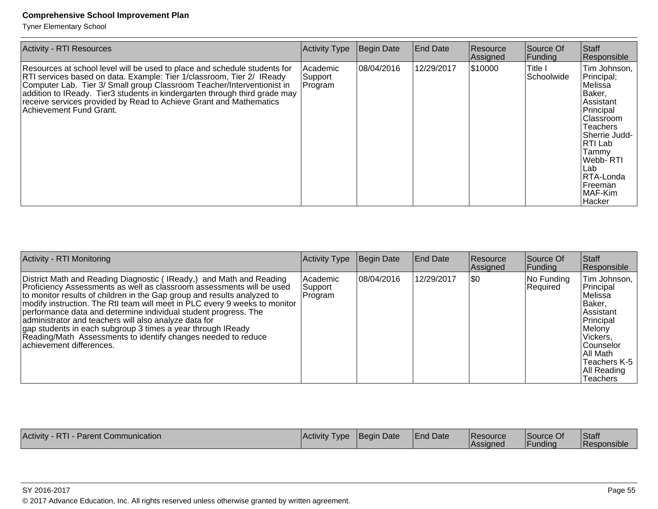Tyner Elementary School

| <b>Activity - RTI Resources</b>                                                                                                                                                                                                                                                                                                                                                                             | <b>Activity Type</b>            | Begin Date | <b>End Date</b> | Resource<br>Assigned | Source Of<br>Funding           | Staff<br>Responsible                                                                                                                                                                                                        |
|-------------------------------------------------------------------------------------------------------------------------------------------------------------------------------------------------------------------------------------------------------------------------------------------------------------------------------------------------------------------------------------------------------------|---------------------------------|------------|-----------------|----------------------|--------------------------------|-----------------------------------------------------------------------------------------------------------------------------------------------------------------------------------------------------------------------------|
| Resources at school level will be used to place and schedule students for<br>RTI services based on data. Example: Tier 1/classroom, Tier 2/ IReady<br>Computer Lab. Tier 3/ Small group Classroom Teacher/Interventionist in<br>addition to IReady. Tier3 students in kindergarten through third grade may<br>receive services provided by Read to Achieve Grant and Mathematics<br>Achievement Fund Grant. | Academic<br>Support<br> Program | 08/04/2016 | 12/29/2017      | \$10000              | <b>Title I</b><br> Schoolwide_ | Tim Johnson,<br>Principal;<br> Melissa<br>Baker,<br>Assistant<br>Principal<br><b>Classroom</b><br>Teachers<br>Sherrie Judd-<br>IRTI Lab<br>Tammy<br>Webb- RTI <br>∣Lab<br>RTA-Londa<br><b> Freeman</b><br>MAF-Kim<br>Hacker |

| <b>Activity - RTI Monitoring</b>                                                                                                                                                                                                                                                                                                                                                                                                                                                                                                                                                              | Activity Type                   | Begin Date | <b>End Date</b> | <b>Resource</b><br>Assigned | Source Of<br> Funding  | <b>Staff</b><br>Responsible                                                                                                                                                              |
|-----------------------------------------------------------------------------------------------------------------------------------------------------------------------------------------------------------------------------------------------------------------------------------------------------------------------------------------------------------------------------------------------------------------------------------------------------------------------------------------------------------------------------------------------------------------------------------------------|---------------------------------|------------|-----------------|-----------------------------|------------------------|------------------------------------------------------------------------------------------------------------------------------------------------------------------------------------------|
| District Math and Reading Diagnostic (IReady,) and Math and Reading<br>Proficiency Assessments as well as classroom assessments will be used<br>to monitor results of children in the Gap group and results analyzed to<br>modify instruction. The RtI team will meet in PLC every 9 weeks to monitor<br>performance data and determine individual student progress. The<br>administrator and teachers will also analyze data for<br>gap students in each subgroup 3 times a year through IReady<br>Reading/Math Assessments to identify changes needed to reduce<br>achievement differences. | Academic<br>Support<br> Program | 08/04/2016 | 12/29/2017      | I\$0                        | No Funding<br>Required | Tim Johnson,<br>Principal<br>Melissa<br>Baker,<br><b>Assistant</b><br>Principal<br>Melony<br>Vickers,<br><b>Counselor</b><br>∣All Math<br>Teachers K-5<br>All Reading<br><b>Teachers</b> |

| Activity<br>Communication<br>Parent<br>$\mathbf{K}$ i | 'Activity<br>l vpe | Date<br><b>IBeair</b> | <sup>1</sup> Date<br>⊿End″ | <b>IResource</b><br>lAssianec | ISource Of<br>Funding | Staft<br>$\cdots$<br>vonsible |
|-------------------------------------------------------|--------------------|-----------------------|----------------------------|-------------------------------|-----------------------|-------------------------------|
|                                                       |                    |                       |                            |                               |                       |                               |

SY 2016-2017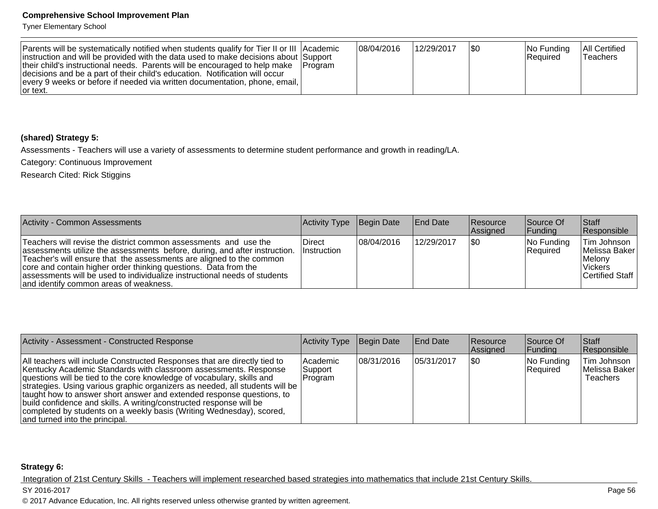Tyner Elementary School

| Parents will be systematically notified when students qualify for Tier II or III Academic<br>instruction and will be provided with the data used to make decisions about Support<br>their child's instructional needs. Parents will be encouraged to help make   Program<br>decisions and be a part of their child's education. Notification will occur<br>every 9 weeks or before if needed via written documentation, phone, email,<br>or text. |  | 08/04/2016 | 12/29/2017 | 1\$0 | $ No$ Funding<br>Required | <b>All Certified</b><br>'Teachers |
|---------------------------------------------------------------------------------------------------------------------------------------------------------------------------------------------------------------------------------------------------------------------------------------------------------------------------------------------------------------------------------------------------------------------------------------------------|--|------------|------------|------|---------------------------|-----------------------------------|
|---------------------------------------------------------------------------------------------------------------------------------------------------------------------------------------------------------------------------------------------------------------------------------------------------------------------------------------------------------------------------------------------------------------------------------------------------|--|------------|------------|------|---------------------------|-----------------------------------|

# **(shared) Strategy 5:**

Assessments - Teachers will use a variety of assessments to determine student performance and growth in reading/LA.

Category: Continuous Improvement

Research Cited: Rick Stiggins

| Activity - Common Assessments                                                                                                                                                                                                                                                                                                                                                                                    | Activity Type Begin Date     |            | End Date   | Resource<br><b>Assigned</b> | Source Of<br><b>Funding</b> | Staff<br>Responsible                                                     |
|------------------------------------------------------------------------------------------------------------------------------------------------------------------------------------------------------------------------------------------------------------------------------------------------------------------------------------------------------------------------------------------------------------------|------------------------------|------------|------------|-----------------------------|-----------------------------|--------------------------------------------------------------------------|
| Teachers will revise the district common assessments and use the<br>assessments utilize the assessments before, during, and after instruction.<br>Teacher's will ensure that the assessments are aligned to the common<br>core and contain higher order thinking questions. Data from the<br>assessments will be used to individualize instructional needs of students<br>and identify common areas of weakness. | Direct<br><i>Instruction</i> | 08/04/2016 | 12/29/2017 | 1\$0                        | No Funding<br>Required      | Tim Johnson<br> Melissa Baker <br>Melony<br>l Vickers<br>Certified Staff |

| Activity - Assessment - Constructed Response                                                                                                                                                                                                                                                                                                                                                                                                                                                                                                                         | Activity Type                     | Begin Date  | End Date    | <b>Resource</b><br>Assigned | Source Of<br><b>Funding</b> | <b>Staff</b><br>Responsible                     |
|----------------------------------------------------------------------------------------------------------------------------------------------------------------------------------------------------------------------------------------------------------------------------------------------------------------------------------------------------------------------------------------------------------------------------------------------------------------------------------------------------------------------------------------------------------------------|-----------------------------------|-------------|-------------|-----------------------------|-----------------------------|-------------------------------------------------|
| All teachers will include Constructed Responses that are directly tied to<br>Kentucky Academic Standards with classroom assessments. Response<br>questions will be tied to the core knowledge of vocabulary, skills and<br> strategies. Using various graphic organizers as needed, all students will be  <br>taught how to answer short answer and extended response questions, to<br>build confidence and skills. A writing/constructed response will be<br>completed by students on a weekly basis (Writing Wednesday), scored,<br>and turned into the principal. | lAcademic<br> Support <br>Program | 108/31/2016 | 105/31/2017 | \$0                         | No Funding<br>Required      | Tim Johnson<br>Melissa Baker<br><b>Teachers</b> |

#### **Strategy 6:**

Integration of 21st Century Skills - Teachers will implement researched based strategies into mathematics that include 21st Century Skills.

#### SY 2016-2017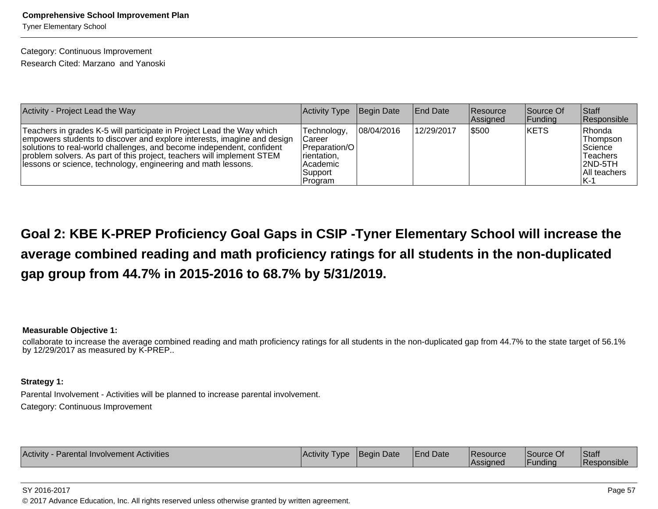Tyner Elementary School

# Category: Continuous Improvement

Research Cited: Marzano and Yanoski

| Activity - Project Lead the Way                                                                                                                                                                                                                                                                                                                                      | Activity Type                                                                           | Begin Date | <b>IEnd Date</b> | Resource<br>Assigned | Source Of<br> Funding | <b>Staff</b><br>Responsible                                                        |
|----------------------------------------------------------------------------------------------------------------------------------------------------------------------------------------------------------------------------------------------------------------------------------------------------------------------------------------------------------------------|-----------------------------------------------------------------------------------------|------------|------------------|----------------------|-----------------------|------------------------------------------------------------------------------------|
| Teachers in grades K-5 will participate in Project Lead the Way which<br>empowers students to discover and explore interests, imagine and design<br>solutions to real-world challenges, and become independent, confident<br>problem solvers. As part of this project, teachers will implement STEM<br>lessons or science, technology, engineering and math lessons. | Technology,<br>Career<br>Preparation/O<br>rientation,<br>Academic<br>Support<br>Program | 08/04/2016 | 12/29/2017       | 5500                 | <b>IKETS</b>          | Rhonda<br>Thompson<br> Science <br>Teachers<br>$ 2ND-5TH $<br>All teachers<br>IK-1 |

**Goal 2: KBE K-PREP Proficiency Goal Gaps in CSIP -Tyner Elementary School will increase theaverage combined reading and math proficiency ratings for all students in the non-duplicatedgap group from 44.7% in 2015-2016 to 68.7% by 5/31/2019.**

#### **Measurable Objective 1:**

 collaborate to increase the average combined reading and math proficiency ratings for all students in the non-duplicated gap from 44.7% to the state target of 56.1%by 12/29/2017 as measured by K-PREP..

# **Strategy 1:**

Parental Involvement - Activities will be planned to increase parental involvement.Category: Continuous Improvement

| Activity<br>· Parental Involvement Activities | <b>Activity</b><br><b>I</b> vpe | <b>IBegin Date</b> | <b>End Date</b> | Resource<br>lAssianed | Source Of<br>'Fundina | Staff<br><b>Responsible</b> |
|-----------------------------------------------|---------------------------------|--------------------|-----------------|-----------------------|-----------------------|-----------------------------|
|                                               |                                 |                    |                 |                       |                       |                             |

SY 2016-2017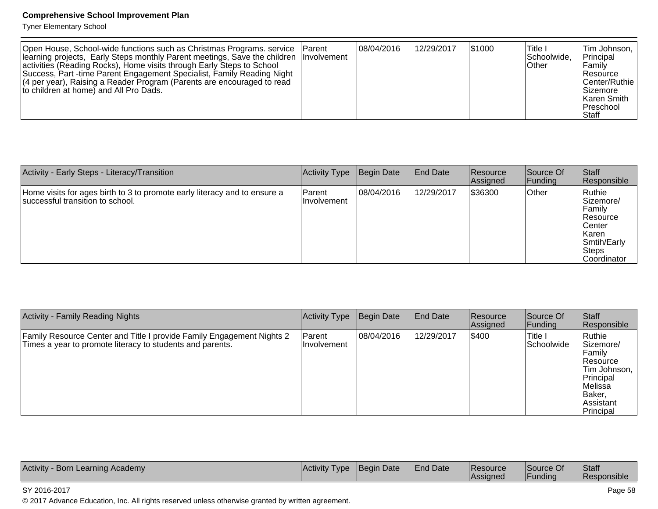Tyner Elementary School

| Open House, School-wide functions such as Christmas Programs. service   Parent<br>Iearning projects, Early Steps monthly Parent meetings, Save the children Involvement<br>activities (Reading Rocks), Home visits through Early Steps to School<br>Success, Part -time Parent Engagement Specialist, Family Reading Night<br>$(4$ per year), Raising a Reader Program (Parents are encouraged to read<br>to children at home) and All Pro Dads. |  | 108/04/2016 | 12/29/2017 | \$1000 | ∣Title I<br>Schoolwide,<br><b>Other</b> | Tim Johnson,<br>Principal<br>l Familv<br> Resource<br>Center/Ruthie<br><b>Sizemore</b><br>lKaren Smith<br> Preschool<br><b>Staff</b> |
|--------------------------------------------------------------------------------------------------------------------------------------------------------------------------------------------------------------------------------------------------------------------------------------------------------------------------------------------------------------------------------------------------------------------------------------------------|--|-------------|------------|--------|-----------------------------------------|--------------------------------------------------------------------------------------------------------------------------------------|
|--------------------------------------------------------------------------------------------------------------------------------------------------------------------------------------------------------------------------------------------------------------------------------------------------------------------------------------------------------------------------------------------------------------------------------------------------|--|-------------|------------|--------|-----------------------------------------|--------------------------------------------------------------------------------------------------------------------------------------|

| Activity - Early Steps - Literacy/Transition                                                                  | Activity Type           | Begin Date | <b>End Date</b> | <b>Resource</b><br>Assigned | Source Of<br> Funding | <b>Staff</b><br>Responsible                                                                                               |
|---------------------------------------------------------------------------------------------------------------|-------------------------|------------|-----------------|-----------------------------|-----------------------|---------------------------------------------------------------------------------------------------------------------------|
| Home visits for ages birth to 3 to promote early literacy and to ensure a<br>successful transition to school. | Parent<br>I Involvement | 08/04/2016 | 12/29/2017      | \$36300                     | Other                 | Ruthie<br>Sizemore/<br>Family<br><b>Resource</b><br>∣Center<br><b>Karen</b><br>Smtih/Early<br>Steps<br><b>Coordinator</b> |

| <b>Activity - Family Reading Nights</b>                                                                                            | Activity Type                  | Begin Date | <b>End Date</b> | <b>Resource</b><br>Assigned | Source Of<br> Funding  | Staff<br>Responsible                                                                                                             |
|------------------------------------------------------------------------------------------------------------------------------------|--------------------------------|------------|-----------------|-----------------------------|------------------------|----------------------------------------------------------------------------------------------------------------------------------|
| Family Resource Center and Title I provide Family Engagement Nights 2<br>Times a year to promote literacy to students and parents. | <b>Parent</b><br>I Involvement | 08/04/2016 | 12/29/2017      | \$400                       | ∣Title I<br>Schoolwide | Ruthie<br> Sizemore/<br>l Familv<br><b>Resource</b><br>Tim Johnson,<br>Principal<br>Melissa<br>Baker,<br>lAssistant<br>Principal |

| <b>Activity</b><br>Academy<br>Learning<br>Borr | <b>Activity</b><br>l vpe | Date<br>Beair | <b>I</b> Date<br><b>IFnd</b> | <b>IResource</b><br>lAssianed | ∣Source (<br>$\sim$ ) $\Gamma$<br>.<br>·undina | <b>Staff</b><br>Responsible |
|------------------------------------------------|--------------------------|---------------|------------------------------|-------------------------------|------------------------------------------------|-----------------------------|
|------------------------------------------------|--------------------------|---------------|------------------------------|-------------------------------|------------------------------------------------|-----------------------------|

#### SY 2016-2017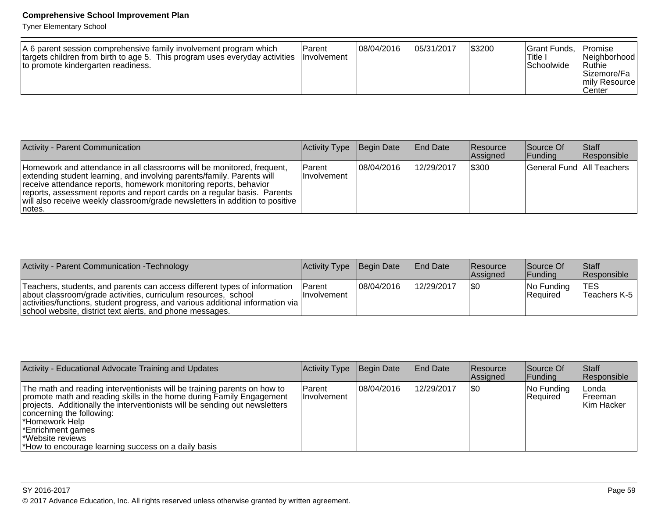Tyner Elementary School

| A 6 parent session comprehensive family involvement program which<br>targets children from birth to age 5. This program uses everyday activities   Involvement<br>to promote kindergarten readiness. | Parent | 08/04/2016 | 05/31/2017 | \$3200 | <sup>1</sup> Grant Funds.<br>ا Title<br><b>Schoolwide</b> | Promise<br>Neighborhood  <br>ˈRuthie<br> Sizemore/Fa  <br>Imily Resourcel<br>Center |
|------------------------------------------------------------------------------------------------------------------------------------------------------------------------------------------------------|--------|------------|------------|--------|-----------------------------------------------------------|-------------------------------------------------------------------------------------|
|------------------------------------------------------------------------------------------------------------------------------------------------------------------------------------------------------|--------|------------|------------|--------|-----------------------------------------------------------|-------------------------------------------------------------------------------------|

| Activity - Parent Communication                                                                                                                                                                                                                                                                                                                                                                | Activity Type Begin Date       |            | <b>End Date</b> | <b>Resource</b><br>Assigned | Source Of<br> Funding       | <b>Staff</b><br>Responsible |
|------------------------------------------------------------------------------------------------------------------------------------------------------------------------------------------------------------------------------------------------------------------------------------------------------------------------------------------------------------------------------------------------|--------------------------------|------------|-----------------|-----------------------------|-----------------------------|-----------------------------|
| Homework and attendance in all classrooms will be monitored, frequent,<br>extending student learning, and involving parents/family. Parents will<br>receive attendance reports, homework monitoring reports, behavior<br>reports, assessment reports and report cards on a regular basis. Parents<br> will also receive weekly classroom/grade newsletters in addition to positive  <br>notes. | l Parent<br><b>Involvement</b> | 08/04/2016 | 12/29/2017      | \$300                       | General Fund   All Teachers |                             |

| Activity - Parent Communication - Technology                                                                                                                                                                                                                                                 | Activity Type Begin Date |            | <b>End Date</b> | Resource<br><b>Assigned</b> | Source Of<br><b>IFunding</b> | Staff<br><b>Responsible</b>       |
|----------------------------------------------------------------------------------------------------------------------------------------------------------------------------------------------------------------------------------------------------------------------------------------------|--------------------------|------------|-----------------|-----------------------------|------------------------------|-----------------------------------|
| Teachers, students, and parents can access different types of information<br>about classroom/grade activities, curriculum resources, school<br>  activities/functions, student progress, and various additional information via<br>school website, district text alerts, and phone messages. | Parent<br>IInvolvement   | 08/04/2016 | 12/29/2017      | 1\$C                        | $ No$ Funding<br>Required    | ∣TES<br><sup>1</sup> Teachers K-5 |

| Activity - Educational Advocate Training and Updates                                                                                                                                                                                                                                                                                                                                  | Activity Type                | Begin Date | <b>End Date</b> | <b>Resource</b><br>Assigned | Source Of<br> Funding  | <b>Staff</b><br>Responsible             |
|---------------------------------------------------------------------------------------------------------------------------------------------------------------------------------------------------------------------------------------------------------------------------------------------------------------------------------------------------------------------------------------|------------------------------|------------|-----------------|-----------------------------|------------------------|-----------------------------------------|
| The math and reading interventionists will be training parents on how to<br>promote math and reading skills in the home during Family Engagement<br>projects. Additionally the interventionists will be sending out newsletters<br>concerning the following:<br>∣*Homework Help<br><b>Enrichment games</b><br>*Website reviews<br>*How to encourage learning success on a daily basis | Parent<br><b>Involvement</b> | 08/04/2016 | 12/29/2017      | \$0                         | No Funding<br>Required | ∣Londa<br><b>IFreeman</b><br>Kim Hacker |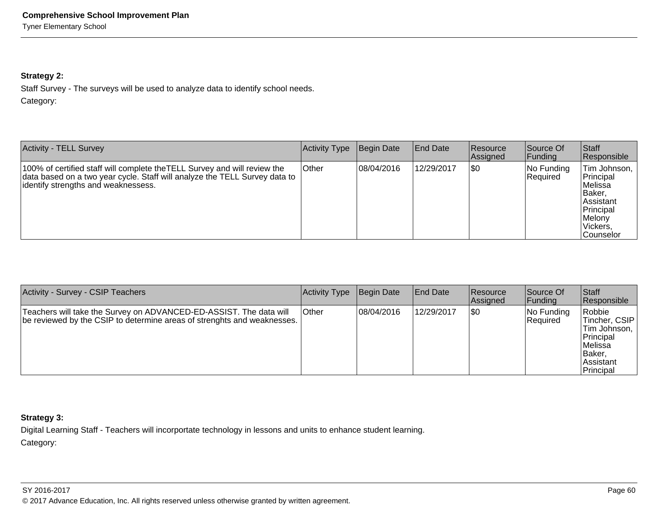# **Strategy 2:**

Staff Survey - The surveys will be used to analyze data to identify school needs.Category:

| <b>Activity - TELL Survey</b>                                                                                                                                                                  | Activity Type | Begin Date | <b>End Date</b> | <b>Resource</b><br>Assigned | Source Of<br> Funding  | <b>Staff</b><br>Responsible                                                                                          |
|------------------------------------------------------------------------------------------------------------------------------------------------------------------------------------------------|---------------|------------|-----------------|-----------------------------|------------------------|----------------------------------------------------------------------------------------------------------------------|
| 100% of certified staff will complete the TELL Survey and will review the<br>data based on a two year cycle. Staff will analyze the TELL Survey data to<br>identify strengths and weaknessess. | <b>Other</b>  | 08/04/2016 | 12/29/2017      | <b>\\$0</b>                 | No Funding<br>Required | Tim Johnson,<br>Principal<br>lMelissa<br>IBaker.<br>Assistant<br>Principal<br>Melony<br>Vickers.<br><b>Counselor</b> |

| Activity - Survey - CSIP Teachers                                                                                                             | Activity Type | Begin Date | <b>End Date</b> | Resource<br><b>Assianed</b> | Source Of<br> Fundina  | Staff<br>Responsible                                                                                  |
|-----------------------------------------------------------------------------------------------------------------------------------------------|---------------|------------|-----------------|-----------------------------|------------------------|-------------------------------------------------------------------------------------------------------|
| Teachers will take the Survey on ADVANCED-ED-ASSIST. The data will<br>be reviewed by the CSIP to determine areas of strenghts and weaknesses. | <b>Other</b>  | 08/04/2016 | 12/29/2017      | 1\$0                        | No Funding<br>Required | Robbie<br>Tincher, CSIP<br>Tim Johnson,<br>Principal<br>lMelissa<br>lBaker.<br>Assistant<br>Principal |

# **Strategy 3:**

Digital Learning Staff - Teachers will incorportate technology in lessons and units to enhance student learning.Category:

#### SY 2016-2017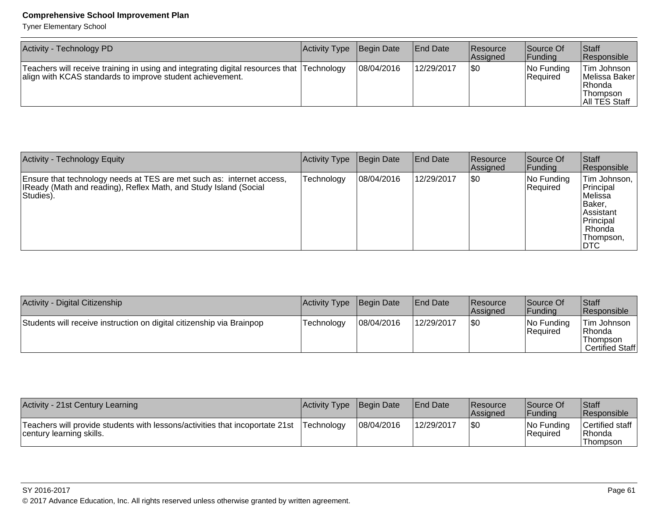Tyner Elementary School

| Activity - Technology PD                                                                                                                               | <b>Activity Type</b> | Begin Date | <b>End Date</b> | <b>Resource</b><br>Assigned | Source Of<br> Funding  | <b>Staff</b><br>Responsible                                                     |
|--------------------------------------------------------------------------------------------------------------------------------------------------------|----------------------|------------|-----------------|-----------------------------|------------------------|---------------------------------------------------------------------------------|
| Teachers will receive training in using and integrating digital resources that Technology<br>align with KCAS standards to improve student achievement. |                      | 08/04/2016 | 12/29/2017      | I\$0                        | No Funding<br>Required | Tim Johnson<br><b>IMelissa Baker</b> I<br>l Rhonda<br>Thompson<br>All TES Staff |

| <b>Activity - Technology Equity</b>                                                                                                                    | <b>Activity Type</b> | Begin Date | <b>End Date</b> | <b>Resource</b><br>Assigned | Source Of<br>Funding   | Staff<br>Responsible                                                                                       |
|--------------------------------------------------------------------------------------------------------------------------------------------------------|----------------------|------------|-----------------|-----------------------------|------------------------|------------------------------------------------------------------------------------------------------------|
| Ensure that technology needs at TES are met such as: internet access,<br>IReady (Math and reading), Reflex Math, and Study Island (Social<br>Studies). | <b>Fechnology</b>    | 08/04/2016 | 12/29/2017      | \$0                         | No Funding<br>Required | Tim Johnson,<br>Principal<br>Melissa<br>lBaker.<br>l Assistant<br>Principal<br>Rhonda<br>Thompson,<br>∣DTC |

| Activity - Digital Citizenship                                        | Activity Type | Begin Date | <b>End Date</b> | <b>Resource</b><br><b>Assigned</b> | Source Of<br>Funding   | <b>Staff</b><br>Responsible                           |
|-----------------------------------------------------------------------|---------------|------------|-----------------|------------------------------------|------------------------|-------------------------------------------------------|
| Students will receive instruction on digital citizenship via Brainpop | Technology    | 08/04/2016 | 12/29/2017      | \$0                                | No Funding<br>Required | 'Tim Johnson<br>Rhonda<br>Thompson<br>Certified Staff |

| Activity - 21st Century Learning                                                                         | Activity Type Begin Date |            | <b>IEnd Date</b> | <b>Resource</b><br><b>Assigned</b> | Source Of<br>lFundina          | <sup>I</sup> Staff<br>Responsible     |
|----------------------------------------------------------------------------------------------------------|--------------------------|------------|------------------|------------------------------------|--------------------------------|---------------------------------------|
| Teachers will provide students with lessons/activities that incoportate 21st<br>century learning skills. | . Technology             | 08/04/2016 | 12/29/2017       | \$0                                | INo Funding<br><b>Required</b> | Certified staff<br>Rhonda<br>Thompson |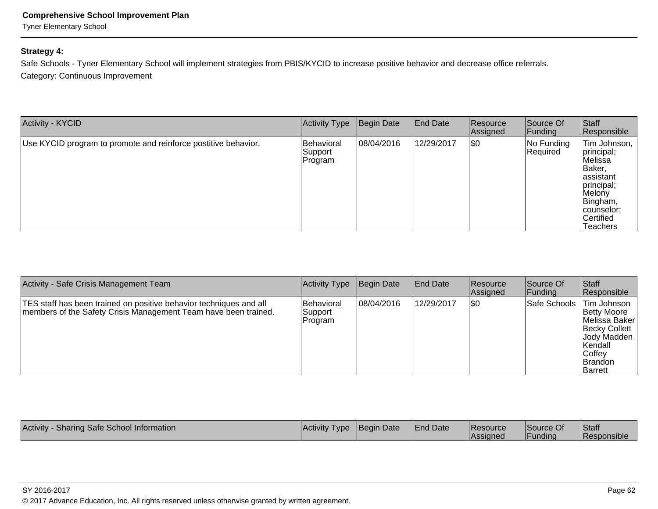Tyner Elementary School

# **Strategy 4:**

Safe Schools - Tyner Elementary School will implement strategies from PBIS/KYCID to increase positive behavior and decrease office referrals. Category: Continuous Improvement

| <b>Activity - KYCID</b>                                        | Activity Type                    | Begin Date | <b>End Date</b> | Resource<br>Assigned | Source Of<br>Funding   | Staff<br>Responsible                                                                                                                             |
|----------------------------------------------------------------|----------------------------------|------------|-----------------|----------------------|------------------------|--------------------------------------------------------------------------------------------------------------------------------------------------|
| Use KYCID program to promote and reinforce postitive behavior. | Behavioral<br>Support<br>Program | 08/04/2016 | 12/29/2017      | \$0                  | No Funding<br>Required | Tim Johnson,<br>principal;<br>Melissa<br>Baker,<br>lassistant<br>principal;<br>Melony<br>Bingham,<br> counselor;<br>Certified<br><b>Teachers</b> |

| Activity - Safe Crisis Management Team                                                                                                | Activity Type                    | Begin Date | <b>End Date</b> | <b>Resource</b><br><b>Assigned</b> | Source Of<br> Funding | Staff<br>Responsible                                                                                                               |
|---------------------------------------------------------------------------------------------------------------------------------------|----------------------------------|------------|-----------------|------------------------------------|-----------------------|------------------------------------------------------------------------------------------------------------------------------------|
| TES staff has been trained on positive behavior techniques and all<br>members of the Safety Crisis Management Team have been trained. | Behavioral<br>Support<br>Program | 08/04/2016 | 12/29/2017      | 1\$0                               | Safe Schools          | Tim Johnson<br>Betty Moore<br>Melissa Baker<br><b>Becky Collett</b><br> Jody Madden<br>⊺Kendall<br>∣Coffev<br>IBrandon<br>∣Barrett |

| Activity<br>Sharing Safe School Information | <b>Activity Type</b> | Begin Date | <b>End Date</b> | <b>Resource</b><br><b>Assigned</b> | Source Of<br>IFundina | <b>Staff</b><br>l Responsible |
|---------------------------------------------|----------------------|------------|-----------------|------------------------------------|-----------------------|-------------------------------|
|---------------------------------------------|----------------------|------------|-----------------|------------------------------------|-----------------------|-------------------------------|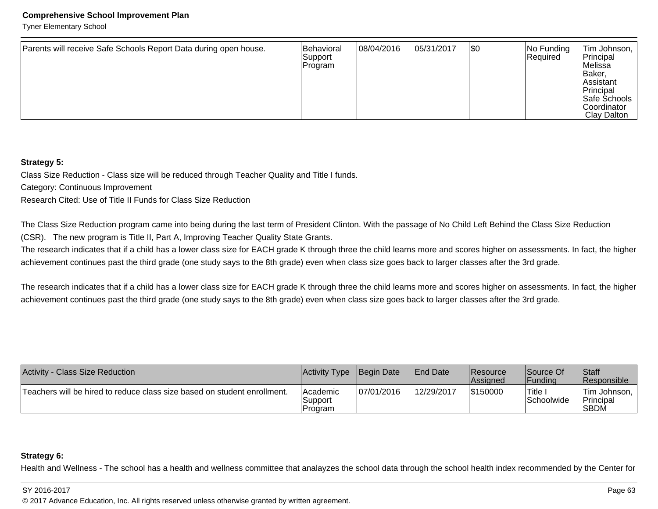Tyner Elementary School

| Parents will receive Safe Schools Report Data during open house. | Behavioral<br>Support<br> Program | 08/04/2016 | 05/31/2017 | \$0 | No Funding<br>Required | Tim Johnson,<br>Principal<br>Melissa<br>Baker,<br>∣Assistant<br>Principal<br>Safe Schools<br><b>Coordinator</b><br>Clay Dalton |
|------------------------------------------------------------------|-----------------------------------|------------|------------|-----|------------------------|--------------------------------------------------------------------------------------------------------------------------------|
|------------------------------------------------------------------|-----------------------------------|------------|------------|-----|------------------------|--------------------------------------------------------------------------------------------------------------------------------|

#### **Strategy 5:**

Class Size Reduction - Class size will be reduced through Teacher Quality and Title I funds.

Category: Continuous Improvement

Research Cited: Use of Title II Funds for Class Size Reduction

The Class Size Reduction program came into being during the last term of President Clinton. With the passage of No Child Left Behind the Class Size Reduction(CSR). The new program is Title II, Part A, Improving Teacher Quality State Grants.

The research indicates that if a child has a lower class size for EACH grade K through three the child learns more and scores higher on assessments. In fact, the higher achievement continues past the third grade (one study says to the 8th grade) even when class size goes back to larger classes after the 3rd grade.

The research indicates that if a child has a lower class size for EACH grade K through three the child learns more and scores higher on assessments. In fact, the higher achievement continues past the third grade (one study says to the 8th grade) even when class size goes back to larger classes after the 3rd grade.

| Activity - Class Size Reduction                                          | Activity Type                  | <b>Begin Date</b> | <b>IEnd Date</b> | <b>Resource</b><br><b>Assigned</b> | Source Of<br> Fundina  | Staff<br><b>Responsible</b>                            |
|--------------------------------------------------------------------------|--------------------------------|-------------------|------------------|------------------------------------|------------------------|--------------------------------------------------------|
| Teachers will be hired to reduce class size based on student enrollment. | Academic<br>Support<br>Program | 07/01/2016        | 12/29/2017       | \$150000                           | 'Title ∟<br>Schoolwide | <sup>1</sup> Tim Johnson,<br><b>Principal</b><br> SBDM |

#### **Strategy 6:**

Health and Wellness - The school has a health and wellness committee that analayzes the school data through the school health index recommended by the Center for

#### SY 2016-2017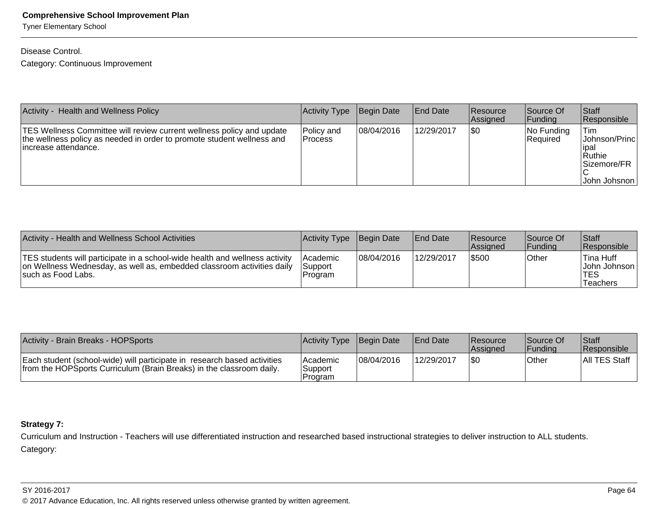Tyner Elementary School

# Disease Control.

Category: Continuous Improvement

| Activity -<br><b>Health and Wellness Policy</b>                                                                                                                                 | <b>Activity Type</b>    | Begin Date  | <b>IEnd Date</b> | <b>Resource</b><br>Assigned | Source Of<br> Funding         | <b>Staff</b><br>Responsible                                               |
|---------------------------------------------------------------------------------------------------------------------------------------------------------------------------------|-------------------------|-------------|------------------|-----------------------------|-------------------------------|---------------------------------------------------------------------------|
| <b>TES Wellness Committee will review current wellness policy and update</b><br>the wellness policy as needed in order to promote student wellness and<br>lincrease attendance. | Policy and<br>l Process | 108/04/2016 | 12/29/2017       | 1\$0                        | No Funding<br><b>Required</b> | Tim<br>Johnson/Princ<br>lipal<br>l Ruthie<br>Sizemore/FR<br> John Johsnon |

| Activity - Health and Wellness School Activities                                                                                                                             | Activity Type Begin Date         |            | <b>End Date</b> | <b>Resource</b><br><b>Assigned</b> | Source Of<br><b>Funding</b> | Staff<br><b>Responsible</b>                         |
|------------------------------------------------------------------------------------------------------------------------------------------------------------------------------|----------------------------------|------------|-----------------|------------------------------------|-----------------------------|-----------------------------------------------------|
| TES students will participate in a school-wide health and wellness activity<br>on Wellness Wednesday, as well as, embedded classroom activities daily<br>Isuch as Food Labs. | l Academic<br>Support<br>Program | 08/04/2016 | 12/29/2017      | \$500                              | Other                       | Tina Huff<br>John Johnson<br><b>TES</b><br>Teachers |

| Activity - Brain Breaks - HOPSports                                                                                                              | Activity Type Begin Date               |            | <b>End Date</b> | Resource<br><b>Assigned</b> | <b>Source Of</b><br>l Fundina | Staff<br><b>Responsible</b> |
|--------------------------------------------------------------------------------------------------------------------------------------------------|----------------------------------------|------------|-----------------|-----------------------------|-------------------------------|-----------------------------|
| Each student (school-wide) will participate in research based activities<br>from the HOPSports Curriculum (Brain Breaks) in the classroom daily. | <b>Academic</b><br>Support<br>IProgram | 08/04/2016 | 12/29/2017      | 1\$C                        | <b>Other</b>                  | All TES Staff               |

# **Strategy 7:**

Curriculum and Instruction - Teachers will use differentiated instruction and researched based instructional strategies to deliver instruction to ALL students.Category:

#### SY 2016-2017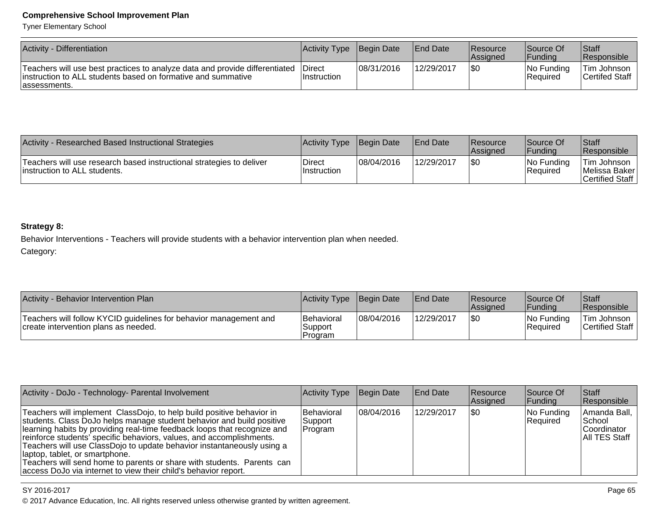Tyner Elementary School

| Activity - Differentiation                                                                                                                                    | Activity Type                        | Begin Date | <b>End Date</b> | <b>Resource</b><br><b>Assigned</b> | <b>Source Of</b><br> Fundina  | Staff<br><b>Responsible</b>   |
|---------------------------------------------------------------------------------------------------------------------------------------------------------------|--------------------------------------|------------|-----------------|------------------------------------|-------------------------------|-------------------------------|
| Teachers will use best practices to analyze data and provide differentiated<br>linstruction to ALL students based on formative and summative<br>lassessments. | <b>IDirect</b><br><b>Instruction</b> | 08/31/2016 | 12/29/2017      | \$0                                | No Funding<br><b>Required</b> | Tim Johnson<br>Certifed Staff |

| Activity - Researched Based Instructional Strategies                                                  | Activity Type Begin Date     |            | <b>IEnd Date</b> | <b>IResource</b><br><b>Assigned</b> | Source Of<br>IFundina                      | Staff<br>Responsible                              |
|-------------------------------------------------------------------------------------------------------|------------------------------|------------|------------------|-------------------------------------|--------------------------------------------|---------------------------------------------------|
| Teachers will use research based instructional strategies to deliver<br>linstruction to ALL students. | Direct<br><b>Instruction</b> | 08/04/2016 | 12/29/2017       |                                     | $ No \mathrm{Funding} $<br><b>Required</b> | Tim Johnson<br> Melissa Baker <br>Certified Staff |

# **Strategy 8:**

Behavior Interventions - Teachers will provide students with a behavior intervention plan when needed.Category:

| Activity - Behavior Intervention Plan                                                                     | Activity Type Begin Date                |            | <b>IEnd Date</b> | <b>Resource</b><br><b>Assigned</b> | Source Of<br> Fundina  | <b>Staff</b><br>Responsible        |
|-----------------------------------------------------------------------------------------------------------|-----------------------------------------|------------|------------------|------------------------------------|------------------------|------------------------------------|
| Teachers will follow KYCID guidelines for behavior management and<br>create intervention plans as needed. | <b>Behavioral</b><br>Support<br>Program | 08/04/2016 | 12/29/2017       | 1\$0                               | No Funding<br>Required | ∣Tim Johnson ∣<br> Certified Staff |

| Activity - DoJo - Technology- Parental Involvement                                                                                                                                                                                                                                                                                                                                                                                                                                                                                                            | Activity Type                     | Begin Date  | <b>End Date</b> | Resource<br>Assigned | Source Of<br> Funding   | Staff<br>Responsible                                                    |
|---------------------------------------------------------------------------------------------------------------------------------------------------------------------------------------------------------------------------------------------------------------------------------------------------------------------------------------------------------------------------------------------------------------------------------------------------------------------------------------------------------------------------------------------------------------|-----------------------------------|-------------|-----------------|----------------------|-------------------------|-------------------------------------------------------------------------|
| Teachers will implement ClassDojo, to help build positive behavior in<br>students. Class DoJo helps manage student behavior and build positive<br>learning habits by providing real-time feedback loops that recognize and<br>reinforce students' specific behaviors, values, and accomplishments.<br>Teachers will use ClassDojo to update behavior instantaneously using a<br>(laptop, tablet, or smartphone.)<br>Teachers will send home to parents or share with students. Parents can<br>access DoJo via internet to view their child's behavior report. | Behavioral<br>Support<br> Program | 108/04/2016 | 12/29/2017      | ISO                  | No Funding<br> Reauired | Amanda Ball, I<br> School<br><b>Coordinator</b><br><b>AII TES Staff</b> |

## SY 2016-2017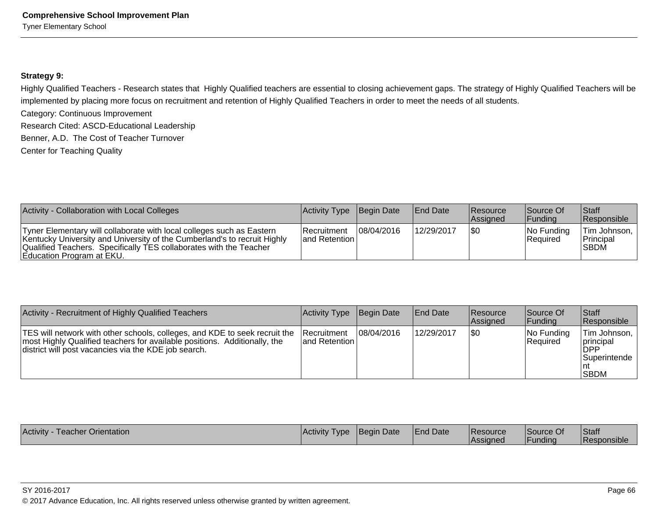#### **Strategy 9:**

Highly Qualified Teachers - Research states that Highly Qualified teachers are essential to closing achievement gaps. The strategy of Highly Qualified Teachers will beimplemented by placing more focus on recruitment and retention of Highly Qualified Teachers in order to meet the needs of all students.

Category: Continuous Improvement

Research Cited: ASCD-Educational Leadership

Benner, A.D. The Cost of Teacher Turnover

Center for Teaching Quality

| Activity - Collaboration with Local Colleges                                                                                                                                                                                                         | Activity Type Begin Date         |            | <b>End Date</b> | <b>Resource</b><br>Assigned | Source Of<br> Fundina  | <b>Staff</b><br><b>Responsible</b> |
|------------------------------------------------------------------------------------------------------------------------------------------------------------------------------------------------------------------------------------------------------|----------------------------------|------------|-----------------|-----------------------------|------------------------|------------------------------------|
| Tyner Elementary will collaborate with local colleges such as Eastern<br>Kentucky University and University of the Cumberland's to recruit Highly<br>Qualified Teachers. Specifically TES collaborates with the Teacher<br>Education Program at EKU. | IRecruitment<br>land Retention L | 08/04/2016 | 12/29/2017      | 1\$0                        | No Funding<br>Required | Tim Johnson,<br>Principal<br>ISBDM |

| Activity - Recruitment of Highly Qualified Teachers                                                                                                                                                             | Activity Type                          | Begin Date | <b>End Date</b> | <b>Resource</b><br>Assigned | Source Of<br> Fundina  | Staff<br><b>Responsible</b>                                                         |
|-----------------------------------------------------------------------------------------------------------------------------------------------------------------------------------------------------------------|----------------------------------------|------------|-----------------|-----------------------------|------------------------|-------------------------------------------------------------------------------------|
| TES will network with other schools, colleges, and KDE to seek recruit the<br>most Highly Qualified teachers for available positions. Additionally, the<br>district will post vacancies via the KDE job search. | <b>Recruitment</b><br>land Retention I | 08/04/2016 | 12/29/2017      | 1\$0                        | No Funding<br>Required | Tim Johnson,  <br><i>Iprincipal</i><br><b>DPP</b><br> Superintende  <br><b>SBDM</b> |

| Activity<br>Teacher Orientation | <b>Activity</b><br><b>I</b> vpe | Begin Date | <b>End Date</b> | <b>Resource</b><br><b>Assigned</b> | Source Of<br>l Fundina | Staff<br><b>Responsible</b> |
|---------------------------------|---------------------------------|------------|-----------------|------------------------------------|------------------------|-----------------------------|
|                                 |                                 |            |                 |                                    |                        |                             |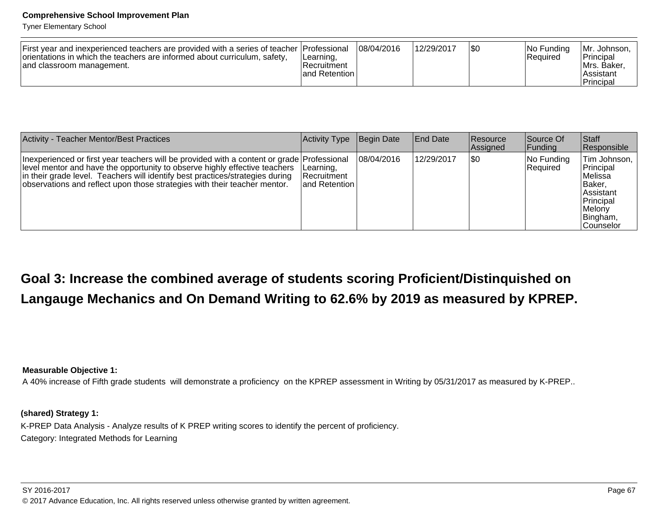Tyner Elementary School

| First year and inexperienced teachers are provided with a series of teacher Professional<br>orientations in which the teachers are informed about curriculum, safety,<br>land classroom management. | ILearning,<br>Recruitment<br>land Retention | 108/04/2016 | 12/29/2017 | 1\$C | INo Fundina<br> Reauired | IMr. Johnson.<br>Principal<br>IMrs. Baker.<br>l Assistant<br>Principal |
|-----------------------------------------------------------------------------------------------------------------------------------------------------------------------------------------------------|---------------------------------------------|-------------|------------|------|--------------------------|------------------------------------------------------------------------|
|-----------------------------------------------------------------------------------------------------------------------------------------------------------------------------------------------------|---------------------------------------------|-------------|------------|------|--------------------------|------------------------------------------------------------------------|

| Activity - Teacher Mentor/Best Practices                                                                                                                                                                                                                                                                                               | Activity Type                                  | Begin Date | <b>End Date</b> | <b>Resource</b><br>Assigned | lSource Of<br> Funding | Staff<br>Responsible                                                                                                    |
|----------------------------------------------------------------------------------------------------------------------------------------------------------------------------------------------------------------------------------------------------------------------------------------------------------------------------------------|------------------------------------------------|------------|-----------------|-----------------------------|------------------------|-------------------------------------------------------------------------------------------------------------------------|
| Inexperienced or first year teachers will be provided with a content or grade Professional<br>level mentor and have the opportunity to observe highly effective teachers<br>in their grade level. Teachers will identify best practices/strategies during<br>observations and reflect upon those strategies with their teacher mentor. | Learning,<br>IRecruitment_<br>land Retention I | 08/04/2016 | 12/29/2017      | 1\$0                        | No Funding<br>Required | Tim Johnson,  <br>Principal<br>lMelissa<br> Baker,<br><b>Assistant</b><br>Principal<br>Melony<br>Bingham,<br> Counselor |

# **Goal 3: Increase the combined average of students scoring Proficient/Distinquished onLangauge Mechanics and On Demand Writing to 62.6% by 2019 as measured by KPREP.**

**Measurable Objective 1:**

A 40% increase of Fifth grade students will demonstrate a proficiency on the KPREP assessment in Writing by 05/31/2017 as measured by K-PREP..

**(shared) Strategy 1:** 

K-PREP Data Analysis - Analyze results of K PREP writing scores to identify the percent of proficiency.Category: Integrated Methods for Learning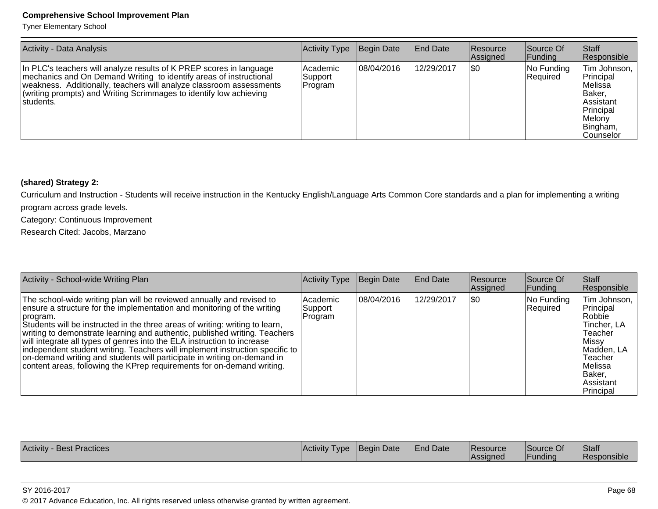Tyner Elementary School

| <b>Activity - Data Analysis</b>                                                                                                                                                                                                                                                                      | Activity Type                    | Begin Date | <b>End Date</b> | <b>Resource</b><br>Assigned | Source Of<br><b>Funding</b> | <b>Staff</b><br>Responsible                                                                                           |
|------------------------------------------------------------------------------------------------------------------------------------------------------------------------------------------------------------------------------------------------------------------------------------------------------|----------------------------------|------------|-----------------|-----------------------------|-----------------------------|-----------------------------------------------------------------------------------------------------------------------|
| In PLC's teachers will analyze results of K PREP scores in language<br>mechanics and On Demand Writing to identify areas of instructional<br>weakness. Additionally, teachers will analyze classroom assessments<br>(writing prompts) and Writing Scrimmages to identify low achieving<br>Istudents. | l Academic<br>Support<br>Program | 08/04/2016 | 12/29/2017      | \$0                         | No Funding<br>Required      | Tim Johnson,<br>Principal<br>lMelissa<br> Baker.<br>lAssistant<br>Principal<br>Melony<br>Bingham,<br><b>Counselor</b> |

# **(shared) Strategy 2:**

Curriculum and Instruction - Students will receive instruction in the Kentucky English/Language Arts Common Core standards and a plan for implementing a writingprogram across grade levels.

Category: Continuous Improvement

Research Cited: Jacobs, Marzano

| Activity - School-wide Writing Plan                                                                                                                                                                                                                                                                                                                                                                                                                                                                                                                                                                                                        | Activity Type                   | <b>Begin Date</b> | <b>End Date</b> | <b>Resource</b><br>Assigned | Source Of<br> Funding  | <b>Staff</b><br>Responsible                                                                                                                         |
|--------------------------------------------------------------------------------------------------------------------------------------------------------------------------------------------------------------------------------------------------------------------------------------------------------------------------------------------------------------------------------------------------------------------------------------------------------------------------------------------------------------------------------------------------------------------------------------------------------------------------------------------|---------------------------------|-------------------|-----------------|-----------------------------|------------------------|-----------------------------------------------------------------------------------------------------------------------------------------------------|
| The school-wide writing plan will be reviewed annually and revised to<br>ensure a structure for the implementation and monitoring of the writing<br>program.<br>Students will be instructed in the three areas of writing: writing to learn,<br>writing to demonstrate learning and authentic, published writing. Teachers<br>will integrate all types of genres into the ELA instruction to increase<br>independent student writing. Teachers will implement instruction specific to<br>on-demand writing and students will participate in writing on-demand in<br>content areas, following the KPrep requirements for on-demand writing. | Academic<br>Support<br> Program | 08/04/2016        | 12/29/2017      | \$0                         | No Funding<br>Required | Tim Johnson,<br>Principal<br> Robbie <br>Tincher, LA<br>Teacher<br>Missy <br>Madden, LA<br>Teacher<br>Melissa<br>IBaker.<br>lAssistant<br>Principal |

| <b>Activity - Best Practices</b> | <b>Activity Type</b> | Begin Date | <b>End Date</b> | <b>Resource</b><br><b>Assigned</b> | Source Of<br><b>Funding</b> | Staff<br><b>Responsible</b> |
|----------------------------------|----------------------|------------|-----------------|------------------------------------|-----------------------------|-----------------------------|
|----------------------------------|----------------------|------------|-----------------|------------------------------------|-----------------------------|-----------------------------|

#### SY 2016-2017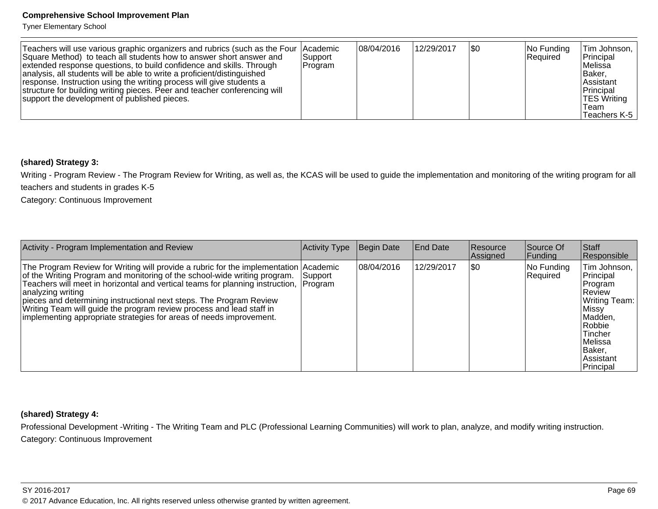Tyner Elementary School

| Teachers will use various graphic organizers and rubrics (such as the Four   Academic<br>Square Method) to teach all students how to answer short answer and<br>extended response questions, to build confidence and skills. Through<br>analysis, all students will be able to write a proficient/distinguished<br>response. Instruction using the writing process will give students a<br>structure for building writing pieces. Peer and teacher conferencing will<br>support the development of published pieces. | Support<br> Program | 08/04/2016 | 12/29/2017 | 1\$0 | $ No$ Funding<br>Required | Tim Johnson,<br>Principal<br>lMelissa<br>∣Baker.<br><b>Assistant</b><br>Principal<br><b>TES Writing</b><br>Team<br>Teachers K-5 |
|----------------------------------------------------------------------------------------------------------------------------------------------------------------------------------------------------------------------------------------------------------------------------------------------------------------------------------------------------------------------------------------------------------------------------------------------------------------------------------------------------------------------|---------------------|------------|------------|------|---------------------------|---------------------------------------------------------------------------------------------------------------------------------|
|----------------------------------------------------------------------------------------------------------------------------------------------------------------------------------------------------------------------------------------------------------------------------------------------------------------------------------------------------------------------------------------------------------------------------------------------------------------------------------------------------------------------|---------------------|------------|------------|------|---------------------------|---------------------------------------------------------------------------------------------------------------------------------|

#### **(shared) Strategy 3:**

Writing - Program Review - The Program Review for Writing, as well as, the KCAS will be used to guide the implementation and monitoring of the writing program for allteachers and students in grades K-5

Category: Continuous Improvement

| Activity - Program Implementation and Review                                                                                                                                                                                                                                                                                                                                                                                                                                                          | <b>Activity Type</b> | Begin Date  | End Date   | <b>Resource</b><br>Assigned | Source Of<br> Fundina  | Staff<br>Responsible                                                                                                                                         |
|-------------------------------------------------------------------------------------------------------------------------------------------------------------------------------------------------------------------------------------------------------------------------------------------------------------------------------------------------------------------------------------------------------------------------------------------------------------------------------------------------------|----------------------|-------------|------------|-----------------------------|------------------------|--------------------------------------------------------------------------------------------------------------------------------------------------------------|
| The Program Review for Writing will provide a rubric for the implementation Academic<br>of the Writing Program and monitoring of the school-wide writing program.<br>Teachers will meet in horizontal and vertical teams for planning instruction, Program<br>analyzing writing<br>pieces and determining instructional next steps. The Program Review<br>Writing Team will guide the program review process and lead staff in<br>implementing appropriate strategies for areas of needs improvement. | lSupport             | 108/04/2016 | 12/29/2017 | \$0                         | No Funding<br>Required | Tim Johnson,  <br>Principal<br>Program<br>Review<br>Writing Team:  <br>Missy <br>Madden,<br>Robbie<br>Tincher<br>Melissa<br>Baker.<br>Assistant<br>Principal |

#### **(shared) Strategy 4:**

Professional Development -Writing - The Writing Team and PLC (Professional Learning Communities) will work to plan, analyze, and modify writing instruction.Category: Continuous Improvement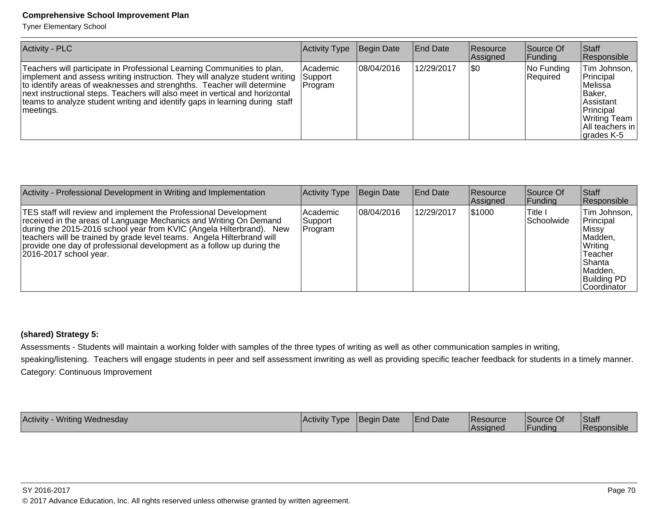Tyner Elementary School

| Activity - PLC                                                                                                                                                                                                                                                                                                                                                                                               | Activity Type                         | Begin Date | <b>End Date</b> | <b>Resource</b><br>Assigned | Source Of<br><b>Funding</b> | <b>Staff</b><br>Responsible                                                                                                                |
|--------------------------------------------------------------------------------------------------------------------------------------------------------------------------------------------------------------------------------------------------------------------------------------------------------------------------------------------------------------------------------------------------------------|---------------------------------------|------------|-----------------|-----------------------------|-----------------------------|--------------------------------------------------------------------------------------------------------------------------------------------|
| Teachers will participate in Professional Learning Communities to plan,<br>implement and assess writing instruction. They will analyze student writing<br>to identify areas of weaknesses and strenghths. Teacher will determine<br>next instructional steps. Teachers will also meet in vertical and horizontal<br>teams to analyze student writing and identify gaps in learning during staff<br>meetings. | Academic<br><b>Support</b><br>Program | 08/04/2016 | 12/29/2017      | \$0                         | No Funding<br>Required      | Tim Johnson,<br>Principal<br>Melissa<br>IBaker.<br><b>Assistant</b><br>Principal<br>Writing Team<br>IAII teachers in<br>$\vert$ grades K-5 |

| Activity - Professional Development in Writing and Implementation                                                                                                                                                                                                                                                                                                                          | <b>Activity Type</b>           | Begin Date | <b>End Date</b> | <b>Resource</b><br>Assigned | Source Of<br> Funding               | Staff<br>Responsible                                                                                                              |
|--------------------------------------------------------------------------------------------------------------------------------------------------------------------------------------------------------------------------------------------------------------------------------------------------------------------------------------------------------------------------------------------|--------------------------------|------------|-----------------|-----------------------------|-------------------------------------|-----------------------------------------------------------------------------------------------------------------------------------|
| TES staff will review and implement the Professional Development<br>received in the areas of Language Mechanics and Writing On Demand<br>during the 2015-2016 school year from KVIC (Angela Hilterbrand). New<br>teachers will be trained by grade level teams. Angela Hilterbrand will<br>provide one day of professional development as a follow up during the<br>2016-2017 school year. | Academic<br>Support<br>Program | 08/04/2016 | 12/29/2017      | 1\$1000                     | <sup>'</sup> Title I<br> Schoolwide | Tim Johnson,<br>Principal<br>Missv!<br>Madden,<br>Writing<br>Teacher<br> Shanta<br> Madden,<br><b>Building PD</b><br> Coordinator |

#### **(shared) Strategy 5:**

Assessments - Students will maintain a working folder with samples of the three types of writing as well as other communication samples in writing,

speaking/listening. Teachers will engage students in peer and self assessment inwriting as well as providing specific teacher feedback for students in a timely manner. Category: Continuous Improvement

| Activity - Writing Wednesday | <b>Activity Type</b> | Begin Date | <b>End Date</b> | <b>Resource</b><br><b>Assigned</b> | Source Of<br> Funding | Staff<br>Responsible |
|------------------------------|----------------------|------------|-----------------|------------------------------------|-----------------------|----------------------|
|                              |                      |            |                 |                                    |                       |                      |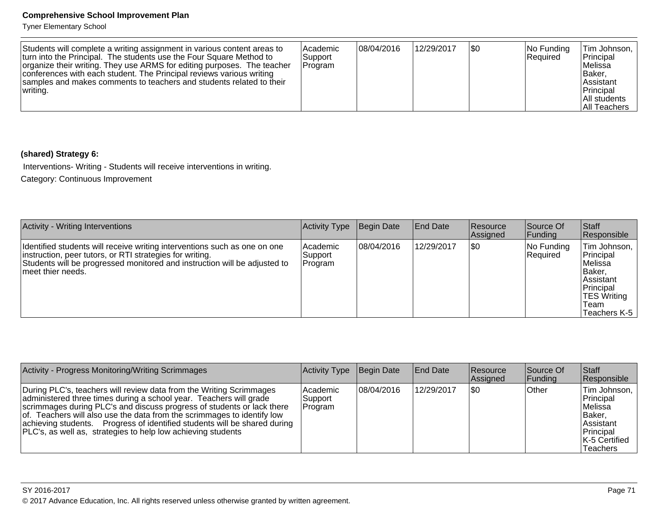Tyner Elementary School

| Students will complete a writing assignment in various content areas to<br>turn into the Principal. The students use the Four Square Method to<br>organize their writing. They use ARMS for editing purposes. The teacher<br>conferences with each student. The Principal reviews various writing<br>samples and makes comments to teachers and students related to their<br>writing. | l Academic<br>Support<br>Program | 08/04/2016 | 12/29/2017 | 1\$0 | No Funding<br><b>Required</b> | Tim Johnson,  <br>Principal<br>Melissa<br>Baker.<br>Assistant<br>Principal<br>All students<br>IAII Teachers |
|---------------------------------------------------------------------------------------------------------------------------------------------------------------------------------------------------------------------------------------------------------------------------------------------------------------------------------------------------------------------------------------|----------------------------------|------------|------------|------|-------------------------------|-------------------------------------------------------------------------------------------------------------|
|---------------------------------------------------------------------------------------------------------------------------------------------------------------------------------------------------------------------------------------------------------------------------------------------------------------------------------------------------------------------------------------|----------------------------------|------------|------------|------|-------------------------------|-------------------------------------------------------------------------------------------------------------|

## **(shared) Strategy 6:**

Interventions- Writing - Students will receive interventions in writing.

Category: Continuous Improvement

| Activity - Writing Interventions                                                                                                                                                                                                         | Activity Type                     | Begin Date | <b>End Date</b> | <b>Resource</b><br>Assigned | Source Of<br> Funding  | <b>Staff</b><br>Responsible                                                                                             |
|------------------------------------------------------------------------------------------------------------------------------------------------------------------------------------------------------------------------------------------|-----------------------------------|------------|-----------------|-----------------------------|------------------------|-------------------------------------------------------------------------------------------------------------------------|
| Identified students will receive writing interventions such as one on one<br>instruction, peer tutors, or RTI strategies for writing.<br>Students will be progressed monitored and instruction will be adjusted to<br>Imeet thier needs. | l Academic<br> Support<br>Program | 08/04/2016 | 12/29/2017      | \$0                         | No Funding<br>Required | Tim Johnson,<br>Principal<br>lMelissa<br>Baker,<br>Assistant<br>Principal<br><b>TES Writing</b><br>Team<br>Teachers K-5 |

| Activity - Progress Monitoring/Writing Scrimmages                                                                                                                                                                                                                                                                                                                                                                                           | Activity Type                    | Begin Date | <b>End Date</b> | <b>Resource</b><br>Assigned | Source Of<br> Funding | <b>Staff</b><br>Responsible                                                                                                 |
|---------------------------------------------------------------------------------------------------------------------------------------------------------------------------------------------------------------------------------------------------------------------------------------------------------------------------------------------------------------------------------------------------------------------------------------------|----------------------------------|------------|-----------------|-----------------------------|-----------------------|-----------------------------------------------------------------------------------------------------------------------------|
| During PLC's, teachers will review data from the Writing Scrimmages<br>administered three times during a school year. Teachers will grade<br>scrimmages during PLC's and discuss progress of students or lack there<br>of. Teachers will also use the data from the scrimmages to identify low<br>achieving students. Progress of identified students will be shared during<br>PLC's, as well as, strategies to help low achieving students | l Academic<br>Support<br>Program | 08/04/2016 | 12/29/2017      | 1\$0                        | Other                 | Tim Johnson,<br>Principal<br><i>IMelissa</i><br><b>Baker.</b><br>Assistant<br>Principal<br><b>K-5 Certified</b><br>Teachers |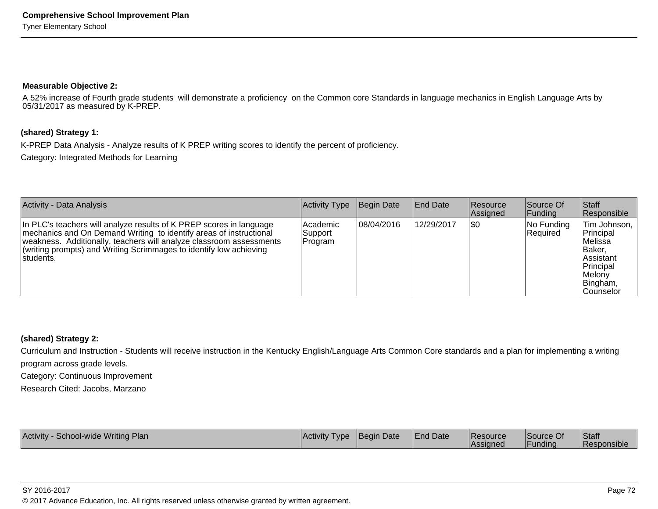#### **Measurable Objective 2:**

 A 52% increase of Fourth grade students will demonstrate a proficiency on the Common core Standards in language mechanics in English Language Arts by05/31/2017 as measured by K-PREP.

#### **(shared) Strategy 1:**

K-PREP Data Analysis - Analyze results of K PREP writing scores to identify the percent of proficiency.

Category: Integrated Methods for Learning

| Activity - Data Analysis                                                                                                                                                                                                                                                                             | Activity Type                     | Begin Date | <b>IEnd Date</b> | <b>Resource</b><br>Assigned | Source Of<br>Funding   | Staff<br>Responsible                                                                                                 |
|------------------------------------------------------------------------------------------------------------------------------------------------------------------------------------------------------------------------------------------------------------------------------------------------------|-----------------------------------|------------|------------------|-----------------------------|------------------------|----------------------------------------------------------------------------------------------------------------------|
| In PLC's teachers will analyze results of K PREP scores in language<br>mechanics and On Demand Writing to identify areas of instructional<br>weakness. Additionally, teachers will analyze classroom assessments<br>(writing prompts) and Writing Scrimmages to identify low achieving<br>Istudents. | l Academic<br>Support<br> Program | 08/04/2016 | 12/29/2017       | \$0                         | No Funding<br>Required | Tim Johnson,<br>Principal<br>lMelissa<br>IBaker.<br>Assistant<br>Principal<br>Melony<br>Bingham,<br><b>Counselor</b> |

#### **(shared) Strategy 2:**

Curriculum and Instruction - Students will receive instruction in the Kentucky English/Language Arts Common Core standards and a plan for implementing a writingprogram across grade levels.

Category: Continuous Improvement

Research Cited: Jacobs, Marzano

| School-wide Writing<br>Activity<br>Plan | Activity Type | Begin Date | <b>End Date</b> | <b>IResource</b><br><b>IAssigned</b> | Source Of<br>l Fundina | Staff<br><b>Responsible</b> |
|-----------------------------------------|---------------|------------|-----------------|--------------------------------------|------------------------|-----------------------------|
|-----------------------------------------|---------------|------------|-----------------|--------------------------------------|------------------------|-----------------------------|

SY 2016-2017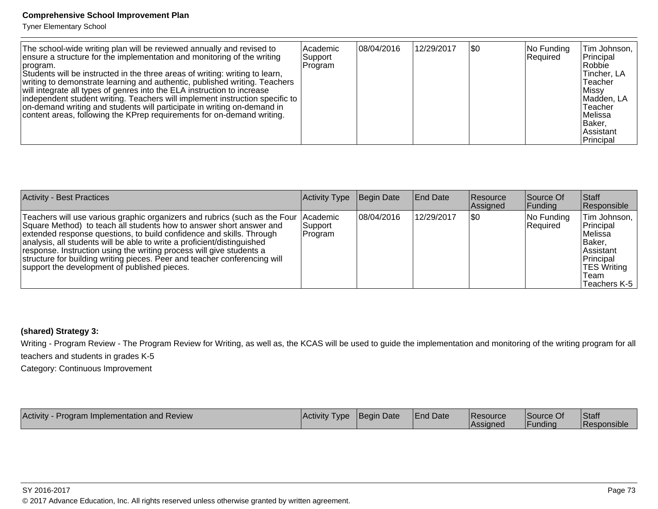Tyner Elementary School

| The school-wide writing plan will be reviewed annually and revised to<br>ensure a structure for the implementation and monitoring of the writing<br>Iprogram.<br>Students will be instructed in the three areas of writing: writing to learn,<br>writing to demonstrate learning and authentic, published writing. Teachers<br>will integrate all types of genres into the ELA instruction to increase<br>independent student writing. Teachers will implement instruction specific to<br>on-demand writing and students will participate in writing on-demand in<br>content areas, following the KPrep requirements for on-demand writing. | Academic<br>Support<br>Program | 08/04/2016 | 12/29/2017 | <b>SO</b> | No Funding<br>Required | Tim Johnson,<br>Principal<br>Robbie<br>Tincher, LA<br>Teacher<br>Missy <br>Madden, LA<br>Teacher<br>lMelissa<br> Baker,<br><b>Assistant</b><br>Principal |
|---------------------------------------------------------------------------------------------------------------------------------------------------------------------------------------------------------------------------------------------------------------------------------------------------------------------------------------------------------------------------------------------------------------------------------------------------------------------------------------------------------------------------------------------------------------------------------------------------------------------------------------------|--------------------------------|------------|------------|-----------|------------------------|----------------------------------------------------------------------------------------------------------------------------------------------------------|
|---------------------------------------------------------------------------------------------------------------------------------------------------------------------------------------------------------------------------------------------------------------------------------------------------------------------------------------------------------------------------------------------------------------------------------------------------------------------------------------------------------------------------------------------------------------------------------------------------------------------------------------------|--------------------------------|------------|------------|-----------|------------------------|----------------------------------------------------------------------------------------------------------------------------------------------------------|

| <b>Activity - Best Practices</b>                                                                                                                                                                                                                                                                                                                                                                                                                                                                                     | Activity Type        | Begin Date | <b>End Date</b> | Resource<br><b>Assigned</b> | Source Of<br> Funding  | <b>Staff</b><br>Responsible                                                                                              |
|----------------------------------------------------------------------------------------------------------------------------------------------------------------------------------------------------------------------------------------------------------------------------------------------------------------------------------------------------------------------------------------------------------------------------------------------------------------------------------------------------------------------|----------------------|------------|-----------------|-----------------------------|------------------------|--------------------------------------------------------------------------------------------------------------------------|
| Teachers will use various graphic organizers and rubrics (such as the Four   Academic<br>Square Method) to teach all students how to answer short answer and<br>extended response questions, to build confidence and skills. Through<br>analysis, all students will be able to write a proficient/distinguished<br>response. Instruction using the writing process will give students a<br>structure for building writing pieces. Peer and teacher conferencing will<br>support the development of published pieces. | Support <br> Program | 08/04/2016 | 12/29/2017      | \$0                         | No Funding<br>Required | Tim Johnson,<br>Principal<br>Melissa<br>IBaker.<br>lAssistant<br>Principal<br><b>TES Writing</b><br>Team<br>Teachers K-5 |

# **(shared) Strategy 3:**

Writing - Program Review - The Program Review for Writing, as well as, the KCAS will be used to guide the implementation and monitoring of the writing program for allteachers and students in grades K-5

Category: Continuous Improvement

| Activity - Program Implementation and Review | Activity Type | <b>Begin Date</b> | <b>End Date</b> | <b>Resource</b> | Source Of | Staff              |
|----------------------------------------------|---------------|-------------------|-----------------|-----------------|-----------|--------------------|
|                                              |               |                   |                 | <b>Assigned</b> | Funding   | <b>Responsible</b> |

SY 2016-2017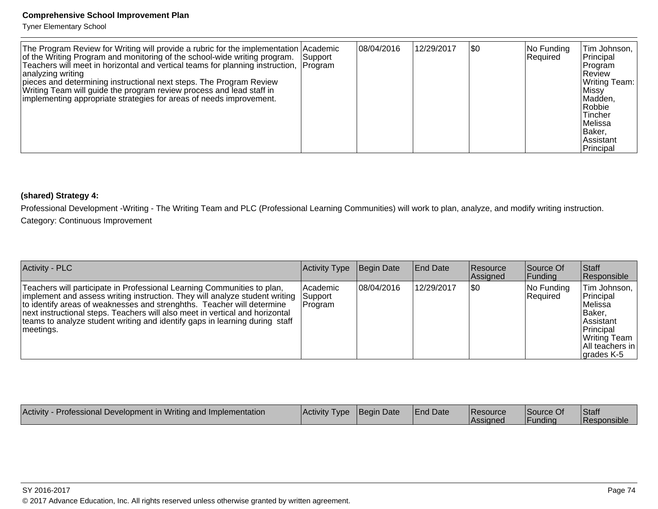Tyner Elementary School

| The Program Review for Writing will provide a rubric for the implementation Academic<br>of the Writing Program and monitoring of the school-wide writing program.<br>Teachers will meet in horizontal and vertical teams for planning instruction, Program<br>analyzing writing<br>pieces and determining instructional next steps. The Program Review<br>Writing Team will guide the program review process and lead staff in<br>implementing appropriate strategies for areas of needs improvement. | Support | 08/04/2016 | 12/29/2017 | <b>\$0</b> | No Funding<br>Required | Tim Johnson,<br>Principal<br>Program<br>IReview<br>Writing Team:<br>∣Missv<br>Madden,<br>Robbie<br>Tincher<br> Melissa<br>Baker,<br>l Assistant<br>Principal |
|-------------------------------------------------------------------------------------------------------------------------------------------------------------------------------------------------------------------------------------------------------------------------------------------------------------------------------------------------------------------------------------------------------------------------------------------------------------------------------------------------------|---------|------------|------------|------------|------------------------|--------------------------------------------------------------------------------------------------------------------------------------------------------------|
|-------------------------------------------------------------------------------------------------------------------------------------------------------------------------------------------------------------------------------------------------------------------------------------------------------------------------------------------------------------------------------------------------------------------------------------------------------------------------------------------------------|---------|------------|------------|------------|------------------------|--------------------------------------------------------------------------------------------------------------------------------------------------------------|

# **(shared) Strategy 4:**

Professional Development -Writing - The Writing Team and PLC (Professional Learning Communities) will work to plan, analyze, and modify writing instruction.Category: Continuous Improvement

| <b>Activity - PLC</b>                                                                                                                                                                                                                                                                                                                                                                                                | <b>Activity Type</b> | Begin Date | <b>End Date</b> | <b>Resource</b><br>Assigned | Source Of<br> Funding  | Staff<br>Responsible                                                                                                               |
|----------------------------------------------------------------------------------------------------------------------------------------------------------------------------------------------------------------------------------------------------------------------------------------------------------------------------------------------------------------------------------------------------------------------|----------------------|------------|-----------------|-----------------------------|------------------------|------------------------------------------------------------------------------------------------------------------------------------|
| Teachers will participate in Professional Learning Communities to plan,<br>implement and assess writing instruction. They will analyze student writing Support<br>to identify areas of weaknesses and strenghths. Teacher will determine<br>next instructional steps. Teachers will also meet in vertical and horizontal<br>teams to analyze student writing and identify gaps in learning during staff<br>meetings. | Academic<br> Program | 08/04/2016 | 12/29/2017      | \$0                         | No Funding<br>Required | Tim Johnson,<br>Principal<br>lMelissa<br> Baker.<br><b>Assistant</b><br>Principal<br>Writing Team<br>All teachers in<br>grades K-5 |

| Activity - Professional Development in Writing and Implementation | Activity Type | Begin Date | <b>End Date</b> | <b>Resource</b><br>Assigned | Source Of<br><b>Funding</b> | Staff<br><b>Responsible</b> |
|-------------------------------------------------------------------|---------------|------------|-----------------|-----------------------------|-----------------------------|-----------------------------|
|-------------------------------------------------------------------|---------------|------------|-----------------|-----------------------------|-----------------------------|-----------------------------|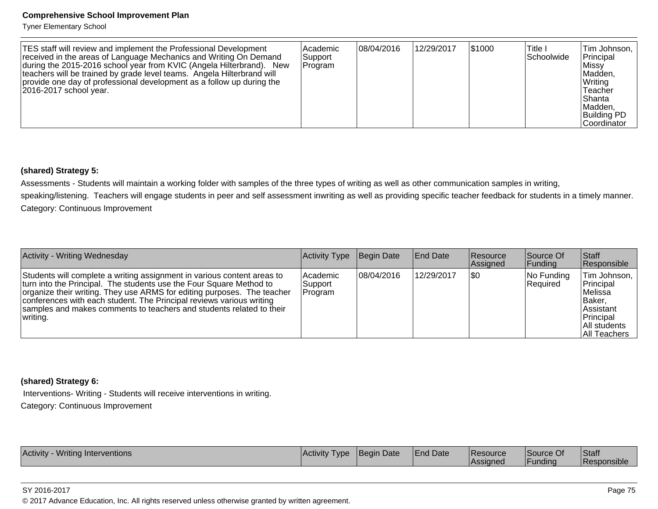Tyner Elementary School

| TES staff will review and implement the Professional Development<br>received in the areas of Language Mechanics and Writing On Demand<br>during the 2015-2016 school year from KVIC (Angela Hilterbrand). New<br>teachers will be trained by grade level teams. Angela Hilterbrand will<br>provide one day of professional development as a follow up during the<br>2016-2017 school year. | l Academic<br>Support<br>Program | 08/04/2016 | 12/29/2017 | 51000 | lTitle I<br> Schoolwide | Tim Johnson,<br>Principal<br>⊺Missv<br>Madden,<br>Writing<br>Teacher<br>lShanta<br>Madden,<br><b>Building PD</b><br><b>Coordinator</b> |
|--------------------------------------------------------------------------------------------------------------------------------------------------------------------------------------------------------------------------------------------------------------------------------------------------------------------------------------------------------------------------------------------|----------------------------------|------------|------------|-------|-------------------------|----------------------------------------------------------------------------------------------------------------------------------------|
|--------------------------------------------------------------------------------------------------------------------------------------------------------------------------------------------------------------------------------------------------------------------------------------------------------------------------------------------------------------------------------------------|----------------------------------|------------|------------|-------|-------------------------|----------------------------------------------------------------------------------------------------------------------------------------|

#### **(shared) Strategy 5:**

Assessments - Students will maintain a working folder with samples of the three types of writing as well as other communication samples in writing,

speaking/listening. Teachers will engage students in peer and self assessment inwriting as well as providing specific teacher feedback for students in a timely manner.Category: Continuous Improvement

| Activity - Writing Wednesday                                                                                                                                                                                                                                                                                                                                                          | Activity Type                  | Begin Date | <b>End Date</b> | Resource<br>Assigned | Source Of<br> Funding  | ∣Staff<br>Responsible                                                                                                    |
|---------------------------------------------------------------------------------------------------------------------------------------------------------------------------------------------------------------------------------------------------------------------------------------------------------------------------------------------------------------------------------------|--------------------------------|------------|-----------------|----------------------|------------------------|--------------------------------------------------------------------------------------------------------------------------|
| Students will complete a writing assignment in various content areas to<br>turn into the Principal. The students use the Four Square Method to<br>organize their writing. They use ARMS for editing purposes. The teacher<br>conferences with each student. The Principal reviews various writing<br>samples and makes comments to teachers and students related to their<br>writing. | Academic<br>Support<br>Program | 08/04/2016 | 12/29/2017      | <b>\$0</b>           | No Funding<br>Required | Tim Johnson,<br>Principal<br>lMelissa<br>IBaker.<br><b>Assistant</b><br>Principal<br>All students<br><b>All Teachers</b> |

#### **(shared) Strategy 6:**

 Interventions- Writing - Students will receive interventions in writing.Category: Continuous Improvement

| <b>Activit</b><br>VVritino<br><i><b>vventions</b></i><br><b>Inter</b> | I Activity<br>I vne | IBegin Date | <sup>1</sup> Date | Resource | <b>Source O.</b>    | Staff    |
|-----------------------------------------------------------------------|---------------------|-------------|-------------------|----------|---------------------|----------|
|                                                                       |                     |             |                   | Assigneo | $\cdots$<br>Fundina | $\cdots$ |

SY 2016-2017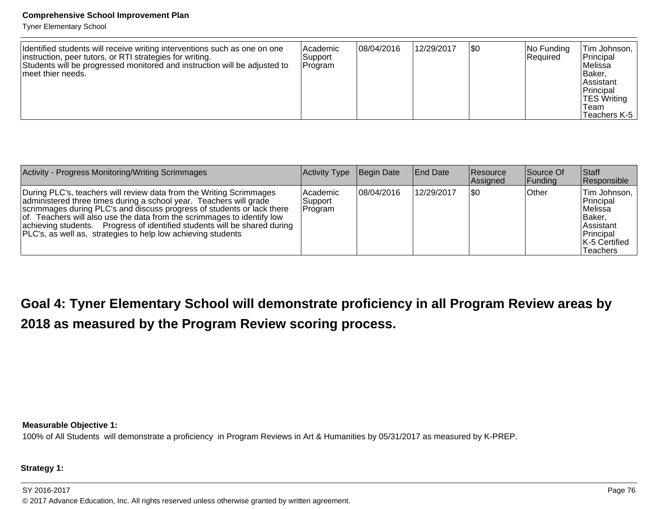Tyner Elementary School

| Identified students will receive writing interventions such as one on one<br>instruction, peer tutors, or RTI strategies for writing.<br>Students will be progressed monitored and instruction will be adjusted to<br>Imeet thier needs. | lAcademic<br>Support<br>Program | 108/04/2016 | 12/29/2017 | \$0 | $ No$ Funding<br>Required | Tim Johnson,  <br>Principal<br>lMelissa<br>IBaker.<br>∣Assistant<br>Principal<br><b>TES Writing</b><br>Team<br>Teachers K-5 |
|------------------------------------------------------------------------------------------------------------------------------------------------------------------------------------------------------------------------------------------|---------------------------------|-------------|------------|-----|---------------------------|-----------------------------------------------------------------------------------------------------------------------------|
|------------------------------------------------------------------------------------------------------------------------------------------------------------------------------------------------------------------------------------------|---------------------------------|-------------|------------|-----|---------------------------|-----------------------------------------------------------------------------------------------------------------------------|

| Activity - Progress Monitoring/Writing Scrimmages                                                                                                                                                                                                                                                                                                                                                                                           | Activity Type                     | Begin Date | <b>IEnd Date</b> | <b>Resource</b><br>Assigned | Source Of<br> Funding | <b>Staff</b><br>Responsible                                                                                           |
|---------------------------------------------------------------------------------------------------------------------------------------------------------------------------------------------------------------------------------------------------------------------------------------------------------------------------------------------------------------------------------------------------------------------------------------------|-----------------------------------|------------|------------------|-----------------------------|-----------------------|-----------------------------------------------------------------------------------------------------------------------|
| During PLC's, teachers will review data from the Writing Scrimmages<br>administered three times during a school year. Teachers will grade<br>scrimmages during PLC's and discuss progress of students or lack there<br>of. Teachers will also use the data from the scrimmages to identify low<br>achieving students. Progress of identified students will be shared during<br>PLC's, as well as, strategies to help low achieving students | l Academic<br>Support<br> Program | 08/04/2016 | 12/29/2017       | ISO                         | Other                 | Tim Johnson,<br>Principal<br>lMelissa<br> Baker,<br><b>Assistant</b><br>Principal<br>K-5 Certified<br><b>Teachers</b> |

**Goal 4: Tyner Elementary School will demonstrate proficiency in all Program Review areas by2018 as measured by the Program Review scoring process.** 

**Measurable Objective 1:**

100% of All Students will demonstrate a proficiency in Program Reviews in Art & Humanities by 05/31/2017 as measured by K-PREP.

**Strategy 1:**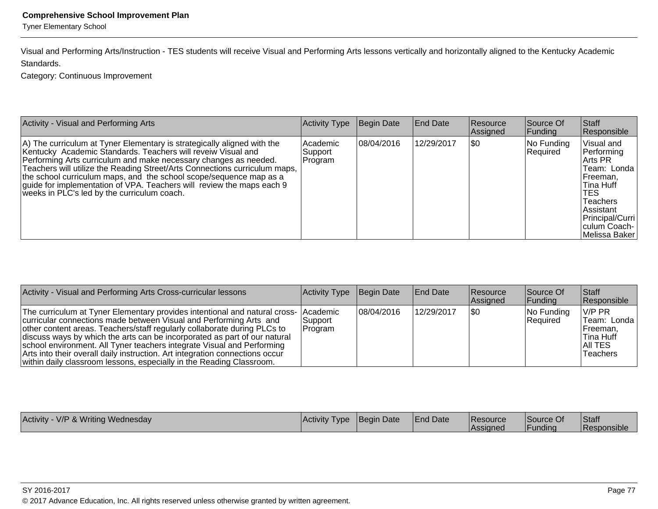Tyner Elementary School

Visual and Performing Arts/Instruction - TES students will receive Visual and Performing Arts lessons vertically and horizontally aligned to the Kentucky AcademicStandards.

Category: Continuous Improvement

| Activity - Visual and Performing Arts                                                                                                                                                                                                                                                                                                                                                                                                                                                   | Activity Type                  | Begin Date | <b>End Date</b> | <b>Resource</b><br>Assigned | Source Of<br> Funding  | Staff<br>Responsible                                                                                                                                                |
|-----------------------------------------------------------------------------------------------------------------------------------------------------------------------------------------------------------------------------------------------------------------------------------------------------------------------------------------------------------------------------------------------------------------------------------------------------------------------------------------|--------------------------------|------------|-----------------|-----------------------------|------------------------|---------------------------------------------------------------------------------------------------------------------------------------------------------------------|
| A) The curriculum at Tyner Elementary is strategically aligned with the<br>Kentucky Academic Standards. Teachers will reveiw Visual and<br>Performing Arts curriculum and make necessary changes as needed.<br>Teachers will utilize the Reading Street/Arts Connections curriculum maps,<br>the school curriculum maps, and the school scope/sequence map as a<br>guide for implementation of VPA. Teachers will review the maps each 9<br>weeks in PLC's led by the curriculum coach. | Academic<br>Support<br>Program | 08/04/2016 | 12/29/2017      | \$0                         | No Funding<br>Required | Visual and<br>Performing<br>Arts PR<br>Team: Londa<br>Freeman.<br>Tina Huff<br>TES.<br>Teachers<br>Assistant<br>Principal/Curri<br> culum Coach-  <br>Melissa Baker |

| Activity - Visual and Performing Arts Cross-curricular lessons                                                                                                                                                                                                                                                                                                                                                                                                                                                                                       | Activity Type       | Begin Date | End Date   | Resource<br>Assigned | Source Of<br> Funding  | <b>Staff</b><br>Responsible                                                  |
|------------------------------------------------------------------------------------------------------------------------------------------------------------------------------------------------------------------------------------------------------------------------------------------------------------------------------------------------------------------------------------------------------------------------------------------------------------------------------------------------------------------------------------------------------|---------------------|------------|------------|----------------------|------------------------|------------------------------------------------------------------------------|
| The curriculum at Tyner Elementary provides intentional and natural cross- Academic<br>curricular connections made between Visual and Performing Arts and<br>other content areas. Teachers/staff regularly collaborate during PLCs to<br>discuss ways by which the arts can be incorporated as part of our natural<br>school environment. All Tyner teachers integrate Visual and Performing<br>Arts into their overall daily instruction. Art integration connections occur<br>within daily classroom lessons, especially in the Reading Classroom. | Support_<br>Program | 08/04/2016 | 12/29/2017 | 1\$0                 | No Funding<br>Required | IV/P PR<br> Team: Londa  <br>IFreeman.<br>lTina Huff<br>IAII TES<br>Teachers |

| V/P & Writing Wednesday | <i><b>Activity</b></i> | <b>IBegin Date</b> | <b>H</b> Date | <b>IResource</b> | Source Of | <b>Staff</b>          |
|-------------------------|------------------------|--------------------|---------------|------------------|-----------|-----------------------|
| Activity                | <b>I</b> vpe           |                    | <b>IEnd</b>   | Assignec         | -unding   | <u> I Responsible</u> |
|                         |                        |                    |               |                  |           |                       |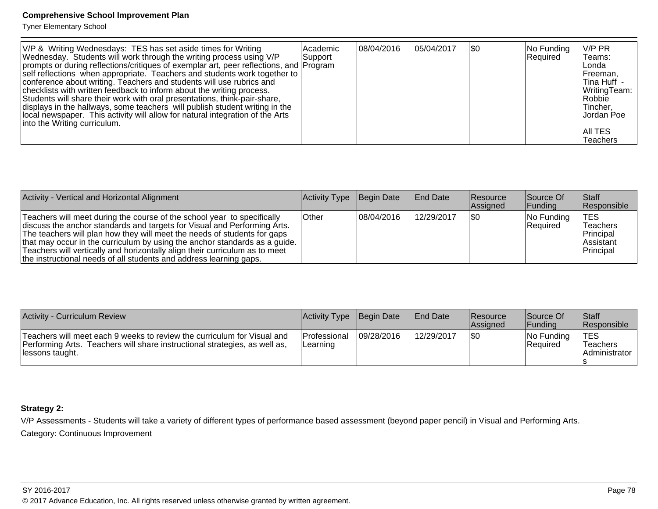Tyner Elementary School

| V/P & Writing Wednesdays: TES has set aside times for Writing                          | Academic | 08/04/2016 | 105/04/2017 | \$0 | No Funding | V/P PR         |
|----------------------------------------------------------------------------------------|----------|------------|-------------|-----|------------|----------------|
| Wednesday. Students will work through the writing process using V/P                    | Support  |            |             |     | Required   | Teams:         |
| prompts or during reflections/critiques of exemplar art, peer reflections, and Program |          |            |             |     |            | Londa          |
| self reflections when appropriate. Teachers and students work together to              |          |            |             |     |            | Freeman.       |
| conference about writing. Teachers and students will use rubrics and                   |          |            |             |     |            | ∣Tina Huff     |
| checklists with written feedback to inform about the writing process.                  |          |            |             |     |            | WritingTeam:   |
| Students will share their work with oral presentations, think-pair-share,              |          |            |             |     |            | Robbie         |
| displays in the hallways, some teachers will publish student writing in the            |          |            |             |     |            | Tincher.       |
| local newspaper. This activity will allow for natural integration of the Arts          |          |            |             |     |            | Jordan Poe     |
| into the Writing curriculum.                                                           |          |            |             |     |            |                |
|                                                                                        |          |            |             |     |            | <b>AII TES</b> |
|                                                                                        |          |            |             |     |            | Teachers       |

| Activity - Vertical and Horizontal Alignment                                                                                                                                                                                                                                                                                                                                                                                                                       | Activity Type | Begin Date  | <b>End Date</b> | Resource<br>Assigned | Source Of<br> Funding            | <b>Staff</b><br><b>Responsible</b>                             |
|--------------------------------------------------------------------------------------------------------------------------------------------------------------------------------------------------------------------------------------------------------------------------------------------------------------------------------------------------------------------------------------------------------------------------------------------------------------------|---------------|-------------|-----------------|----------------------|----------------------------------|----------------------------------------------------------------|
| Teachers will meet during the course of the school year to specifically<br>discuss the anchor standards and targets for Visual and Performing Arts.<br>The teachers will plan how they will meet the needs of students for gaps<br>that may occur in the curriculum by using the anchor standards as a guide.<br>Teachers will vertically and horizontally align their curriculum as to meet<br>the instructional needs of all students and address learning gaps. | <b>Other</b>  | 108/04/2016 | 12/29/2017      | 1\$0                 | $ No$ Funding<br><b>Required</b> | TES<br><b>Teachers</b><br>Principal<br>lAssistant<br>Principal |

| Activity - Curriculum Review                                                                                                                                              | Activity Type Begin Date         |            | <b>End Date</b> | Resource<br><b>Assigned</b> | Source Of<br><b>IFundina</b> | <b>Staff</b><br>Responsible             |
|---------------------------------------------------------------------------------------------------------------------------------------------------------------------------|----------------------------------|------------|-----------------|-----------------------------|------------------------------|-----------------------------------------|
| Teachers will meet each 9 weeks to review the curriculum for Visual and<br>Performing Arts. Teachers will share instructional strategies, as well as,<br>llessons taught. | <b>Professional</b><br>ILearning | 09/28/2016 | 12/29/2017      | \$0                         | No Funding<br>Required       | <b>TES</b><br>Teachers<br>Administrator |

#### **Strategy 2:**

V/P Assessments - Students will take a variety of different types of performance based assessment (beyond paper pencil) in Visual and Performing Arts. Category: Continuous Improvement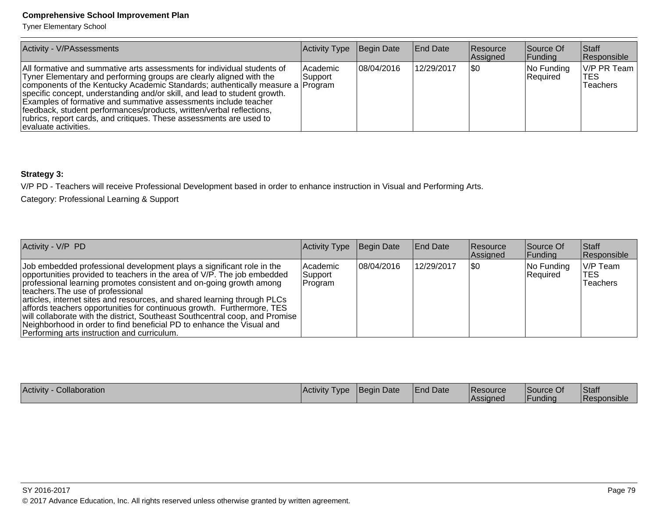Tyner Elementary School

| Activity - V/PAssessments                                                                                                                                                                                                                                                                                                                                                                                                                                                                                                                                 | Activity Type                | Begin Date | End Date   | <b>Resource</b><br>Assigned | Source Of<br> Funding  | <b>Staff</b><br>Responsible    |
|-----------------------------------------------------------------------------------------------------------------------------------------------------------------------------------------------------------------------------------------------------------------------------------------------------------------------------------------------------------------------------------------------------------------------------------------------------------------------------------------------------------------------------------------------------------|------------------------------|------------|------------|-----------------------------|------------------------|--------------------------------|
| All formative and summative arts assessments for individual students of<br>Tyner Elementary and performing groups are clearly aligned with the<br>components of the Kentucky Academic Standards; authentically measure a Program<br>specific concept, understanding and/or skill, and lead to student growth.<br>Examples of formative and summative assessments include teacher<br> feedback, student performances/products, written/verbal reflections,<br>rubrics, report cards, and critiques. These assessments are used to<br>levaluate activities. | <b>Academic</b><br> Support_ | 08/04/2016 | 12/29/2017 | 1\$0                        | No Funding<br>Required | V/P PR Team<br>TES<br>Teachers |

## **Strategy 3:**

V/P PD - Teachers will receive Professional Development based in order to enhance instruction in Visual and Performing Arts.

Category: Professional Learning & Support

| Activity - V/P PD                                                                                                                                                                                                                                                                                                                                                                                                                                                                                                                                                                                                           | Activity Type                    | Begin Date | <b>End Date</b> | <b>Resource</b><br>Assigned | Source Of<br> Funding  | Staff<br>Responsible                       |
|-----------------------------------------------------------------------------------------------------------------------------------------------------------------------------------------------------------------------------------------------------------------------------------------------------------------------------------------------------------------------------------------------------------------------------------------------------------------------------------------------------------------------------------------------------------------------------------------------------------------------------|----------------------------------|------------|-----------------|-----------------------------|------------------------|--------------------------------------------|
| Job embedded professional development plays a significant role in the<br>opportunities provided to teachers in the area of V/P. The job embedded<br>professional learning promotes consistent and on-going growth among<br>Iteachers. The use of professional<br>articles, internet sites and resources, and shared learning through PLCs<br>affords teachers opportunities for continuous growth. Furthermore, TES<br>will collaborate with the district, Southeast Southcentral coop, and Promise<br>Neighborhood in order to find beneficial PD to enhance the Visual and<br>Performing arts instruction and curriculum. | l Academic<br>Support<br>Program | 08/04/2016 | 12/29/2017      | 1\$0                        | No Funding<br>Required | V/P Team<br><b>ITES</b><br><b>Teachers</b> |

| <b>Activity</b><br>Collaboration | Activity<br>I vpe | <b>Begin Date</b> | <b>End Date</b> | Resource        | ⌒ィ<br>lSource Of | Staff              |
|----------------------------------|-------------------|-------------------|-----------------|-----------------|------------------|--------------------|
|                                  |                   |                   |                 | <b>Assigned</b> | <b>Funding</b>   | <b>Responsible</b> |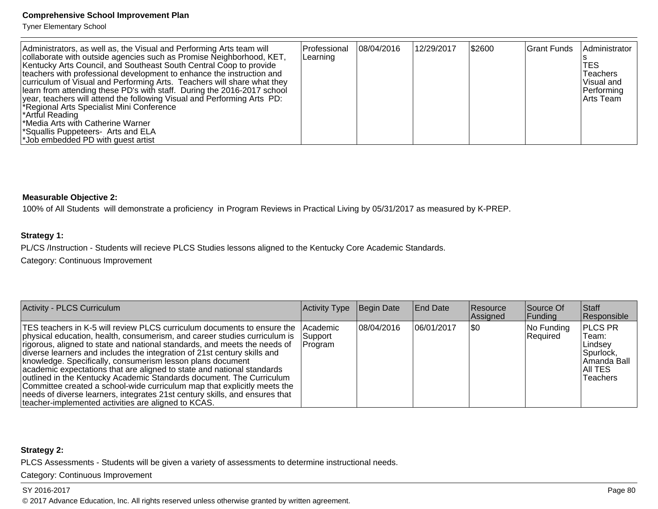Tyner Elementary School

| Administrators, as well as, the Visual and Performing Arts team will<br>collaborate with outside agencies such as Promise Neighborhood, KET,<br>Kentucky Arts Council, and Southeast South Central Coop to provide<br>teachers with professional development to enhance the instruction and<br>curriculum of Visual and Performing Arts. Teachers will share what they<br>learn from attending these PD's with staff. During the 2016-2017 school<br>year, teachers will attend the following Visual and Performing Arts PD:<br>*Regional Arts Specialist Mini Conference<br>*Artful Reading<br>*Media Arts with Catherine Warner<br>*Squallis Puppeteers- Arts and ELA<br>*Job embedded PD with quest artist | Professional<br>Learning | 108/04/2016 | 12/29/2017 | \$2600 | Grant Funds | Administrator<br>TES<br>Teachers<br>Visual and<br>Performing<br>lArts Team |
|---------------------------------------------------------------------------------------------------------------------------------------------------------------------------------------------------------------------------------------------------------------------------------------------------------------------------------------------------------------------------------------------------------------------------------------------------------------------------------------------------------------------------------------------------------------------------------------------------------------------------------------------------------------------------------------------------------------|--------------------------|-------------|------------|--------|-------------|----------------------------------------------------------------------------|
|---------------------------------------------------------------------------------------------------------------------------------------------------------------------------------------------------------------------------------------------------------------------------------------------------------------------------------------------------------------------------------------------------------------------------------------------------------------------------------------------------------------------------------------------------------------------------------------------------------------------------------------------------------------------------------------------------------------|--------------------------|-------------|------------|--------|-------------|----------------------------------------------------------------------------|

#### **Measurable Objective 2:**

100% of All Students will demonstrate a proficiency in Program Reviews in Practical Living by 05/31/2017 as measured by K-PREP.

#### **Strategy 1:**

PL/CS /Instruction - Students will recieve PLCS Studies lessons aligned to the Kentucky Core Academic Standards.

Category: Continuous Improvement

| Activity - PLCS Curriculum                                                                                                                                                                                                                                                                                                                                                                                                                                                                                                                                                                                                                                                                                                                               | Activity Type       | Begin Date  | <b>End Date</b> | <b>Resource</b><br>Assigned | Source Of<br> Funding  | Staff<br>Responsible                                                                            |
|----------------------------------------------------------------------------------------------------------------------------------------------------------------------------------------------------------------------------------------------------------------------------------------------------------------------------------------------------------------------------------------------------------------------------------------------------------------------------------------------------------------------------------------------------------------------------------------------------------------------------------------------------------------------------------------------------------------------------------------------------------|---------------------|-------------|-----------------|-----------------------------|------------------------|-------------------------------------------------------------------------------------------------|
| TES teachers in K-5 will review PLCS curriculum documents to ensure the Academic<br>physical education, health, consumerism, and career studies curriculum is<br>rigorous, aligned to state and national standards, and meets the needs of<br>diverse learners and includes the integration of 21st century skills and<br>knowledge. Specifically, consumerism lesson plans document<br>academic expectations that are aligned to state and national standards<br>outlined in the Kentucky Academic Standards document. The Curriculum<br>Committee created a school-wide curriculum map that explicitly meets the<br>needs of diverse learners, integrates 21st century skills, and ensures that<br>teacher-implemented activities are aligned to KCAS. | Support<br> Program | 108/04/2016 | 106/01/2017     | 1\$0                        | No Funding<br>Required | <b>PLCS PR</b><br>Team:<br>Lindsey<br> Spurlock,<br> Amanda Ball<br>IAII TES<br><b>Teachers</b> |

#### **Strategy 2:**

PLCS Assessments - Students will be given a variety of assessments to determine instructional needs.

Category: Continuous Improvement

#### SY 2016-2017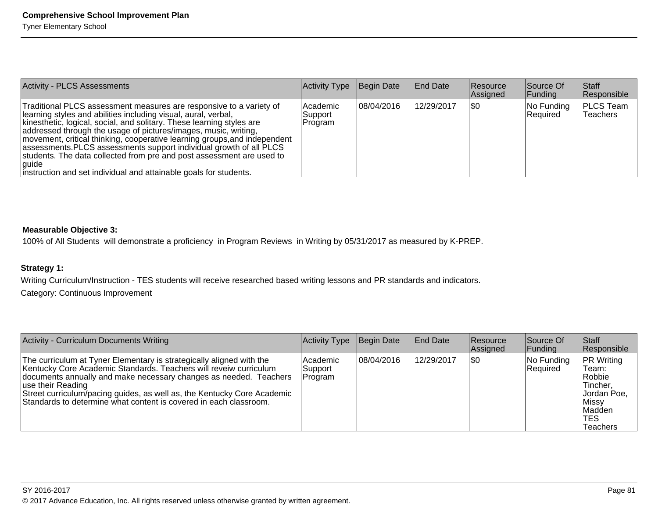| <b>Activity - PLCS Assessments</b>                                                                                                                                                                                                                                                                                                                                                                                                                                                                                                                                                            | Activity Type                    | Begin Date | <b>End Date</b> | <b>Resource</b><br>Assigned | Source Of<br> Funding  | Staff<br>Responsible         |
|-----------------------------------------------------------------------------------------------------------------------------------------------------------------------------------------------------------------------------------------------------------------------------------------------------------------------------------------------------------------------------------------------------------------------------------------------------------------------------------------------------------------------------------------------------------------------------------------------|----------------------------------|------------|-----------------|-----------------------------|------------------------|------------------------------|
| Traditional PLCS assessment measures are responsive to a variety of<br>learning styles and abilities including visual, aural, verbal,<br>kinesthetic, logical, social, and solitary. These learning styles are<br>addressed through the usage of pictures/images, music, writing,<br>movement, critical thinking, cooperative learning groups, and independent<br>assessments. PLCS assessments support individual growth of all PLCS<br>students. The data collected from pre and post assessment are used to<br> quide<br>instruction and set individual and attainable goals for students. | l Academic<br>Support<br>Program | 08/04/2016 | 12/29/2017      | ISO                         | No Funding<br>Required | <b>PLCS Team</b><br>Teachers |

#### **Measurable Objective 3:**

100% of All Students will demonstrate a proficiency in Program Reviews in Writing by 05/31/2017 as measured by K-PREP.

## **Strategy 1:**

Writing Curriculum/Instruction - TES students will receive researched based writing lessons and PR standards and indicators.Category: Continuous Improvement

| <b>Activity - Curriculum Documents Writing</b>                                                                                                                                                                                                                                                                                                                                        | Activity Type                  | Begin Date | <b>End Date</b> | <b>Resource</b><br>Assigned | Source Of<br> Funding  | <b>Staff</b><br>Responsible                                                                             |
|---------------------------------------------------------------------------------------------------------------------------------------------------------------------------------------------------------------------------------------------------------------------------------------------------------------------------------------------------------------------------------------|--------------------------------|------------|-----------------|-----------------------------|------------------------|---------------------------------------------------------------------------------------------------------|
| The curriculum at Tyner Elementary is strategically aligned with the<br>Kentucky Core Academic Standards. Teachers will reveiw curriculum<br>documents annually and make necessary changes as needed. Teachers<br>∣use their Reading_<br>Street curriculum/pacing guides, as well as, the Kentucky Core Academic<br>Standards to determine what content is covered in each classroom. | Academic<br>Support<br>Program | 08/04/2016 | 12/29/2017      | \$0                         | No Funding<br>Required | <b>PR</b> Writing<br>Team:<br>Robbie<br>Tincher,<br>Jordan Poe,<br>Missy <br>Madden<br>'TES<br>Teachers |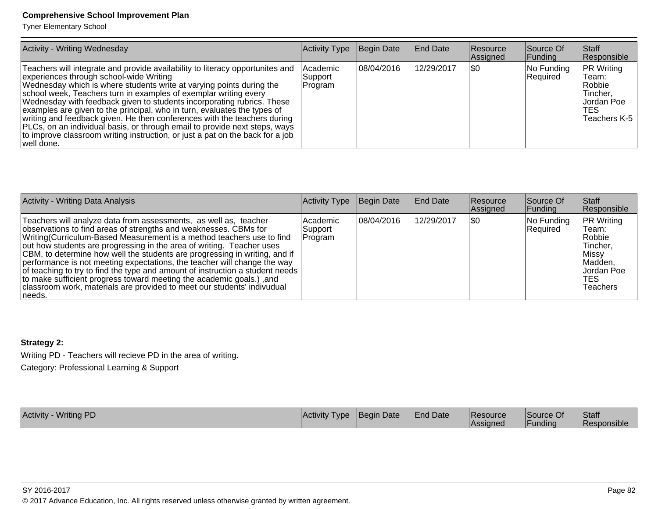Tyner Elementary School

| <b>Activity - Writing Wednesday</b>                                                                                                                                                                                                                                                                                                                                                                                                                                                                                                                                                                                                                                                  | Activity Type                       | Begin Date  | <b>End Date</b> | Resource<br>Assigned | Source Of<br> Funding  | <b>Staff</b><br>Responsible                                                              |
|--------------------------------------------------------------------------------------------------------------------------------------------------------------------------------------------------------------------------------------------------------------------------------------------------------------------------------------------------------------------------------------------------------------------------------------------------------------------------------------------------------------------------------------------------------------------------------------------------------------------------------------------------------------------------------------|-------------------------------------|-------------|-----------------|----------------------|------------------------|------------------------------------------------------------------------------------------|
| Teachers will integrate and provide availability to literacy opportunites and<br>experiences through school-wide Writing<br>Wednesday which is where students write at varying points during the<br>school week, Teachers turn in examples of exemplar writing every<br>Wednesday with feedback given to students incorporating rubrics. These<br>examples are given to the principal, who in turn, evaluates the types of<br>writing and feedback given. He then conferences with the teachers during<br>PLCs, on an individual basis, or through email to provide next steps, ways<br>to improve classroom writing instruction, or just a pat on the back for a job<br> well done. | l Academic<br> Support_<br> Program | 108/04/2016 | 12/29/2017      | ISO                  | No Funding<br>Required | <b>PR Writing</b><br>Team:<br>Robbie<br>Tincher,<br>IJordan Poel<br>TES.<br>Teachers K-5 |

| <b>Activity - Writing Data Analysis</b>                                                                                                                                                                                                                                                                                                                                                                                                                                                                                                                                                                                                                                                          | Activity Type                  | Begin Date | <b>End Date</b> | <b>Resource</b><br>Assigned | Source Of<br><b>Funding</b> | <b>Staff</b><br>Responsible                                                                               |
|--------------------------------------------------------------------------------------------------------------------------------------------------------------------------------------------------------------------------------------------------------------------------------------------------------------------------------------------------------------------------------------------------------------------------------------------------------------------------------------------------------------------------------------------------------------------------------------------------------------------------------------------------------------------------------------------------|--------------------------------|------------|-----------------|-----------------------------|-----------------------------|-----------------------------------------------------------------------------------------------------------|
| Teachers will analyze data from assessments, as well as, teacher<br>observations to find areas of strengths and weaknesses. CBMs for<br>Writing (Curriculum-Based Measurement is a method teachers use to find<br>out how students are progressing in the area of writing. Teacher uses<br>CBM, to determine how well the students are progressing in writing, and if<br>performance is not meeting expectations, the teacher will change the way<br>of teaching to try to find the type and amount of instruction a student needs<br>to make sufficient progress toward meeting the academic goals.), and<br>classroom work, materials are provided to meet our students' indivudual<br>Ineeds. | Academic<br>Support<br>Program | 08/04/2016 | 12/29/2017      | 1\$0                        | No Funding<br>Required      | <b>PR</b> Writing<br>Team:<br>Robbie<br>Tincher,<br>Missy <br>Madden,<br>IJordan Poel<br>'TES<br>Teachers |

# **Strategy 2:**

Writing PD - Teachers will recieve PD in the area of writing.Category: Professional Learning & Support

Activity - Writing PDD |Activity Type  $\,$  Begin Date  $\,$   $\,$  End Date  $\,$   $\,$  Resource Resource Resource  $\,$ Resource<br>Assigned Source Of FundingStaff Responsible

SY 2016-2017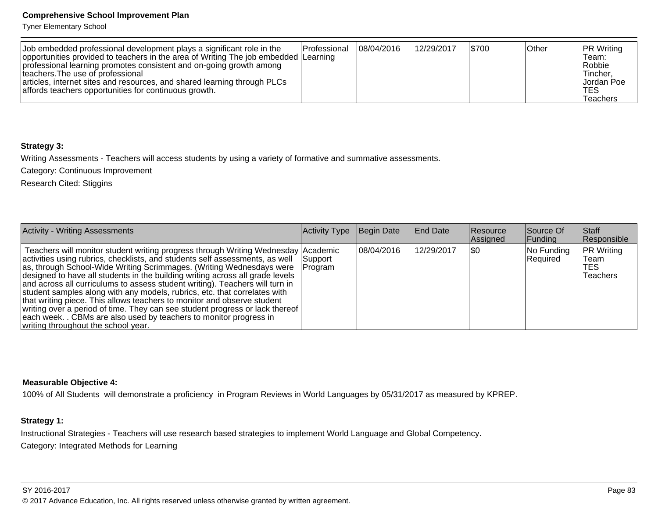Tyner Elementary School

| Job embedded professional development plays a significant role in the               | <b>Professional</b> | 08/04/2016 | 12/29/2017 | \$700 | Other | <b>PR Writing</b> |
|-------------------------------------------------------------------------------------|---------------------|------------|------------|-------|-------|-------------------|
| opportunities provided to teachers in the area of Writing The job embedded Learning |                     |            |            |       |       | Team:             |
| professional learning promotes consistent and on-going growth among                 |                     |            |            |       |       | Robbie            |
| Iteachers. The use of professional                                                  |                     |            |            |       |       | ∣Tincher.         |
| articles, internet sites and resources, and shared learning through PLCs            |                     |            |            |       |       | Jordan Poe        |
| affords teachers opportunities for continuous growth.                               |                     |            |            |       |       | TES               |
|                                                                                     |                     |            |            |       |       | Teachers          |

#### **Strategy 3:**

Writing Assessments - Teachers will access students by using a variety of formative and summative assessments.

Category: Continuous Improvement

Research Cited: Stiggins

| <b>Activity - Writing Assessments</b>                                                                                                                                                                                                                                                                                                                                                                                                                                                                                                                                                                                                                                                                                                                           | Activity Type       | Begin Date | <b>End Date</b> | <b>Resource</b><br>Assigned | Source Of<br> Funding  | <b>Staff</b><br>Responsible                         |
|-----------------------------------------------------------------------------------------------------------------------------------------------------------------------------------------------------------------------------------------------------------------------------------------------------------------------------------------------------------------------------------------------------------------------------------------------------------------------------------------------------------------------------------------------------------------------------------------------------------------------------------------------------------------------------------------------------------------------------------------------------------------|---------------------|------------|-----------------|-----------------------------|------------------------|-----------------------------------------------------|
| Teachers will monitor student writing progress through Writing Wednesday Academic<br>activities using rubrics, checklists, and students self assessments, as well<br>as, through School-Wide Writing Scrimmages. (Writing Wednesdays were<br>designed to have all students in the building writing across all grade levels<br>and across all curriculums to assess student writing). Teachers will turn in<br>student samples along with any models, rubrics, etc. that correlates with<br>that writing piece. This allows teachers to monitor and observe student<br>writing over a period of time. They can see student progress or lack thereof<br>each week. . CBMs are also used by teachers to monitor progress in<br>writing throughout the school year. | Support_<br>Program | 08/04/2016 | 12/29/2017      | \$0                         | No Funding<br>Required | <b>PR Writing</b><br>Team<br><b>TES</b><br>Teachers |

#### **Measurable Objective 4:**

100% of All Students will demonstrate a proficiency in Program Reviews in World Languages by 05/31/2017 as measured by KPREP.

## **Strategy 1:**

Instructional Strategies - Teachers will use research based strategies to implement World Language and Global Competency.Category: Integrated Methods for Learning

SY 2016-2017Page 83 © 2017 Advance Education, Inc. All rights reserved unless otherwise granted by written agreement.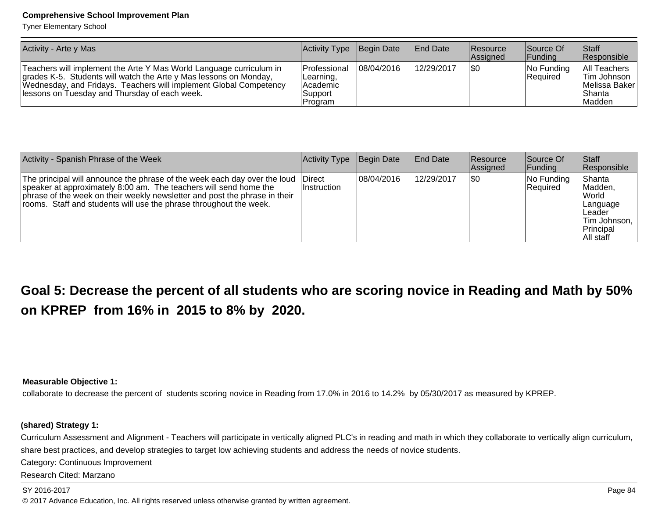Tyner Elementary School

| Activity - Arte y Mas                                                                                                                                                                                                                                          | Activity Type Begin Date                                              |             | <b>End Date</b> | <b>Resource</b><br><b>Assigned</b> | Source Of<br><b>Funding</b>      | <b>Staff</b><br>Responsible                                                        |
|----------------------------------------------------------------------------------------------------------------------------------------------------------------------------------------------------------------------------------------------------------------|-----------------------------------------------------------------------|-------------|-----------------|------------------------------------|----------------------------------|------------------------------------------------------------------------------------|
| Teachers will implement the Arte Y Mas World Language curriculum in<br>grades K-5. Students will watch the Arte y Mas lessons on Monday,<br>Wednesday, and Fridays. Teachers will implement Global Competency<br>lessons on Tuesday and Thursday of each week. | <b>IProfessional</b><br>ILearning,<br>lAcademic<br>Support<br>Program | 108/04/2016 | 12/29/2017      | 1\$0                               | $ No$ Funding<br><b>Required</b> | All Teachers<br><b>Tim Johnson</b><br><b>IMelissa Baker</b> I<br> Shanta<br>Madden |

| Activity - Spanish Phrase of the Week                                                                                                                                                                                                                                                                     | Activity Type | Begin Date | <b>End Date</b> | <b>Resource</b><br>Assigned | Source Of<br> Funding  | <b>Staff</b><br>Responsible                                                                   |
|-----------------------------------------------------------------------------------------------------------------------------------------------------------------------------------------------------------------------------------------------------------------------------------------------------------|---------------|------------|-----------------|-----------------------------|------------------------|-----------------------------------------------------------------------------------------------|
| The principal will announce the phrase of the week each day over the loud Direct<br>speaker at approximately 8:00 am. The teachers will send home the<br>phrase of the week on their weekly newsletter and post the phrase in their<br>rooms. Staff and students will use the phrase throughout the week. | Instruction   | 08/04/2016 | 12/29/2017      | \$0                         | No Funding<br>Required | Shanta<br>Madden,<br>lWorld<br>Language<br>lLeader<br>Tim Johnson,<br>Principal<br> All staff |

**Goal 5: Decrease the percent of all students who are scoring novice in Reading and Math by 50%on KPREP from 16% in 2015 to 8% by 2020.**

**Measurable Objective 1:**

collaborate to decrease the percent of students scoring novice in Reading from 17.0% in 2016 to 14.2% by 05/30/2017 as measured by KPREP.

#### **(shared) Strategy 1:**

Curriculum Assessment and Alignment - Teachers will participate in vertically aligned PLC's in reading and math in which they collaborate to vertically align curriculum,share best practices, and develop strategies to target low achieving students and address the needs of novice students.

Category: Continuous Improvement

Research Cited: Marzano

SY 2016-2017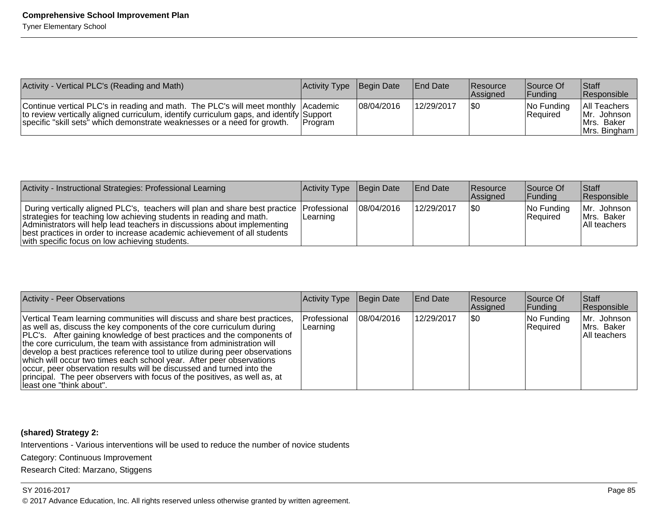| Activity - Vertical PLC's (Reading and Math)                                                                                                                                                                                                             | Activity Type Begin Date |            | <b>End Date</b> | Resource<br><b>Assigned</b> | Source Of<br><b>IFunding</b> | <b>Staff</b><br><b>Responsible</b>                              |
|----------------------------------------------------------------------------------------------------------------------------------------------------------------------------------------------------------------------------------------------------------|--------------------------|------------|-----------------|-----------------------------|------------------------------|-----------------------------------------------------------------|
| Continue vertical PLC's in reading and math. The PLC's will meet monthly Academic<br>to review vertically aligned curriculum, identify curriculum gaps, and identify Support<br>specific "skill sets" which demonstrate weaknesses or a need for growth. | <b>IProgram</b>          | 08/04/2016 | 12/29/2017      | \$0                         | $ No$ Funding<br>Required    | All Teachers<br>Mr. Johnson  <br>IMrs. Baker<br>IMrs. Bingham I |

| Activity - Instructional Strategies: Professional Learning                                                                                                                                                                                                                                                                                                                 | Activity Type Begin Date |            | <b>End Date</b> | <b>Resource</b><br><b>Assigned</b> | Source Of<br><b>IFunding</b> | Staff<br><b>Responsible</b>                   |
|----------------------------------------------------------------------------------------------------------------------------------------------------------------------------------------------------------------------------------------------------------------------------------------------------------------------------------------------------------------------------|--------------------------|------------|-----------------|------------------------------------|------------------------------|-----------------------------------------------|
| During vertically aligned PLC's, teachers will plan and share best practice Professional<br>strategies for teaching low achieving students in reading and math.<br>Administrators will help lead teachers in discussions about implementing<br>(best practices in order to increase academic achievement of all students<br>with specific focus on low achieving students. | ILearning                | 08/04/2016 | 12/29/2017      | 1\$0                               | $ No$ Funding<br>Required    | IMr.<br>Johnson<br>Mrs. Baker<br>All teachers |

| <b>Activity - Peer Observations</b>                                                                                                                                                                                                                                                                                                                                                                                                                                                                                                                                                                                                            | Activity Type            | Begin Date  | End Date   | <b>Resource</b><br>Assigned | Source Of<br>$\vert$ Funding | Staff<br>Responsible                      |
|------------------------------------------------------------------------------------------------------------------------------------------------------------------------------------------------------------------------------------------------------------------------------------------------------------------------------------------------------------------------------------------------------------------------------------------------------------------------------------------------------------------------------------------------------------------------------------------------------------------------------------------------|--------------------------|-------------|------------|-----------------------------|------------------------------|-------------------------------------------|
| Vertical Team learning communities will discuss and share best practices,<br>as well as, discuss the key components of the core curriculum during<br>PLC's. After gaining knowledge of best practices and the components of<br>the core curriculum, the team with assistance from administration will<br>develop a best practices reference tool to utilize during peer observations<br>which will occur two times each school year. After peer observations<br>occur, peer observation results will be discussed and turned into the<br>principal. The peer observers with focus of the positives, as well as, at<br>least one "think about". | Professional<br>Learning | 108/04/2016 | 12/29/2017 | 1\$0                        | No Funding<br>Required       | Mr. Johnson<br>Mrs. Baker<br>All teachers |

#### **(shared) Strategy 2:**

Interventions - Various interventions will be used to reduce the number of novice students

Category: Continuous Improvement

Research Cited: Marzano, Stiggens

#### SY 2016-2017

en die staatsgeskilde is in die 19de jaar van die 19de eeu n.C. In 19de jaar van die 19de eeu n.C. In 19de eeu © 2017 Advance Education, Inc. All rights reserved unless otherwise granted by written agreement.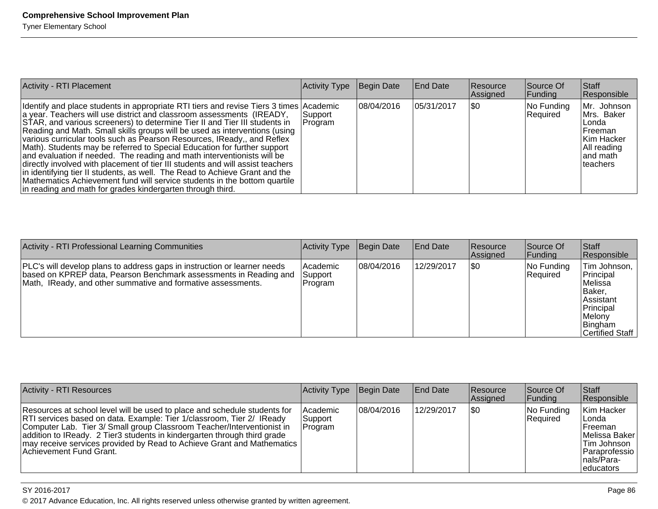| <b>Activity - RTI Placement</b>                                                                                                                                                                                                                                                                                                                                                                                                                                                                                                                                                                                                                                                                                                                                                                                                                                           | Activity Type       | Begin Date | <b>End Date</b> | <b>Resource</b><br>Assigned | Source Of<br> Funding  | <b>Staff</b><br>Responsible                                                                                       |
|---------------------------------------------------------------------------------------------------------------------------------------------------------------------------------------------------------------------------------------------------------------------------------------------------------------------------------------------------------------------------------------------------------------------------------------------------------------------------------------------------------------------------------------------------------------------------------------------------------------------------------------------------------------------------------------------------------------------------------------------------------------------------------------------------------------------------------------------------------------------------|---------------------|------------|-----------------|-----------------------------|------------------------|-------------------------------------------------------------------------------------------------------------------|
| Identify and place students in appropriate RTI tiers and revise Tiers 3 times Academic<br>a year. Teachers will use district and classroom assessments (IREADY,<br>STAR, and various screeners) to determine Tier II and Tier III students in<br>Reading and Math. Small skills groups will be used as interventions (using<br>various curricular tools such as Pearson Resources, IReady,, and Reflex<br>Math). Students may be referred to Special Education for further support<br>and evaluation if needed. The reading and math interventionists will be<br>directly involved with placement of tier III students and will assist teachers<br>in identifying tier II students, as well. The Read to Achieve Grant and the<br>Mathematics Achievement fund will service students in the bottom quartile<br>in reading and math for grades kindergarten through third. | Support_<br>Program | 08/04/2016 | 05/31/2017      | ISO                         | No Funding<br>Required | Mr. Johnson<br>Mrs. Baker<br>l Londa i<br>lFreeman<br> Kim Hacker<br>All reading<br>land math<br><b>Iteachers</b> |

| <b>Activity - RTI Professional Learning Communities</b>                                                                                                                                                       | Activity Type                  | Begin Date  | <b>End Date</b> | <b>Resource</b><br>Assigned | Source Of<br><b>Funding</b> | Staff<br>Responsible                                                                                                       |
|---------------------------------------------------------------------------------------------------------------------------------------------------------------------------------------------------------------|--------------------------------|-------------|-----------------|-----------------------------|-----------------------------|----------------------------------------------------------------------------------------------------------------------------|
| PLC's will develop plans to address gaps in instruction or learner needs<br>based on KPREP data, Pearson Benchmark assessments in Reading and<br>Math, IReady, and other summative and formative assessments. | Academic<br>Support<br>Program | 108/04/2016 | 12/29/2017      | 1\$0                        | $ No$ Funding<br>Required   | Tim Johnson,<br>Principal<br>lMelissa<br> Baker,<br>lAssistant<br>Principal<br><b>Melony</b><br>Bingham<br>Certified Staff |

| <b>Activity - RTI Resources</b>                                                                                                                                                                                                                                                                                                                                                                                      | Activity Type                         | Begin Date  | <b>End Date</b> | Resource<br>Assigned | Source Of<br><b>Funding</b>   | <b>Staff</b><br>Responsible                                                                                                         |
|----------------------------------------------------------------------------------------------------------------------------------------------------------------------------------------------------------------------------------------------------------------------------------------------------------------------------------------------------------------------------------------------------------------------|---------------------------------------|-------------|-----------------|----------------------|-------------------------------|-------------------------------------------------------------------------------------------------------------------------------------|
| Resources at school level will be used to place and schedule students for<br>RTI services based on data. Example: Tier 1/classroom, Tier 2/ IReady<br>Computer Lab. Tier 3/ Small group Classroom Teacher/Interventionist in<br>addition to IReady. 2 Tier3 students in kindergarten through third grade<br>may receive services provided by Read to Achieve Grant and Mathematics<br><b>Achievement Fund Grant.</b> | <b>Academic</b><br>Support<br>Program | 108/04/2016 | 12/29/2017      | \$0                  | No Funding<br><b>Required</b> | Kim Hacker<br>l Londa<br><b>IFreeman</b><br>Melissa Baker<br><b>Tim Johnson</b><br>Paraprofessio<br>Inals/Para-<br><i>educators</i> |

#### SY 2016-2017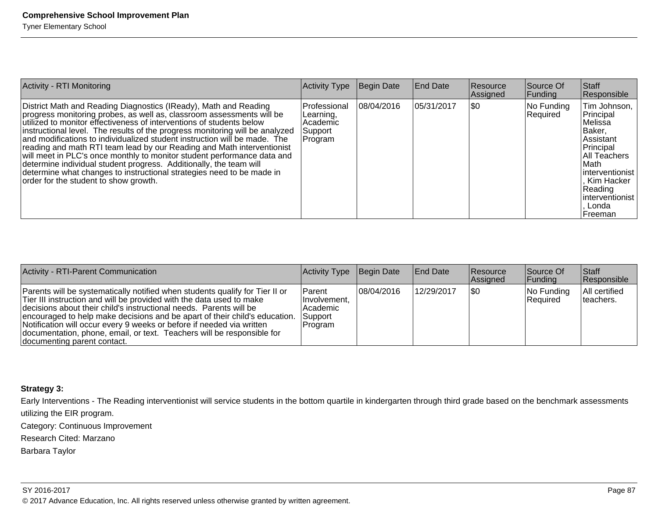| <b>Activity - RTI Monitoring</b>                                                                                                                                                                                                                                                                                                                                                                                                                                                                                                                                                                                                                                                                                            | <b>Activity Type</b>                                        | Begin Date | <b>End Date</b> | <b>Resource</b><br>Assigned | Source Of<br><b>Funding</b> | Staff<br>Responsible                                                                                                                                                                          |
|-----------------------------------------------------------------------------------------------------------------------------------------------------------------------------------------------------------------------------------------------------------------------------------------------------------------------------------------------------------------------------------------------------------------------------------------------------------------------------------------------------------------------------------------------------------------------------------------------------------------------------------------------------------------------------------------------------------------------------|-------------------------------------------------------------|------------|-----------------|-----------------------------|-----------------------------|-----------------------------------------------------------------------------------------------------------------------------------------------------------------------------------------------|
| District Math and Reading Diagnostics (IReady), Math and Reading<br>progress monitoring probes, as well as, classroom assessments will be<br>utilized to monitor effectiveness of interventions of students below<br>instructional level. The results of the progress monitoring will be analyzed<br>and modifications to individualized student instruction will be made. The<br>reading and math RTI team lead by our Reading and Math interventionist<br>will meet in PLC's once monthly to monitor student performance data and<br>determine individual student progress. Additionally, the team will<br>determine what changes to instructional strategies need to be made in<br>order for the student to show growth. | Professional<br>Learning,<br>Academic<br>Support<br>Program | 08/04/2016 | 05/31/2017      | 1\$0                        | No Funding<br>Required      | Tim Johnson,<br>Principal<br>lMelissa<br>IBaker.<br>Assistant<br>Principal<br>All Teachers<br>∣Math<br>linterventionist l<br>Kim Hacker<br>Reading<br>linterventionist l<br>Londa<br>⊦Freeman |

| Activity - RTI-Parent Communication                                                                                                                                                                                                                                                                                                                                                                                                                                                        | Activity Type                                                       | Begin Date  | <b>End Date</b> | Resource<br>Assigned | Source Of<br> Funding  | <b>Staff</b><br>Responsible |
|--------------------------------------------------------------------------------------------------------------------------------------------------------------------------------------------------------------------------------------------------------------------------------------------------------------------------------------------------------------------------------------------------------------------------------------------------------------------------------------------|---------------------------------------------------------------------|-------------|-----------------|----------------------|------------------------|-----------------------------|
| Parents will be systematically notified when students qualify for Tier II or<br>Tier III instruction and will be provided with the data used to make<br>decisions about their child's instructional needs. Parents will be<br>encouraged to help make decisions and be apart of their child's education.<br>Notification will occur every 9 weeks or before if needed via written<br>documentation, phone, email, or text. Teachers will be responsible for<br>documenting parent contact. | IParent<br>Ilnvolvement.<br>l Academic<br>Support<br><b>Program</b> | 108/04/2016 | 12/29/2017      | \$0                  | No Funding<br>Required | All certified<br>Iteachers. |

#### **Strategy 3:**

Early Interventions - The Reading interventionist will service students in the bottom quartile in kindergarten through third grade based on the benchmark assessmentsutilizing the EIR program.Category: Continuous ImprovementResearch Cited: Marzano

Barbara Taylor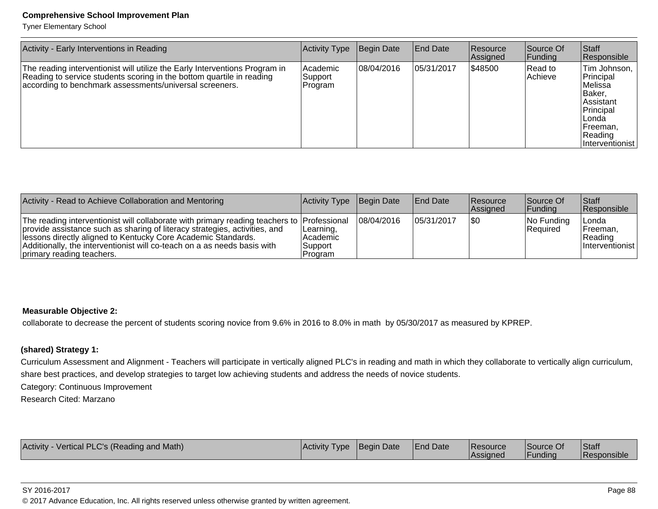Tyner Elementary School

| Activity - Early Interventions in Reading                                                                                                                                                                       | Activity Type                  | Begin Date | <b>End Date</b> | <b>Resource</b><br>Assigned | Source Of<br> Funding | Staff<br>Responsible                                                                                                                 |
|-----------------------------------------------------------------------------------------------------------------------------------------------------------------------------------------------------------------|--------------------------------|------------|-----------------|-----------------------------|-----------------------|--------------------------------------------------------------------------------------------------------------------------------------|
| The reading interventionist will utilize the Early Interventions Program in<br>Reading to service students scoring in the bottom quartile in reading<br>according to benchmark assessments/universal screeners. | Academic<br>Support<br>Program | 08/04/2016 | 105/31/2017     | 1\$48500                    | Read to<br>Achieve    | Tim Johnson,<br>Principal<br>Melissa<br>Baker,<br> Assistant<br>Principal<br>∣Londa<br>Freeman,<br>Reading<br><i>Interventionist</i> |

| Activity - Read to Achieve Collaboration and Mentoring                                                                                                                                                                                                                                                                                             | Activity Type Begin Date                     |            | <b>End Date</b> | Resource<br><b>Assianed</b> | Source Of<br><b>IFunding</b>     | <b>Staff</b><br>Responsible                         |
|----------------------------------------------------------------------------------------------------------------------------------------------------------------------------------------------------------------------------------------------------------------------------------------------------------------------------------------------------|----------------------------------------------|------------|-----------------|-----------------------------|----------------------------------|-----------------------------------------------------|
| The reading interventionist will collaborate with primary reading teachers to Professional<br>provide assistance such as sharing of literacy strategies, activities, and<br>lessons directly aligned to Kentucky Core Academic Standards.<br>Additionally, the interventionist will co-teach on a as needs basis with<br>primary reading teachers. | Learning,<br> Academic<br>Support<br>Program | 08/04/2016 | 105/31/2017     | I\$0                        | $ No$ Funding<br><b>Required</b> | ∣Londa<br> Freeman,<br> Reading <br>Interventionist |

#### **Measurable Objective 2:**

collaborate to decrease the percent of students scoring novice from 9.6% in 2016 to 8.0% in math by 05/30/2017 as measured by KPREP.

#### **(shared) Strategy 1:**

Curriculum Assessment and Alignment - Teachers will participate in vertically aligned PLC's in reading and math in which they collaborate to vertically align curriculum,share best practices, and develop strategies to target low achieving students and address the needs of novice students.

Category: Continuous Improvement

Research Cited: Marzano

| Activity -<br>y - Vertical PLC's (Reading and Math) | <b>Activity Type</b> | Begin Date | <b>End Date</b> | <b>Resource</b><br><b>Assigned</b> | Source Of<br><b>Funding</b> | <b>Staff</b><br>Responsible |
|-----------------------------------------------------|----------------------|------------|-----------------|------------------------------------|-----------------------------|-----------------------------|
|-----------------------------------------------------|----------------------|------------|-----------------|------------------------------------|-----------------------------|-----------------------------|

#### SY 2016-2017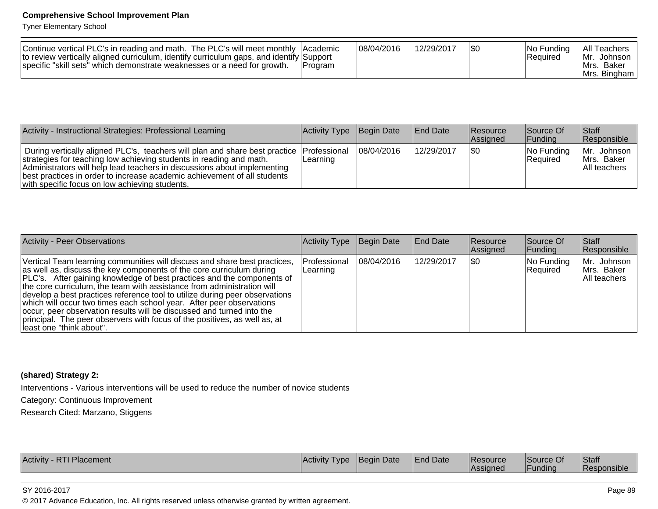Tyner Elementary School

| Continue vertical PLC's in reading and math. The PLC's will meet monthly Academic<br>to review vertically aligned curriculum, identify curriculum gaps, and identify Support<br>specific "skill sets" which demonstrate weaknesses or a need for growth. | <b>IProgram</b> | 08/04/2016 | 12/29/2017 |  | INo Funding<br> Reauired | All Teachers<br>IMr. Johnson<br>IMrs. Baker<br>IMrs. Bingham I |
|----------------------------------------------------------------------------------------------------------------------------------------------------------------------------------------------------------------------------------------------------------|-----------------|------------|------------|--|--------------------------|----------------------------------------------------------------|
|----------------------------------------------------------------------------------------------------------------------------------------------------------------------------------------------------------------------------------------------------------|-----------------|------------|------------|--|--------------------------|----------------------------------------------------------------|

| Activity - Instructional Strategies: Professional Learning                                                                                                                                                                                                                                                                                                                | Activity Type Begin Date |            | <b>End Date</b> | <b>Resource</b><br>Assigned | Source Of<br><b>Funding</b>      | <b>Staff</b><br>Responsible                |
|---------------------------------------------------------------------------------------------------------------------------------------------------------------------------------------------------------------------------------------------------------------------------------------------------------------------------------------------------------------------------|--------------------------|------------|-----------------|-----------------------------|----------------------------------|--------------------------------------------|
| During vertically aligned PLC's, teachers will plan and share best practice Professional<br>strategies for teaching low achieving students in reading and math.<br>Administrators will help lead teachers in discussions about implementing<br>best practices in order to increase academic achievement of all students<br>with specific focus on low achieving students. | Learning                 | 08/04/2016 | 12/29/2017      | 1\$0                        | $ No$ Funding<br><b>Required</b> | Mr. Johnson<br>IMrs. Baker<br>All teachers |

| <b>Activity - Peer Observations</b>                                                                                                                                                                                                                                                                                                                                                                                                                                                                                                                                                                                                            | <b>Activity Type</b>      | Begin Date | End Date   | <b>Resource</b><br>Assigned | Source Of<br> Funding  | <b>Staff</b><br>Responsible               |
|------------------------------------------------------------------------------------------------------------------------------------------------------------------------------------------------------------------------------------------------------------------------------------------------------------------------------------------------------------------------------------------------------------------------------------------------------------------------------------------------------------------------------------------------------------------------------------------------------------------------------------------------|---------------------------|------------|------------|-----------------------------|------------------------|-------------------------------------------|
| Vertical Team learning communities will discuss and share best practices,<br>as well as, discuss the key components of the core curriculum during<br>PLC's. After gaining knowledge of best practices and the components of<br>the core curriculum, the team with assistance from administration will<br>develop a best practices reference tool to utilize during peer observations<br>which will occur two times each school year. After peer observations<br>occur, peer observation results will be discussed and turned into the<br>principal. The peer observers with focus of the positives, as well as, at<br>least one "think about". | Professional<br> Learning | 08/04/2016 | 12/29/2017 | 1\$0                        | No Funding<br>Required | Mr. Johnson<br>Mrs. Baker<br>All teachers |

#### **(shared) Strategy 2:**

Interventions - Various interventions will be used to reduce the number of novice students

Category: Continuous Improvement

Research Cited: Marzano, Stiggens

| Activity  | <b>IActivity</b> | Date          | ' Date | <b>IResource</b> | Source Of | Staff     |
|-----------|------------------|---------------|--------|------------------|-----------|-----------|
| Placement | Tvne             | <b>IBeain</b> |        | l Assianer       | Fundina   | sponsible |
|           |                  |               |        |                  |           |           |

#### SY 2016-2017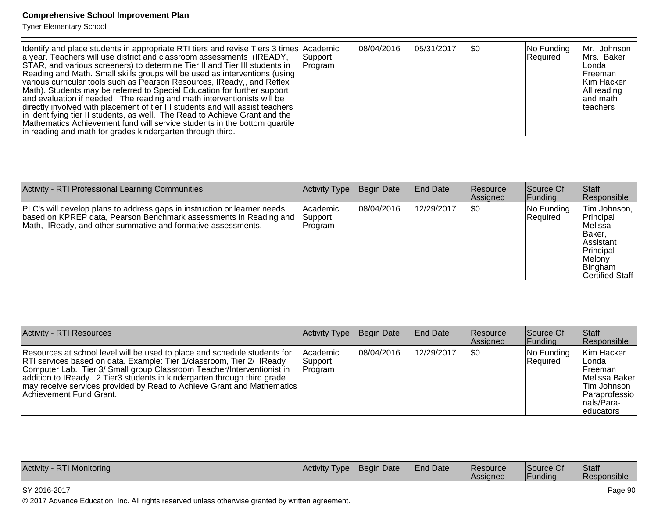Tyner Elementary School

| Identify and place students in appropriate RTI tiers and revise Tiers 3 times Academic<br>a year. Teachers will use district and classroom assessments (IREADY,<br>STAR, and various screeners) to determine Tier II and Tier III students in<br>Reading and Math. Small skills groups will be used as interventions (using<br>various curricular tools such as Pearson Resources, IReady,, and Reflex<br>Math). Students may be referred to Special Education for further support<br>and evaluation if needed. The reading and math interventionists will be<br>directly involved with placement of tier III students and will assist teachers<br>in identifying tier II students, as well. The Read to Achieve Grant and the<br>Mathematics Achievement fund will service students in the bottom quartile<br>in reading and math for grades kindergarten through third. | Support <br> Program | 08/04/2016 | 05/31/2017 | \$0 | No Funding<br>Required | Mr. Johnson<br>Mrs. Baker<br>Londa<br>lFreeman<br>Kim Hacker<br>All reading<br>land math<br><b>Iteachers</b> |
|---------------------------------------------------------------------------------------------------------------------------------------------------------------------------------------------------------------------------------------------------------------------------------------------------------------------------------------------------------------------------------------------------------------------------------------------------------------------------------------------------------------------------------------------------------------------------------------------------------------------------------------------------------------------------------------------------------------------------------------------------------------------------------------------------------------------------------------------------------------------------|----------------------|------------|------------|-----|------------------------|--------------------------------------------------------------------------------------------------------------|
|---------------------------------------------------------------------------------------------------------------------------------------------------------------------------------------------------------------------------------------------------------------------------------------------------------------------------------------------------------------------------------------------------------------------------------------------------------------------------------------------------------------------------------------------------------------------------------------------------------------------------------------------------------------------------------------------------------------------------------------------------------------------------------------------------------------------------------------------------------------------------|----------------------|------------|------------|-----|------------------------|--------------------------------------------------------------------------------------------------------------|

| <b>Activity - RTI Professional Learning Communities</b>                                                                                                                                                       | Activity Type                            | Begin Date | <b>End Date</b> | Resource<br><b>Assianed</b> | Source Of<br> Funding  | Staff<br>Responsible                                                                                               |
|---------------------------------------------------------------------------------------------------------------------------------------------------------------------------------------------------------------|------------------------------------------|------------|-----------------|-----------------------------|------------------------|--------------------------------------------------------------------------------------------------------------------|
| PLC's will develop plans to address gaps in instruction or learner needs<br>based on KPREP data, Pearson Benchmark assessments in Reading and<br>Math, IReady, and other summative and formative assessments. | <b>Academic</b><br> Support <br> Program | 08/04/2016 | 12/29/2017      | <b>\$0</b>                  | No Funding<br>Required | Tim Johnson,<br>Principal<br>lMelissa<br>IBaker.<br>Assistant<br>Principal<br>Melony<br>Bingham<br>Certified Staff |

| <b>Activity - RTI Resources</b>                                                                                                                                                                                                                                                                                                                                                                                             | Activity Type                      | Begin Date | <b>End Date</b> | <b>Resource</b><br>Assigned | Source Of<br> Funding  | Staff<br>Responsible                                                                                                          |
|-----------------------------------------------------------------------------------------------------------------------------------------------------------------------------------------------------------------------------------------------------------------------------------------------------------------------------------------------------------------------------------------------------------------------------|------------------------------------|------------|-----------------|-----------------------------|------------------------|-------------------------------------------------------------------------------------------------------------------------------|
| Resources at school level will be used to place and schedule students for<br><b>RTI</b> services based on data. Example: Tier 1/classroom, Tier 2/ <b>IReady</b><br>Computer Lab. Tier 3/ Small group Classroom Teacher/Interventionist in<br>addition to IReady. 2 Tier3 students in kindergarten through third grade<br>may receive services provided by Read to Achieve Grant and Mathematics<br>Achievement Fund Grant. | l Academic<br> Support <br>Program | 08/04/2016 | 12/29/2017      | 1\$0                        | No Funding<br>Required | Kim Hacker<br>∣Londa<br><b>IFreeman</b><br><b>IMelissa Baker</b><br>Tim Johnson<br>Paraprofessio<br>Inals/Para-<br>leducators |

| Activity<br>T Monitorina<br>70 N | l Activitv<br><b>I</b> VDE | NDate<br><b>Beair</b> | <b>End Date</b> | <b>Resource</b><br><b>Assigned</b> | Source Of<br>Funding | <b>Staff</b><br>Responsible |
|----------------------------------|----------------------------|-----------------------|-----------------|------------------------------------|----------------------|-----------------------------|
|----------------------------------|----------------------------|-----------------------|-----------------|------------------------------------|----------------------|-----------------------------|

#### SY 2016-2017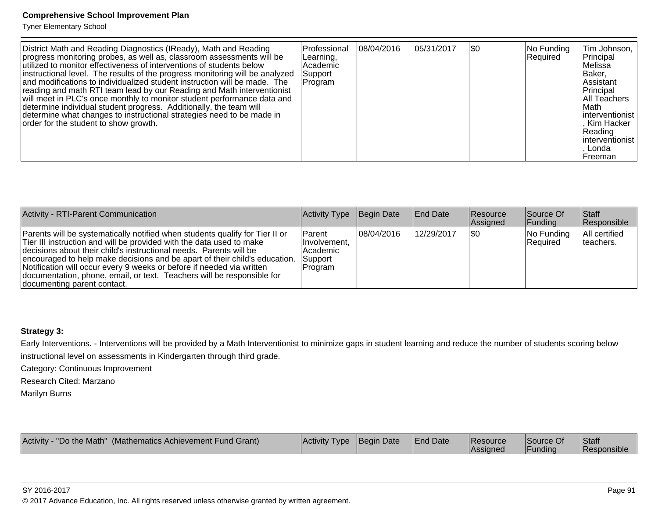Tyner Elementary School

| District Math and Reading Diagnostics (IReady), Math and Reading<br>progress monitoring probes, as well as, classroom assessments will be<br>utilized to monitor effectiveness of interventions of students below<br>instructional level. The results of the progress monitoring will be analyzed<br>and modifications to individualized student instruction will be made. The<br>reading and math RTI team lead by our Reading and Math interventionist<br>will meet in PLC's once monthly to monitor student performance data and<br>determine individual student progress. Additionally, the team will<br>determine what changes to instructional strategies need to be made in<br>order for the student to show growth. | Professional<br>Learning,<br>Academic<br> Support <br> Program | 08/04/2016 | 05/31/2017 | \$0 | No Funding<br>Required | Tim Johnson,<br>Principal<br>Melissa<br>Baker,<br><b>Assistant</b><br>Principal<br><b>All Teachers</b><br>∣Math<br>linterventionist<br>. Kim Hacker<br> Reading<br>linterventionist<br>Londa<br>l Freeman |
|-----------------------------------------------------------------------------------------------------------------------------------------------------------------------------------------------------------------------------------------------------------------------------------------------------------------------------------------------------------------------------------------------------------------------------------------------------------------------------------------------------------------------------------------------------------------------------------------------------------------------------------------------------------------------------------------------------------------------------|----------------------------------------------------------------|------------|------------|-----|------------------------|-----------------------------------------------------------------------------------------------------------------------------------------------------------------------------------------------------------|
|-----------------------------------------------------------------------------------------------------------------------------------------------------------------------------------------------------------------------------------------------------------------------------------------------------------------------------------------------------------------------------------------------------------------------------------------------------------------------------------------------------------------------------------------------------------------------------------------------------------------------------------------------------------------------------------------------------------------------------|----------------------------------------------------------------|------------|------------|-----|------------------------|-----------------------------------------------------------------------------------------------------------------------------------------------------------------------------------------------------------|

| Activity - RTI-Parent Communication                                                                                                                                                                                                                                                                                                                                                                                                                                                        | <b>Activity Type</b>                                                | Begin Date | End Date   | Resource<br>Assigned | Source Of<br> Funding  | <b>Staff</b><br>Responsible |
|--------------------------------------------------------------------------------------------------------------------------------------------------------------------------------------------------------------------------------------------------------------------------------------------------------------------------------------------------------------------------------------------------------------------------------------------------------------------------------------------|---------------------------------------------------------------------|------------|------------|----------------------|------------------------|-----------------------------|
| Parents will be systematically notified when students qualify for Tier II or<br>Tier III instruction and will be provided with the data used to make<br>decisions about their child's instructional needs. Parents will be<br>encouraged to help make decisions and be apart of their child's education.<br>Notification will occur every 9 weeks or before if needed via written<br>documentation, phone, email, or text. Teachers will be responsible for<br>documenting parent contact. | <b>IParent</b><br>Involvement.<br>l Academic<br>Support<br> Program | 08/04/2016 | 12/29/2017 | \$0                  | No Funding<br>Required | All certified<br>Iteachers. |

#### **Strategy 3:**

Early Interventions. - Interventions will be provided by a Math Interventionist to minimize gaps in student learning and reduce the number of students scoring belowinstructional level on assessments in Kindergarten through third grade.

Category: Continuous Improvement

Research Cited: Marzano

Marilyn Burns

| - "Do the Math" (Mathematics Achievement Fund Grant)<br>Activity - | Activity Type   Begin Date |  | <b>End Date</b> | Resource<br>Assigned | Source Of<br>Funding | Staff<br>Responsible |
|--------------------------------------------------------------------|----------------------------|--|-----------------|----------------------|----------------------|----------------------|
|--------------------------------------------------------------------|----------------------------|--|-----------------|----------------------|----------------------|----------------------|

SY 2016-2017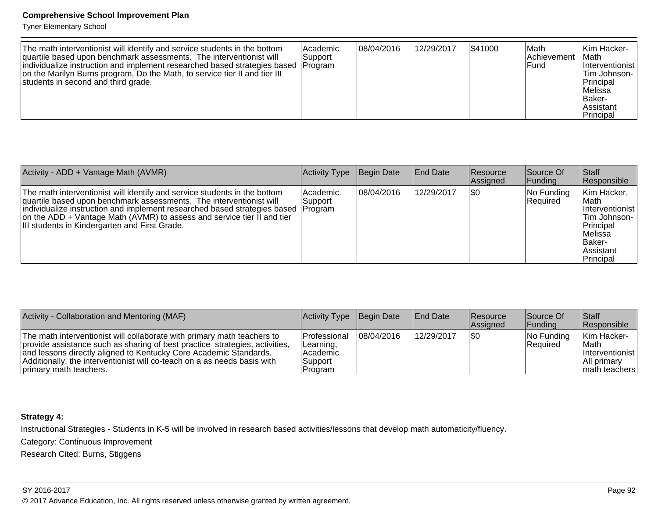Tyner Elementary School

| The math interventionist will identify and service students in the bottom<br>quartile based upon benchmark assessments. The interventionist will<br> individualize instruction and implement researched based strategies based  Program <br>on the Marilyn Burns program, Do the Math, to service tier II and tier III<br>students in second and third grade. | l Academic<br>Support | 08/04/2016 | 12/29/2017 | \$41000 | ∣Math<br><b>Achievement</b><br>lFund | lKim Hacker-<br>∣Math<br><i>Interventionist</i><br>Tim Johnson-<br>Principal<br>lMelissa<br> Baker-<br>Assistant<br>Principal |
|---------------------------------------------------------------------------------------------------------------------------------------------------------------------------------------------------------------------------------------------------------------------------------------------------------------------------------------------------------------|-----------------------|------------|------------|---------|--------------------------------------|-------------------------------------------------------------------------------------------------------------------------------|
|---------------------------------------------------------------------------------------------------------------------------------------------------------------------------------------------------------------------------------------------------------------------------------------------------------------------------------------------------------------|-----------------------|------------|------------|---------|--------------------------------------|-------------------------------------------------------------------------------------------------------------------------------|

| Activity - ADD + Vantage Math (AVMR)                                                                                                                                                                                                                                                                                                                                | Activity Type          | Begin Date | <b>End Date</b> | <b>Resource</b><br><b>Assianed</b> | Source Of<br> Funding   | Staff<br>Responsible                                                                                                         |
|---------------------------------------------------------------------------------------------------------------------------------------------------------------------------------------------------------------------------------------------------------------------------------------------------------------------------------------------------------------------|------------------------|------------|-----------------|------------------------------------|-------------------------|------------------------------------------------------------------------------------------------------------------------------|
| The math interventionist will identify and service students in the bottom<br>quartile based upon benchmark assessments. The interventionist will<br>individualize instruction and implement researched based strategies based   Program<br>on the ADD + Vantage Math (AVMR) to assess and service tier II and tier<br>III students in Kindergarten and First Grade. | l Academic<br> Support | 08/04/2016 | 12/29/2017      | \$0                                | No Funding<br> Reauired | Kim Hacker,<br>∣Math<br>Interventionist<br>Tim Johnson-<br>Principal<br>lMelissa<br>IBaker-<br><b>Assistant</b><br>Principal |

| Activity - Collaboration and Mentoring (MAF)                                                                                                                                                                                                                                                                                      | Activity Type Begin Date                                                   |            | <b>End Date</b> | Resource<br>Assigned | Source Of<br><b>IFunding</b> | Staff<br>Responsible                                                              |
|-----------------------------------------------------------------------------------------------------------------------------------------------------------------------------------------------------------------------------------------------------------------------------------------------------------------------------------|----------------------------------------------------------------------------|------------|-----------------|----------------------|------------------------------|-----------------------------------------------------------------------------------|
| The math interventionist will collaborate with primary math teachers to<br>provide assistance such as sharing of best practice strategies, activities,<br>and lessons directly aligned to Kentucky Core Academic Standards.<br>Additionally, the interventionist will co-teach on a as needs basis with<br>primary math teachers. | <b>IProfessional</b><br>Learning,<br><b>Academic</b><br>Support<br>Program | 08/04/2016 | 12/29/2017      | 1\$0                 | $ No$ Funding<br>Required    | Kim Hacker-<br><b>IMath</b><br>Interventionist<br> All primarv<br>  math teachers |

## **Strategy 4:**

Instructional Strategies - Students in K-5 will be involved in research based activities/lessons that develop math automaticity/fluency.

Category: Continuous Improvement

Research Cited: Burns, Stiggens

#### SY 2016-2017en die 19de jaar van die 19de eeu n.C. In 19de jaar van die 19de eeu n.C. In 19de eeu n.C. In 19de eeu n.C. In<br>Gebeure © 2017 Advance Education, Inc. All rights reserved unless otherwise granted by written agreement.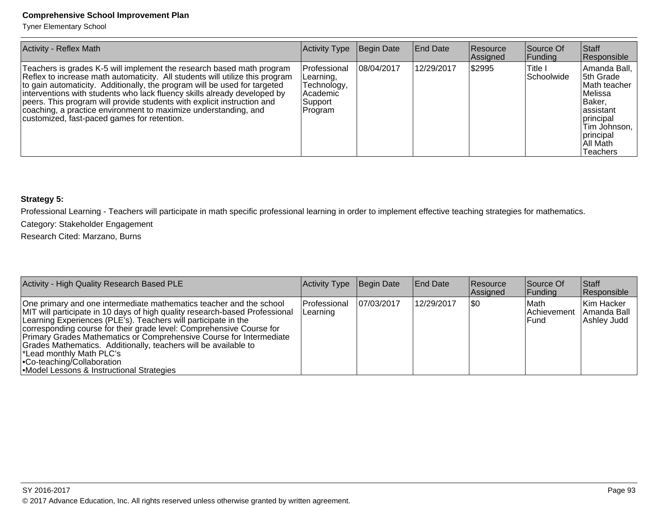Tyner Elementary School

| <b>Activity - Reflex Math</b>                                                                                                                                                                                                                                                                                                                                                                                                                                                                               | Activity Type                                                              | Begin Date | <b>End Date</b> | <b>Resource</b><br>Assigned | Source Of<br> Funding  | Staff<br>Responsible                                                                                                                                               |
|-------------------------------------------------------------------------------------------------------------------------------------------------------------------------------------------------------------------------------------------------------------------------------------------------------------------------------------------------------------------------------------------------------------------------------------------------------------------------------------------------------------|----------------------------------------------------------------------------|------------|-----------------|-----------------------------|------------------------|--------------------------------------------------------------------------------------------------------------------------------------------------------------------|
| Teachers is grades K-5 will implement the research based math program<br>Reflex to increase math automaticity. All students will utilize this program<br>to gain automaticity. Additionally, the program will be used for targeted<br>interventions with students who lack fluency skills already developed by<br>peers. This program will provide students with explicit instruction and<br>coaching, a practice environment to maximize understanding, and<br>customized, fast-paced games for retention. | Professional<br>Learning,<br>Technology,<br>Academic<br>Support<br>Program | 08/04/2017 | 12/29/2017      | \$2995                      | ∣Title I<br>Schoolwide | Amanda Ball, I<br>5th Grade<br>Math teacher<br>lMelissa<br> Baker,<br>assistant<br><i>Iprincipal</i><br>Tim Johnson, 1<br>principal<br>All Math<br><b>Teachers</b> |

# **Strategy 5:**

Professional Learning - Teachers will participate in math specific professional learning in order to implement effective teaching strategies for mathematics.

Category: Stakeholder Engagement

Research Cited: Marzano, Burns

| Activity - High Quality Research Based PLE                                                                                                                                                                                                                                                                                                                                                                                                                                                                                                     | Activity Type            | Begin Date | <b>End Date</b> | Resource<br>Assigned | Source Of<br> Funding                 | <b>Staff</b><br>Responsible              |
|------------------------------------------------------------------------------------------------------------------------------------------------------------------------------------------------------------------------------------------------------------------------------------------------------------------------------------------------------------------------------------------------------------------------------------------------------------------------------------------------------------------------------------------------|--------------------------|------------|-----------------|----------------------|---------------------------------------|------------------------------------------|
| One primary and one intermediate mathematics teacher and the school<br>MIT will participate in 10 days of high quality research-based Professional<br>Learning Experiences (PLE's). Teachers will participate in the<br>corresponding course for their grade level: Comprehensive Course for<br>Primary Grades Mathematics or Comprehensive Course for Intermediate<br>Grades Mathematics. Additionally, teachers will be available to<br>Lead monthly Math PLC's<br>• Co-teaching/Collaboration<br>• Model Lessons & Instructional Strategies | Professional<br>Learning | 07/03/2017 | 12/29/2017      | I\$0                 | <b>IMath</b><br>Achievement<br>lFund. | Kim Hacker<br>Amanda Ball<br>Ashley Judd |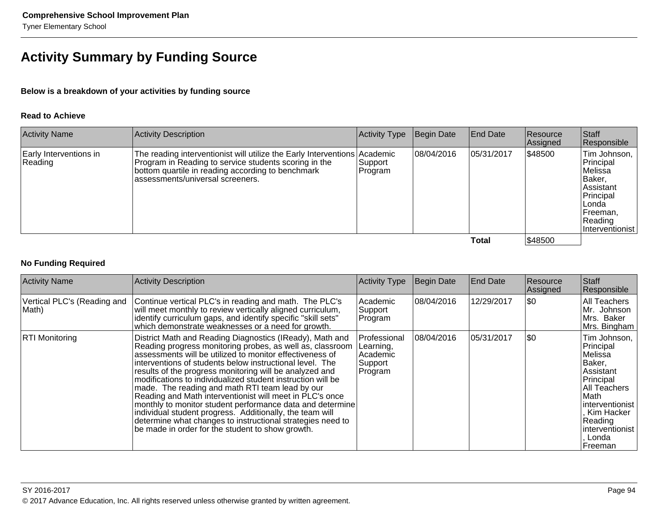# **Activity Summary by Funding Source**

#### **Below is a breakdown of your activities by funding source**

#### **Read to Achieve**

| <b>Activity Name</b>              | <b>Activity Description</b>                                                                                                                                                                                                 | Activity Type       | Begin Date | <b>End Date</b> | Resource<br>Assigned | Staff<br>Responsible                                                                                                        |
|-----------------------------------|-----------------------------------------------------------------------------------------------------------------------------------------------------------------------------------------------------------------------------|---------------------|------------|-----------------|----------------------|-----------------------------------------------------------------------------------------------------------------------------|
| Early Interventions in<br>Reading | The reading interventionist will utilize the Early Interventions Academic<br>Program in Reading to service students scoring in the<br>bottom quartile in reading according to benchmark<br>assessments/universal screeners. | Support_<br>Program | 08/04/2016 | 05/31/2017      | \$48500              | Tim Johnson,<br>Principal<br>Melissa<br>Baker,<br>Assistant<br>Principal<br>Londa<br>Freeman,<br>Reading<br>Interventionist |
|                                   |                                                                                                                                                                                                                             |                     |            | Total           | \$48500              |                                                                                                                             |

#### **No Funding Required**

| <b>Activity Name</b>                 | <b>Activity Description</b>                                                                                                                                                                                                                                                                                                                                                                                                                                                                                                                                                                                                                                                                                                       | <b>Activity Type</b>                                           | Begin Date | <b>End Date</b> | Resource<br>Assigned | Staff<br>Responsible                                                                                                                                                                        |
|--------------------------------------|-----------------------------------------------------------------------------------------------------------------------------------------------------------------------------------------------------------------------------------------------------------------------------------------------------------------------------------------------------------------------------------------------------------------------------------------------------------------------------------------------------------------------------------------------------------------------------------------------------------------------------------------------------------------------------------------------------------------------------------|----------------------------------------------------------------|------------|-----------------|----------------------|---------------------------------------------------------------------------------------------------------------------------------------------------------------------------------------------|
| Vertical PLC's (Reading and<br>Math) | Continue vertical PLC's in reading and math. The PLC's<br>will meet monthly to review vertically aligned curriculum,<br>identify curriculum gaps, and identify specific "skill sets"<br>which demonstrate weaknesses or a need for growth.                                                                                                                                                                                                                                                                                                                                                                                                                                                                                        | Academic<br>Support<br> Program                                | 08/04/2016 | 12/29/2017      | \$0                  | All Teachers<br>Mr. Johnson<br>Mrs. Baker<br>Mrs. Bingham                                                                                                                                   |
| <b>RTI Monitoring</b>                | District Math and Reading Diagnostics (IReady), Math and<br>Reading progress monitoring probes, as well as, classroom<br>assessments will be utilized to monitor effectiveness of<br>interventions of students below instructional level. The<br>results of the progress monitoring will be analyzed and<br>modifications to individualized student instruction will be<br>made. The reading and math RTI team lead by our<br>Reading and Math interventionist will meet in PLC's once<br>monthly to monitor student performance data and determine<br>individual student progress. Additionally, the team will<br>determine what changes to instructional strategies need to<br>be made in order for the student to show growth. | Professional<br>ILearning,<br>lAcademic<br>Support<br> Program | 08/04/2016 | 05/31/2017      | \$0                  | Tim Johnson,<br>Principal<br> Melissa<br>Baker,<br>Assistant<br>Principal<br>All Teachers<br>∣Math<br>linterventionist l<br>Kim Hacker<br>Reading<br> interventionist  <br>Londa<br>Freeman |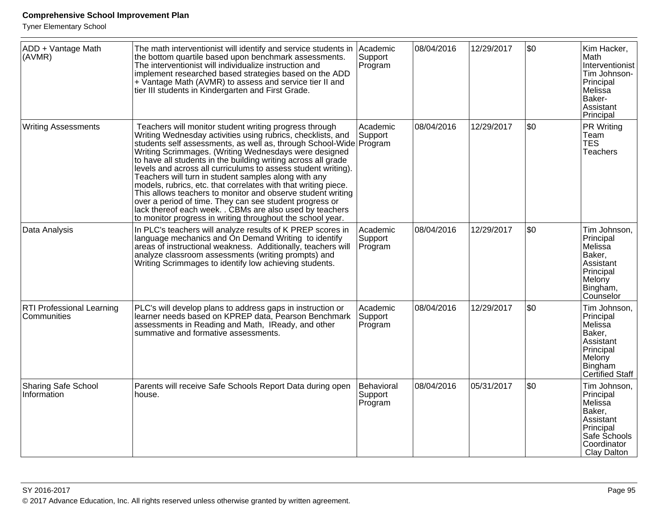| ADD + Vantage Math<br>(AVMR)              | The math interventionist will identify and service students in<br>the bottom quartile based upon benchmark assessments.<br>The interventionist will individualize instruction and<br>implement researched based strategies based on the ADD<br>+ Vantage Math (AVMR) to assess and service tier II and<br>tier III students in Kindergarten and First Grade.                                                                                                                                                                                                                                                                                                                                                                                                         | Academic<br>Support<br>Program   | 08/04/2016 | 12/29/2017 | \$0 | Kim Hacker,<br>∣Math<br>Interventionist<br>Tim Johnson-<br>Principal<br>Melissa<br>Baker-<br>Assistant<br>Principal    |
|-------------------------------------------|----------------------------------------------------------------------------------------------------------------------------------------------------------------------------------------------------------------------------------------------------------------------------------------------------------------------------------------------------------------------------------------------------------------------------------------------------------------------------------------------------------------------------------------------------------------------------------------------------------------------------------------------------------------------------------------------------------------------------------------------------------------------|----------------------------------|------------|------------|-----|------------------------------------------------------------------------------------------------------------------------|
| <b>Writing Assessments</b>                | Teachers will monitor student writing progress through<br>Writing Wednesday activities using rubrics, checklists, and<br>students self assessments, as well as, through School-Wide Program<br>Writing Scrimmages. (Writing Wednesdays were designed<br>to have all students in the building writing across all grade<br>levels and across all curriculums to assess student writing).<br>Teachers will turn in student samples along with any<br>models, rubrics, etc. that correlates with that writing piece.<br>This allows teachers to monitor and observe student writing<br>over a period of time. They can see student progress or<br>lack thereof each week. . CBMs are also used by teachers<br>to monitor progress in writing throughout the school year. | Academic<br>Support              | 08/04/2016 | 12/29/2017 | \$0 | PR Writing<br>Team<br>TES <sup>"</sup><br><b>Teachers</b>                                                              |
| Data Analysis                             | In PLC's teachers will analyze results of K PREP scores in<br>language mechanics and On Demand Writing to identify<br>areas of instructional weakness. Additionally, teachers will<br>analyze classroom assessments (writing prompts) and<br>Writing Scrimmages to identify low achieving students.                                                                                                                                                                                                                                                                                                                                                                                                                                                                  | Academic<br>Support<br>Program   | 08/04/2016 | 12/29/2017 | \$0 | Tim Johnson,<br>Principal<br>Melissa<br>Baker,<br>Assistant<br>Principal<br>Melony<br>Bingham,<br>Counselor            |
| RTI Professional Learning<br>Communities  | PLC's will develop plans to address gaps in instruction or<br>learner needs based on KPREP data, Pearson Benchmark<br>assessments in Reading and Math, IReady, and other<br>summative and formative assessments.                                                                                                                                                                                                                                                                                                                                                                                                                                                                                                                                                     | Academic<br>Support<br>Program   | 08/04/2016 | 12/29/2017 | \$0 | Tim Johnson,<br>Principal<br>Melissa<br>Baker,<br>Assistant<br>Principal<br>Melony<br>Bingham<br>Certified Staff       |
| <b>Sharing Safe School</b><br>Information | Parents will receive Safe Schools Report Data during open<br>house.                                                                                                                                                                                                                                                                                                                                                                                                                                                                                                                                                                                                                                                                                                  | Behavioral<br>Support<br>Program | 08/04/2016 | 05/31/2017 | \$0 | Tim Johnson,<br>Principal<br>Melissa<br>Baker,<br>Assistant<br>Principal<br>Safe Schools<br>Coordinator<br>Clay Dalton |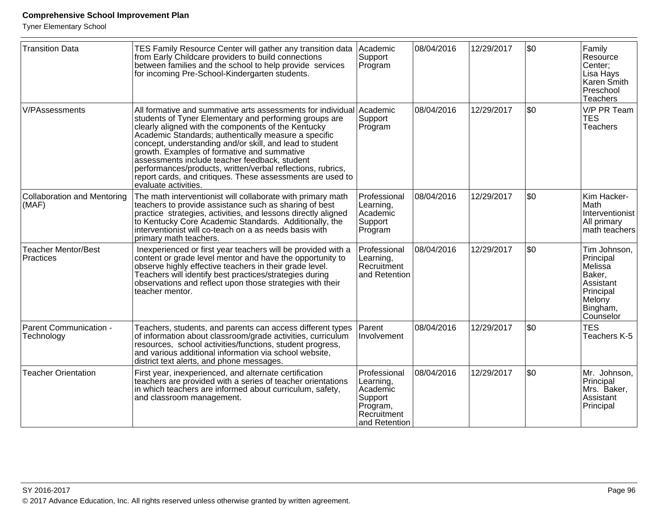| <b>Transition Data</b>                  | TES Family Resource Center will gather any transition data<br>from Early Childcare providers to build connections<br>between families and the school to help provide services<br>for incoming Pre-School-Kindergarten students.                                                                                                                                                                                                                                                                                                                                | Academic<br>Support<br>Program                                                               | 08/04/2016 | 12/29/2017 | l\$0 | Family<br>Resource<br>Center:<br>Lisa Hays<br>Karen Smith<br>Preschool<br>Teachers                          |
|-----------------------------------------|----------------------------------------------------------------------------------------------------------------------------------------------------------------------------------------------------------------------------------------------------------------------------------------------------------------------------------------------------------------------------------------------------------------------------------------------------------------------------------------------------------------------------------------------------------------|----------------------------------------------------------------------------------------------|------------|------------|------|-------------------------------------------------------------------------------------------------------------|
| <b>V/PAssessments</b>                   | All formative and summative arts assessments for individual Academic<br>students of Tyner Elementary and performing groups are<br>clearly aligned with the components of the Kentucky<br>Academic Standards; authentically measure a specific<br>concept, understanding and/or skill, and lead to student<br>growth. Examples of formative and summative<br>assessments include teacher feedback, student<br>performances/products, written/verbal reflections, rubrics,<br>report cards, and critiques. These assessments are used to<br>evaluate activities. | Support<br>Program                                                                           | 08/04/2016 | 12/29/2017 | \$0  | V/P PR Team<br><b>TES</b><br><b>Teachers</b>                                                                |
| Collaboration and Mentoring<br>(MAF)    | The math interventionist will collaborate with primary math<br>teachers to provide assistance such as sharing of best<br>practice strategies, activities, and lessons directly aligned<br>to Kentucky Core Academic Standards. Additionally, the<br>interventionist will co-teach on a as needs basis with<br>primary math teachers.                                                                                                                                                                                                                           | Professional<br>Learning,<br>Academic<br>Support<br>Program                                  | 08/04/2016 | 12/29/2017 | \$0  | Kim Hacker-<br>∣Math<br>Interventionist<br>All primary<br>math teachers                                     |
| <b>Teacher Mentor/Best</b><br>Practices | Inexperienced or first year teachers will be provided with a<br>content or grade level mentor and have the opportunity to<br>observe highly effective teachers in their grade level.<br>Teachers will identify best practices/strategies during<br>observations and reflect upon those strategies with their<br>teacher mentor.                                                                                                                                                                                                                                | Professional<br>Learning,<br>Recruitment<br>and Retention                                    | 08/04/2016 | 12/29/2017 | \$0  | Tim Johnson,<br>Principal<br>Melissa<br>Baker,<br>Assistant<br>Principal<br>Melony<br>Bingham,<br>Counselor |
| Parent Communication -<br>Technology    | Teachers, students, and parents can access different types<br>of information about classroom/grade activities, curriculum<br>resources, school activities/functions, student progress,<br>and various additional information via school website.<br>district text alerts, and phone messages.                                                                                                                                                                                                                                                                  | Parent<br>Involvement                                                                        | 08/04/2016 | 12/29/2017 | \$0  | <b>TES</b><br>Teachers K-5                                                                                  |
| <b>Teacher Orientation</b>              | First year, inexperienced, and alternate certification<br>teachers are provided with a series of teacher orientations<br>in which teachers are informed about curriculum, safety,<br>and classroom management.                                                                                                                                                                                                                                                                                                                                                 | Professional<br>Learning,<br>Academic<br>Support<br>Program,<br>Recruitment<br>and Retention | 08/04/2016 | 12/29/2017 | \$0  | Mr. Johnson,<br>Principal<br>Mrs. Baker,<br>Assistant<br>Principal                                          |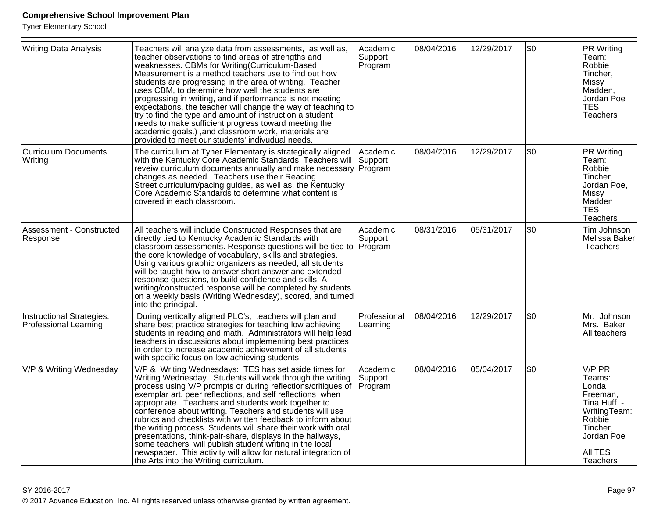| <b>Writing Data Analysis</b>                              | Teachers will analyze data from assessments, as well as,<br>teacher observations to find areas of strengths and<br>weaknesses. CBMs for Writing (Curriculum-Based<br>Measurement is a method teachers use to find out how<br>students are progressing in the area of writing. Teacher<br>uses CBM, to determine how well the students are<br>progressing in writing, and if performance is not meeting<br>expectations, the teacher will change the way of teaching to<br>try to find the type and amount of instruction a student<br>needs to make sufficient progress toward meeting the<br>academic goals.), and classroom work, materials are<br>provided to meet our students' indivudual needs.                                   | Academic<br>Support<br>Program | 08/04/2016 | 12/29/2017 | \$0 | <b>PR Writing</b><br>Team:<br>Robbie<br>Tincher,<br>Missy<br>Madden,<br>Jordan Poe<br><b>TES</b><br>Teachers                           |
|-----------------------------------------------------------|-----------------------------------------------------------------------------------------------------------------------------------------------------------------------------------------------------------------------------------------------------------------------------------------------------------------------------------------------------------------------------------------------------------------------------------------------------------------------------------------------------------------------------------------------------------------------------------------------------------------------------------------------------------------------------------------------------------------------------------------|--------------------------------|------------|------------|-----|----------------------------------------------------------------------------------------------------------------------------------------|
| <b>Curriculum Documents</b><br>Writing                    | The curriculum at Tyner Elementary is strategically aligned<br>with the Kentucky Core Academic Standards. Teachers will<br>reveiw curriculum documents annually and make necessary Program<br>changes as needed. Teachers use their Reading<br>Street curriculum/pacing guides, as well as, the Kentucky<br>Core Academic Standards to determine what content is<br>covered in each classroom.                                                                                                                                                                                                                                                                                                                                          | Academic<br>Support            | 08/04/2016 | 12/29/2017 | \$0 | PR Writing<br>Team:<br>Robbie<br>Tincher,<br>Jordan Poe,<br>Missy<br>Madden<br><b>TES</b><br><b>Teachers</b>                           |
| Assessment - Constructed<br>Response                      | All teachers will include Constructed Responses that are<br>directly tied to Kentucky Academic Standards with<br>classroom assessments. Response questions will be tied to<br>the core knowledge of vocabulary, skills and strategies.<br>Using various graphic organizers as needed, all students<br>will be taught how to answer short answer and extended<br>response questions, to build confidence and skills. A<br>writing/constructed response will be completed by students<br>on a weekly basis (Writing Wednesday), scored, and turned<br>into the principal.                                                                                                                                                                 | Academic<br>Support<br>Program | 08/31/2016 | 05/31/2017 | \$0 | Tim Johnson<br>Melissa Baker<br><b>Teachers</b>                                                                                        |
| Instructional Strategies:<br><b>Professional Learning</b> | During vertically aligned PLC's, teachers will plan and<br>share best practice strategies for teaching low achieving<br>students in reading and math. Administrators will help lead<br>teachers in discussions about implementing best practices<br>in order to increase academic achievement of all students<br>with specific focus on low achieving students.                                                                                                                                                                                                                                                                                                                                                                         | Professional<br>Learning       | 08/04/2016 | 12/29/2017 | \$0 | Mr. Johnson<br>Mrs. Baker<br>All teachers                                                                                              |
| V/P & Writing Wednesday                                   | V/P & Writing Wednesdays: TES has set aside times for<br>Writing Wednesday. Students will work through the writing<br>process using V/P prompts or during reflections/critiques of<br>exemplar art, peer reflections, and self reflections when<br>appropriate. Teachers and students work together to<br>conference about writing. Teachers and students will use<br>rubrics and checklists with written feedback to inform about<br>the writing process. Students will share their work with oral<br>presentations, think-pair-share, displays in the hallways,<br>some teachers will publish student writing in the local<br>newspaper. This activity will allow for natural integration of<br>the Arts into the Writing curriculum. | Academic<br>Support<br>Program | 08/04/2016 | 05/04/2017 | \$0 | V/P PR<br>Teams:<br>Londa<br>Freeman.<br>Tina Huff -<br>WritingTeam:<br>Robbie<br>Tincher,<br>Jordan Poe<br><b>AII TES</b><br>Teachers |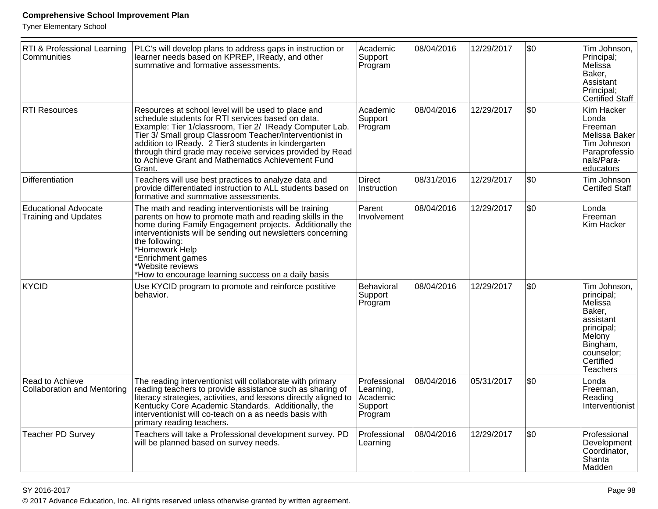| RTI & Professional Learning<br>Communities                 | PLC's will develop plans to address gaps in instruction or<br>learner needs based on KPREP, IReady, and other<br>summative and formative assessments.                                                                                                                                                                                                                                                               | Academic<br>Support<br>Program                              | 08/04/2016 | 12/29/2017 | \$0 | Tim Johnson,<br>Principal;<br>Melissa<br>Baker,<br>Assistant<br>Principal;<br>Certified Staff                                           |
|------------------------------------------------------------|---------------------------------------------------------------------------------------------------------------------------------------------------------------------------------------------------------------------------------------------------------------------------------------------------------------------------------------------------------------------------------------------------------------------|-------------------------------------------------------------|------------|------------|-----|-----------------------------------------------------------------------------------------------------------------------------------------|
| <b>RTI Resources</b>                                       | Resources at school level will be used to place and<br>schedule students for RTI services based on data.<br>Example: Tier 1/classroom, Tier 2/ IReady Computer Lab.<br>Tier 3/ Small group Classroom Teacher/Interventionist in<br>addition to IReady. 2 Tier3 students in kindergarten<br>through third grade may receive services provided by Read<br>to Achieve Grant and Mathematics Achievement Fund<br>Grant. | Academic<br>Support<br>Program                              | 08/04/2016 | 12/29/2017 | \$0 | Kim Hacker<br>Londa<br>Freeman<br>Melissa Baker<br>Tim Johnson<br>Paraprofessio<br>nals/Para-<br>educators                              |
| Differentiation                                            | Teachers will use best practices to analyze data and<br>provide differentiated instruction to ALL students based on<br>formative and summative assessments.                                                                                                                                                                                                                                                         | Direct<br>Instruction                                       | 08/31/2016 | 12/29/2017 | \$0 | Tim Johnson<br><b>Certifed Staff</b>                                                                                                    |
| <b>Educational Advocate</b><br><b>Training and Updates</b> | The math and reading interventionists will be training<br>parents on how to promote math and reading skills in the<br>home during Family Engagement projects. Additionally the<br>interventionists will be sending out newsletters concerning<br>the following:<br>*Homework Help<br>*Enrichment games<br>*Website reviews<br>*How to encourage learning success on a daily basis                                   | Parent<br>Involvement                                       | 08/04/2016 | 12/29/2017 | \$0 | Londa<br>Freeman<br>Kim Hacker                                                                                                          |
| KYCID                                                      | Use KYCID program to promote and reinforce postitive<br>behavior.                                                                                                                                                                                                                                                                                                                                                   | Behavioral<br>Support<br>Program                            | 08/04/2016 | 12/29/2017 | \$0 | Tim Johnson,<br>principal;<br>Melissa<br>Baker.<br>assistant<br>principal;<br>Melony<br>Bingham,<br>counselor;<br>Certified<br>Teachers |
| Read to Achieve<br><b>Collaboration and Mentoring</b>      | The reading interventionist will collaborate with primary<br>reading teachers to provide assistance such as sharing of<br>literacy strategies, activities, and lessons directly aligned to<br>Kentucky Core Academic Standards. Additionally, the<br>interventionist will co-teach on a as needs basis with<br>primary reading teachers.                                                                            | Professional<br>Learning,<br>Academic<br>Support<br>Program | 08/04/2016 | 05/31/2017 | \$0 | Londa<br>Freeman,<br>Reading<br>Interventionist                                                                                         |
| <b>Teacher PD Survey</b>                                   | Teachers will take a Professional development survey. PD<br>will be planned based on survey needs.                                                                                                                                                                                                                                                                                                                  | Professional<br>Learning                                    | 08/04/2016 | 12/29/2017 | \$0 | Professional<br>Development<br>Coordinator,<br>Shanta<br>Madden                                                                         |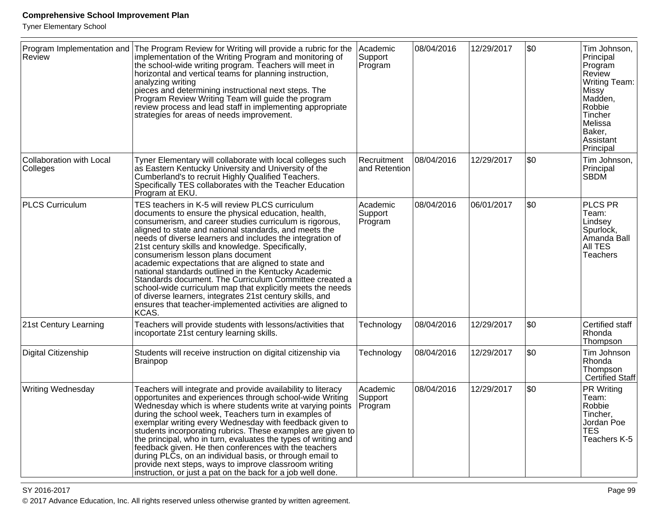Tyner Elementary School

| <b>Review</b>                        | Program Implementation and The Program Review for Writing will provide a rubric for the<br>implementation of the Writing Program and monitoring of<br>the school-wide writing program. Teachers will meet in<br>horizontal and vertical teams for planning instruction,<br>analyzing writing<br>pieces and determining instructional next steps. The<br>Program Review Writing Team will guide the program<br>review process and lead staff in implementing appropriate<br>strategies for areas of needs improvement.                                                                                                                                                                                                                                       | Academic<br>Support<br>Program | 08/04/2016 | 12/29/2017 | \$0 | Tim Johnson,<br>Principal<br>Program<br>Review<br><b>Writing Team:</b><br>Missy<br>Madden,<br>Robbie<br>Tincher<br>Melissa<br>Baker,<br>Assistant<br>Principal |
|--------------------------------------|-------------------------------------------------------------------------------------------------------------------------------------------------------------------------------------------------------------------------------------------------------------------------------------------------------------------------------------------------------------------------------------------------------------------------------------------------------------------------------------------------------------------------------------------------------------------------------------------------------------------------------------------------------------------------------------------------------------------------------------------------------------|--------------------------------|------------|------------|-----|----------------------------------------------------------------------------------------------------------------------------------------------------------------|
| Collaboration with Local<br>Colleges | Tyner Elementary will collaborate with local colleges such<br>as Eastern Kentucky University and University of the<br>Cumberland's to recruit Highly Qualified Teachers.<br>Specifically TES collaborates with the Teacher Education<br>Program at EKU.                                                                                                                                                                                                                                                                                                                                                                                                                                                                                                     | Recruitment<br>and Retention   | 08/04/2016 | 12/29/2017 | \$0 | Tim Johnson,<br>Principal<br><b>SBDM</b>                                                                                                                       |
| <b>PLCS Curriculum</b>               | TES teachers in K-5 will review PLCS curriculum<br>documents to ensure the physical education, health,<br>consumerism, and career studies curriculum is rigorous,<br>aligned to state and national standards, and meets the<br>needs of diverse learners and includes the integration of<br>21st century skills and knowledge. Specifically,<br>consumerism lesson plans document<br>academic expectations that are aligned to state and<br>national standards outlined in the Kentucky Academic<br>Standards document. The Curriculum Committee created a<br>school-wide curriculum map that explicitly meets the needs<br>of diverse learners, integrates 21st century skills, and<br>ensures that teacher-implemented activities are aligned to<br>KCAS. | Academic<br>Support<br>Program | 08/04/2016 | 06/01/2017 | \$0 | <b>PLCS PR</b><br>Team:<br>Lindsey<br>Spurlock,<br>Amanda Ball<br><b>AII TES</b><br><b>Teachers</b>                                                            |
| 21st Century Learning                | Teachers will provide students with lessons/activities that<br>incoportate 21st century learning skills.                                                                                                                                                                                                                                                                                                                                                                                                                                                                                                                                                                                                                                                    | Technology                     | 08/04/2016 | 12/29/2017 | \$0 | Certified staff<br>Rhonda<br>Thompson                                                                                                                          |
| Digital Citizenship                  | Students will receive instruction on digital citizenship via<br><b>Brainpop</b>                                                                                                                                                                                                                                                                                                                                                                                                                                                                                                                                                                                                                                                                             | Technology                     | 08/04/2016 | 12/29/2017 | \$0 | Tim Johnson<br>Rhonda<br>Thompson<br><b>Certified Staff</b>                                                                                                    |
| <b>Writing Wednesday</b>             | Teachers will integrate and provide availability to literacy<br>opportunites and experiences through school-wide Writing<br>Wednesday which is where students write at varying points<br>during the school week, Teachers turn in examples of<br>exemplar writing every Wednesday with feedback given to<br>students incorporating rubrics. These examples are given to<br>the principal, who in turn, evaluates the types of writing and<br>feedback given. He then conferences with the teachers<br>during PLCs, on an individual basis, or through email to<br>provide next steps, ways to improve classroom writing<br>instruction, or just a pat on the back for a job well done.                                                                      | Academic<br>Support<br>Program | 08/04/2016 | 12/29/2017 | \$0 | <b>PR Writing</b><br>Team:<br>Robbie<br>Tincher,<br>Jordan Poe<br><b>TES</b><br>Teachers K-5                                                                   |

en die 19de jaar van die 19de eeu n.C. In 19de eeu n.C. In 19de eeu n.C. In 19de eeu n.C. In 19de eeu n.C. In 1 © 2017 Advance Education, Inc. All rights reserved unless otherwise granted by written agreement.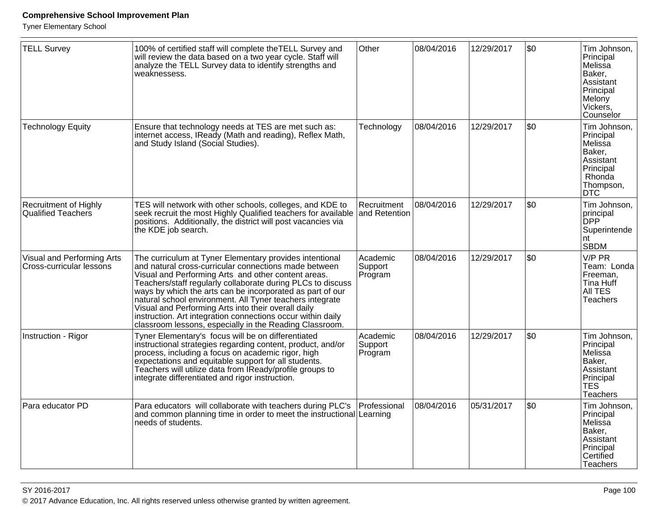| <b>TELL Survey</b>                                     | 100% of certified staff will complete the TELL Survey and<br>will review the data based on a two year cycle. Staff will<br>analyze the TELL Survey data to identify strengths and<br>weaknessess.                                                                                                                                                                                                                                                                                                                                                | Other                          | 08/04/2016 | 12/29/2017 | \$0 | Tim Johnson,<br>Principal<br>Melissa<br>Baker,<br>Assistant<br>Principal<br>Melony<br>Vickers,<br>Counselor   |
|--------------------------------------------------------|--------------------------------------------------------------------------------------------------------------------------------------------------------------------------------------------------------------------------------------------------------------------------------------------------------------------------------------------------------------------------------------------------------------------------------------------------------------------------------------------------------------------------------------------------|--------------------------------|------------|------------|-----|---------------------------------------------------------------------------------------------------------------|
| <b>Technology Equity</b>                               | Ensure that technology needs at TES are met such as:<br>internet access, IReady (Math and reading), Reflex Math,<br>and Study Island (Social Studies).                                                                                                                                                                                                                                                                                                                                                                                           | Technology                     | 08/04/2016 | 12/29/2017 | \$0 | Tim Johnson,<br>Principal<br>Melissa<br>Baker,<br>Assistant<br>Principal<br>Rhonda<br>Thompson,<br><b>DTC</b> |
| <b>Recruitment of Highly</b><br>Qualified Teachers     | TES will network with other schools, colleges, and KDE to<br>seek recruit the most Highly Qualified teachers for available and Retention<br>positions. Additionally, the district will post vacancies via<br>the KDE job search.                                                                                                                                                                                                                                                                                                                 | Recruitment                    | 08/04/2016 | 12/29/2017 | \$0 | Tim Johnson,<br>principal<br><b>DPP</b><br>Superintende<br>nt<br><b>SBDM</b>                                  |
| Visual and Performing Arts<br>Cross-curricular lessons | The curriculum at Tyner Elementary provides intentional<br>and natural cross-curricular connections made between<br>Visual and Performing Arts and other content areas.<br>Teachers/staff regularly collaborate during PLCs to discuss<br>ways by which the arts can be incorporated as part of our<br>natural school environment. All Tyner teachers integrate<br>Visual and Performing Arts into their overall daily<br>instruction. Art integration connections occur within daily<br>classroom lessons, especially in the Reading Classroom. | Academic<br>Support<br>Program | 08/04/2016 | 12/29/2017 | \$0 | V/P PR<br>Team: Londa<br>Freeman,<br>Tina Huff<br>All TES<br><b>Teachers</b>                                  |
| Instruction - Rigor                                    | Tyner Elementary's focus will be on differentiated<br>instructional strategies regarding content, product, and/or<br>process, including a focus on academic rigor, high<br>expectations and equitable support for all students.<br>Teachers will utilize data from IReady/profile groups to<br>integrate differentiated and rigor instruction.                                                                                                                                                                                                   | Academic<br>Support<br>Program | 08/04/2016 | 12/29/2017 | \$0 | Tim Johnson,<br>Principal<br>Melissa<br>Baker,<br>Assistant<br>Principal<br><b>TES</b><br><b>Teachers</b>     |
| Para educator PD                                       | Para educators will collaborate with teachers during PLC's<br>and common planning time in order to meet the instructional Learning<br>needs of students.                                                                                                                                                                                                                                                                                                                                                                                         | Professional                   | 08/04/2016 | 05/31/2017 | \$0 | Tim Johnson,<br>Principal<br>Melissa<br>Baker.<br>Assistant<br>Principal<br>Certified<br><b>Teachers</b>      |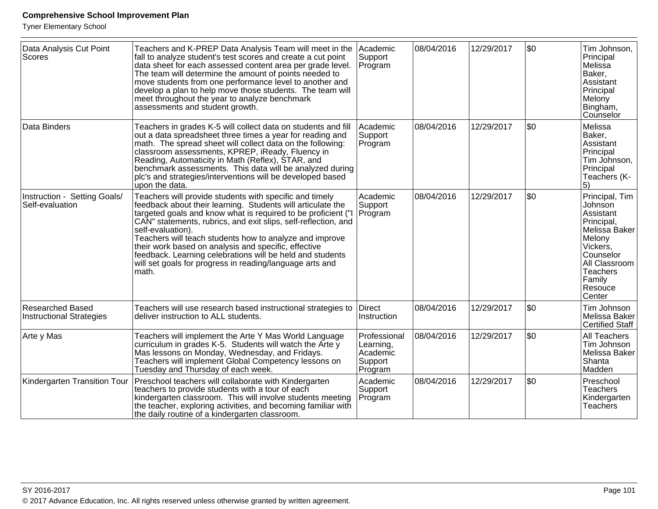| Data Analysis Cut Point<br>Scores                   | Teachers and K-PREP Data Analysis Team will meet in the<br>fall to analyze student's test scores and create a cut point<br>data sheet for each assessed content area per grade level.<br>The team will determine the amount of points needed to<br>move students from one performance level to another and<br>develop a plan to help move those students. The team will<br>meet throughout the year to analyze benchmark<br>assessments and student growth.                                                                         | Academic<br>Support<br>Program                              | 08/04/2016 | 12/29/2017 | l\$0 | Tim Johnson,<br>Principal<br>Melissa<br>Baker,<br>Assistant<br>Principal<br>Melony<br>Bingham,<br>Counselor                                                                 |
|-----------------------------------------------------|-------------------------------------------------------------------------------------------------------------------------------------------------------------------------------------------------------------------------------------------------------------------------------------------------------------------------------------------------------------------------------------------------------------------------------------------------------------------------------------------------------------------------------------|-------------------------------------------------------------|------------|------------|------|-----------------------------------------------------------------------------------------------------------------------------------------------------------------------------|
| Data Binders                                        | Teachers in grades K-5 will collect data on students and fill<br>out a data spreadsheet three times a year for reading and<br>math. The spread sheet will collect data on the following:<br>classroom assessments, KPREP, iReady, Fluency in<br>Reading, Automaticity in Math (Reflex), STAR, and<br>benchmark assessments. This data will be analyzed during<br>plc's and strategies/interventions will be developed based<br>upon the data.                                                                                       | Academic<br>Support<br>Program                              | 08/04/2016 | 12/29/2017 | l\$0 | Melissa<br>Baker,<br>Assistant<br>Principal<br>Tim Johnson,<br>Principal<br>Teachers (K-<br>5)                                                                              |
| Instruction - Setting Goals/<br>Self-evaluation     | Teachers will provide students with specific and timely<br>feedback about their learning. Students will articulate the<br>targeted goals and know what is required to be proficient ("I<br>CAN" statements, rubrics, and exit slips, self-reflection, and<br>self-evaluation).<br>Teachers will teach students how to analyze and improve<br>their work based on analysis and specific, effective<br>feedback. Learning celebrations will be held and students<br>will set goals for progress in reading/language arts and<br>math. | Academic<br>Support<br>Program                              | 08/04/2016 | 12/29/2017 | l\$0 | Principal, Tim<br>Johnson<br>Assistant<br>Principal,<br>Melissa Baker<br>Melony<br>Vickers,<br>Counselor<br>All Classroom<br><b>Teachers</b><br>Family<br>Resouce<br>Center |
| Researched Based<br><b>Instructional Strategies</b> | Teachers will use research based instructional strategies to<br>deliver instruction to ALL students.                                                                                                                                                                                                                                                                                                                                                                                                                                | Direct<br>Instruction                                       | 08/04/2016 | 12/29/2017 | \$0  | Tim Johnson<br>Melissa Baker<br><b>Certified Staff</b>                                                                                                                      |
| Arte y Mas                                          | Teachers will implement the Arte Y Mas World Language<br>curriculum in grades K-5. Students will watch the Arte y<br>Mas lessons on Monday, Wednesday, and Fridays.<br>Teachers will implement Global Competency lessons on<br>Tuesday and Thursday of each week.                                                                                                                                                                                                                                                                   | Professional<br>Learning,<br>Academic<br>Support<br>Program | 08/04/2016 | 12/29/2017 | \$0  | All Teachers<br>Tim Johnson<br>Melissa Baker<br>Shanta<br>Madden                                                                                                            |
| Kindergarten Transition Tour                        | Preschool teachers will collaborate with Kindergarten<br>teachers to provide students with a tour of each<br>kindergarten classroom. This will involve students meeting<br>the teacher, exploring activities, and becoming familiar with<br>the daily routine of a kindergarten classroom.                                                                                                                                                                                                                                          | Academic<br>Support<br>Program                              | 08/04/2016 | 12/29/2017 | \$0  | Preschool<br><b>Teachers</b><br>Kindergarten<br><b>Teachers</b>                                                                                                             |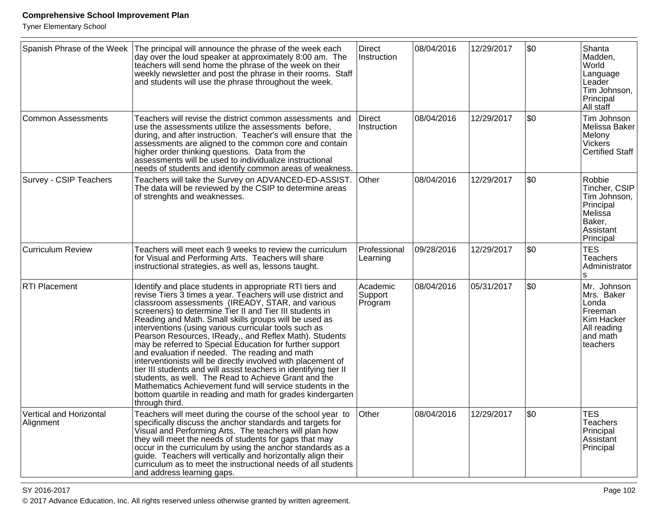Tyner Elementary School

| Spanish Phrase of the Week           | The principal will announce the phrase of the week each<br>day over the loud speaker at approximately 8:00 am. The<br>teachers will send home the phrase of the week on their<br>weekly newsletter and post the phrase in their rooms. Staff<br>and students will use the phrase throughout the week.                                                                                                                                                                                                                                                                                                                                                                                                                                                                                                                                                                        | <b>Direct</b><br>Instruction   | 08/04/2016 | 12/29/2017 | \$0 | Shanta<br>Madden,<br>World<br>Language<br>Leader<br>Tim Johnson,<br>Principal<br>All staff                |
|--------------------------------------|------------------------------------------------------------------------------------------------------------------------------------------------------------------------------------------------------------------------------------------------------------------------------------------------------------------------------------------------------------------------------------------------------------------------------------------------------------------------------------------------------------------------------------------------------------------------------------------------------------------------------------------------------------------------------------------------------------------------------------------------------------------------------------------------------------------------------------------------------------------------------|--------------------------------|------------|------------|-----|-----------------------------------------------------------------------------------------------------------|
| Common Assessments                   | Teachers will revise the district common assessments and<br>use the assessments utilize the assessments before,<br>during, and after instruction. Teacher's will ensure that the<br>assessments are aligned to the common core and contain<br>higher order thinking questions. Data from the<br>assessments will be used to individualize instructional<br>needs of students and identify common areas of weakness.                                                                                                                                                                                                                                                                                                                                                                                                                                                          | <b>Direct</b><br>Instruction   | 08/04/2016 | 12/29/2017 | \$0 | Tim Johnson<br>Melissa Baker<br>Melony<br>Vickers<br><b>Certified Staff</b>                               |
| <b>Survey - CSIP Teachers</b>        | Teachers will take the Survey on ADVANCED-ED-ASSIST.<br>The data will be reviewed by the CSIP to determine areas<br>of strenghts and weaknesses.                                                                                                                                                                                                                                                                                                                                                                                                                                                                                                                                                                                                                                                                                                                             | <b>Other</b>                   | 08/04/2016 | 12/29/2017 | \$0 | Robbie<br>Tincher, CSIP<br>Tim Johnson,<br>Principal<br>Melissa<br>Baker,<br>Assistant<br>Principal       |
| <b>Curriculum Review</b>             | Teachers will meet each 9 weeks to review the curriculum<br>for Visual and Performing Arts. Teachers will share<br>instructional strategies, as well as, lessons taught.                                                                                                                                                                                                                                                                                                                                                                                                                                                                                                                                                                                                                                                                                                     | Professional<br>Learning       | 09/28/2016 | 12/29/2017 | \$0 | <b>TES</b><br><b>Teachers</b><br>Administrator<br>s                                                       |
| <b>RTI Placement</b>                 | Identify and place students in appropriate RTI tiers and<br>revise Tiers 3 times a year. Teachers will use district and<br>classroom assessments (IREADY, STAR, and various<br>screeners) to determine Tier II and Tier III students in<br>Reading and Math. Small skills groups will be used as<br>interventions (using various curricular tools such as<br>Pearson Resources, IReady,, and Reflex Math). Students<br>may be referred to Special Education for further support<br>and evaluation if needed. The reading and math<br>interventionists will be directly involved with placement of<br>tier III students and will assist teachers in identifying tier II<br>students, as well. The Read to Achieve Grant and the<br>Mathematics Achievement fund will service students in the<br>bottom quartile in reading and math for grades kindergarten<br>through third. | Academic<br>Support<br>Program | 08/04/2016 | 05/31/2017 | \$0 | Mr. Johnson<br>Mrs. Baker<br>Londa<br><b>Freeman</b><br>Kim Hacker<br>All reading<br>and math<br>teachers |
| Vertical and Horizontal<br>Alignment | Teachers will meet during the course of the school year to<br>specifically discuss the anchor standards and targets for<br>Visual and Performing Arts. The teachers will plan how<br>they will meet the needs of students for gaps that may<br>occur in the curriculum by using the anchor standards as a<br>guide. Teachers will vertically and horizontally align their<br>curriculum as to meet the instructional needs of all students<br>and address learning gaps.                                                                                                                                                                                                                                                                                                                                                                                                     | Other                          | 08/04/2016 | 12/29/2017 | \$0 | <b>TES</b><br><b>Teachers</b><br>Principal<br>Assistant<br>Principal                                      |

en and the state of the state of the state of the state of the state of the state of the Page 102  $\,$ © 2017 Advance Education, Inc. All rights reserved unless otherwise granted by written agreement.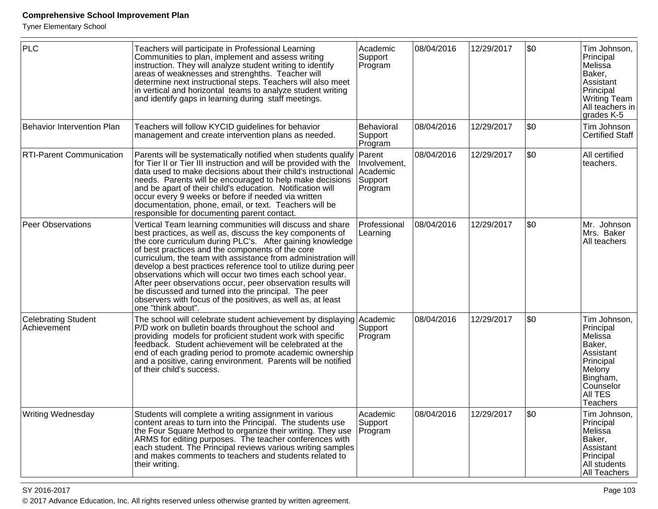Tyner Elementary School

| <b>PLC</b>                                | Teachers will participate in Professional Learning<br>Communities to plan, implement and assess writing<br>instruction. They will analyze student writing to identify<br>areas of weaknesses and strenghths. Teacher will<br>determine next instructional steps. Teachers will also meet<br>in vertical and horizontal teams to analyze student writing<br>and identify gaps in learning during staff meetings.                                                                                                                                                                                                                                      | Academic<br>Support<br>Program                 | 08/04/2016 | 12/29/2017 | \$0     | Tim Johnson,<br>Principal<br>Melissa<br>Baker,<br>Assistant<br>Principal<br>Writing Team<br>All teachers in<br>grades K-5                 |
|-------------------------------------------|------------------------------------------------------------------------------------------------------------------------------------------------------------------------------------------------------------------------------------------------------------------------------------------------------------------------------------------------------------------------------------------------------------------------------------------------------------------------------------------------------------------------------------------------------------------------------------------------------------------------------------------------------|------------------------------------------------|------------|------------|---------|-------------------------------------------------------------------------------------------------------------------------------------------|
| <b>Behavior Intervention Plan</b>         | Teachers will follow KYCID guidelines for behavior<br>management and create intervention plans as needed.                                                                                                                                                                                                                                                                                                                                                                                                                                                                                                                                            | Behavioral<br>Support<br>Program               | 08/04/2016 | 12/29/2017 | \$0     | Tim Johnson<br><b>Certified Staff</b>                                                                                                     |
| RTI-Parent Communication                  | Parents will be systematically notified when students qualify Parent<br>for Tier II or Tier III instruction and will be provided with the<br>data used to make decisions about their child's instructional<br>needs. Parents will be encouraged to help make decisions<br>and be apart of their child's education. Notification will<br>occur every 9 weeks or before if needed via written<br>documentation, phone, email, or text. Teachers will be<br>responsible for documenting parent contact.                                                                                                                                                 | Involvement,<br>Academic<br>Support<br>Program | 08/04/2016 | 12/29/2017 | \$0     | All certified<br>teachers.                                                                                                                |
| <b>Peer Observations</b>                  | Vertical Team learning communities will discuss and share<br>best practices, as well as, discuss the key components of<br>the core curriculum during PLC's. After gaining knowledge<br>of best practices and the components of the core<br>curriculum, the team with assistance from administration will<br>develop a best practices reference tool to utilize during peer<br>observations which will occur two times each school year.<br>After peer observations occur, peer observation results will<br>be discussed and turned into the principal. The peer<br>observers with focus of the positives, as well as, at least<br>one "think about". | Professional<br>Learning                       | 08/04/2016 | 12/29/2017 | \$0     | Mr. Johnson<br>Mrs. Baker<br>All teachers                                                                                                 |
| <b>Celebrating Student</b><br>Achievement | The school will celebrate student achievement by displaying Academic<br>P/D work on bulletin boards throughout the school and<br>providing models for proficient student work with specific<br>feedback. Student achievement will be celebrated at the<br>end of each grading period to promote academic ownership<br>and a positive, caring environment. Parents will be notified<br>of their child's success.                                                                                                                                                                                                                                      | Support<br>Program                             | 08/04/2016 | 12/29/2017 | \$0     | Tim Johnson,<br>Principal<br>Melissa<br>Baker,<br>Assistant<br>Principal<br>Melony<br>Bingham,<br>Counselor<br>All TES<br><b>Teachers</b> |
| Writing Wednesday                         | Students will complete a writing assignment in various<br>content areas to turn into the Principal. The students use<br>the Four Square Method to organize their writing. They use<br>ARMS for editing purposes. The teacher conferences with<br>each student. The Principal reviews various writing samples<br>and makes comments to teachers and students related to<br>their writing.                                                                                                                                                                                                                                                             | Academic<br>Support<br>Program                 | 08/04/2016 | 12/29/2017 | $ $ \$0 | Tim Johnson,<br>Principal<br>Melissa<br>Baker,<br>Assistant<br>Principal<br>All students<br>All Teachers                                  |

en and the set of the set of the set of the set of the set of the set of the set of the Page 103  $\,$ © 2017 Advance Education, Inc. All rights reserved unless otherwise granted by written agreement.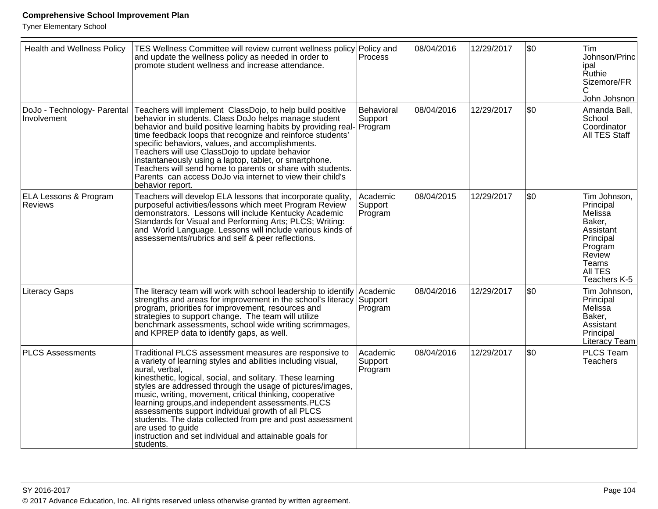| <b>Health and Wellness Policy</b>                  | TES Wellness Committee will review current wellness policy Policy and<br>and update the wellness policy as needed in order to<br>promote student wellness and increase attendance.                                                                                                                                                                                                                                                                                                                                                                                                                    | <b>Process</b>                 | 08/04/2016 | 12/29/2017 | \$0  | Tim<br>Johnson/Princ<br>lipal<br>∣Ruthie<br>Sizemore/FR<br>John Johsnon                                                           |
|----------------------------------------------------|-------------------------------------------------------------------------------------------------------------------------------------------------------------------------------------------------------------------------------------------------------------------------------------------------------------------------------------------------------------------------------------------------------------------------------------------------------------------------------------------------------------------------------------------------------------------------------------------------------|--------------------------------|------------|------------|------|-----------------------------------------------------------------------------------------------------------------------------------|
| DoJo - Technology- Parental<br>Involvement         | Teachers will implement ClassDojo, to help build positive<br>behavior in students. Class DoJo helps manage student<br>behavior and build positive learning habits by providing real- Program<br>time feedback loops that recognize and reinforce students'<br>specific behaviors, values, and accomplishments.<br>Teachers will use ClassDojo to update behavior<br>instantaneously using a laptop, tablet, or smartphone.<br>Teachers will send home to parents or share with students.<br>Parents can access DoJo via internet to view their child's<br>behavior report.                            | Behavioral<br>Support          | 08/04/2016 | 12/29/2017 | \$0  | Amanda Ball,<br>School<br>Coordinator<br>All TES Staff                                                                            |
| <b>ELA Lessons &amp; Program</b><br><b>Reviews</b> | Teachers will develop ELA lessons that incorporate quality,<br>purposeful activities/lessons which meet Program Review<br>demonstrators. Lessons will include Kentucky Academic<br>Standards for Visual and Performing Arts; PLCS; Writing:<br>and World Language. Lessons will include various kinds of<br>assessements/rubrics and self & peer reflections.                                                                                                                                                                                                                                         | Academic<br>Support<br>Program | 08/04/2015 | 12/29/2017 | l\$0 | Tim Johnson,<br>Principal<br>Melissa<br>Baker,<br>Assistant<br>Principal<br>Program<br>Review<br>Teams<br>AII TES<br>Teachers K-5 |
| <b>Literacy Gaps</b>                               | The literacy team will work with school leadership to identify Academic<br>strengths and areas for improvement in the school's literacy Support<br>program, priorities for improvement, resources and<br>strategies to support change. The team will utilize<br>benchmark assessments, school wide writing scrimmages,<br>and KPREP data to identify gaps, as well.                                                                                                                                                                                                                                   | Program                        | 08/04/2016 | 12/29/2017 | \$0  | Tim Johnson,<br>Principal<br>Melissa<br>Baker,<br>Assistant<br>Principal<br>Literacy Team                                         |
| <b>PLCS Assessments</b>                            | Traditional PLCS assessment measures are responsive to<br>a variety of learning styles and abilities including visual,<br>aural, verbal,<br>kinesthetic, logical, social, and solitary. These learning<br>styles are addressed through the usage of pictures/images,<br>music, writing, movement, critical thinking, cooperative<br>learning groups, and independent assessments. PLCS<br>assessments support individual growth of all PLCS<br>students. The data collected from pre and post assessment<br>are used to guide<br>instruction and set individual and attainable goals for<br>students. | Academic<br>Support<br>Program | 08/04/2016 | 12/29/2017 | \$0  | PLCS Team<br><b>Teachers</b>                                                                                                      |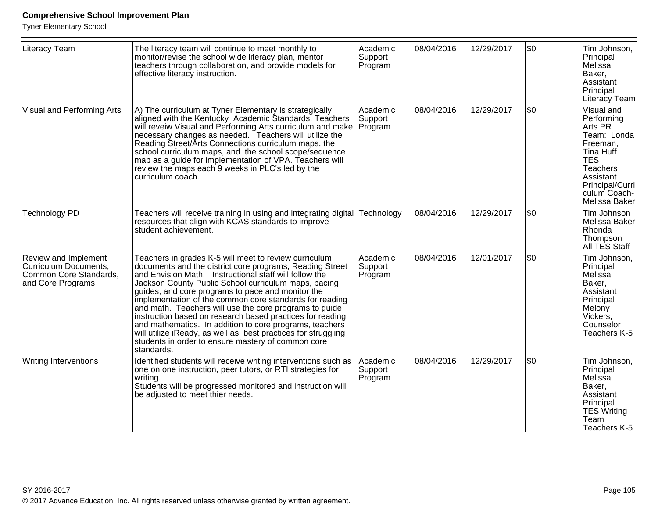| Literacy Team                                                                                | The literacy team will continue to meet monthly to<br>monitor/revise the school wide literacy plan, mentor<br>teachers through collaboration, and provide models for<br>effective literacy instruction.                                                                                                                                                                                                                                                                                                                                                                                                                                                                     | Academic<br>Support<br>Program | 08/04/2016 | 12/29/2017 | \$0  | Tim Johnson,<br>Principal<br>Melissa<br>Baker,<br>Assistant<br>Principal<br>Literacy Team                                                                              |
|----------------------------------------------------------------------------------------------|-----------------------------------------------------------------------------------------------------------------------------------------------------------------------------------------------------------------------------------------------------------------------------------------------------------------------------------------------------------------------------------------------------------------------------------------------------------------------------------------------------------------------------------------------------------------------------------------------------------------------------------------------------------------------------|--------------------------------|------------|------------|------|------------------------------------------------------------------------------------------------------------------------------------------------------------------------|
| Visual and Performing Arts                                                                   | A) The curriculum at Tyner Elementary is strategically<br>aligned with the Kentucky Academic Standards. Teachers<br>will reveiw Visual and Performing Arts curriculum and make Program<br>necessary changes as needed. Teachers will utilize the<br>Reading Street/Arts Connections curriculum maps, the<br>school curriculum maps, and the school scope/sequence<br>map as a guide for implementation of VPA. Teachers will<br>review the maps each 9 weeks in PLC's led by the<br>curriculum coach.                                                                                                                                                                       | Academic<br>Support            | 08/04/2016 | 12/29/2017 | \$0  | Visual and<br>Performing<br>Arts PR<br>Team: Londa<br>Freeman,<br>Tina Huff<br><b>TES</b><br>Teachers<br>Assistant<br>Principal/Curri<br>culum Coach-<br>Melissa Baker |
| <b>Technology PD</b>                                                                         | Teachers will receive training in using and integrating digital Technology<br>resources that align with KCAS standards to improve<br>student achievement.                                                                                                                                                                                                                                                                                                                                                                                                                                                                                                                   |                                | 08/04/2016 | 12/29/2017 | l\$0 | Tim Johnson<br>Melissa Baker<br>Rhonda<br>Thompson<br>All TES Staff                                                                                                    |
| Review and Implement<br>Curriculum Documents,<br>Common Core Standards,<br>and Core Programs | Teachers in grades K-5 will meet to review curriculum<br>documents and the district core programs, Reading Street<br>and Envision Math. Instructional staff will follow the<br>Jackson County Public School curriculum maps, pacing<br>guides, and core programs to pace and monitor the<br>implementation of the common core standards for reading<br>and math. Teachers will use the core programs to guide<br>instruction based on research based practices for reading<br>and mathematics. In addition to core programs, teachers<br>will utilize iReady, as well as, best practices for struggling<br>students in order to ensure mastery of common core<br>standards. | Academic<br>Support<br>Program | 08/04/2016 | 12/01/2017 | \$0  | Tim Johnson,<br>Principal<br>Melissa<br>Baker,<br>Assistant<br>Principal<br>Melony<br>Vickers,<br>Counselor<br>Teachers K-5                                            |
| <b>Writing Interventions</b>                                                                 | Identified students will receive writing interventions such as<br>one on one instruction, peer tutors, or RTI strategies for<br>writing.<br>Students will be progressed monitored and instruction will<br>be adjusted to meet thier needs.                                                                                                                                                                                                                                                                                                                                                                                                                                  | Academic<br>Support<br>Program | 08/04/2016 | 12/29/2017 | \$0  | Tim Johnson,<br>Principal<br>Melissa<br>Baker,<br>Assistant<br>Principal<br><b>TES Writing</b><br>Team<br>Teachers K-5                                                 |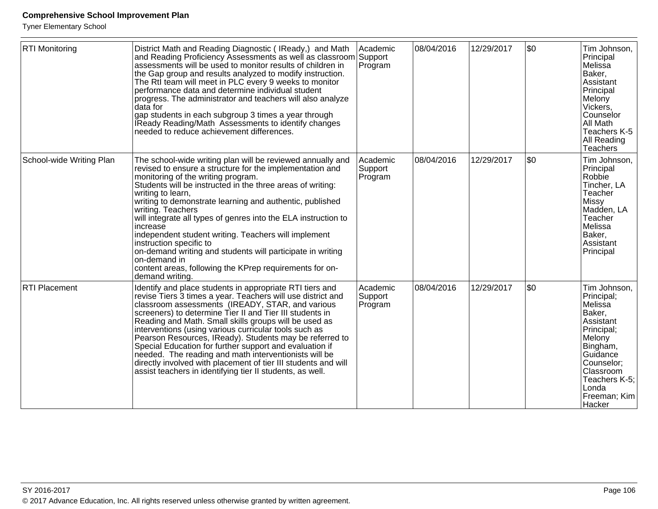| <b>RTI Monitoring</b>    | District Math and Reading Diagnostic (IReady,) and Math<br>and Reading Proficiency Assessments as well as classroom Support<br>assessments will be used to monitor results of children in<br>the Gap group and results analyzed to modify instruction.<br>The Rtl team will meet in PLC every 9 weeks to monitor<br>performance data and determine individual student<br>progress. The administrator and teachers will also analyze<br>data for<br>gap students in each subgroup 3 times a year through<br>IReady Reading/Math Assessments to identify changes<br>needed to reduce achievement differences.                                                             | Academic<br>Program            | 08/04/2016 | 12/29/2017 | \$0 | Tim Johnson,<br>Principal<br>Melissa<br>Baker,<br>Assistant<br>Principal<br>Melony<br>Vickers,<br>Counselor<br>∣All Math<br>Teachers K-5<br>All Reading<br>Teachers                           |
|--------------------------|-------------------------------------------------------------------------------------------------------------------------------------------------------------------------------------------------------------------------------------------------------------------------------------------------------------------------------------------------------------------------------------------------------------------------------------------------------------------------------------------------------------------------------------------------------------------------------------------------------------------------------------------------------------------------|--------------------------------|------------|------------|-----|-----------------------------------------------------------------------------------------------------------------------------------------------------------------------------------------------|
| School-wide Writing Plan | The school-wide writing plan will be reviewed annually and<br>revised to ensure a structure for the implementation and<br>monitoring of the writing program.<br>Students will be instructed in the three areas of writing:<br>writing to learn,<br>writing to demonstrate learning and authentic, published<br>writing. Teachers<br>will integrate all types of genres into the ELA instruction to<br>increase<br>independent student writing. Teachers will implement<br>instruction specific to<br>on-demand writing and students will participate in writing<br>on-demand in<br>content areas, following the KPrep requirements for on-<br>demand writing.           | Academic<br>Support<br>Program | 08/04/2016 | 12/29/2017 | \$0 | Tim Johnson,<br>Principal<br>Robbie<br>Tincher, LA<br>Teacher<br>Missy<br>Madden, LA<br>Teacher<br>Melissa<br>Baker,<br><b>Assistant</b><br>Principal                                         |
| <b>RTI Placement</b>     | Identify and place students in appropriate RTI tiers and<br>revise Tiers 3 times a year. Teachers will use district and<br>classroom assessments (IREADY, STAR, and various<br>screeners) to determine Tier II and Tier III students in<br>Reading and Math. Small skills groups will be used as<br>interventions (using various curricular tools such as<br>Pearson Resources, IReady). Students may be referred to<br>Special Education for further support and evaluation if<br>needed. The reading and math interventionists will be<br>directly involved with placement of tier III students and will<br>assist teachers in identifying tier II students, as well. | Academic<br>Support<br>Program | 08/04/2016 | 12/29/2017 | \$0 | Tim Johnson,<br>Principal;<br>Melissa<br>Baker,<br>Assistant<br>Principal;<br>Melony<br>Bingham,<br>Guidance<br>Counselor;<br>Classroom<br>Teachers K-5;<br>l Londa<br>Freeman; Kim<br>Hacker |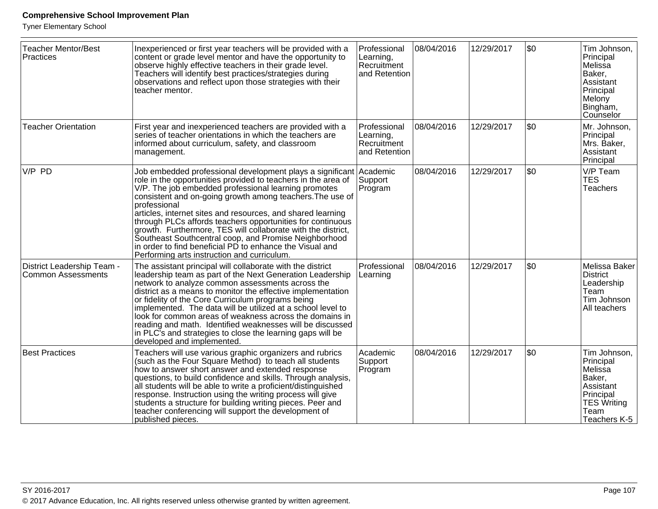| <b>Teacher Mentor/Best</b><br><b>Practices</b>          | Inexperienced or first year teachers will be provided with a<br>content or grade level mentor and have the opportunity to<br>observe highly effective teachers in their grade level.<br>Teachers will identify best practices/strategies during<br>observations and reflect upon those strategies with their<br>teacher mentor.                                                                                                                                                                                                                                                                                                           | Professional<br>Learning,<br>Recruitment<br>and Retention | 08/04/2016 | 12/29/2017 | \$0 | Tim Johnson,<br>Principal<br>Melissa<br>Baker,<br>Assistant<br>Principal<br>Melony<br>Bingham,<br>Counselor            |
|---------------------------------------------------------|-------------------------------------------------------------------------------------------------------------------------------------------------------------------------------------------------------------------------------------------------------------------------------------------------------------------------------------------------------------------------------------------------------------------------------------------------------------------------------------------------------------------------------------------------------------------------------------------------------------------------------------------|-----------------------------------------------------------|------------|------------|-----|------------------------------------------------------------------------------------------------------------------------|
| <b>Teacher Orientation</b>                              | First year and inexperienced teachers are provided with a<br>series of teacher orientations in which the teachers are<br>informed about curriculum, safety, and classroom<br>management.                                                                                                                                                                                                                                                                                                                                                                                                                                                  | Professional<br>Learning,<br>Recruitment<br>and Retention | 08/04/2016 | 12/29/2017 | \$0 | Mr. Johnson,<br>Principal<br>Mrs. Baker,<br>Assistant<br>Principal                                                     |
| V/P PD                                                  | Job embedded professional development plays a significant Academic<br>role in the opportunities provided to teachers in the area of<br>V/P. The job embedded professional learning promotes<br>consistent and on-going growth among teachers. The use of<br>professional<br>articles, internet sites and resources, and shared learning<br>through PLCs affords teachers opportunities for continuous<br>growth. Furthermore, TES will collaborate with the district,<br>Southeast Southcentral coop, and Promise Neighborhood<br>in order to find beneficial PD to enhance the Visual and<br>Performing arts instruction and curriculum. | Support<br>Program                                        | 08/04/2016 | 12/29/2017 | \$0 | V/P Team<br><b>TES</b><br><b>Teachers</b>                                                                              |
| District Leadership Team -<br><b>Common Assessments</b> | The assistant principal will collaborate with the district<br>leadership team as part of the Next Generation Leadership<br>network to analyze common assessments across the<br>district as a means to monitor the effective implementation<br>or fidelity of the Core Curriculum programs being<br>implemented. The data will be utilized at a school level to<br>look for common areas of weakness across the domains in<br>reading and math. Identified weaknesses will be discussed<br>in PLC <sup>T</sup> s and strategies to close the learning gaps will be<br>developed and implemented                                            | Professional<br>Learning                                  | 08/04/2016 | 12/29/2017 | \$0 | Melissa Baker<br><b>District</b><br>Leadership<br>Team<br>Tim Johnson<br>All teachers                                  |
| <b>Best Practices</b>                                   | Teachers will use various graphic organizers and rubrics<br>(such as the Four Square Method) to teach all students<br>how to answer short answer and extended response<br>questions, to build confidence and skills. Through analysis,<br>all students will be able to write a proficient/distinguished<br>response. Instruction using the writing process will give<br>students a structure for building writing pieces. Peer and<br>teacher conferencing will support the development of<br>published pieces.                                                                                                                           | Academic<br>Support<br>Program                            | 08/04/2016 | 12/29/2017 | \$0 | Tim Johnson,<br>Principal<br>Melissa<br>Baker,<br>Assistant<br>Principal<br><b>TES Writing</b><br>Team<br>Teachers K-5 |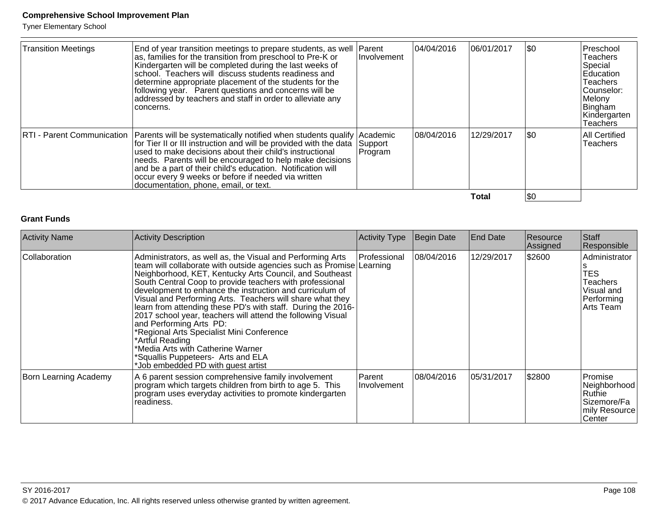Tyner Elementary School

| <b>Transition Meetings</b> | End of year transition meetings to prepare students, as well Parent<br>as, families for the transition from preschool to Pre-K or<br>Kindergarten will be completed during the last weeks of<br>school. Teachers will discuss students readiness and<br>determine appropriate placement of the students for the<br>following year. Parent questions and concerns will be<br>addressed by teachers and staff in order to alleviate any<br>concerns.                | <b>Involvement</b>  | 04/04/2016 | 06/01/2017 | $ $ \$0 | Preschool<br>Teachers<br>Special<br><b>Education</b><br><b>Teachers</b><br>Counselor:<br>Melony<br>Bingham<br>Kindergarten<br>Teachers |
|----------------------------|-------------------------------------------------------------------------------------------------------------------------------------------------------------------------------------------------------------------------------------------------------------------------------------------------------------------------------------------------------------------------------------------------------------------------------------------------------------------|---------------------|------------|------------|---------|----------------------------------------------------------------------------------------------------------------------------------------|
|                            | RTI - Parent Communication   Parents will be systematically notified when students qualify   Academic<br>for Tier II or III instruction and will be provided with the data<br>used to make decisions about their child's instructional<br>needs. Parents will be encouraged to help make decisions<br>and be a part of their child's education. Notification will<br>occur every 9 weeks or before if needed via written<br>documentation, phone, email, or text. | Support<br> Program | 08/04/2016 | 12/29/2017 | \$0     | All Certified<br>Teachers                                                                                                              |
|                            |                                                                                                                                                                                                                                                                                                                                                                                                                                                                   |                     |            | Total      | \$0     |                                                                                                                                        |

## **Grant Funds**

| <b>Activity Name</b>  | <b>Activity Description</b>                                                                                                                                                                                                                                                                                                                                                                                                                                                                                                                                                                                                                                                                                                   | <b>Activity Type</b>         | Begin Date | <b>End Date</b> | Resource<br>Assigned | Staff<br>Responsible                                                             |
|-----------------------|-------------------------------------------------------------------------------------------------------------------------------------------------------------------------------------------------------------------------------------------------------------------------------------------------------------------------------------------------------------------------------------------------------------------------------------------------------------------------------------------------------------------------------------------------------------------------------------------------------------------------------------------------------------------------------------------------------------------------------|------------------------------|------------|-----------------|----------------------|----------------------------------------------------------------------------------|
| Collaboration         | Administrators, as well as, the Visual and Performing Arts<br>team will collaborate with outside agencies such as Promise Learning<br>Neighborhood, KET, Kentucky Arts Council, and Southeast<br>South Central Coop to provide teachers with professional<br>development to enhance the instruction and curriculum of<br>Visual and Performing Arts. Teachers will share what they<br>learn from attending these PD's with staff. During the 2016-<br>2017 school year, teachers will attend the following Visual<br>and Performing Arts PD:<br>*Regional Arts Specialist Mini Conference<br>*Artful Reading<br>*Media Arts with Catherine Warner<br>*Squallis Puppeteers- Arts and ELA<br>*Job embedded PD with guest artist | Professional                 | 08/04/2016 | 12/29/2017      | \$2600               | Administrator<br><b>TES</b><br>Teachers<br>Visual and<br>Performing<br>Arts Team |
| Born Learning Academy | A 6 parent session comprehensive family involvement<br>program which targets children from birth to age 5. This<br>program uses everyday activities to promote kindergarten<br>readiness.                                                                                                                                                                                                                                                                                                                                                                                                                                                                                                                                     | Parent<br><b>Involvement</b> | 08/04/2016 | 05/31/2017      | \$2800               | Promise<br>Neighborhood<br>lRuthie∶<br> Sizemore/Fa<br>mily Resource<br> Center  |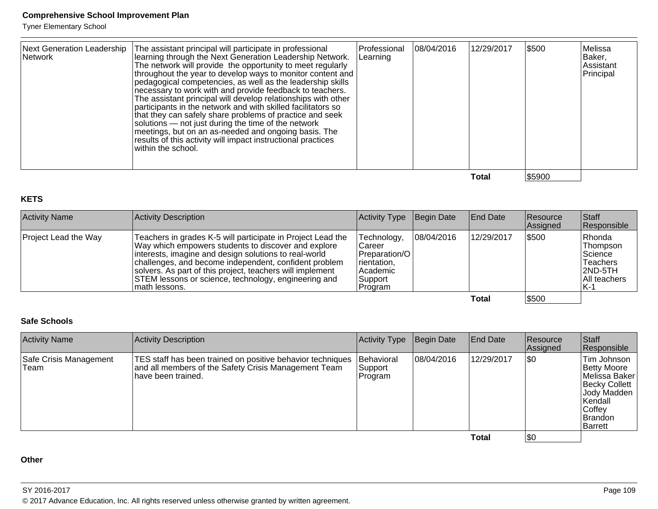Tyner Elementary School

| Network | Next Generation Leadership   The assistant principal will participate in professional<br>learning through the Next Generation Leadership Network.<br>The network will provide the opportunity to meet regularly<br> throughout the year to develop ways to monitor content and  <br>pedagogical competencies, as well as the leadership skills<br>necessary to work with and provide feedback to teachers.<br>The assistant principal will develop relationships with other<br>participants in the network and with skilled facilitators so<br>that they can safely share problems of practice and seek<br>solutions — not just during the time of the network<br>meetings, but on an as-needed and ongoing basis. The<br>results of this activity will impact instructional practices<br>within the school. | Professional<br>Learning | 08/04/2016 | 12/29/2017 | \$500  | Melissa<br>Baker,<br>Assistant<br>Principal |
|---------|--------------------------------------------------------------------------------------------------------------------------------------------------------------------------------------------------------------------------------------------------------------------------------------------------------------------------------------------------------------------------------------------------------------------------------------------------------------------------------------------------------------------------------------------------------------------------------------------------------------------------------------------------------------------------------------------------------------------------------------------------------------------------------------------------------------|--------------------------|------------|------------|--------|---------------------------------------------|
|         |                                                                                                                                                                                                                                                                                                                                                                                                                                                                                                                                                                                                                                                                                                                                                                                                              |                          |            | Total      | \$5900 |                                             |

#### **KETS**

| <b>Activity Name</b>        | Activity Description                                                                                                                                                                                                                                                                                                                                                        | Activity Type                                                                              | Begin Date | <b>End Date</b> | Resource<br>Assigned | Staff<br>Responsible                                                         |
|-----------------------------|-----------------------------------------------------------------------------------------------------------------------------------------------------------------------------------------------------------------------------------------------------------------------------------------------------------------------------------------------------------------------------|--------------------------------------------------------------------------------------------|------------|-----------------|----------------------|------------------------------------------------------------------------------|
| <b>Project Lead the Way</b> | Teachers in grades K-5 will participate in Project Lead the<br>Way which empowers students to discover and explore<br>interests, imagine and design solutions to real-world<br>challenges, and become independent, confident problem<br>solvers. As part of this project, teachers will implement<br>STEM lessons or science, technology, engineering and<br>Imath lessons. | Technology,<br>Career<br>Preparation/O<br>rientation,<br>lAcademic<br> Support<br> Program | 08/04/2016 | 12/29/2017      | \$500                | Rhonda<br>Thompson<br>Science<br>Teachers<br>2ND-5TH<br>All teachers<br>IK-1 |
|                             |                                                                                                                                                                                                                                                                                                                                                                             |                                                                                            |            | Total           | \$500                |                                                                              |

#### **Safe Schools**

| <b>Activity Name</b>           | Activity Description                                                                                                                      | <b>Activity Type</b>                    | Begin Date  | <b>End Date</b> | <b>Resource</b><br><b>Assigned</b> | <b>Staff</b><br>Responsible                                                                                                                  |
|--------------------------------|-------------------------------------------------------------------------------------------------------------------------------------------|-----------------------------------------|-------------|-----------------|------------------------------------|----------------------------------------------------------------------------------------------------------------------------------------------|
| Safe Crisis Management<br>Team | TES staff has been trained on positive behavior techniques<br>and all members of the Safety Crisis Management Team<br>lhave been trained. | <b>Behavioral</b><br>Support<br>Program | 108/04/2016 | 12/29/2017      | \$0                                | Tim Johnson<br>Betty Moore<br>Melissa Baker<br><b>Becky Collett</b><br>Jody Madden<br> Kendall<br>Coffey<br><b>Brandon</b><br><b>Barrett</b> |
|                                |                                                                                                                                           |                                         |             | Total           | \$0                                |                                                                                                                                              |

**Other**

SY 2016-2017

© 2017 Advance Education, Inc. All rights reserved unless otherwise granted by written agreement.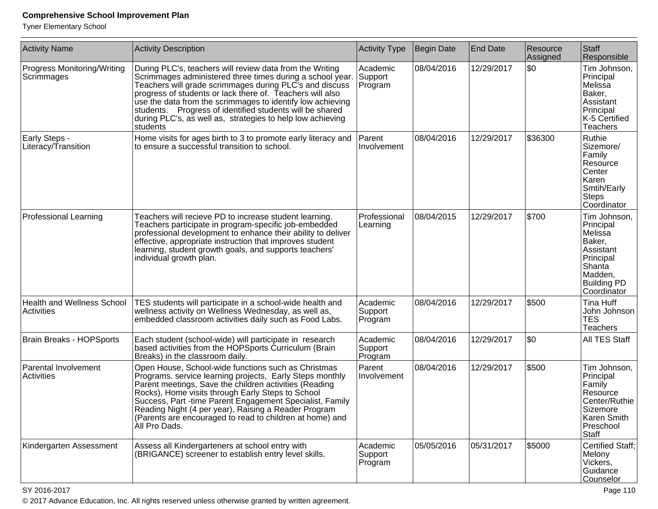Tyner Elementary School

| <b>Activity Name</b>                             | <b>Activity Description</b>                                                                                                                                                                                                                                                                                                                                                                                                                       | <b>Activity Type</b>           | Begin Date | <b>End Date</b> | Resource<br>Assigned | Staff<br>Responsible                                                                                                               |
|--------------------------------------------------|---------------------------------------------------------------------------------------------------------------------------------------------------------------------------------------------------------------------------------------------------------------------------------------------------------------------------------------------------------------------------------------------------------------------------------------------------|--------------------------------|------------|-----------------|----------------------|------------------------------------------------------------------------------------------------------------------------------------|
| <b>Progress Monitoring/Writing</b><br>Scrimmages | During PLC's, teachers will review data from the Writing<br>Scrimmages administered three times during a school year.<br>Teachers will grade scrimmages during PLC's and discuss<br>progress of students or lack there of. Teachers will also<br>use the data from the scrimmages to identify low achieving<br>students. Progress of identified students will be shared<br>during PLC's, as well as, strategies to help low achieving<br>students | Academic<br>Support<br>Program | 08/04/2016 | 12/29/2017      | \$0                  | Tim Johnson,<br>Principal<br>Melissa<br>Baker,<br>Assistant<br>Principal<br>K-5 Certified<br>Teachers                              |
| Early Steps -<br>Literacy/Transition             | Home visits for ages birth to 3 to promote early literacy and<br>to ensure a successful transition to school.                                                                                                                                                                                                                                                                                                                                     | Parent<br>Involvement          | 08/04/2016 | 12/29/2017      | \$36300              | Ruthie<br>Sizemore/<br>Family<br>Resource<br>Center<br>Karen<br>Smtih/Early<br>Steps<br>Coordinator                                |
| <b>Professional Learning</b>                     | Teachers will recieve PD to increase student learning.<br>Teachers participate in program-specific job-embedded<br>professional development to enhance their ability to deliver<br>effective, appropriate instruction that improves student<br>learning, student growth goals, and supports teachers'<br>individual growth plan.                                                                                                                  | Professional<br>Learning       | 08/04/2015 | 12/29/2017      | \$700                | Tim Johnson,<br>Principal<br>Melissa<br>Baker,<br>Assistant<br>Principal<br>Shanta<br>Madden,<br><b>Building PD</b><br>Coordinator |
| <b>Health and Wellness School</b><br>Activities  | TES students will participate in a school-wide health and<br>wellness activity on Wellness Wednesday, as well as,<br>embedded classroom activities daily such as Food Labs.                                                                                                                                                                                                                                                                       | Academic<br>Support<br>Program | 08/04/2016 | 12/29/2017      | \$500                | Tina Huff<br>John Johnson<br><b>TES</b><br>Teachers                                                                                |
| Brain Breaks - HOPSports                         | Each student (school-wide) will participate in research<br>based activities from the HOPSports Curriculum (Brain<br>Breaks) in the classroom daily.                                                                                                                                                                                                                                                                                               | Academic<br>Support<br>Program | 08/04/2016 | 12/29/2017      | \$0                  | All TES Staff                                                                                                                      |
| Parental Involvement<br><b>Activities</b>        | Open House, School-wide functions such as Christmas<br>Programs. service learning projects, Early Steps monthly<br>Parent meetings, Save the children activities (Reading<br>Rocks), Home visits through Early Steps to School<br>Success, Part -time Parent Engagement Specialist, Family<br>Reading Night (4 per year), Raising a Reader Program<br>(Parents are encouraged to read to children at home) and<br>All Pro Dads.                   | Parent<br>Involvement          | 08/04/2016 | 12/29/2017      | \$500                | Tim Johnson,<br>Principal<br>Family<br>Resource<br>Center/Ruthie<br>Sizemore<br>Karen Smith<br>Preschool<br>Staff                  |
| Kindergarten Assessment                          | Assess all Kindergarteners at school entry with<br>(BRIGANCE) screener to establish entry level skills.                                                                                                                                                                                                                                                                                                                                           | Academic<br>Support<br>Program | 05/05/2016 | 05/31/2017      | \$5000               | <b>Certified Staff:</b><br>Melony<br>Vickers,<br>Guidance<br>Counselor                                                             |

SY 2016-2017

en and the set of the set of the set of the set of the set of the set of the set of the Page 110  $\,$ © 2017 Advance Education, Inc. All rights reserved unless otherwise granted by written agreement.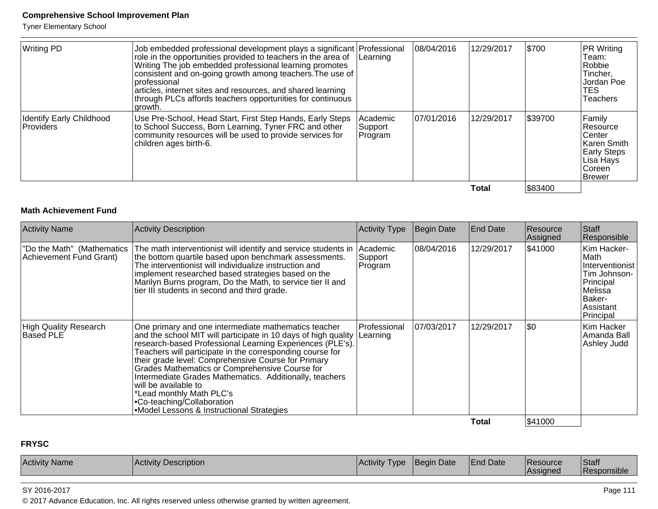Tyner Elementary School

| <b>Writing PD</b>                            | Job embedded professional development plays a significant   Professional<br>role in the opportunities provided to teachers in the area of<br>Writing The job embedded professional learning promotes<br>consistent and on-going growth among teachers. The use of<br>Iprofessional<br>articles, internet sites and resources, and shared learning<br>through PLCs affords teachers opportunities for continuous<br>∣growth. | Learning                       | 08/04/2016 | 12/29/2017   | \$700   | PR Writing<br>Team:<br>Robbie<br>Tincher,<br>Jordan Poe<br>TES.<br>Teachers                          |
|----------------------------------------------|-----------------------------------------------------------------------------------------------------------------------------------------------------------------------------------------------------------------------------------------------------------------------------------------------------------------------------------------------------------------------------------------------------------------------------|--------------------------------|------------|--------------|---------|------------------------------------------------------------------------------------------------------|
| <b>Identify Early Childhood</b><br>Providers | Use Pre-School, Head Start, First Step Hands, Early Steps<br>to School Success, Born Learning, Tyner FRC and other<br>community resources will be used to provide services for<br>children ages birth-6.                                                                                                                                                                                                                    | Academic<br>Support<br>Program | 07/01/2016 | 12/29/2017   | \$39700 | Family<br>Resource<br>Center<br>∣Karen Smith<br><b>Early Steps</b><br>Lisa Hays<br>Coreen<br>∣Brewer |
|                                              |                                                                                                                                                                                                                                                                                                                                                                                                                             |                                |            | <b>Total</b> | \$83400 |                                                                                                      |

#### **Math Achievement Fund**

|                                                                                                                                                                                                                                                                                                                                                                                                                                                                                                                                                                                             |                          | Begin Date | <b>End Date</b> | Resource<br>Assigned | Staff<br>Responsible                                                                                                |
|---------------------------------------------------------------------------------------------------------------------------------------------------------------------------------------------------------------------------------------------------------------------------------------------------------------------------------------------------------------------------------------------------------------------------------------------------------------------------------------------------------------------------------------------------------------------------------------------|--------------------------|------------|-----------------|----------------------|---------------------------------------------------------------------------------------------------------------------|
| The math interventionist will identify and service students in Academic<br>"Do the Math" (Mathematics<br>the bottom quartile based upon benchmark assessments.<br>Achievement Fund Grant)<br>The interventionist will individualize instruction and<br>implement researched based strategies based on the<br>Marilyn Burns program, Do the Math, to service tier II and<br>tier III students in second and third grade.                                                                                                                                                                     | Support<br>Program       | 08/04/2016 | 12/29/2017      | \$41000              | Kim Hacker-<br>∣Math<br>Interventionist<br>Tim Johnson-<br>Principal<br>Melissa<br>Baker-<br>Assistant<br>Principal |
| High Quality Research<br>One primary and one intermediate mathematics teacher<br>Based PLE<br>and the school MIT will participate in 10 days of high quality<br>research-based Professional Learning Experiences (PLE's).<br>Teachers will participate in the corresponding course for<br>their grade level: Comprehensive Course for Primary<br>Grades Mathematics or Comprehensive Course for<br>Intermediate Grades Mathematics. Additionally, teachers<br>will be available to<br>*Lead monthly Math PLC's<br>• Co-teaching/Collaboration<br>• Model Lessons & Instructional Strategies | Professional<br>Learning | 07/03/2017 | 12/29/2017      | \$0                  | Kim Hacker<br>Amanda Ball<br>Ashley Judd                                                                            |

**Total**

## \$41000

#### **FRYSC**

| <b>Activity Name</b><br>Activit<br><b>Description</b> | <b>Activity</b><br> VD | <b>IBegin Date</b> | <b>End Date</b> | <b>Resource</b><br><b>Assigned</b> | Staff<br><b>Responsible</b> |
|-------------------------------------------------------|------------------------|--------------------|-----------------|------------------------------------|-----------------------------|
|-------------------------------------------------------|------------------------|--------------------|-----------------|------------------------------------|-----------------------------|

SY 2016-2017

© 2017 Advance Education, Inc. All rights reserved unless otherwise granted by written agreement.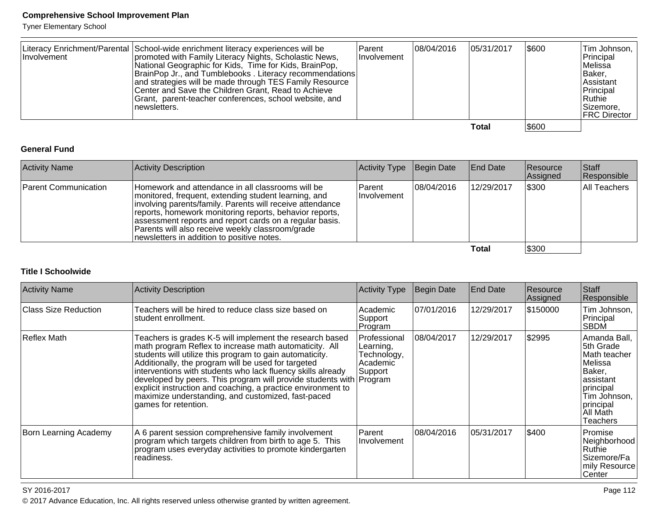Tyner Elementary School

| <b>Involvement</b> | Literacy Enrichment/Parental School-wide enrichment literacy experiences will be<br>promoted with Family Literacy Nights, Scholastic News,<br>National Geographic for Kids, Time for Kids, BrainPop,<br>BrainPop Jr., and Tumblebooks. Literacy recommendations<br>and strategies will be made through TES Family Resource<br>Center and Save the Children Grant, Read to Achieve<br>Grant, parent-teacher conferences, school website, and<br>∣newsletters. | l Parent<br><b>Involvement</b> | 108/04/2016 | 05/31/2017 | \$600 | Tim Johnson,  <br>Principal<br>lMelissa<br> Baker,<br><b>Assistant</b><br>Principal<br>∣Ruthie∶<br>Sizemore.<br><b>FRC Director</b> |
|--------------------|--------------------------------------------------------------------------------------------------------------------------------------------------------------------------------------------------------------------------------------------------------------------------------------------------------------------------------------------------------------------------------------------------------------------------------------------------------------|--------------------------------|-------------|------------|-------|-------------------------------------------------------------------------------------------------------------------------------------|
|                    |                                                                                                                                                                                                                                                                                                                                                                                                                                                              |                                |             | Total      | \$600 |                                                                                                                                     |

#### **General Fund**

| <b>Activity Name</b>        | Activity Description                                                                                                                                                                                                                                                                                                                                                                           | Activity Type Begin Date |            | <b>End Date</b> | Resource<br>Assigned | <b>Staff</b><br>Responsible |
|-----------------------------|------------------------------------------------------------------------------------------------------------------------------------------------------------------------------------------------------------------------------------------------------------------------------------------------------------------------------------------------------------------------------------------------|--------------------------|------------|-----------------|----------------------|-----------------------------|
| <b>Parent Communication</b> | Homework and attendance in all classrooms will be<br>monitored, frequent, extending student learning, and<br>involving parents/family. Parents will receive attendance<br>reports, homework monitoring reports, behavior reports,<br>assessment reports and report cards on a regular basis.<br>Parents will also receive weekly classroom/grade<br>newsletters in addition to positive notes. | Parent<br>IInvolvement   | 08/04/2016 | 12/29/2017      | \$300                | All Teachers                |
|                             |                                                                                                                                                                                                                                                                                                                                                                                                |                          |            | Total           | \$300                |                             |

#### **Total**

#### **Title I Schoolwide**

| <b>Activity Name</b>  | <b>Activity Description</b>                                                                                                                                                                                                                                                                                                                                                                                                                                                                                               | Activity Type                                                      | Begin Date | <b>End Date</b> | Resource<br> Assigned | <b>Staff</b><br>Responsible                                                                                                                     |
|-----------------------|---------------------------------------------------------------------------------------------------------------------------------------------------------------------------------------------------------------------------------------------------------------------------------------------------------------------------------------------------------------------------------------------------------------------------------------------------------------------------------------------------------------------------|--------------------------------------------------------------------|------------|-----------------|-----------------------|-------------------------------------------------------------------------------------------------------------------------------------------------|
| Class Size Reduction  | Teachers will be hired to reduce class size based on<br>student enrollment.                                                                                                                                                                                                                                                                                                                                                                                                                                               | Academic<br>Support<br>Program                                     | 07/01/2016 | 12/29/2017      | \$150000              | Tim Johnson,<br>Principal<br><b>SBDM</b>                                                                                                        |
| Reflex Math           | Teachers is grades K-5 will implement the research based<br>math program Reflex to increase math automaticity. All<br>students will utilize this program to gain automaticity.<br>Additionally, the program will be used for targeted<br>interventions with students who lack fluency skills already<br>developed by peers. This program will provide students with Program<br>explicit instruction and coaching, a practice environment to<br>maximize understanding, and customized, fast-paced<br>games for retention. | Professional<br> Learning,<br>Technology,<br>l Academic<br>Support | 08/04/2017 | 12/29/2017      | \$2995                | Amanda Ball,<br>5th Grade<br>Math teacher<br>lMelissa<br> Baker,<br>assistant<br>principal<br>Tim Johnson,<br>principal<br>All Math<br>Teachers |
| Born Learning Academy | A 6 parent session comprehensive family involvement<br>program which targets children from birth to age 5. This<br>program uses everyday activities to promote kindergarten<br>readiness.                                                                                                                                                                                                                                                                                                                                 | <b>Parent</b><br>Involvement                                       | 08/04/2016 | 05/31/2017      | \$400                 | Promise<br>Neighborhood<br>Ruthie<br>Sizemore/Fa<br>mily Resource<br>∣Center                                                                    |

#### SY 2016-2017

© 2017 Advance Education, Inc. All rights reserved unless otherwise granted by written agreement.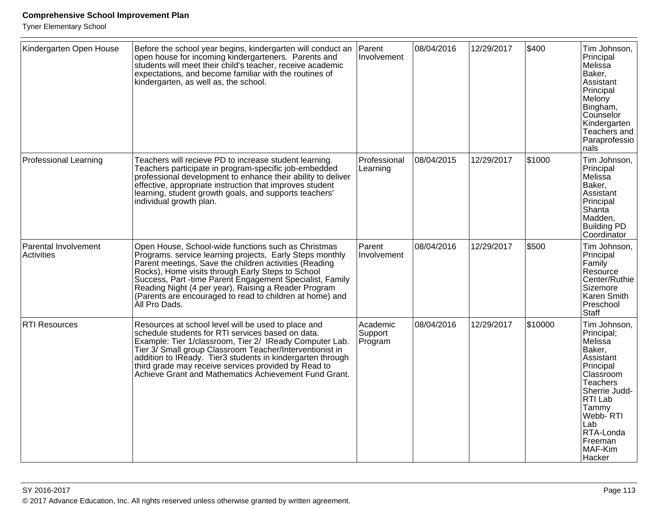| Kindergarten Open House            | Before the school year begins, kindergarten will conduct an<br>open house for incoming kindergarteners. Parents and<br>students will meet their child's teacher, receive academic<br>expectations, and become familiar with the routines of<br>kindergarten, as well as, the school.                                                                                                                                            | Parent<br>Involvement          | 08/04/2016 | 12/29/2017 | \$400   | Tim Johnson,<br>Principal<br>Melissa<br>Baker,<br>Assistant<br>Principal<br>Melony<br>Bingham,<br>Counselor<br>Kindergarten<br>Teachers and<br>Paraprofessio<br>nals                                     |
|------------------------------------|---------------------------------------------------------------------------------------------------------------------------------------------------------------------------------------------------------------------------------------------------------------------------------------------------------------------------------------------------------------------------------------------------------------------------------|--------------------------------|------------|------------|---------|----------------------------------------------------------------------------------------------------------------------------------------------------------------------------------------------------------|
| <b>Professional Learning</b>       | Teachers will recieve PD to increase student learning.<br>Teachers participate in program-specific job-embedded<br>professional development to enhance their ability to deliver<br>effective, appropriate instruction that improves student<br>learning, student growth goals, and supports teachers'<br>individual growth plan.                                                                                                | Professional<br>Learning       | 08/04/2015 | 12/29/2017 | \$1000  | Tim Johnson,<br>Principal<br>Melissa<br>Baker,<br>Assistant<br>Principal<br>Shanta<br>Madden,<br><b>Building PD</b><br>Coordinator                                                                       |
| Parental Involvement<br>Activities | Open House, School-wide functions such as Christmas<br>Programs. service learning projects, Early Steps monthly<br>Parent meetings, Save the children activities (Reading<br>Rocks), Home visits through Early Steps to School<br>Success, Part -time Parent Engagement Specialist, Family<br>Reading Night (4 per year), Raising a Reader Program<br>(Parents are encouraged to read to children at home) and<br>All Pro Dads. | Parent<br>Involvement          | 08/04/2016 | 12/29/2017 | \$500   | Tim Johnson,<br>Principal<br>Family<br>Resource<br>Center/Ruthie<br>Sizemore<br>Karen Smith<br>Preschool<br>Staff                                                                                        |
| <b>RTI Resources</b>               | Resources at school level will be used to place and<br>schedule students for RTI services based on data.<br>Example: Tier 1/classroom, Tier 2/ IReady Computer Lab.<br>Tier 3/ Small group Classroom Teacher/Interventionist in<br>addition to IReady. Tier3 students in kindergarten through<br>third grade may receive services provided by Read to<br>Achieve Grant and Mathematics Achievement Fund Grant.                  | Academic<br>Support<br>Program | 08/04/2016 | 12/29/2017 | \$10000 | Tim Johnson,<br>Principal;<br>Melissa<br>Baker,<br>Assistant<br>Principal<br>Classroom<br>Teachers<br>Sherrie Judd-<br>RTI Lab<br>Tammy<br>Webb- RTI<br>Lab<br>RTA-Londa<br>Freeman<br>MAF-Kim<br>Hacker |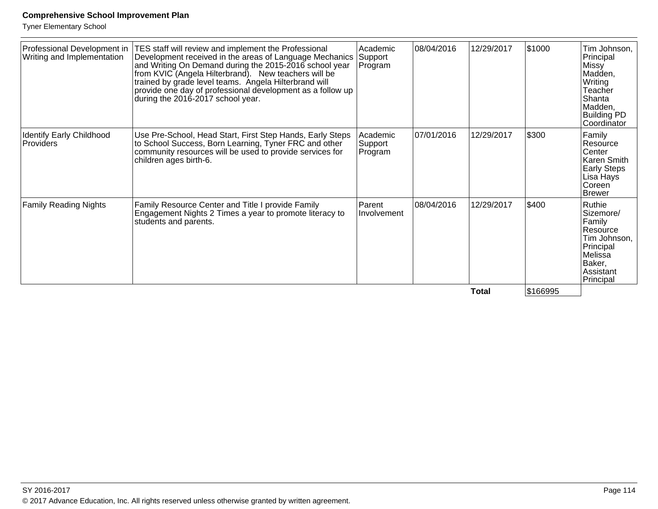Tyner Elementary School

| Professional Development in<br>Writing and Implementation | TES staff will review and implement the Professional<br>Development received in the areas of Language Mechanics<br>and Writing On Demand during the 2015-2016 school year<br>from KVIC (Angela Hilterbrand). New teachers will be<br>trained by grade level teams. Angela Hilterbrand will<br>provide one day of professional development as a follow up<br>during the 2016-2017 school year. | Academic<br>Support<br>Program | 08/04/2016 | 12/29/2017 | \$1000   | Tim Johnson,<br>Principal<br>Missy<br>Madden,<br>Writing<br>Teacher<br>Shanta<br>Madden,<br><b>Building PD</b><br>Coordinator |
|-----------------------------------------------------------|-----------------------------------------------------------------------------------------------------------------------------------------------------------------------------------------------------------------------------------------------------------------------------------------------------------------------------------------------------------------------------------------------|--------------------------------|------------|------------|----------|-------------------------------------------------------------------------------------------------------------------------------|
| Identify Early Childhood<br>Providers                     | Use Pre-School, Head Start, First Step Hands, Early Steps<br>to School Success, Born Learning, Tyner FRC and other<br>community resources will be used to provide services for<br>children ages birth-6.                                                                                                                                                                                      | Academic<br>Support<br>Program | 07/01/2016 | 12/29/2017 | \$300    | Family<br>Resource<br>Center<br>Karen Smith<br><b>Early Steps</b><br>Lisa Hays<br>Coreen<br><b>Brewer</b>                     |
| <b>Family Reading Nights</b>                              | Family Resource Center and Title I provide Family<br>Engagement Nights 2 Times a year to promote literacy to<br>students and parents.                                                                                                                                                                                                                                                         | Parent<br>Involvement          | 08/04/2016 | 12/29/2017 | \$400    | Ruthie<br>Sizemore/<br>Family<br>Resource<br>Tim Johnson,<br>Principal<br>Melissa<br>Baker,<br>Assistant<br>Principal         |
|                                                           |                                                                                                                                                                                                                                                                                                                                                                                               |                                |            | Total      | \$166995 |                                                                                                                               |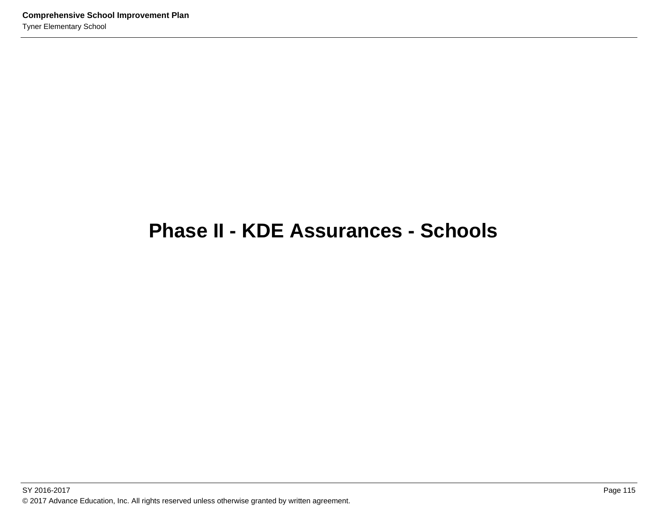## **Phase II - KDE Assurances - Schools**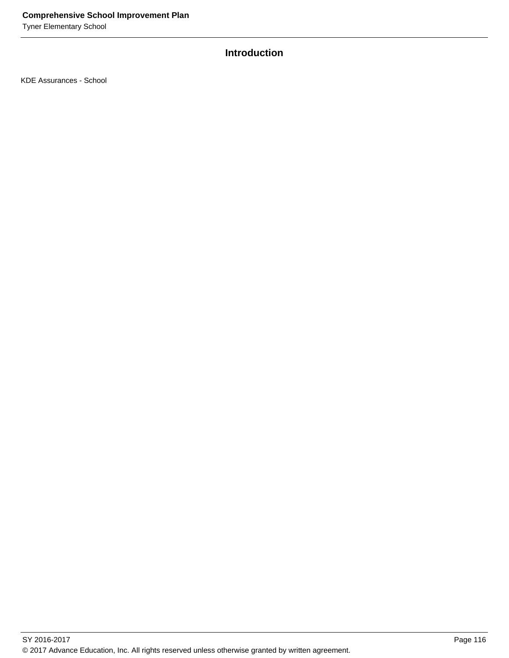Tyner Elementary School

## **Introduction**

KDE Assurances - School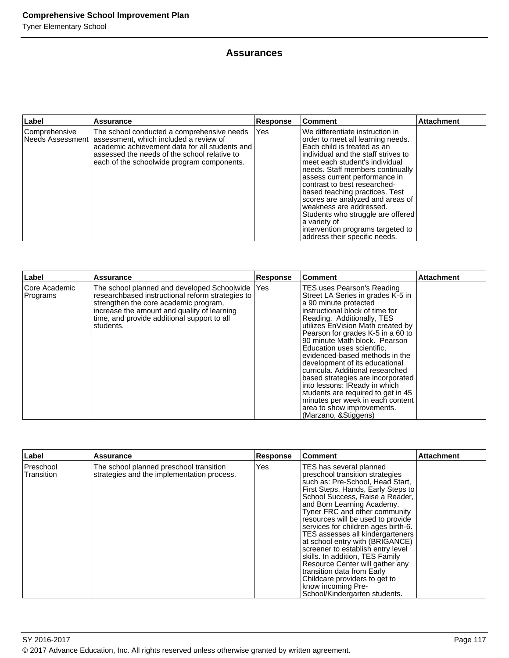#### **Assurances**

| Label         | <b>Assurance</b>                                                                                                                                                                                                                                        | <b>Response</b> | Comment                                                                                                                                                                                                                                                                                                                                                                                                                                                                                                        | <b>Attachment</b> |
|---------------|---------------------------------------------------------------------------------------------------------------------------------------------------------------------------------------------------------------------------------------------------------|-----------------|----------------------------------------------------------------------------------------------------------------------------------------------------------------------------------------------------------------------------------------------------------------------------------------------------------------------------------------------------------------------------------------------------------------------------------------------------------------------------------------------------------------|-------------------|
| Comprehensive | The school conducted a comprehensive needs<br>Needs Assessment   assessment, which included a review of<br>academic achievement data for all students and<br>assessed the needs of the school relative to<br>each of the schoolwide program components. | Yes             | We differentiate instruction in<br>order to meet all learning needs.<br>Each child is treated as an<br>Individual and the staff strives to<br>lmeet each student's individual<br>needs. Staff members continually<br>assess current performance in<br>contrast to best researched-<br>based teaching practices. Test<br>scores are analyzed and areas of<br>weakness are addressed.<br>Students who struggle are offered<br>a variety of<br>intervention programs targeted to<br>address their specific needs. |                   |

| Label                     | Assurance                                                                                                                                                                                                                                           | <b>Response</b> | Comment                                                                                                                                                                                                                                                                                                                                                                                                                                                                                                                                                                                                           | <b>Attachment</b> |
|---------------------------|-----------------------------------------------------------------------------------------------------------------------------------------------------------------------------------------------------------------------------------------------------|-----------------|-------------------------------------------------------------------------------------------------------------------------------------------------------------------------------------------------------------------------------------------------------------------------------------------------------------------------------------------------------------------------------------------------------------------------------------------------------------------------------------------------------------------------------------------------------------------------------------------------------------------|-------------------|
| Core Academic<br>Programs | The school planned and developed Schoolwide<br>researchbased instructional reform strategies to<br>strengthen the core academic program,<br>increase the amount and quality of learning<br>time, and provide additional support to all<br>students. | Yes             | TES uses Pearson's Reading<br>Street LA Series in grades K-5 in<br>a 90 minute protected<br>instructional block of time for<br>Reading. Additionally, TES<br>utilizes EnVision Math created by<br>Pearson for grades K-5 in a 60 to<br>90 minute Math block. Pearson<br>Education uses scientific.<br>evidenced-based methods in the<br>development of its educational<br>curricula. Additional researched<br>based strategies are incorporated<br>into lessons: IReady in which<br>students are required to get in 45<br>minutes per week in each content<br>area to show improvements.<br>(Marzano, & Stiggens) |                   |

| Label                          | <b>Assurance</b>                                                                      | <b>Response</b> | <b>Comment</b>                                                                                                                                                                                                                                                                                                                                                                                                                                                                                                                                                                                                             | <b>Attachment</b> |
|--------------------------------|---------------------------------------------------------------------------------------|-----------------|----------------------------------------------------------------------------------------------------------------------------------------------------------------------------------------------------------------------------------------------------------------------------------------------------------------------------------------------------------------------------------------------------------------------------------------------------------------------------------------------------------------------------------------------------------------------------------------------------------------------------|-------------------|
| <b>Preschool</b><br>Transition | The school planned preschool transition<br>strategies and the implementation process. | Yes             | TES has several planned<br>preschool transition strategies<br>such as: Pre-School, Head Start,<br>First Steps, Hands, Early Steps to<br>School Success, Raise a Reader,<br>and Born Learning Academy.<br>Tyner FRC and other community<br>resources will be used to provide<br>services for children ages birth-6.<br>TES assesses all kindergarteners<br>at school entry with (BRIGANCE)<br>screener to establish entry level<br>skills. In addition, TES Family<br>Resource Center will gather any<br>transition data from Early<br>Childcare providers to get to<br>know incoming Pre-<br>School/Kindergarten students. |                   |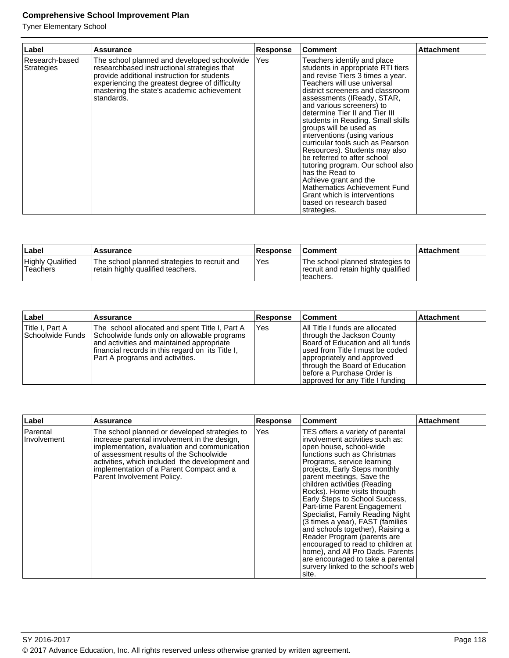| Label                        | Assurance                                                                                                                                                                                                                                               | <b>Response</b> | <b>Comment</b>                                                                                                                                                                                                                                                                                                                                                                                                                                                                                                                                                                                                                                                     | <b>Attachment</b> |
|------------------------------|---------------------------------------------------------------------------------------------------------------------------------------------------------------------------------------------------------------------------------------------------------|-----------------|--------------------------------------------------------------------------------------------------------------------------------------------------------------------------------------------------------------------------------------------------------------------------------------------------------------------------------------------------------------------------------------------------------------------------------------------------------------------------------------------------------------------------------------------------------------------------------------------------------------------------------------------------------------------|-------------------|
| Research-based<br>Strategies | The school planned and developed schoolwide<br>researchbased instructional strategies that<br>provide additional instruction for students<br>experiencing the greatest degree of difficulty<br>mastering the state's academic achievement<br>standards. | Yes             | Teachers identify and place<br>students in appropriate RTI tiers<br>and revise Tiers 3 times a year.<br>Teachers will use universal<br>district screeners and classroom<br>assessments (IReady, STAR,<br>and various screeners) to<br>determine Tier II and Tier III<br>students in Reading. Small skills<br>groups will be used as<br>interventions (using various<br>curricular tools such as Pearson<br>Resources). Students may also<br>be referred to after school<br>tutoring program. Our school also<br>has the Read to<br>Achieve grant and the<br>Mathematics Achievement Fund<br>Grant which is interventions<br>based on research based<br>strategies. |                   |

| ∣Label                              | 'Assurance                                                                        | <b>Response</b> | <b>Comment</b>                                                                        | ∣Attachment |
|-------------------------------------|-----------------------------------------------------------------------------------|-----------------|---------------------------------------------------------------------------------------|-------------|
| <b>Highly Qualified</b><br>Teachers | The school planned strategies to recruit and<br>retain highly qualified teachers. | Yes             | The school planned strategies to<br>recruit and retain highly qualified<br>Iteachers. |             |

| Label                               | <b>Assurance</b>                                                                                                                                                                                                                  | Response    | ∣Comment                                                                                                                                                                                                                                                                        | Attachment |
|-------------------------------------|-----------------------------------------------------------------------------------------------------------------------------------------------------------------------------------------------------------------------------------|-------------|---------------------------------------------------------------------------------------------------------------------------------------------------------------------------------------------------------------------------------------------------------------------------------|------------|
| Title I. Part A<br>Schoolwide Funds | The school allocated and spent Title I, Part A<br>Schoolwide funds only on allowable programs<br>and activities and maintained appropriate<br>financial records in this regard on its Title I,<br>Part A programs and activities. | <b>IYes</b> | <b>All Title I funds are allocated</b><br>through the Jackson County<br>Board of Education and all funds<br>lused from Title I must be coded<br>appropriately and approved<br>through the Board of Education<br>Ibefore a Purchase Order is<br>approved for any Title I funding |            |

| Label                   | Assurance                                                                                                                                                                                                                                                                                                            | Response | <b>Comment</b>                                                                                                                                                                                                                                                                                                                                                                                                                                                                                                                                                                                                                                                    | <b>Attachment</b> |
|-------------------------|----------------------------------------------------------------------------------------------------------------------------------------------------------------------------------------------------------------------------------------------------------------------------------------------------------------------|----------|-------------------------------------------------------------------------------------------------------------------------------------------------------------------------------------------------------------------------------------------------------------------------------------------------------------------------------------------------------------------------------------------------------------------------------------------------------------------------------------------------------------------------------------------------------------------------------------------------------------------------------------------------------------------|-------------------|
| Parental<br>Involvement | The school planned or developed strategies to<br>increase parental involvement in the design,<br>implementation, evaluation and communication<br>of assessment results of the Schoolwide<br>activities, which included the development and<br>implementation of a Parent Compact and a<br>Parent Involvement Policy. | Yes      | TES offers a variety of parental<br>involvement activities such as:<br>open house, school-wide<br>functions such as Christmas<br>Programs, service learning<br>projects, Early Steps monthly<br>parent meetings, Save the<br>children activities (Reading<br>Rocks). Home visits through<br>Early Steps to School Success,<br>Part-time Parent Engagement<br>Specialist, Family Reading Night<br>(3 times a year), FAST (families<br>and schools together), Raising a<br>Reader Program (parents are<br>encouraged to read to children at<br>home), and All Pro Dads. Parents<br>are encouraged to take a parental<br>survery linked to the school's web<br>site. |                   |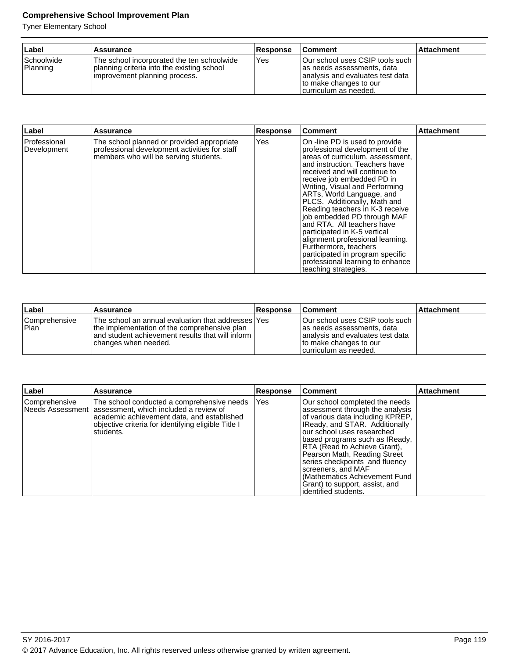| ∣Label                                | <b>Assurance</b>                                                                                                          | <b>Response</b> | <b>Comment</b>                                                                                                                                        | <b>Attachment</b> |
|---------------------------------------|---------------------------------------------------------------------------------------------------------------------------|-----------------|-------------------------------------------------------------------------------------------------------------------------------------------------------|-------------------|
| <i><b>Schoolwide</b></i><br> Planning | The school incorporated the ten schoolwide<br>planning criteria into the existing school<br>improvement planning process. | Yes             | Our school uses CSIP tools such<br>as needs assessments, data<br>analysis and evaluates test data<br>to make changes to our<br>Icurriculum as needed. |                   |

| Label                       | Assurance                                                                                                                            | <b>Response</b> | Comment                                                                                                                                                                                                                                                                                                                                                                                                                                                                                                                                                                                             | <b>Attachment</b> |
|-----------------------------|--------------------------------------------------------------------------------------------------------------------------------------|-----------------|-----------------------------------------------------------------------------------------------------------------------------------------------------------------------------------------------------------------------------------------------------------------------------------------------------------------------------------------------------------------------------------------------------------------------------------------------------------------------------------------------------------------------------------------------------------------------------------------------------|-------------------|
| Professional<br>Development | The school planned or provided appropriate<br>professional development activities for staff<br>members who will be serving students. | Yes             | On -line PD is used to provide<br>professional development of the<br>areas of curriculum, assessment,<br>land instruction. Teachers have<br>received and will continue to<br>receive job embedded PD in<br>Writing, Visual and Performing<br>ARTs, World Language, and<br>PLCS. Additionally, Math and<br>Reading teachers in K-3 receive<br>job embedded PD through MAF<br>and RTA. All teachers have<br>participated in K-5 vertical<br>alignment professional learning.<br>Furthermore, teachers<br>participated in program specific<br>professional learning to enhance<br>teaching strategies. |                   |

| Label                  | <b>Assurance</b>                                                                                                                                                                  | <b>Response</b> | <b>Comment</b>                                                                                                                                        | <b>Attachment</b> |
|------------------------|-----------------------------------------------------------------------------------------------------------------------------------------------------------------------------------|-----------------|-------------------------------------------------------------------------------------------------------------------------------------------------------|-------------------|
| Comprehensive<br> Plan | The school an annual evaluation that addresses lYes<br>the implementation of the comprehensive plan<br>and student achievement results that will inform I<br>changes when needed. |                 | Our school uses CSIP tools such<br>las needs assessments, data<br>analysis and evaluates test data<br>to make changes to our<br>curriculum as needed. |                   |

| ∣Label        | Assurance                                                                                                                                                                                                                  | Response | <b>Comment</b>                                                                                                                                                                                                                                                                                                                                                                                                              | <b>Attachment</b> |
|---------------|----------------------------------------------------------------------------------------------------------------------------------------------------------------------------------------------------------------------------|----------|-----------------------------------------------------------------------------------------------------------------------------------------------------------------------------------------------------------------------------------------------------------------------------------------------------------------------------------------------------------------------------------------------------------------------------|-------------------|
| Comprehensive | The school conducted a comprehensive needs<br>Needs Assessment   assessment, which included a review of<br>academic achievement data, and established<br>objective criteria for identifying eligible Title I<br>Istudents. | Yes      | Our school completed the needs<br>assessment through the analysis<br>of various data including KPREP,<br>IReady, and STAR. Additionally<br>our school uses researched<br>based programs such as IReady,<br>RTA (Read to Achieve Grant),<br>Pearson Math, Reading Street<br>series checkpoints and fluency<br>screeners, and MAF<br>(Mathematics Achievement Fund)<br>Grant) to support, assist, and<br>identified students. |                   |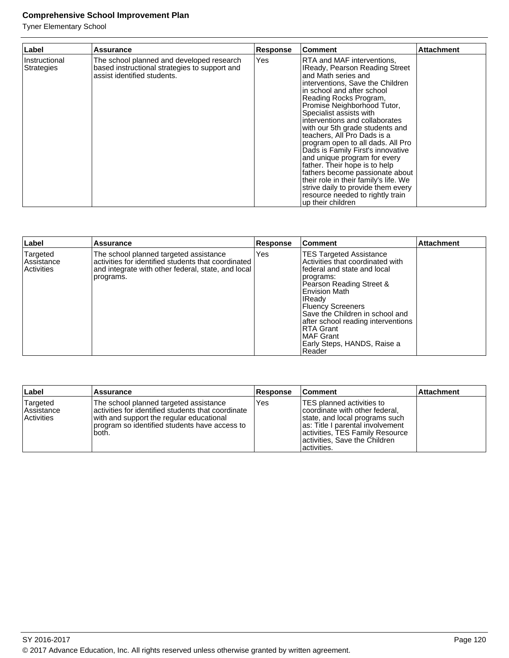| Label                              | Assurance                                                                                                                 | Response | <b>Comment</b>                                                                                                                                                                                                                                                                                                                                                                                                                                                                                                                                                                                                                                                       | <b>Attachment</b> |
|------------------------------------|---------------------------------------------------------------------------------------------------------------------------|----------|----------------------------------------------------------------------------------------------------------------------------------------------------------------------------------------------------------------------------------------------------------------------------------------------------------------------------------------------------------------------------------------------------------------------------------------------------------------------------------------------------------------------------------------------------------------------------------------------------------------------------------------------------------------------|-------------------|
| Instructional<br><b>Strategies</b> | The school planned and developed research<br>based instructional strategies to support and<br>assist identified students. | Yes      | RTA and MAF interventions,<br>IReady, Pearson Reading Street<br>and Math series and<br>interventions, Save the Children<br>in school and after school<br>Reading Rocks Program,<br>Promise Neighborhood Tutor,<br>Specialist assists with<br>interventions and collaborates<br>with our 5th grade students and<br>lteachers, All Pro Dads is a<br>program open to all dads. All Pro<br>Dads is Family First's innovative<br>and unique program for every<br>father. Their hope is to help<br>fathers become passionate about<br>their role in their family's life. We<br>strive daily to provide them every<br>resource needed to rightly train<br>up their children |                   |

| Label                                       | <b>Assurance</b>                                                                                                                                                 | <b>Response</b> | <b>Comment</b>                                                                                                                                                                                                                                                                                                                                                 | <b>Attachment</b> |
|---------------------------------------------|------------------------------------------------------------------------------------------------------------------------------------------------------------------|-----------------|----------------------------------------------------------------------------------------------------------------------------------------------------------------------------------------------------------------------------------------------------------------------------------------------------------------------------------------------------------------|-------------------|
| Targeted<br>Assistance<br><b>Activities</b> | The school planned targeted assistance<br>activities for identified students that coordinated<br>and integrate with other federal, state, and local<br>programs. | Yes             | <b>TES Targeted Assistance</b><br>Activities that coordinated with<br>federal and state and local<br> programs:<br>Pearson Reading Street &<br><b>Envision Math</b><br><b>IReady</b><br><b>Fluency Screeners</b><br>Save the Children in school and<br>after school reading interventions<br>IRTA Grant<br>IMAF Grant<br>Early Steps, HANDS, Raise a<br>Reader |                   |

| Label                                              | Assurance                                                                                                                                                                                           | <b>Response</b> | <b>Comment</b>                                                                                                                                                                                                         | <b>Attachment</b> |
|----------------------------------------------------|-----------------------------------------------------------------------------------------------------------------------------------------------------------------------------------------------------|-----------------|------------------------------------------------------------------------------------------------------------------------------------------------------------------------------------------------------------------------|-------------------|
| Targeted<br><b>Assistance</b><br><b>Activities</b> | The school planned targeted assistance<br>lactivities for identified students that coordinate<br>with and support the regular educational<br>program so identified students have access to<br>both. | l Yes           | ITES planned activities to<br>coordinate with other federal,<br>state, and local programs such<br>as: Title I parental involvement<br>activities, TES Family Resource<br>activities, Save the Children<br>lactivities. |                   |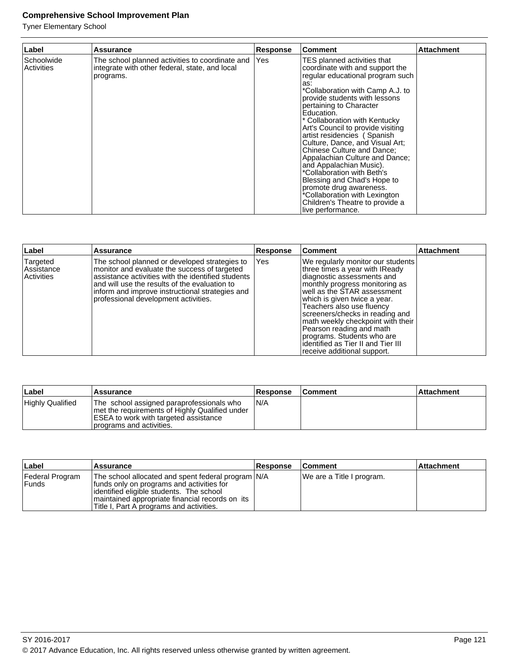| Label                    | Assurance                                                                                                      | <b>Response</b> | <b>Comment</b>                                                                                                                                                                                                                                                                                                                                                                                                                                                                                                                                                                                                                                      | <b>Attachment</b> |
|--------------------------|----------------------------------------------------------------------------------------------------------------|-----------------|-----------------------------------------------------------------------------------------------------------------------------------------------------------------------------------------------------------------------------------------------------------------------------------------------------------------------------------------------------------------------------------------------------------------------------------------------------------------------------------------------------------------------------------------------------------------------------------------------------------------------------------------------------|-------------------|
| Schoolwide<br>Activities | The school planned activities to coordinate and<br>integrate with other federal, state, and local<br>programs. | Yes             | TES planned activities that<br>coordinate with and support the<br>regular educational program such<br>las:<br>*Collaboration with Camp A.J. to<br>provide students with lessons<br>pertaining to Character<br>Education.<br>* Collaboration with Kentucky<br>Art's Council to provide visiting<br>artist residencies (Spanish<br>Culture, Dance, and Visual Art:<br><b>Chinese Culture and Dance:</b><br>Appalachian Culture and Dance;<br>and Appalachian Music).<br>*Collaboration with Beth's<br>Blessing and Chad's Hope to<br>promote drug awareness.<br>*Collaboration with Lexington<br>Children's Theatre to provide a<br>live performance. |                   |

| Label                                       | Assurance                                                                                                                                                                                                                                                                                       | <b>Response</b> | <b>Comment</b>                                                                                                                                                                                                                                                                                                                                                                                                                         | <b>Attachment</b> |
|---------------------------------------------|-------------------------------------------------------------------------------------------------------------------------------------------------------------------------------------------------------------------------------------------------------------------------------------------------|-----------------|----------------------------------------------------------------------------------------------------------------------------------------------------------------------------------------------------------------------------------------------------------------------------------------------------------------------------------------------------------------------------------------------------------------------------------------|-------------------|
| Targeted<br>Assistance<br><b>Activities</b> | The school planned or developed strategies to<br>monitor and evaluate the success of targeted<br>assistance activities with the identified students<br>and will use the results of the evaluation to<br>inform and improve instructional strategies and<br>professional development activities. | Yes             | We regularly monitor our students<br>three times a year with IReady<br>diagnostic assessments and<br>monthly progress monitoring as<br>well as the STAR assessment<br>which is given twice a year.<br>Teachers also use fluency<br>screeners/checks in reading and<br>math weekly checkpoint with their<br>Pearson reading and math<br>programs. Students who are<br>identified as Tier II and Tier III<br>receive additional support. |                   |

| ∣Label           | <b>Assurance</b>                                                                                                                                                         | <b>Response</b> | <b>Comment</b> | ∣Attachment∶ |
|------------------|--------------------------------------------------------------------------------------------------------------------------------------------------------------------------|-----------------|----------------|--------------|
| Highly Qualified | The school assigned paraprofessionals who<br>Imet the requirements of Highly Qualified under<br><b>ESEA to work with targeted assistance</b><br>programs and activities. | IN/A            |                |              |

| ∣Label                     | <b>Assurance</b>                                                                                                                                                                                                                           | <b>Response</b> | <b>Comment</b>            | <b>Attachment</b> |
|----------------------------|--------------------------------------------------------------------------------------------------------------------------------------------------------------------------------------------------------------------------------------------|-----------------|---------------------------|-------------------|
| Federal Program<br>l Funds | The school allocated and spent federal program N/A<br>funds only on programs and activities for<br>identified eligible students. The school<br>maintained appropriate financial records on its<br>Title I, Part A programs and activities. |                 | We are a Title I program. |                   |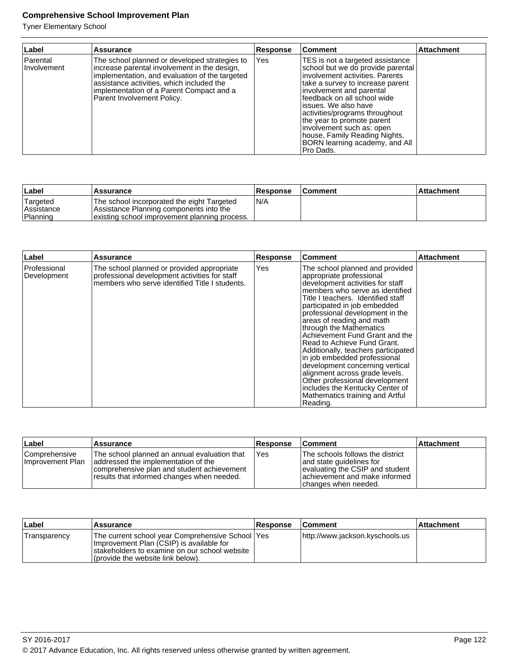| Label                   | <b>Assurance</b>                                                                                                                                                                                                                                                       | <b>Response</b> | Comment                                                                                                                                                                                                                                                                                                                                                                                                         | <b>Attachment</b> |
|-------------------------|------------------------------------------------------------------------------------------------------------------------------------------------------------------------------------------------------------------------------------------------------------------------|-----------------|-----------------------------------------------------------------------------------------------------------------------------------------------------------------------------------------------------------------------------------------------------------------------------------------------------------------------------------------------------------------------------------------------------------------|-------------------|
| Parental<br>Involvement | The school planned or developed strategies to<br>increase parental involvement in the design,<br>implementation, and evaluation of the targeted<br>assistance activities, which included the<br>implementation of a Parent Compact and a<br>Parent Involvement Policy. | Yes             | TES is not a targeted assistance<br>school but we do provide parental<br>linvolvement activities. Parents<br>Itake a survey to increase parent<br>involvement and parental<br>feedback on all school wide<br>lissues. We also have<br>activities/programs throughout<br>the year to promote parent<br>involvement such as: open<br>house, Family Reading Nights,<br>BORN learning academy, and All<br>Pro Dads. |                   |

| ∣Label                                     | 'Assurance                                                                                                                             | <b>Response</b> | <b>Comment</b> | ∣Attachment |
|--------------------------------------------|----------------------------------------------------------------------------------------------------------------------------------------|-----------------|----------------|-------------|
| 'Targeted<br><b>Assistance</b><br>Planning | The school incorporated the eight Targeted<br>Assistance Planning components into the<br>existing school improvement planning process. | IN/A            |                |             |

| Label                         | Assurance                                                                                                                                     | <b>Response</b> | <b>Comment</b>                                                                                                                                                                                                                                                                                                                                                                                                                                                                                                                                                                                                                       | <b>Attachment</b> |
|-------------------------------|-----------------------------------------------------------------------------------------------------------------------------------------------|-----------------|--------------------------------------------------------------------------------------------------------------------------------------------------------------------------------------------------------------------------------------------------------------------------------------------------------------------------------------------------------------------------------------------------------------------------------------------------------------------------------------------------------------------------------------------------------------------------------------------------------------------------------------|-------------------|
| l Professional<br>Development | The school planned or provided appropriate<br>professional development activities for staff<br>members who serve identified Title I students. | Yes             | The school planned and provided<br>appropriate professional<br>development activities for staff<br>members who serve as identified<br>Title I teachers. Identified staff<br>participated in job embedded<br>professional development in the<br>areas of reading and math<br>through the Mathematics<br>Achievement Fund Grant and the<br>Read to Achieve Fund Grant.<br>Additionally, teachers participated<br>in job embedded professional<br>development concerning vertical<br>alignment across grade levels.<br>Other professional development<br>includes the Kentucky Center of<br>Mathematics training and Artful<br>Reading. |                   |

| ∣Label                             | Assurance                                                                                                                                                                       | <b>Response</b> | <b>Comment</b>                                                                                                                                           | <b>Attachment</b> |
|------------------------------------|---------------------------------------------------------------------------------------------------------------------------------------------------------------------------------|-----------------|----------------------------------------------------------------------------------------------------------------------------------------------------------|-------------------|
| Comprehensive<br>Ilmprovement Plan | The school planned an annual evaluation that<br>addressed the implementation of the<br>comprehensive plan and student achievement<br>results that informed changes when needed. | Yes             | The schools follows the district<br>and state guidelines for<br>evaluating the CSIP and student<br>achievement and make informed<br>changes when needed. |                   |

| Label        | Assurance                                                                                                                                                                               | <b>Response</b> | <b>Comment</b>                  | <b>Attachment</b> |
|--------------|-----------------------------------------------------------------------------------------------------------------------------------------------------------------------------------------|-----------------|---------------------------------|-------------------|
| Transparency | The current school year Comprehensive School   Yes  <br>Improvement Plan (CSIP) is available for<br>Istakeholders to examine on our school website<br>(provide the website link below). |                 | http://www.jackson.kyschools.us |                   |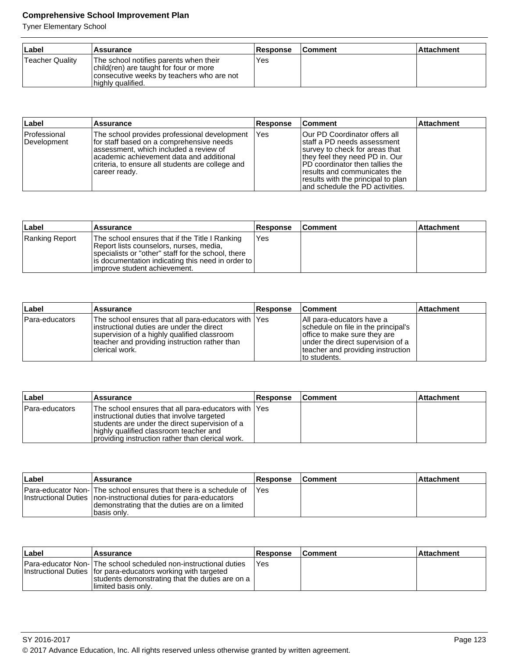| ⊥Label          | Assurance                                                                                                                                          | <b>Response</b> | ∣Comment | l Attachment |
|-----------------|----------------------------------------------------------------------------------------------------------------------------------------------------|-----------------|----------|--------------|
| Teacher Quality | The school notifies parents when their<br>child(ren) are taught for four or more<br>consecutive weeks by teachers who are not<br>highly qualified. | Yes             |          |              |

| ∣Label                      | <b>Assurance</b>                                                                                                                                                                                                                                        | <b>Response</b> | <b>Comment</b>                                                                                                                                                                                                                                                                          | Attachment |
|-----------------------------|---------------------------------------------------------------------------------------------------------------------------------------------------------------------------------------------------------------------------------------------------------|-----------------|-----------------------------------------------------------------------------------------------------------------------------------------------------------------------------------------------------------------------------------------------------------------------------------------|------------|
| Professional<br>Development | The school provides professional development<br>Ifor staff based on a comprehensive needs<br>lassessment, which included a review of<br>lacademic achievement data and additional<br>criteria, to ensure all students are college and<br> career ready. | l Yes           | <b>Our PD Coordinator offers all</b><br>Istaff a PD needs assessment<br>Isurvey to check for areas that<br>they feel they need PD in. Our<br>IPD coordinator then tallies the<br>fresults and communicates the<br>results with the principal to plan<br>and schedule the PD activities. |            |

| ∣Label         | Assurance                                                                                                                                                                                                                                 | <b>Response</b> | <b>Comment</b> | <b>Attachment</b> |
|----------------|-------------------------------------------------------------------------------------------------------------------------------------------------------------------------------------------------------------------------------------------|-----------------|----------------|-------------------|
| Ranking Report | The school ensures that if the Title I Ranking<br>Report lists counselors, nurses, media,<br>specialists or "other" staff for the school, there<br>  is documentation indicating this need in order to  <br>limprove student achievement. | <b>IYes</b>     |                |                   |

| ∣Label         | Assurance                                                                                                                                                                                                             | <b>Response</b> | <b>Comment</b>                                                                                                                                                                                | <b>Attachment</b> |
|----------------|-----------------------------------------------------------------------------------------------------------------------------------------------------------------------------------------------------------------------|-----------------|-----------------------------------------------------------------------------------------------------------------------------------------------------------------------------------------------|-------------------|
| Para-educators | The school ensures that all para-educators with  Yes<br>linstructional duties are under the direct<br>supervision of a highly qualified classroom<br>teacher and providing instruction rather than<br>Iclerical work. |                 | IAII para-educators have a<br>schedule on file in the principal's<br>office to make sure they are<br>lunder the direct supervision of a<br>teacher and providing instruction<br>Ito students. |                   |

| ∣Label         | <b>Assurance</b>                                                                                                                                                                                                                                    | <b>Response</b> | ∣Comment | <b>Attachment</b> |
|----------------|-----------------------------------------------------------------------------------------------------------------------------------------------------------------------------------------------------------------------------------------------------|-----------------|----------|-------------------|
| Para-educators | The school ensures that all para-educators with IYes<br>instructional duties that involve targeted<br>Istudents are under the direct supervision of a<br>highly qualified classroom teacher and<br>providing instruction rather than clerical work. |                 |          |                   |

| ∣Label | <b>Assurance</b>                                                                                                                                                                                         | <b>Response</b> | ∣Comment∶ | ∣Attachment∶ |
|--------|----------------------------------------------------------------------------------------------------------------------------------------------------------------------------------------------------------|-----------------|-----------|--------------|
|        | Para-educator Non- The school ensures that there is a schedule of<br>Instructional Duties Inon-instructional duties for para-educators<br>demonstrating that the duties are on a limited<br>Ibasis onlv. | lYes            |           |              |

| ∣Label | <b>Assurance</b>                                                                                                                                                                                               | <b>Response</b> | <b>Comment</b> | ∣Attachment∶ |
|--------|----------------------------------------------------------------------------------------------------------------------------------------------------------------------------------------------------------------|-----------------|----------------|--------------|
|        | Para-educator Non- The school scheduled non-instructional duties<br>Instructional Duties   for para-educators working with targeted<br>students demonstrating that the duties are on a<br>llimited basis only. | Yes             |                |              |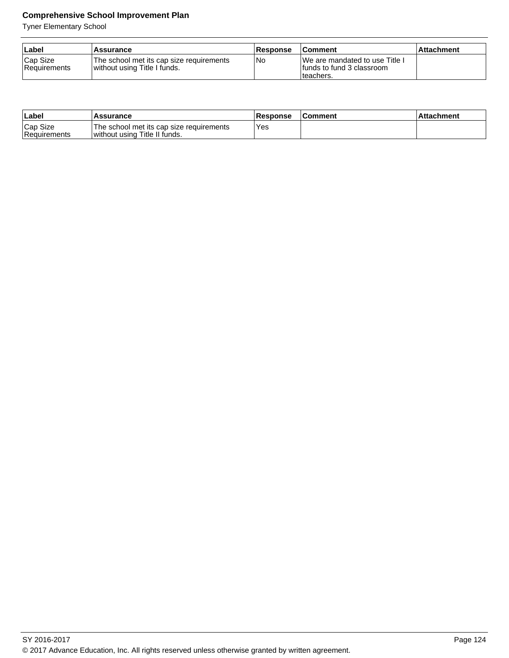| ∣Label                   | Assurance                                                                  | <b>Response</b> | <b>Comment</b>                                                              | l Attachment |
|--------------------------|----------------------------------------------------------------------------|-----------------|-----------------------------------------------------------------------------|--------------|
| Cap Size<br>Requirements | The school met its cap size requirements<br>I without using Title I funds. | l No            | IWe are mandated to use Title I<br>Ifunds to fund 3 classroom<br>Iteachers. |              |

| Label                    | <b>Assurance</b>                                                          | <b>Response</b> | <b>Comment</b> | Attachment |
|--------------------------|---------------------------------------------------------------------------|-----------------|----------------|------------|
| Cap Size<br>Requirements | The school met its cap size requirements<br>without using Title II funds. | Yes             |                |            |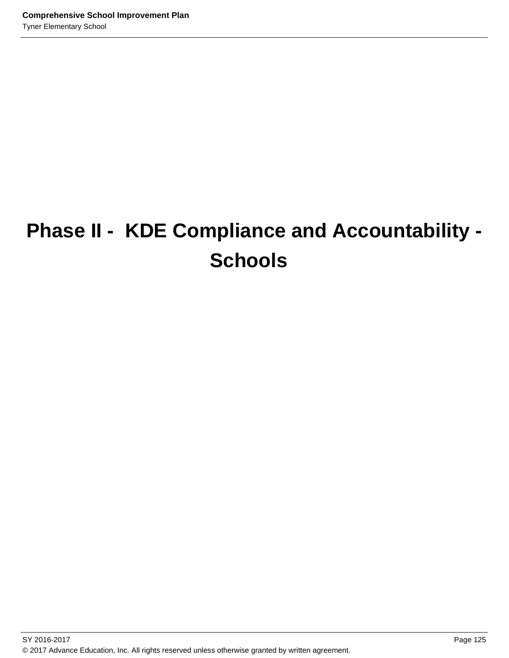# **Phase II - KDE Compliance and Accountability - Schools**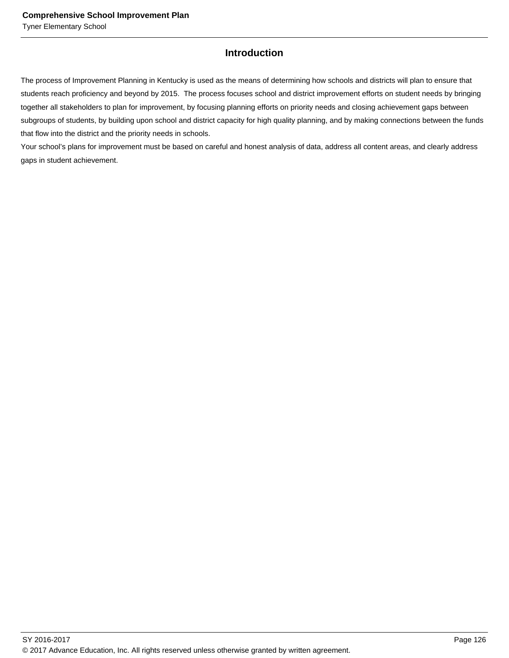## **Introduction**

The process of Improvement Planning in Kentucky is used as the means of determining how schools and districts will plan to ensure that students reach proficiency and beyond by 2015. The process focuses school and district improvement efforts on student needs by bringing together all stakeholders to plan for improvement, by focusing planning efforts on priority needs and closing achievement gaps between subgroups of students, by building upon school and district capacity for high quality planning, and by making connections between the funds that flow into the district and the priority needs in schools.

Your school's plans for improvement must be based on careful and honest analysis of data, address all content areas, and clearly address gaps in student achievement.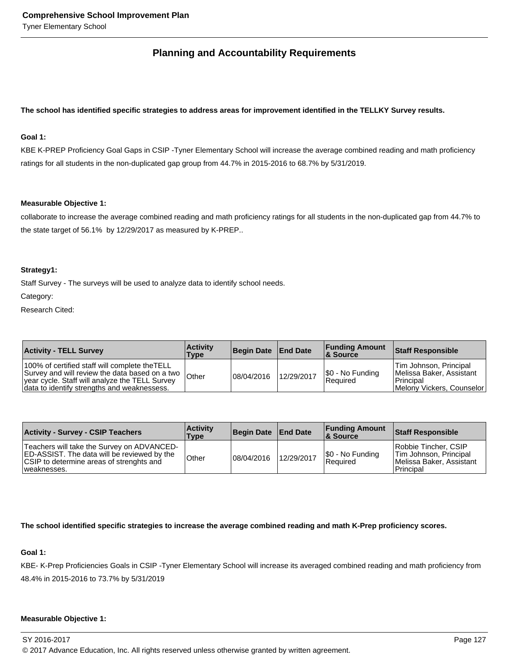## **Planning and Accountability Requirements**

#### **The school has identified specific strategies to address areas for improvement identified in the TELLKY Survey results.**

#### **Goal 1:**

KBE K-PREP Proficiency Goal Gaps in CSIP -Tyner Elementary School will increase the average combined reading and math proficiency ratings for all students in the non-duplicated gap group from 44.7% in 2015-2016 to 68.7% by 5/31/2019.

#### **Measurable Objective 1:**

collaborate to increase the average combined reading and math proficiency ratings for all students in the non-duplicated gap from 44.7% to the state target of 56.1% by 12/29/2017 as measured by K-PREP..

#### **Strategy1:**

Staff Survey - The surveys will be used to analyze data to identify school needs.

Category:

Research Cited:

| <b>Activity - TELL Survey</b>                                                                                                                                                                      | <b>Activity</b><br>Type | Begin Date   End Date |            | <b>Funding Amount</b><br><b>8 Source</b> | <b>Staff Responsible</b>                                                                       |
|----------------------------------------------------------------------------------------------------------------------------------------------------------------------------------------------------|-------------------------|-----------------------|------------|------------------------------------------|------------------------------------------------------------------------------------------------|
| 100% of certified staff will complete theTELL<br>Survey and will review the data based on a two  <br>year cycle. Staff will analyze the TELL Survey<br>data to identify strengths and weaknessess. | Other                   | 108/04/2016           | 12/29/2017 | \$0 - No Funding<br>Required             | Tim Johnson, Principal<br>Melissa Baker, Assistant<br>Principal<br>Melony Vickers. Counselor l |

| <b>Activity - Survey - CSIP Teachers</b>                                                                                                                    | <b>Activity</b><br><b>Type</b> | Begin Date   End Date |            | <b>Funding Amount</b><br>8 Source   | <b>Staff Responsible</b>                                                                |
|-------------------------------------------------------------------------------------------------------------------------------------------------------------|--------------------------------|-----------------------|------------|-------------------------------------|-----------------------------------------------------------------------------------------|
| Teachers will take the Survey on ADVANCED-<br><b>ED-ASSIST.</b> The data will be reviewed by the<br>CSIP to determine areas of strenghts and<br>weaknesses. | Other                          | 08/04/2016            | 12/29/2017 | \$0 - No Funding<br><b>Required</b> | Robbie Tincher, CSIP<br>Tim Johnson, Principal<br>Melissa Baker, Assistant<br>Principal |

#### **The school identified specific strategies to increase the average combined reading and math K-Prep proficiency scores.**

#### **Goal 1:**

KBE- K-Prep Proficiencies Goals in CSIP -Tyner Elementary School will increase its averaged combined reading and math proficiency from 48.4% in 2015-2016 to 73.7% by 5/31/2019

#### **Measurable Objective 1:**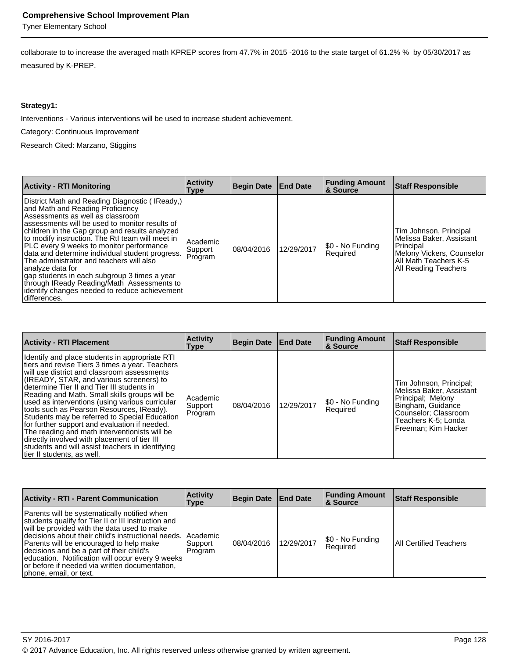Tyner Elementary School

collaborate to to increase the averaged math KPREP scores from 47.7% in 2015 -2016 to the state target of 61.2% % by 05/30/2017 as measured by K-PREP.

#### **Strategy1:**

Interventions - Various interventions will be used to increase student achievement.

Category: Continuous Improvement

Research Cited: Marzano, Stiggins

| <b>Activity - RTI Monitoring</b>                                                                                                                                                                                                                                                                                                                                                                                                                                                                                                                                                                               | <b>Activity</b><br>Type        | Begin Date End Date |            | <b>Funding Amount</b><br>∣& Source | <b>Staff Responsible</b>                                                                                                                      |
|----------------------------------------------------------------------------------------------------------------------------------------------------------------------------------------------------------------------------------------------------------------------------------------------------------------------------------------------------------------------------------------------------------------------------------------------------------------------------------------------------------------------------------------------------------------------------------------------------------------|--------------------------------|---------------------|------------|------------------------------------|-----------------------------------------------------------------------------------------------------------------------------------------------|
| District Math and Reading Diagnostic (IReady,)<br>and Math and Reading Proficiency<br>Assessments as well as classroom<br>lassessments will be used to monitor results of<br>children in the Gap group and results analyzed<br>to modify instruction. The RtI team will meet in<br>PLC every 9 weeks to monitor performance<br>data and determine individual student progress.<br>The administrator and teachers will also<br> analyze data for<br>gap students in each subgroup 3 times a year<br>through IReady Reading/Math Assessments to<br>identify changes needed to reduce achievement<br>differences. | Academic<br>Support<br>Program | 08/04/2016          | 12/29/2017 | \$0 - No Funding<br>Required       | Tim Johnson, Principal<br>Melissa Baker, Assistant<br>Principal<br>Melony Vickers, Counselor<br>All Math Teachers K-5<br>All Reading Teachers |

| <b>Activity - RTI Placement</b>                                                                                                                                                                                                                                                                                                                                                                                                                                                                                                                                                                                                                                                  | <b>Activity</b><br>Type        | Begin Date   End Date |            | <b>Funding Amount</b><br><b>8 Source</b> | <b>Staff Responsible</b>                                                                                                                                            |
|----------------------------------------------------------------------------------------------------------------------------------------------------------------------------------------------------------------------------------------------------------------------------------------------------------------------------------------------------------------------------------------------------------------------------------------------------------------------------------------------------------------------------------------------------------------------------------------------------------------------------------------------------------------------------------|--------------------------------|-----------------------|------------|------------------------------------------|---------------------------------------------------------------------------------------------------------------------------------------------------------------------|
| Identify and place students in appropriate RTI<br>tiers and revise Tiers 3 times a year. Teachers<br>will use district and classroom assessments<br>(IREADY, STAR, and various screeners) to<br>determine Tier II and Tier III students in<br>Reading and Math. Small skills groups will be<br>used as interventions (using various curricular<br>tools such as Pearson Resources, IReady).<br>Students may be referred to Special Education<br>for further support and evaluation if needed.<br>The reading and math interventionists will be<br>directly involved with placement of tier III<br>students and will assist teachers in identifying<br>tier II students, as well. | Academic<br>Support<br>Program | 08/04/2016            | 12/29/2017 | \$0 - No Funding<br>Required             | Tim Johnson, Principal;<br>Melissa Baker, Assistant<br>Principal: Melony<br>Bingham, Guidance<br>Counselor; Classroom<br>Teachers K-5: Londa<br>Freeman: Kim Hacker |

| <b>Activity - RTI - Parent Communication</b>                                                                                                                                                                                                                                                                                                                                                                                               | <b>Activity</b><br><b>Type</b> | Begin Date End Date |            | <b>Funding Amount</b><br><b>&amp; Source</b> | <b>Staff Responsible</b>      |
|--------------------------------------------------------------------------------------------------------------------------------------------------------------------------------------------------------------------------------------------------------------------------------------------------------------------------------------------------------------------------------------------------------------------------------------------|--------------------------------|---------------------|------------|----------------------------------------------|-------------------------------|
| Parents will be systematically notified when<br>students qualify for Tier II or III instruction and<br>will be provided with the data used to make<br>Idecisions about their child's instructional needs. IAcademic<br>Parents will be encouraged to help make<br>decisions and be a part of their child's<br>education. Notification will occur every 9 weeks<br>or before if needed via written documentation,<br>phone, email, or text. | Support<br>Program             | 08/04/2016          | 12/29/2017 | \$0 - No Funding<br>l Reauired               | <b>All Certified Teachers</b> |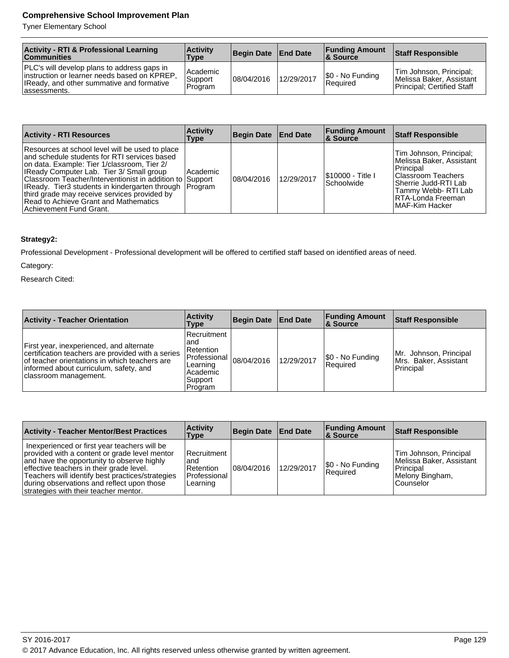Tyner Elementary School

| <b>Activity - RTI &amp; Professional Learning</b><br><b>Communities</b>                                                                                    | <b>Activity</b><br>Type          | Begin Date   End Date |            | <b>Funding Amount</b><br>& Source | <b>Staff Responsible</b>                                                          |
|------------------------------------------------------------------------------------------------------------------------------------------------------------|----------------------------------|-----------------------|------------|-----------------------------------|-----------------------------------------------------------------------------------|
| PLC's will develop plans to address gaps in<br>linstruction or learner needs based on KPREP.<br>IReady, and other summative and formative<br>lassessments. | Academic<br>Support<br>l Program | 08/04/2016            | 12/29/2017 | \$0 - No Funding<br>Reauired      | Tim Johnson, Principal;<br>Melissa Baker, Assistant<br>Principal: Certified Staff |

| <b>Activity - RTI Resources</b>                                                                                                                                                                                                                                                                                                                                                                                                        | <b>Activity</b><br>Type | Begin Date End Date |            | <b>Funding Amount</b><br><b>8 Source</b> | <b>Staff Responsible</b>                                                                                                                                                             |
|----------------------------------------------------------------------------------------------------------------------------------------------------------------------------------------------------------------------------------------------------------------------------------------------------------------------------------------------------------------------------------------------------------------------------------------|-------------------------|---------------------|------------|------------------------------------------|--------------------------------------------------------------------------------------------------------------------------------------------------------------------------------------|
| Resources at school level will be used to place<br>and schedule students for RTI services based<br>on data. Example: Tier 1/classroom. Tier 2/<br>IReady Computer Lab. Tier 3/ Small group<br>Classroom Teacher/Interventionist in addition to Support<br>IReady. Tier3 students in kindergarten through   Program<br>third grade may receive services provided by<br>Read to Achieve Grant and Mathematics<br>Achievement Fund Grant. | l Academic              | 08/04/2016          | 12/29/2017 | I\$10000 - Title I<br><b>Schoolwide</b>  | Tim Johnson, Principal;<br>Melissa Baker, Assistant<br>Principal<br><b>IClassroom Teachers</b><br>Sherrie Judd-RTI Lab<br>Tammy Webb-RTI Lab<br>RTA-Londa Freeman<br>IMAF-Kim Hacker |

#### **Strategy2:**

Professional Development - Professional development will be offered to certified staff based on identified areas of need.

Category:

Research Cited:

| <b>Activity - Teacher Orientation</b>                                                                                                                                                                             | <b>Activity</b><br>Type                                                                             | <b>Begin Date</b> | <b>End Date</b> | <b>Funding Amount</b><br>∣& Source  | <b>Staff Responsible</b>                                     |
|-------------------------------------------------------------------------------------------------------------------------------------------------------------------------------------------------------------------|-----------------------------------------------------------------------------------------------------|-------------------|-----------------|-------------------------------------|--------------------------------------------------------------|
| First year, inexperienced, and alternate<br>certification teachers are provided with a series<br>of teacher orientations in which teachers are<br>informed about curriculum, safety, and<br>classroom management. | l Recruitment<br>and<br>l Retention<br>l Professional<br>Learning<br>Academic<br>Support<br>Program | 08/04/2016        | 12/29/2017      | \$0 - No Funding<br><b>Required</b> | Mr. Johnson, Principal<br>Mrs. Baker, Assistant<br>Principal |

| <b>Activity - Teacher Mentor/Best Practices</b>                                                                                                                                                                                                                                                                                    | <b>Activity</b><br>Type                                         | Begin Date   End Date |            | <b>Funding Amount</b><br><b>8 Source</b> | Staff Responsible                                                                               |
|------------------------------------------------------------------------------------------------------------------------------------------------------------------------------------------------------------------------------------------------------------------------------------------------------------------------------------|-----------------------------------------------------------------|-----------------------|------------|------------------------------------------|-------------------------------------------------------------------------------------------------|
| Inexperienced or first year teachers will be<br>provided with a content or grade level mentor<br>and have the opportunity to observe highly<br>effective teachers in their grade level.<br>Teachers will identify best practices/strategies<br>during observations and reflect upon those<br>strategies with their teacher mentor. | l Recruitment<br>and<br>l Retention<br>Professional<br>Learning | 08/04/2016            | 12/29/2017 | \$0 - No Funding<br>Required             | Tim Johnson, Principal<br>Melissa Baker, Assistant<br>Principal<br>Melony Bingham,<br>Counselor |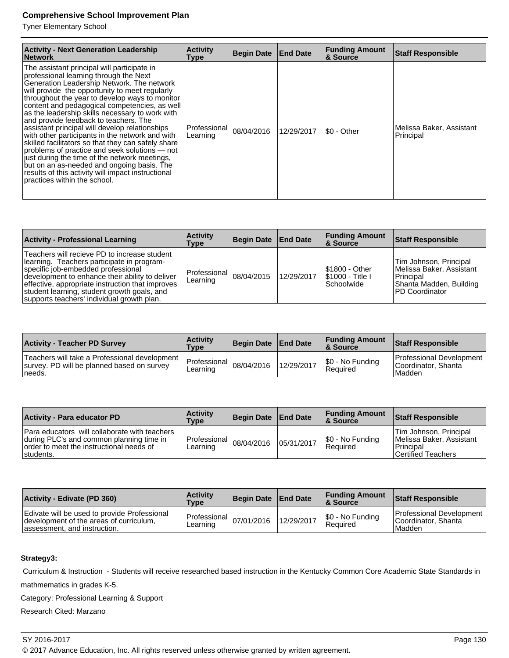Tyner Elementary School

| <b>Activity - Next Generation Leadership</b><br><b>Network</b>                                                                                                                                                                                                                                                                                                                                                                                                                                                                                                                                                                                                                                                                                                                        | <b>Activity</b><br><b>Type</b> | Begin Date | <b>End Date</b> | <b>Funding Amount</b><br>& Source | <b>Staff Responsible</b>              |
|---------------------------------------------------------------------------------------------------------------------------------------------------------------------------------------------------------------------------------------------------------------------------------------------------------------------------------------------------------------------------------------------------------------------------------------------------------------------------------------------------------------------------------------------------------------------------------------------------------------------------------------------------------------------------------------------------------------------------------------------------------------------------------------|--------------------------------|------------|-----------------|-----------------------------------|---------------------------------------|
| The assistant principal will participate in<br>professional learning through the Next<br>Generation Leadership Network. The network<br>will provide the opportunity to meet regularly<br>throughout the year to develop ways to monitor<br>content and pedagogical competencies, as well<br>as the leadership skills necessary to work with<br>and provide feedback to teachers. The<br>assistant principal will develop relationships<br>with other participants in the network and with<br>skilled facilitators so that they can safely share<br>problems of practice and seek solutions – not<br>just during the time of the network meetings,<br>but on an as-needed and ongoing basis. The<br>results of this activity will impact instructional<br>practices within the school. | Professional<br>Learning       | 08/04/2016 | 12/29/2017      | I\$0 - Other                      | Melissa Baker, Assistant<br>Principal |

| <b>Activity - Professional Learning</b>                                                                                                                                                                                                                                                                                               | <b>Activity</b><br>Type                | Begin Date   End Date |            | <b>Funding Amount</b><br>∣& Source                             | <b>Staff Responsible</b>                                                                                               |
|---------------------------------------------------------------------------------------------------------------------------------------------------------------------------------------------------------------------------------------------------------------------------------------------------------------------------------------|----------------------------------------|-----------------------|------------|----------------------------------------------------------------|------------------------------------------------------------------------------------------------------------------------|
| Teachers will recieve PD to increase student<br>Ilearning. Teachers participate in program-<br>specific job-embedded professional<br>development to enhance their ability to deliver<br>effective, appropriate instruction that improves<br>student learning, student growth goals, and<br>supports teachers' individual growth plan. | Professional $ 08/04/2015$<br>Learning |                       | 12/29/2017 | <b>S1800 - Other</b><br><b>S1000 - Title I</b><br>l Schoolwide | Tim Johnson, Principal<br>Melissa Baker, Assistant<br>l Principal<br>Shanta Madden, Building<br><b>IPD Coordinator</b> |

| <b>Activity - Teacher PD Survey</b>                                                                    | <b>Activity</b><br><b>Type</b>                                           | Begin Date End Date |            | <b>Funding Amount</b><br>8 Source | <b>Staff Responsible</b>                                    |
|--------------------------------------------------------------------------------------------------------|--------------------------------------------------------------------------|---------------------|------------|-----------------------------------|-------------------------------------------------------------|
| Teachers will take a Professional development<br>survey. PD will be planned based on survey<br>Ineeds. | $\therefore$ Professional $ _{08/04/2016}$ 110 <sup>16</sup><br>Learning |                     | 12/29/2017 | S0 - No Funding<br>Required       | Professional Development<br>Coordinator, Shanta<br>l Madden |

| <b>Activity - Para educator PD</b>                                                                                                                        | <b>Activity</b><br>Type                         | Begin Date   End Date |            | <b>Funding Amount</b><br><b>&amp; Source</b> | <b>Staff Responsible</b>                                                              |
|-----------------------------------------------------------------------------------------------------------------------------------------------------------|-------------------------------------------------|-----------------------|------------|----------------------------------------------|---------------------------------------------------------------------------------------|
| <b>Para educators will collaborate with teachers</b><br>during PLC's and common planning time in<br>order to meet the instructional needs of<br>students. | Professional $ 08/04/2016$ Infinity<br>Learning |                       | 05/31/2017 | \$0 - No Funding<br><b>Required</b>          | Tim Johnson, Principal<br>Melissa Baker, Assistant<br>Principal<br>Certified Teachers |

| Activity - Edivate (PD 360)                                                                                              | <b>Activity</b><br><b>Type</b>          | Begin Date   End Date |            | <b>Funding Amount</b><br>& Source | <b>Staff Responsible</b>                                  |
|--------------------------------------------------------------------------------------------------------------------------|-----------------------------------------|-----------------------|------------|-----------------------------------|-----------------------------------------------------------|
| Edivate will be used to provide Professional<br>development of the areas of curriculum,<br>lassessment, and instruction. | Professional $ 07/01/2016 $<br>Learning |                       | 12/29/2017 | \$0 - No Funding<br>Required      | Professional Development<br>Coordinator, Shanta<br>Madden |

## **Strategy3:**

Curriculum & Instruction - Students will receive researched based instruction in the Kentucky Common Core Academic State Standards in

mathmematics in grades K-5.

Category: Professional Learning & Support

Research Cited: Marzano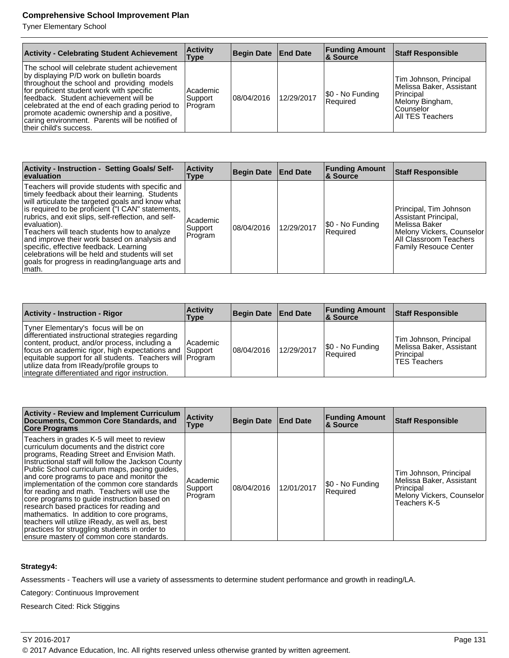Tyner Elementary School

| <b>Activity - Celebrating Student Achievement</b>                                                                                                                                                                                                                                                                                                                                                             | <b>Activity</b><br>Type          | Begin Date   End Date |            | <b>Funding Amount</b><br><b>&amp; Source</b> | <b>Staff Responsible</b>                                                                                              |
|---------------------------------------------------------------------------------------------------------------------------------------------------------------------------------------------------------------------------------------------------------------------------------------------------------------------------------------------------------------------------------------------------------------|----------------------------------|-----------------------|------------|----------------------------------------------|-----------------------------------------------------------------------------------------------------------------------|
| The school will celebrate student achievement<br>by displaying P/D work on bulletin boards<br>throughout the school and providing models<br>for proficient student work with specific<br>lfeedback. Student achievement will be<br>celebrated at the end of each grading period to<br>promote academic ownership and a positive,<br>caring environment. Parents will be notified of<br>their child's success. | Academic<br> Support <br>Program | 08/04/2016            | 12/29/2017 | \$0 - No Funding<br>Required                 | Tim Johnson, Principal<br>Melissa Baker, Assistant<br>Principal<br>Melony Bingham,<br>Counselor<br>  All TES Teachers |

| <b>Activity - Instruction - Setting Goals/Self-</b><br><b>evaluation</b>                                                                                                                                                                                                                                                                                                                                                                                                                                                                   | <b>Activity</b><br>Type        | Begin Date | <b>End Date</b> | <b>Funding Amount</b><br>∣& Source | <b>Staff Responsible</b>                                                                                                                                 |
|--------------------------------------------------------------------------------------------------------------------------------------------------------------------------------------------------------------------------------------------------------------------------------------------------------------------------------------------------------------------------------------------------------------------------------------------------------------------------------------------------------------------------------------------|--------------------------------|------------|-----------------|------------------------------------|----------------------------------------------------------------------------------------------------------------------------------------------------------|
| Teachers will provide students with specific and<br>timely feedback about their learning. Students<br>will articulate the targeted goals and know what<br>is required to be proficient ("I CAN" statements,<br>rubrics, and exit slips, self-reflection, and self-<br>evaluation).<br>Teachers will teach students how to analyze<br>and improve their work based on analysis and<br>specific, effective feedback. Learning<br>celebrations will be held and students will set<br>goals for progress in reading/language arts and<br>math. | Academic<br>Support<br>Program | 08/04/2016 | 12/29/2017      | \$0 - No Funding<br>Required       | Principal, Tim Johnson<br>Assistant Principal,<br>l Melissa Baker<br>Melony Vickers, Counselor<br>All Classroom Teachers<br><b>Family Resouce Center</b> |

| <b>Activity - Instruction - Rigor</b>                                                                                                                                                                                                                                                                                                                             | <b>Activity</b><br>Type | Begin Date   End Date |            | <b>Funding Amount</b><br>∣& Source  | Staff Responsible                                                                      |
|-------------------------------------------------------------------------------------------------------------------------------------------------------------------------------------------------------------------------------------------------------------------------------------------------------------------------------------------------------------------|-------------------------|-----------------------|------------|-------------------------------------|----------------------------------------------------------------------------------------|
| Tyner Elementary's focus will be on<br>differentiated instructional strategies regarding<br>content, product, and/or process, including a<br>focus on academic rigor, high expectations and Support<br>equitable support for all students. Teachers will Program<br>utilize data from IReady/profile groups to<br>integrate differentiated and rigor instruction. | Academic                | 108/04/2016           | 12/29/2017 | \$0 - No Funding<br><b>Required</b> | Tim Johnson, Principal<br>Melissa Baker, Assistant<br>Principal<br><b>TES Teachers</b> |

| <b>Activity - Review and Implement Curriculum</b><br>Documents, Common Core Standards, and<br><b>Core Programs</b>                                                                                                                                                                                                                                                                                                                                                                                                                                                                                                                                                                | <b>Activity</b><br>Type        | <b>Begin Date</b> | <b>End Date</b> | <b>Funding Amount</b><br>∣& Source | <b>Staff Responsible</b>                                                                                     |
|-----------------------------------------------------------------------------------------------------------------------------------------------------------------------------------------------------------------------------------------------------------------------------------------------------------------------------------------------------------------------------------------------------------------------------------------------------------------------------------------------------------------------------------------------------------------------------------------------------------------------------------------------------------------------------------|--------------------------------|-------------------|-----------------|------------------------------------|--------------------------------------------------------------------------------------------------------------|
| Teachers in grades K-5 will meet to review<br>curriculum documents and the district core<br>programs, Reading Street and Envision Math.<br>Instructional staff will follow the Jackson County<br>Public School curriculum maps, pacing guides,<br>and core programs to pace and monitor the<br>implementation of the common core standards<br>for reading and math. Teachers will use the<br>core programs to quide instruction based on<br>research based practices for reading and<br>mathematics. In addition to core programs,<br>teachers will utilize iReady, as well as, best<br>practices for struggling students in order to<br>ensure mastery of common core standards. | Academic<br>Support<br>Program | 08/04/2016        | 12/01/2017      | S0 - No Funding<br>Required        | Tim Johnson, Principal<br>Melissa Baker, Assistant<br>Principal<br>Melony Vickers, Counselor<br>Teachers K-5 |

#### **Strategy4:**

Assessments - Teachers will use a variety of assessments to determine student performance and growth in reading/LA.

Category: Continuous Improvement

Research Cited: Rick Stiggins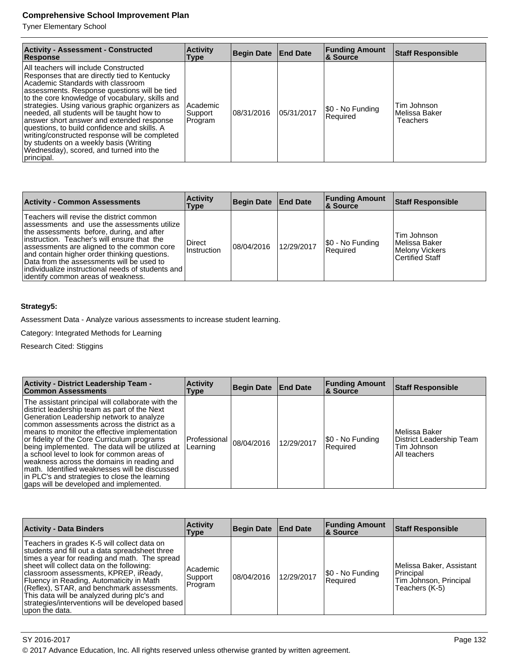Tyner Elementary School

| <b>Activity - Assessment - Constructed</b><br>Response                                                                                                                                                                                                                                                                                                                                                                                                                                                                                                                           | <b>Activity</b><br>Type        | Begin Date End Date |            | <b>Funding Amount</b><br>& Source | <b>Staff Responsible</b>                   |
|----------------------------------------------------------------------------------------------------------------------------------------------------------------------------------------------------------------------------------------------------------------------------------------------------------------------------------------------------------------------------------------------------------------------------------------------------------------------------------------------------------------------------------------------------------------------------------|--------------------------------|---------------------|------------|-----------------------------------|--------------------------------------------|
| All teachers will include Constructed<br>Responses that are directly tied to Kentucky<br>Academic Standards with classroom<br>assessments. Response questions will be tied<br>to the core knowledge of vocabulary, skills and<br>strategies. Using various graphic organizers as<br>needed, all students will be taught how to<br>answer short answer and extended response<br>questions, to build confidence and skills. A<br>writing/constructed response will be completed<br>by students on a weekly basis (Writing<br>Wednesday), scored, and turned into the<br>principal. | Academic<br>Support<br>Program | 108/31/2016         | 05/31/2017 | [\$0 - No Funding<br>Required     | Tim Johnson<br>l Melissa Baker<br>Teachers |

| <b>Activity - Common Assessments</b>                                                                                                                                                                                                                                                                                                                                                                                         | <b>Activity</b><br>Type | Begin Date   End Date |            | <b>Funding Amount</b><br>∣& Source | <b>Staff Responsible</b>                                                          |
|------------------------------------------------------------------------------------------------------------------------------------------------------------------------------------------------------------------------------------------------------------------------------------------------------------------------------------------------------------------------------------------------------------------------------|-------------------------|-----------------------|------------|------------------------------------|-----------------------------------------------------------------------------------|
| Teachers will revise the district common<br>lassessments and use the assessments utilize<br>the assessments before, during, and after<br>linstruction. Teacher's will ensure that the<br>assessments are aligned to the common core<br>and contain higher order thinking questions.<br>Data from the assessments will be used to<br>individualize instructional needs of students and<br>lidentify common areas of weakness. | Direct<br>Instruction   | 08/04/2016            | 12/29/2017 | \$0 - No Funding<br>Required       | Tim Johnson<br>l Melissa Baker<br><b>Melony Vickers</b><br><b>Certified Staff</b> |

#### **Strategy5:**

Assessment Data - Analyze various assessments to increase student learning.

Category: Integrated Methods for Learning

Research Cited: Stiggins

| <b>Activity - District Leadership Team -</b><br><b>Common Assessments</b>                                                                                                                                                                                                                                                                                                                                                                                                                                                                                                                | <b>Activity</b><br>Type  | Begin Date End Date |            | <b>Funding Amount</b><br><b>&amp; Source</b> | <b>Staff Responsible</b>                                                 |
|------------------------------------------------------------------------------------------------------------------------------------------------------------------------------------------------------------------------------------------------------------------------------------------------------------------------------------------------------------------------------------------------------------------------------------------------------------------------------------------------------------------------------------------------------------------------------------------|--------------------------|---------------------|------------|----------------------------------------------|--------------------------------------------------------------------------|
| The assistant principal will collaborate with the<br>district leadership team as part of the Next<br>Generation Leadership network to analyze<br>common assessments across the district as a<br>means to monitor the effective implementation<br>or fidelity of the Core Curriculum programs<br>being implemented. The data will be utilized at<br>a school level to look for common areas of<br>weakness across the domains in reading and<br>math. Identified weaknesses will be discussed<br>in PLC's and strategies to close the learning<br>gaps will be developed and implemented. | Professional<br>Learning | 08/04/2016          | 12/29/2017 | S0 - No Funding<br>Required                  | Melissa Baker<br>District Leadership Team<br>Tim Johnson<br>All teachers |

| <b>Activity - Data Binders</b>                                                                                                                                                                                                                                                                                                                                                                                                                      | <b>Activity</b><br>Type        | Begin Date End Date |            | <b>Funding Amount</b><br><b>8 Source</b> | <b>Staff Responsible</b>                                                          |
|-----------------------------------------------------------------------------------------------------------------------------------------------------------------------------------------------------------------------------------------------------------------------------------------------------------------------------------------------------------------------------------------------------------------------------------------------------|--------------------------------|---------------------|------------|------------------------------------------|-----------------------------------------------------------------------------------|
| Teachers in grades K-5 will collect data on<br>students and fill out a data spreadsheet three<br>times a year for reading and math. The spread<br>sheet will collect data on the following:<br>classroom assessments, KPREP, iReady,<br>Fluency in Reading, Automaticity in Math<br>(Reflex), STAR, and benchmark assessments.<br>This data will be analyzed during plc's and<br>strategies/interventions will be developed based<br>upon the data. | Academic<br>Support<br>Program | 108/04/2016         | 12/29/2017 | \$0 - No Funding<br>Required             | Melissa Baker, Assistant<br>Principal<br>Tim Johnson, Principal<br>Teachers (K-5) |

SY 2016-2017 Page 132

© 2017 Advance Education, Inc. All rights reserved unless otherwise granted by written agreement.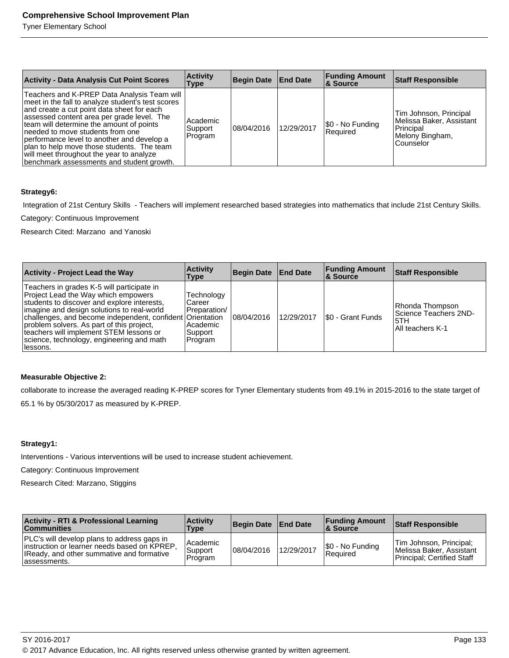Tyner Elementary School

| <b>Activity - Data Analysis Cut Point Scores</b>                                                                                                                                                                                                                                                                                                                                                                                                                  | <b>Activity</b><br>Type        | Begin Date   End Date |            | <b>Funding Amount</b><br><b>8 Source</b> | <b>Staff Responsible</b>                                                                        |
|-------------------------------------------------------------------------------------------------------------------------------------------------------------------------------------------------------------------------------------------------------------------------------------------------------------------------------------------------------------------------------------------------------------------------------------------------------------------|--------------------------------|-----------------------|------------|------------------------------------------|-------------------------------------------------------------------------------------------------|
| Teachers and K-PREP Data Analysis Team will<br>meet in the fall to analyze student's test scores<br>and create a cut point data sheet for each<br>assessed content area per grade level. The<br>team will determine the amount of points<br>needed to move students from one<br>performance level to another and develop a<br>plan to help move those students. The team<br>will meet throughout the year to analyze<br>benchmark assessments and student growth. | Academic<br>Support<br>Program | 108/04/2016           | 12/29/2017 | \$0 - No Funding<br>Required             | Tim Johnson, Principal<br>Melissa Baker, Assistant<br>Principal<br>Melony Bingham,<br>Counselor |

#### **Strategy6:**

Integration of 21st Century Skills - Teachers will implement researched based strategies into mathematics that include 21st Century Skills.

Category: Continuous Improvement

Research Cited: Marzano and Yanoski

| <b>Activity - Project Lead the Way</b>                                                                                                                                                                                                                                                                                                                                                         | <b>Activity</b><br>Type                                                  | Begin Date   End Date |            | <b>Funding Amount</b><br><b>&amp; Source</b> | <b>Staff Responsible</b>                                            |
|------------------------------------------------------------------------------------------------------------------------------------------------------------------------------------------------------------------------------------------------------------------------------------------------------------------------------------------------------------------------------------------------|--------------------------------------------------------------------------|-----------------------|------------|----------------------------------------------|---------------------------------------------------------------------|
| Teachers in grades K-5 will participate in<br>Project Lead the Way which empowers<br>students to discover and explore interests,<br>limagine and design solutions to real-world<br>challenges, and become independent, confident Orientation<br>problem solvers. As part of this project,<br>teachers will implement STEM lessons or<br>science, technology, engineering and math<br>llessons. | Technology<br>Career<br>Preparation/<br>Academic<br> Support <br>Program | 08/04/2016            | 12/29/2017 | I\$0 - Grant Funds                           | Rhonda Thompson<br>Science Teachers 2ND-<br>5TH<br>All teachers K-1 |

#### **Measurable Objective 2:**

collaborate to increase the averaged reading K-PREP scores for Tyner Elementary students from 49.1% in 2015-2016 to the state target of

65.1 % by 05/30/2017 as measured by K-PREP.

#### **Strategy1:**

Interventions - Various interventions will be used to increase student achievement.

Category: Continuous Improvement

Research Cited: Marzano, Stiggins

| <b>Activity - RTI &amp; Professional Learning</b><br><b>Communities</b>                                                                                           | <b>Activity</b><br>Type          | Begin Date End Date |            | <b>Funding Amount</b><br><b>&amp; Source</b> | Staff Responsible                                                                 |
|-------------------------------------------------------------------------------------------------------------------------------------------------------------------|----------------------------------|---------------------|------------|----------------------------------------------|-----------------------------------------------------------------------------------|
| <b>PLC's will develop plans to address gaps in</b><br>linstruction or learner needs based on KPREP.<br>IReady, and other summative and formative<br>lassessments. | l Academic<br>Support<br>Program | 08/04/2016          | 12/29/2017 | $ \$0 - No Funding$<br><b>Required</b>       | Tim Johnson, Principal;<br>Melissa Baker, Assistant<br>Principal: Certified Staff |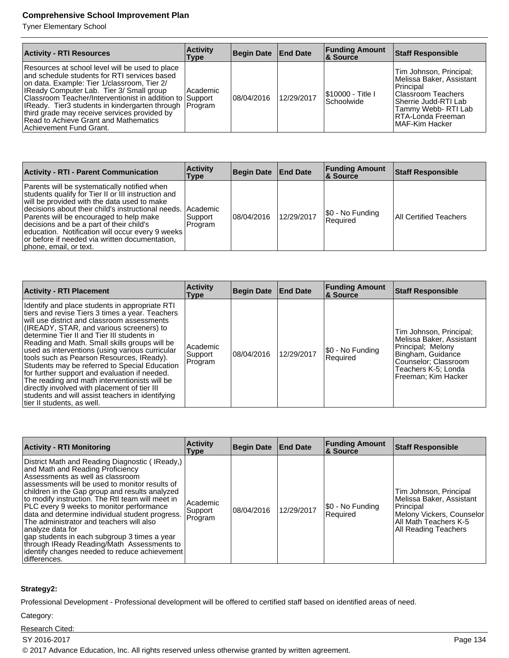Tyner Elementary School

| <b>Activity - RTI Resources</b>                                                                                                                                                                                                                                                                                                                                                                                                             | <b>Activity</b><br><b>Type</b> | Begin Date End Date |            | <b>Funding Amount</b><br><b>&amp; Source</b> | <b>Staff Responsible</b>                                                                                                                                                        |
|---------------------------------------------------------------------------------------------------------------------------------------------------------------------------------------------------------------------------------------------------------------------------------------------------------------------------------------------------------------------------------------------------------------------------------------------|--------------------------------|---------------------|------------|----------------------------------------------|---------------------------------------------------------------------------------------------------------------------------------------------------------------------------------|
| Resources at school level will be used to place<br>and schedule students for RTI services based<br>on data. Example: Tier 1/classroom, Tier 2/<br><b>IReady Computer Lab. Tier 3/ Small group</b><br>Classroom Teacher/Interventionist in addition to Support<br>IReady. Tier3 students in kindergarten through Program<br>third grade may receive services provided by<br>Read to Achieve Grant and Mathematics<br>Achievement Fund Grant. | l Academic                     | 108/04/2016         | 12/29/2017 | \$10000 - Title I<br>Schoolwide              | Tim Johnson, Principal;<br>Melissa Baker, Assistant<br>l Principal<br>Classroom Teachers<br>Sherrie Judd-RTI Lab<br>Tammy Webb-RTI Lab<br>IRTA-Londa Freeman<br>IMAF-Kim Hacker |

| <b>Activity - RTI - Parent Communication</b>                                                                                                                                                                                                                                                                                                                                                                                               | <b>Activity</b><br>Type | Begin Date End Date |            | <b>Funding Amount</b><br><b>&amp; Source</b> | <b>Staff Responsible</b>      |
|--------------------------------------------------------------------------------------------------------------------------------------------------------------------------------------------------------------------------------------------------------------------------------------------------------------------------------------------------------------------------------------------------------------------------------------------|-------------------------|---------------------|------------|----------------------------------------------|-------------------------------|
| Parents will be systematically notified when<br>students qualify for Tier II or III instruction and<br>will be provided with the data used to make<br>decisions about their child's instructional needs.   Academic<br>Parents will be encouraged to help make<br>decisions and be a part of their child's<br>education. Notification will occur every 9 weeks<br>or before if needed via written documentation,<br>phone, email, or text. | Support<br>Program      | 108/04/2016         | 12/29/2017 | [\$0 - No Funding<br>Required                | <b>All Certified Teachers</b> |

| <b>Activity - RTI Placement</b>                                                                                                                                                                                                                                                                                                                                                                                                                                                                                                                                                                                                                                                  | <b>Activity</b><br><b>Type</b> | Begin Date End Date |            | <b>Funding Amount</b><br><b>&amp; Source</b> | <b>Staff Responsible</b>                                                                                                                                            |
|----------------------------------------------------------------------------------------------------------------------------------------------------------------------------------------------------------------------------------------------------------------------------------------------------------------------------------------------------------------------------------------------------------------------------------------------------------------------------------------------------------------------------------------------------------------------------------------------------------------------------------------------------------------------------------|--------------------------------|---------------------|------------|----------------------------------------------|---------------------------------------------------------------------------------------------------------------------------------------------------------------------|
| Identify and place students in appropriate RTI<br>tiers and revise Tiers 3 times a year. Teachers<br>will use district and classroom assessments<br>(IREADY, STAR, and various screeners) to<br>determine Tier II and Tier III students in<br>Reading and Math. Small skills groups will be<br>used as interventions (using various curricular<br>tools such as Pearson Resources, IReady).<br>Students may be referred to Special Education<br>for further support and evaluation if needed.<br>The reading and math interventionists will be<br>directly involved with placement of tier III<br>students and will assist teachers in identifying<br>tier II students, as well. | Academic<br>Support<br>Program | 108/04/2016         | 12/29/2017 | \$0 - No Funding<br>Required                 | Tim Johnson, Principal;<br>Melissa Baker, Assistant<br>Principal; Melony<br>Bingham, Guidance<br>Counselor: Classroom<br>Teachers K-5: Londa<br>Freeman: Kim Hacker |

| <b>Activity - RTI Monitoring</b>                                                                                                                                                                                                                                                                                                                                                                                                                                                                                                                                                                              | <b>Activity</b><br>Type         | <b>Begin Date</b> | <b>End Date</b> | <b>Funding Amount</b><br><b>&amp; Source</b> | <b>Staff Responsible</b>                                                                                                                              |
|---------------------------------------------------------------------------------------------------------------------------------------------------------------------------------------------------------------------------------------------------------------------------------------------------------------------------------------------------------------------------------------------------------------------------------------------------------------------------------------------------------------------------------------------------------------------------------------------------------------|---------------------------------|-------------------|-----------------|----------------------------------------------|-------------------------------------------------------------------------------------------------------------------------------------------------------|
| District Math and Reading Diagnostic (IReady,)<br>and Math and Reading Proficiency<br>Assessments as well as classroom<br>assessments will be used to monitor results of<br>children in the Gap group and results analyzed<br>to modify instruction. The RtI team will meet in<br>PLC every 9 weeks to monitor performance<br>data and determine individual student progress.<br>The administrator and teachers will also<br> analyze data for<br>gap students in each subgroup 3 times a year<br>through IReady Reading/Math Assessments to<br>identify changes needed to reduce achievement<br>differences. | Academic<br> Support<br>Program | 108/04/2016       | 12/29/2017      | \$0 - No Funding<br>Required                 | Tim Johnson, Principal<br>Melissa Baker, Assistant<br> Principal<br>Melony Vickers, Counselor<br>All Math Teachers K-5<br><b>All Reading Teachers</b> |

#### **Strategy2:**

Professional Development - Professional development will be offered to certified staff based on identified areas of need.

Category:

Research Cited:

SY 2016-2017 Page 134

© 2017 Advance Education, Inc. All rights reserved unless otherwise granted by written agreement.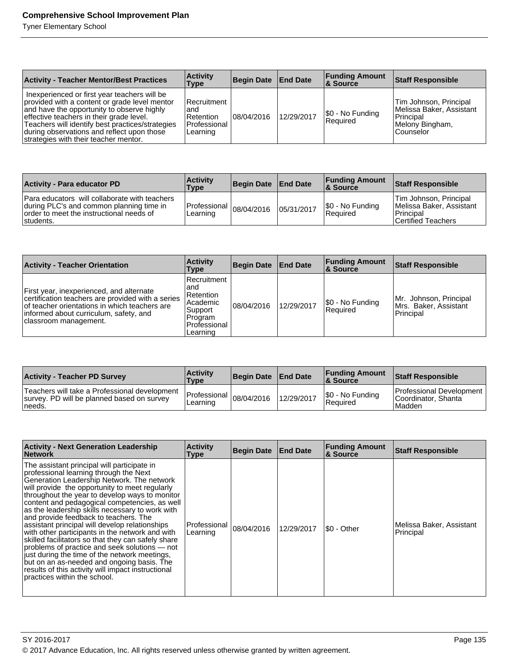| <b>Activity - Teacher Mentor/Best Practices</b>                                                                                                                                                                                                                                                                                    | <b>Activity</b><br>Type                                               | Begin Date   End Date |            | <b>Funding Amount</b><br>& Source | <b>Staff Responsible</b>                                                                          |
|------------------------------------------------------------------------------------------------------------------------------------------------------------------------------------------------------------------------------------------------------------------------------------------------------------------------------------|-----------------------------------------------------------------------|-----------------------|------------|-----------------------------------|---------------------------------------------------------------------------------------------------|
| Inexperienced or first year teachers will be<br>provided with a content or grade level mentor<br>and have the opportunity to observe highly<br>effective teachers in their grade level.<br>Teachers will identify best practices/strategies<br>during observations and reflect upon those<br>strategies with their teacher mentor. | IRecruitment<br>and<br><b>Retention</b><br>l Professional<br>Learning | 08/04/2016            | 12/29/2017 | \$0 - No Funding<br>Required      | Tim Johnson, Principal<br>Melissa Baker, Assistant<br>Principal<br>Melony Bingham,<br>l Counselor |

| <b>Activity - Para educator PD</b>                                                                                                                 | <b>Activity</b><br>Type                            | Begin Date End Date |            | <b>Funding Amount</b><br>8 Source | <b>Staff Responsible</b>                                                                |
|----------------------------------------------------------------------------------------------------------------------------------------------------|----------------------------------------------------|---------------------|------------|-----------------------------------|-----------------------------------------------------------------------------------------|
| Para educators will collaborate with teachers<br>during PLC's and common planning time in<br>order to meet the instructional needs of<br>students. | Professional $\vert_{08/04/2016}$ Infi<br>Learning |                     | 05/31/2017 | S0 - No Funding<br>Required       | Tim Johnson, Principal<br>Melissa Baker, Assistant<br>l Principal<br>Certified Teachers |

| <b>Activity - Teacher Orientation</b>                                                                                                                                                                             | <b>Activity</b><br>Type                                                                                | Begin Date   End Date |            | <b>Funding Amount</b><br>∣& Source | <b>Staff Responsible</b>                                     |
|-------------------------------------------------------------------------------------------------------------------------------------------------------------------------------------------------------------------|--------------------------------------------------------------------------------------------------------|-----------------------|------------|------------------------------------|--------------------------------------------------------------|
| First year, inexperienced, and alternate<br>certification teachers are provided with a series<br>of teacher orientations in which teachers are<br>informed about curriculum, safety, and<br>classroom management. | Recruitment<br>and<br><b>Retention</b><br>l Academic<br>Support<br>Program<br>Professional<br>Learning | 08/04/2016            | 12/29/2017 | \$0 - No Funding<br>Required       | Mr. Johnson, Principal<br>Mrs. Baker, Assistant<br>Principal |

| <b>Activity - Teacher PD Survey</b>                                                                      | <b>Activity</b><br><b>Type</b>                                        | Begin Date End Date |            | <b>Funding Amount</b><br>8 Source | Staff Responsible                                           |
|----------------------------------------------------------------------------------------------------------|-----------------------------------------------------------------------|---------------------|------------|-----------------------------------|-------------------------------------------------------------|
| l Teachers will take a Professional development<br>survey. PD will be planned based on survey<br>⊥needs. | $\sim$ $\sim$ Professional $ 08/04/2016$ 110 <sup>2</sup><br>Learning |                     | 12/29/2017 | S0 - No Funding<br>Required       | Professional Development<br>Coordinator, Shanta<br>l Madden |

| <b>Activity - Next Generation Leadership</b><br><b>Network</b>                                                                                                                                                                                                                                                                                                                                                                                                                                                                                                                                                                                                                                                                                                                        | <b>Activity</b><br>Type  | Begin Date   End Date |            | <b>Funding Amount</b><br><b>&amp; Source</b> | <b>Staff Responsible</b>              |
|---------------------------------------------------------------------------------------------------------------------------------------------------------------------------------------------------------------------------------------------------------------------------------------------------------------------------------------------------------------------------------------------------------------------------------------------------------------------------------------------------------------------------------------------------------------------------------------------------------------------------------------------------------------------------------------------------------------------------------------------------------------------------------------|--------------------------|-----------------------|------------|----------------------------------------------|---------------------------------------|
| The assistant principal will participate in<br>professional learning through the Next<br>Generation Leadership Network. The network<br>will provide the opportunity to meet regularly<br>throughout the year to develop ways to monitor<br>content and pedagogical competencies, as well<br>as the leadership skills necessary to work with<br>and provide feedback to teachers. The<br>assistant principal will develop relationships<br>with other participants in the network and with<br>skilled facilitators so that they can safely share<br>problems of practice and seek solutions - not<br>just during the time of the network meetings,<br>but on an as-needed and ongoing basis. The<br>results of this activity will impact instructional<br>practices within the school. | Professional<br>Learning | 08/04/2016            | 12/29/2017 | I\$0 - Other                                 | Melissa Baker, Assistant<br>Principal |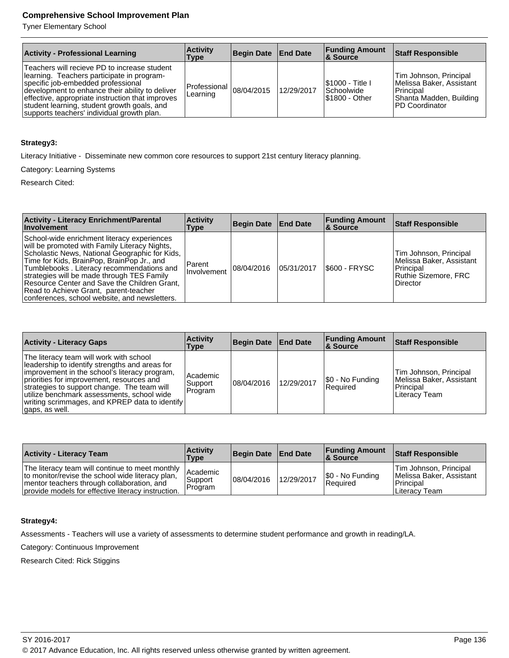Tyner Elementary School

| <b>Activity - Professional Learning</b>                                                                                                                                                                                                                                                                                              | <b>Activity</b><br>Type                | <b>Begin Date</b> | <b>End Date</b> | <b>Funding Amount</b><br>8 Source                              | <b>Staff Responsible</b>                                                                                        |
|--------------------------------------------------------------------------------------------------------------------------------------------------------------------------------------------------------------------------------------------------------------------------------------------------------------------------------------|----------------------------------------|-------------------|-----------------|----------------------------------------------------------------|-----------------------------------------------------------------------------------------------------------------|
| Teachers will recieve PD to increase student<br>learning. Teachers participate in program-<br>specific job-embedded professional<br>development to enhance their ability to deliver<br>effective, appropriate instruction that improves<br>student learning, student growth goals, and<br>supports teachers' individual growth plan. | Professional $ 08/04/2015$<br>Learning |                   | 12/29/2017      | <b>S1000 - Title I</b><br><b>Schoolwide</b><br>I\$1800 - Other | Tim Johnson, Principal<br>Melissa Baker, Assistant<br>l Principal<br>Shanta Madden, Building<br>IPD Coordinator |

#### **Strategy3:**

Literacy Initiative - Disseminate new common core resources to support 21st century literacy planning.

Category: Learning Systems

Research Cited:

| <b>Activity - Literacy Enrichment/Parental</b><br><b>Involvement</b>                                                                                                                                                                                                                                                                                                                                                              | <b>Activity</b><br>Type        | Begin Date   End Date |            | <b>Funding Amount</b><br><b>8</b> Source | <b>Staff Responsible</b>                                                                            |
|-----------------------------------------------------------------------------------------------------------------------------------------------------------------------------------------------------------------------------------------------------------------------------------------------------------------------------------------------------------------------------------------------------------------------------------|--------------------------------|-----------------------|------------|------------------------------------------|-----------------------------------------------------------------------------------------------------|
| School-wide enrichment literacy experiences<br>will be promoted with Family Literacy Nights,<br>Scholastic News, National Geographic for Kids,<br>Time for Kids, BrainPop, BrainPop Jr., and<br>Tumblebooks. Literacy recommendations and<br>strategies will be made through TES Family<br>Resource Center and Save the Children Grant,<br>Read to Achieve Grant, parent-teacher<br>conferences, school website, and newsletters. | <b>Parent</b><br>l Involvement | 08/04/2016            | 05/31/2017 | $ $ \$600 - FRYSC                        | Tim Johnson, Principal<br>Melissa Baker, Assistant<br>Principal<br>Ruthie Sizemore. FRC<br>Director |

| <b>Activity - Literacy Gaps</b>                                                                                                                                                                                                                                                                                                                            | <b>Activity</b><br>Type        | Begin Date End Date |            | <b>Funding Amount</b><br>8. Source | <b>Staff Responsible</b>                                                         |
|------------------------------------------------------------------------------------------------------------------------------------------------------------------------------------------------------------------------------------------------------------------------------------------------------------------------------------------------------------|--------------------------------|---------------------|------------|------------------------------------|----------------------------------------------------------------------------------|
| The literacy team will work with school<br>leadership to identify strengths and areas for<br>improvement in the school's literacy program,<br>priorities for improvement, resources and<br>strategies to support change. The team will<br>utilize benchmark assessments, school wide<br>  writing scrimmages, and KPREP data to identify<br>gaps, as well. | Academic<br>Support<br>Program | 08/04/2016          | 12/29/2017 | \$0 - No Funding<br>Required       | Tim Johnson, Principal<br>Melissa Baker, Assistant<br>Principal<br>Literacy Team |

| <b>Activity - Literacy Team</b>                                                                                                                                                                           | <b>Activity</b><br>Type         | Begin Date End Date |            | <b>Funding Amount</b><br><b>8 Source</b> | Staff Responsible                                                                   |
|-----------------------------------------------------------------------------------------------------------------------------------------------------------------------------------------------------------|---------------------------------|---------------------|------------|------------------------------------------|-------------------------------------------------------------------------------------|
| The literacy team will continue to meet monthly  <br>to monitor/revise the school wide literacy plan,<br>mentor teachers through collaboration, and<br>provide models for effective literacy instruction. | Academic<br>'Support<br>Program | 08/04/2016          | 12/29/2017 | \$0 - No Funding<br>Required             | Tim Johnson, Principal<br>Melissa Baker, Assistant<br>l Principal<br>⊥Literac∨ Team |

#### **Strategy4:**

Assessments - Teachers will use a variety of assessments to determine student performance and growth in reading/LA.

Category: Continuous Improvement

Research Cited: Rick Stiggins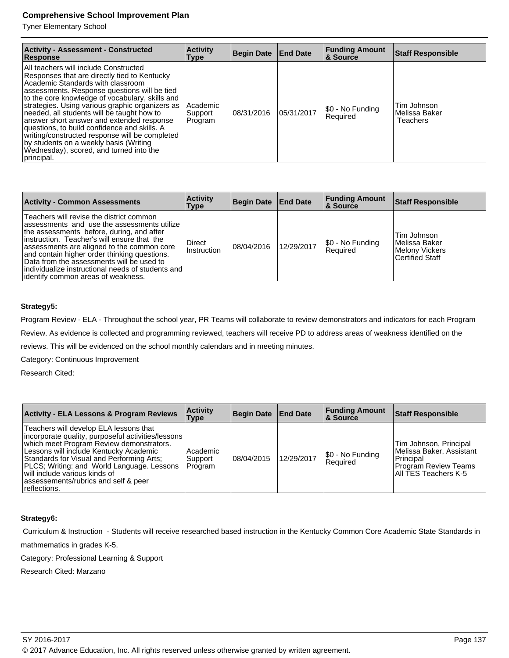Tyner Elementary School

| <b>Activity - Assessment - Constructed</b><br>Response                                                                                                                                                                                                                                                                                                                                                                                                                                                                                                                           | <b>Activity</b><br>Type        | Begin Date End Date |            | <b>Funding Amount</b><br>& Source | Staff Responsible                        |
|----------------------------------------------------------------------------------------------------------------------------------------------------------------------------------------------------------------------------------------------------------------------------------------------------------------------------------------------------------------------------------------------------------------------------------------------------------------------------------------------------------------------------------------------------------------------------------|--------------------------------|---------------------|------------|-----------------------------------|------------------------------------------|
| All teachers will include Constructed<br>Responses that are directly tied to Kentucky<br>Academic Standards with classroom<br>assessments. Response questions will be tied<br>to the core knowledge of vocabulary, skills and<br>strategies. Using various graphic organizers as<br>needed, all students will be taught how to<br>answer short answer and extended response<br>questions, to build confidence and skills. A<br>writing/constructed response will be completed<br>by students on a weekly basis (Writing<br>Wednesday), scored, and turned into the<br>principal. | Academic<br>Support<br>Program | 108/31/2016         | 05/31/2017 | \$0 - No Funding<br>Required      | Tim Johnson<br>Melissa Baker<br>Teachers |

| <b>Activity - Common Assessments</b>                                                                                                                                                                                                                                                                                                                                                                                           | <b>Activity</b><br>Type | Begin Date End Date |            | <b>Funding Amount</b><br>∣& Source | <b>Staff Responsible</b>                                                 |
|--------------------------------------------------------------------------------------------------------------------------------------------------------------------------------------------------------------------------------------------------------------------------------------------------------------------------------------------------------------------------------------------------------------------------------|-------------------------|---------------------|------------|------------------------------------|--------------------------------------------------------------------------|
| Teachers will revise the district common<br>lassessments and use the assessments utilize<br>the assessments before, during, and after<br>instruction. Teacher's will ensure that the<br>assessments are aligned to the common core<br>and contain higher order thinking questions.<br>Data from the assessments will be used to<br>lindividualize instructional needs of students and l<br>lidentify common areas of weakness. | Direct<br>Instruction   | 08/04/2016          | 12/29/2017 | S0 - No Funding<br>Required        | Tim Johnson<br>Melissa Baker<br>Melony Vickers<br><b>Certified Staff</b> |

#### **Strategy5:**

Program Review - ELA - Throughout the school year, PR Teams will collaborate to review demonstrators and indicators for each Program Review. As evidence is collected and programming reviewed, teachers will receive PD to address areas of weakness identified on the reviews. This will be evidenced on the school monthly calendars and in meeting minutes.

Category: Continuous Improvement

Research Cited:

| <b>Activity - ELA Lessons &amp; Program Reviews</b>                                                                                                                                                                                                                                                                                                                       | <b>Activity</b><br><b>Type</b>   | Begin Date   End Date |            | <b>Funding Amount</b><br><b>&amp; Source</b> | <b>Staff Responsible</b>                                                                                                |
|---------------------------------------------------------------------------------------------------------------------------------------------------------------------------------------------------------------------------------------------------------------------------------------------------------------------------------------------------------------------------|----------------------------------|-----------------------|------------|----------------------------------------------|-------------------------------------------------------------------------------------------------------------------------|
| Teachers will develop ELA lessons that<br> incorporate quality, purposeful activities/lessons  <br>which meet Program Review demonstrators.<br>Lessons will include Kentucky Academic<br>Standards for Visual and Performing Arts:<br>PLCS; Writing: and World Language. Lessons<br>will include various kinds of<br>assessements/rubrics and self & peer<br>reflections. | l Academic<br>Support<br>Program | 08/04/2015            | 12/29/2017 | \$0 - No Funding<br>Required                 | Tim Johnson, Principal<br>Melissa Baker. Assistant<br>Principal<br><b>Program Review Teams</b><br> All TES Teachers K-5 |

#### **Strategy6:**

Curriculum & Instruction - Students will receive researched based instruction in the Kentucky Common Core Academic State Standards in

mathmematics in grades K-5.

Category: Professional Learning & Support

Research Cited: Marzano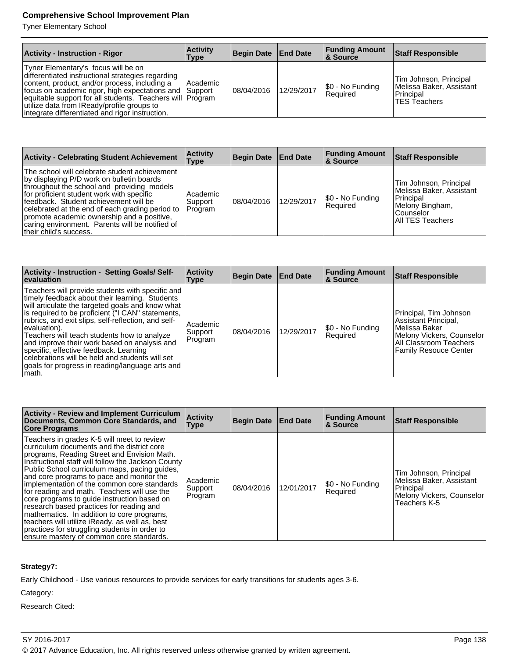Tyner Elementary School

| <b>Activity - Instruction - Rigor</b>                                                                                                                                                                                                                                                                                                                             | <b>Activity</b><br>Type | Begin Date   End Date |            | <b>Funding Amount</b><br>∣& Source | <b>Staff Responsible</b>                                                               |
|-------------------------------------------------------------------------------------------------------------------------------------------------------------------------------------------------------------------------------------------------------------------------------------------------------------------------------------------------------------------|-------------------------|-----------------------|------------|------------------------------------|----------------------------------------------------------------------------------------|
| Tyner Elementary's focus will be on<br>differentiated instructional strategies regarding<br>content, product, and/or process, including a<br>focus on academic rigor, high expectations and Support<br>equitable support for all students. Teachers will Program<br>utilize data from IReady/profile groups to<br>integrate differentiated and rigor instruction. | Academic                | 08/04/2016            | 12/29/2017 | \$0 - No Funding<br>Required       | Tim Johnson, Principal<br>Melissa Baker, Assistant<br>Principal<br><b>TES Teachers</b> |

| <b>Activity - Celebrating Student Achievement</b>                                                                                                                                                                                                                                                                                                                                                            | <b>Activity</b><br>Type         | Begin Date   End Date |            | <b>Funding Amount</b><br><b>8 Source</b> | <b>Staff Responsible</b>                                                                                               |
|--------------------------------------------------------------------------------------------------------------------------------------------------------------------------------------------------------------------------------------------------------------------------------------------------------------------------------------------------------------------------------------------------------------|---------------------------------|-----------------------|------------|------------------------------------------|------------------------------------------------------------------------------------------------------------------------|
| The school will celebrate student achievement<br>by displaying P/D work on bulletin boards<br>throughout the school and providing models<br>for proficient student work with specific<br>feedback. Student achievement will be<br>celebrated at the end of each grading period to<br>promote academic ownership and a positive,<br>caring environment. Parents will be notified of<br>their child's success. | Academic<br> Support<br>Program | 08/04/2016            | 12/29/2017 | \$0 - No Funding<br><b>Reauired</b>      | Tim Johnson, Principal<br>Melissa Baker. Assistant<br>l Principal<br> Melony Bingham,<br>Counselor<br>All TES Teachers |

| <b>Activity - Instruction - Setting Goals/Self-</b><br><b>evaluation</b>                                                                                                                                                                                                                                                                                                                                                                                                                                                                    | <b>Activity</b><br>Type        | <b>Begin Date End Date</b> |            | <b>Funding Amount</b><br>∣& Source | <b>Staff Responsible</b>                                                                                                                                 |
|---------------------------------------------------------------------------------------------------------------------------------------------------------------------------------------------------------------------------------------------------------------------------------------------------------------------------------------------------------------------------------------------------------------------------------------------------------------------------------------------------------------------------------------------|--------------------------------|----------------------------|------------|------------------------------------|----------------------------------------------------------------------------------------------------------------------------------------------------------|
| Teachers will provide students with specific and<br>timely feedback about their learning. Students<br>will articulate the targeted goals and know what<br>is required to be proficient ("I CAN" statements,<br>rubrics, and exit slips, self-reflection, and self-<br>evaluation).<br>Teachers will teach students how to analyze<br>and improve their work based on analysis and<br>specific, effective feedback. Learning<br>celebrations will be held and students will set<br>goals for progress in reading/language arts and<br>∣math. | Academic<br>Support<br>Program | 108/04/2016                | 12/29/2017 | [\$0 - No Funding<br>Required      | Principal, Tim Johnson<br>Assistant Principal,<br>l Melissa Baker<br>Melony Vickers, Counselor<br>All Classroom Teachers<br><b>Family Resouce Center</b> |

| <b>Activity - Review and Implement Curriculum</b><br>Documents, Common Core Standards, and<br><b>Core Programs</b>                                                                                                                                                                                                                                                                                                                                                                                                                                                                                                                                                                | <b>Activity</b><br>Type        | Begin Date   End Date |            | <b>Funding Amount</b><br>& Source | <b>Staff Responsible</b>                                                                                     |
|-----------------------------------------------------------------------------------------------------------------------------------------------------------------------------------------------------------------------------------------------------------------------------------------------------------------------------------------------------------------------------------------------------------------------------------------------------------------------------------------------------------------------------------------------------------------------------------------------------------------------------------------------------------------------------------|--------------------------------|-----------------------|------------|-----------------------------------|--------------------------------------------------------------------------------------------------------------|
| Teachers in grades K-5 will meet to review<br>curriculum documents and the district core<br>programs, Reading Street and Envision Math.<br>Instructional staff will follow the Jackson County<br>Public School curriculum maps, pacing guides,<br>and core programs to pace and monitor the<br>implementation of the common core standards<br>for reading and math. Teachers will use the<br>core programs to quide instruction based on<br>research based practices for reading and<br>mathematics. In addition to core programs,<br>teachers will utilize iReady, as well as, best<br>practices for struggling students in order to<br>ensure mastery of common core standards. | Academic<br>Support<br>Program | 108/04/2016           | 12/01/2017 | \$0 - No Funding<br>Required      | Tim Johnson, Principal<br>Melissa Baker, Assistant<br>Principal<br>Melony Vickers, Counselor<br>Teachers K-5 |

#### **Strategy7:**

Early Childhood - Use various resources to provide services for early transitions for students ages 3-6.

Category:

Research Cited:

© 2017 Advance Education, Inc. All rights reserved unless otherwise granted by written agreement.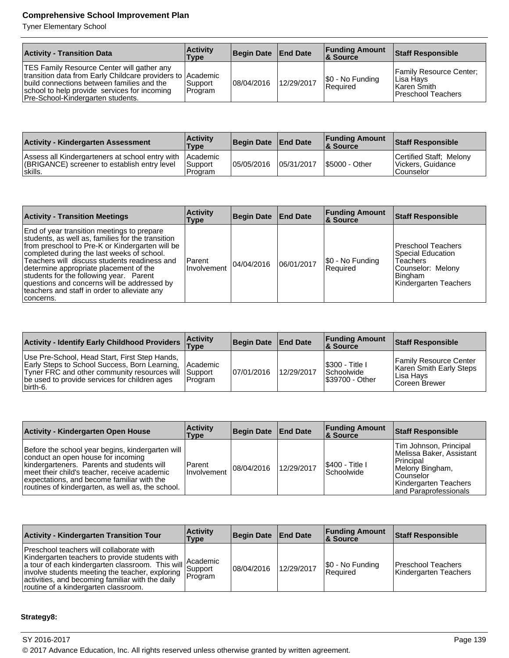Tyner Elementary School

| <b>Activity - Transition Data</b>                                                                                                                                                                                                                  | <b>Activity</b><br>Type | Begin Date   End Date |            | <b>Funding Amount</b><br><b>8 Source</b> | <b>Staff Responsible</b>                                                             |
|----------------------------------------------------------------------------------------------------------------------------------------------------------------------------------------------------------------------------------------------------|-------------------------|-----------------------|------------|------------------------------------------|--------------------------------------------------------------------------------------|
| <b>TES Family Resource Center will gather any</b><br>transition data from Early Childcare providers to Academic<br>build connections between families and the<br>school to help provide services for incoming<br>Pre-School-Kindergarten students. | Support<br>Program      | 08/04/2016            | 12/29/2017 | \$0 - No Funding<br>Required             | <b>Family Resource Center:</b><br>Lisa Hays<br>∣Karen Smith⊹<br>l Preschool Teachers |

| <b>Activity - Kindergarten Assessment</b>                                                                            | <b>Activity</b><br><b>Type</b> | Begin Date   End Date |            | <b>Funding Amount</b><br>8 Source | <b>Staff Responsible</b>                                  |
|----------------------------------------------------------------------------------------------------------------------|--------------------------------|-----------------------|------------|-----------------------------------|-----------------------------------------------------------|
| Assess all Kindergarteners at school entry with Academic<br>(BRIGANCE) screener to establish entry level<br>∣skills. | 'Support<br>Program            | 05/05/2016            | 05/31/2017 | S5000 - Other                     | Certified Staff; Melony<br>Vickers, Guidance<br>Counselor |

| <b>Activity - Transition Meetings</b>                                                                                                                                                                                                                                                                                                                                                                                                             | <b>Activity</b><br>Type | Begin Date End Date |            | <b>Funding Amount</b><br><b>8</b> Source | <b>Staff Responsible</b>                                                                                            |
|---------------------------------------------------------------------------------------------------------------------------------------------------------------------------------------------------------------------------------------------------------------------------------------------------------------------------------------------------------------------------------------------------------------------------------------------------|-------------------------|---------------------|------------|------------------------------------------|---------------------------------------------------------------------------------------------------------------------|
| End of year transition meetings to prepare<br>students, as well as, families for the transition<br>from preschool to Pre-K or Kindergarten will be<br>completed during the last weeks of school.<br>Teachers will discuss students readiness and<br>determine appropriate placement of the<br>students for the following year. Parent<br>questions and concerns will be addressed by<br>teachers and staff in order to alleviate any<br>concerns. | Parent<br>Involvement   | 04/04/2016          | 06/01/2017 | \$0 - No Funding<br>Required             | <b>Preschool Teachers</b><br>Special Education<br>Teachers<br>Counselor: Melony<br>Bingham<br>Kindergarten Teachers |

| <b>Activity - Identify Early Childhood Providers</b>                                                                                                                                                                          | <b>Activity</b><br><b>Type</b> | Begin Date   End Date |            | <b>Funding Amount</b><br><b>8 Source</b>              | Staff Responsible                                                                        |
|-------------------------------------------------------------------------------------------------------------------------------------------------------------------------------------------------------------------------------|--------------------------------|-----------------------|------------|-------------------------------------------------------|------------------------------------------------------------------------------------------|
| Use Pre-School, Head Start, First Step Hands,<br>Early Steps to School Success, Born Learning, Academic<br>Tyner FRC and other community resources will Support<br>be used to provide services for children ages<br> birth-6. | Program                        | 07/01/2016            | 12/29/2017 | \$300 - Title I<br>l Schoolwide l<br>I\$39700 - Other | <b>Family Resource Center</b><br>Karen Smith Early Steps<br>l Lisa Havs<br>Coreen Brewer |

| <b>Activity - Kindergarten Open House</b>                                                                                                                                                                                                                                               | <b>Activity</b><br>Type | Begin Date End Date |            | <b>Funding Amount</b><br>∣& Source         | Staff Responsible                                                                                                                                  |
|-----------------------------------------------------------------------------------------------------------------------------------------------------------------------------------------------------------------------------------------------------------------------------------------|-------------------------|---------------------|------------|--------------------------------------------|----------------------------------------------------------------------------------------------------------------------------------------------------|
| Before the school year begins, kindergarten will<br>conduct an open house for incoming<br>kindergarteners. Parents and students will<br>meet their child's teacher, receive academic<br>expectations, and become familiar with the<br>routines of kindergarten, as well as, the school. | Parent<br>l Involvement | 08/04/2016          | 12/29/2017 | <b>S400 - Title I</b><br><b>Schoolwide</b> | Tim Johnson, Principal<br>IMelissa Baker, Assistant<br>Principal<br>Melony Bingham,<br>Counselor<br>Kindergarten Teachers<br>and Paraprofessionals |

| <b>Activity - Kindergarten Transition Tour</b>                                                                                                                                                                                                                                                                   | <b>Activity</b><br>Type | Begin Date End Date |            | <b>Funding Amount</b><br>∣& Source | Staff Responsible                           |
|------------------------------------------------------------------------------------------------------------------------------------------------------------------------------------------------------------------------------------------------------------------------------------------------------------------|-------------------------|---------------------|------------|------------------------------------|---------------------------------------------|
| Preschool teachers will collaborate with<br>Kindergarten teachers to provide students with<br>a tour of each kindergarten classroom. This will available<br>involve students meeting the teacher, exploring   Duppon<br>activities, and becoming familiar with the daily<br>routine of a kindergarten classroom. |                         | 108/04/2016         | 12/29/2017 | \$0 - No Funding<br>Required       | Preschool Teachers<br>Kindergarten Teachers |

#### **Strategy8:**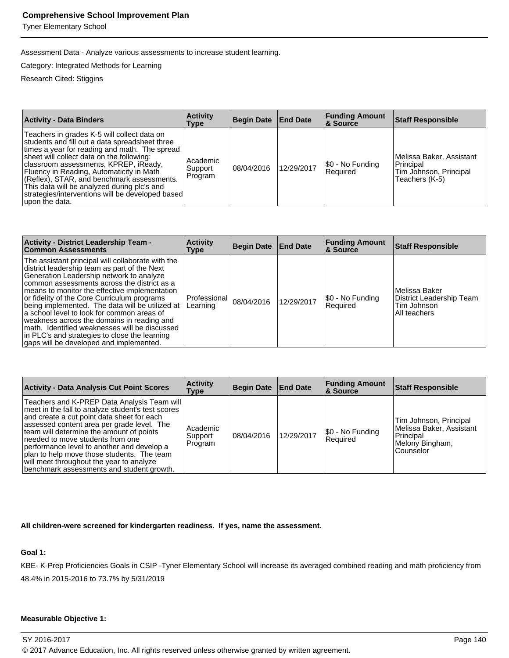Tyner Elementary School

Assessment Data - Analyze various assessments to increase student learning.

Category: Integrated Methods for Learning

Research Cited: Stiggins

| <b>Activity - Data Binders</b>                                                                                                                                                                                                                                                                                                                                                                                                                      | <b>Activity</b><br><b>Type</b> | Begin Date End Date |            | <b>Funding Amount</b><br>& Source | <b>Staff Responsible</b>                                                          |
|-----------------------------------------------------------------------------------------------------------------------------------------------------------------------------------------------------------------------------------------------------------------------------------------------------------------------------------------------------------------------------------------------------------------------------------------------------|--------------------------------|---------------------|------------|-----------------------------------|-----------------------------------------------------------------------------------|
| Teachers in grades K-5 will collect data on<br>students and fill out a data spreadsheet three<br>times a year for reading and math. The spread<br>sheet will collect data on the following:<br>classroom assessments, KPREP, iReady,<br>Fluency in Reading, Automaticity in Math<br>(Reflex), STAR, and benchmark assessments.<br>This data will be analyzed during plc's and<br>strategies/interventions will be developed based<br>upon the data. | Academic<br>Support<br>Program | 108/04/2016         | 12/29/2017 | I\$0 - No Funding<br>Required     | Melissa Baker, Assistant<br>Principal<br>Tim Johnson, Principal<br>Teachers (K-5) |

| Activity - District Leadership Team -<br><b>Common Assessments</b>                                                                                                                                                                                                                                                                                                                                                                                                                                                                                                                       | <b>Activity</b><br>Type  | Begin Date | <b>End Date</b> | <b>Funding Amount</b><br>∣& Source | <b>Staff Responsible</b>                                                   |
|------------------------------------------------------------------------------------------------------------------------------------------------------------------------------------------------------------------------------------------------------------------------------------------------------------------------------------------------------------------------------------------------------------------------------------------------------------------------------------------------------------------------------------------------------------------------------------------|--------------------------|------------|-----------------|------------------------------------|----------------------------------------------------------------------------|
| The assistant principal will collaborate with the<br>district leadership team as part of the Next<br>Generation Leadership network to analyze<br>common assessments across the district as a<br>means to monitor the effective implementation<br>or fidelity of the Core Curriculum programs<br>being implemented. The data will be utilized at<br>a school level to look for common areas of<br>weakness across the domains in reading and<br>math. Identified weaknesses will be discussed<br>in PLC's and strategies to close the learning<br>gaps will be developed and implemented. | Professional<br>Learning | 08/04/2016 | 12/29/2017      | [\$0 - No Funding<br>Required      | l Melissa Baker<br>District Leadership Team<br>Tim Johnson<br>All teachers |

| <b>Activity - Data Analysis Cut Point Scores</b>                                                                                                                                                                                                                                                                                                                                                                                                                  | <b>Activity</b><br>Type         | <b>Begin Date</b> | <b>End Date</b> | <b>Funding Amount</b><br>∣& Source | <b>Staff Responsible</b>                                                                        |
|-------------------------------------------------------------------------------------------------------------------------------------------------------------------------------------------------------------------------------------------------------------------------------------------------------------------------------------------------------------------------------------------------------------------------------------------------------------------|---------------------------------|-------------------|-----------------|------------------------------------|-------------------------------------------------------------------------------------------------|
| Teachers and K-PREP Data Analysis Team will<br>meet in the fall to analyze student's test scores<br>and create a cut point data sheet for each<br>assessed content area per grade level. The<br>team will determine the amount of points<br>needed to move students from one<br>performance level to another and develop a<br>plan to help move those students. The team<br>will meet throughout the year to analyze<br>benchmark assessments and student growth. | Academic<br>Support<br> Program | 08/04/2016        | 12/29/2017      | \$0 - No Funding<br>Required       | Tim Johnson, Principal<br>Melissa Baker, Assistant<br>Principal<br>Melony Bingham,<br>Counselor |

#### **All children-were screened for kindergarten readiness. If yes, name the assessment.**

#### **Goal 1:**

KBE- K-Prep Proficiencies Goals in CSIP -Tyner Elementary School will increase its averaged combined reading and math proficiency from 48.4% in 2015-2016 to 73.7% by 5/31/2019

#### **Measurable Objective 1:**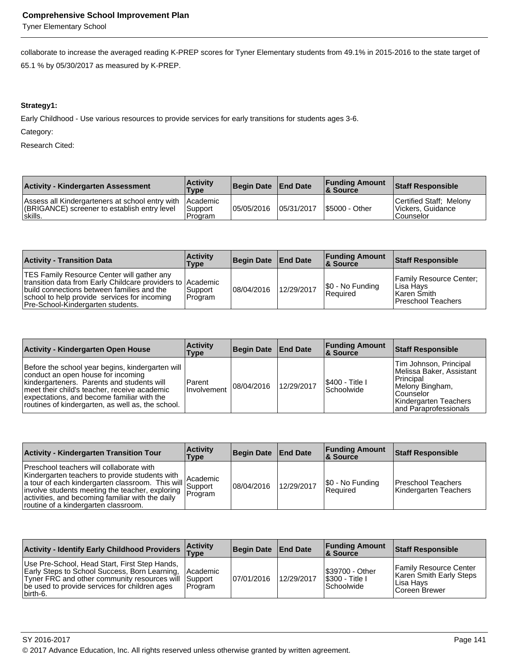Tyner Elementary School

collaborate to increase the averaged reading K-PREP scores for Tyner Elementary students from 49.1% in 2015-2016 to the state target of 65.1 % by 05/30/2017 as measured by K-PREP.

### **Strategy1:**

Early Childhood - Use various resources to provide services for early transitions for students ages 3-6.

Category:

| <b>Activity - Kindergarten Assessment</b>                                                                            | <b>Activity</b><br><b>Type</b> | Begin Date   End Date |             | <b>Funding Amount</b><br><b>&amp; Source</b> | <b>Staff Responsible</b>                                  |
|----------------------------------------------------------------------------------------------------------------------|--------------------------------|-----------------------|-------------|----------------------------------------------|-----------------------------------------------------------|
| Assess all Kindergarteners at school entry with Academic<br>(BRIGANCE) screener to establish entry level<br>∣skills. | l Support<br>l Program         | 105/05/2016           | 105/31/2017 | <b>S5000 - Other</b>                         | Certified Staff; Melony<br>Vickers, Guidance<br>Counselor |

| <b>Activity - Transition Data</b>                                                                                                                                                                                                           | <b>Activity</b><br>Type | Begin Date   End Date |            | <b>Funding Amount</b><br>∣& Source  | Staff Responsible                                                                 |
|---------------------------------------------------------------------------------------------------------------------------------------------------------------------------------------------------------------------------------------------|-------------------------|-----------------------|------------|-------------------------------------|-----------------------------------------------------------------------------------|
| TES Family Resource Center will gather any<br>transition data from Early Childcare providers to Academic<br>build connections between families and the<br>school to help provide services for incoming<br>Pre-School-Kindergarten students. | Support<br>Program      | 08/04/2016            | 12/29/2017 | \$0 - No Funding<br><b>Required</b> | Family Resource Center:<br>l Lisa Havs<br>l Karen Smith i<br>l Preschool Teachers |

| <b>Activity - Kindergarten Open House</b>                                                                                                                                                                                                                                               | <b>Activity</b><br>Type | Begin Date   End Date |            | <b>Funding Amount</b><br>8 Source | <b>Staff Responsible</b>                                                                                                                               |
|-----------------------------------------------------------------------------------------------------------------------------------------------------------------------------------------------------------------------------------------------------------------------------------------|-------------------------|-----------------------|------------|-----------------------------------|--------------------------------------------------------------------------------------------------------------------------------------------------------|
| Before the school year begins, kindergarten will<br>conduct an open house for incoming<br>kindergarteners. Parents and students will<br>meet their child's teacher, receive academic<br>expectations, and become familiar with the<br>routines of kindergarten, as well as, the school. | Parent<br>Involvement   | 08/04/2016            | 12/29/2017 | \$400 - Title I<br>l Schoolwide   | Tim Johnson, Principal<br>Melissa Baker, Assistant<br>l Principal<br>Melony Bingham,<br>l Counselor<br>Kindergarten Teachers<br>land Paraprofessionals |

| <b>Activity - Kindergarten Transition Tour</b>                                                                                                                                                                                                                                                                                                                             | <b>Activity</b><br>Type | Begin Date End Date |            | <b>Funding Amount</b><br>∣& Source | Staff Responsible                             |
|----------------------------------------------------------------------------------------------------------------------------------------------------------------------------------------------------------------------------------------------------------------------------------------------------------------------------------------------------------------------------|-------------------------|---------------------|------------|------------------------------------|-----------------------------------------------|
| Preschool teachers will collaborate with<br>Kindergarten teachers to provide students with<br>a tour of each kindergarten classroom. This will Academic<br>involve ctudents mergins to tassroom. This will Support<br>involve students meeting the teacher, exploring   Duppon<br>activities, and becoming familiar with the daily<br>routine of a kindergarten classroom. |                         | 08/04/2016          | 12/29/2017 | \$0 - No Funding<br>Required       | l Preschool Teachers<br>Kindergarten Teachers |

| Activity - Identify Early Childhood Providers Type                                                                                                                                                                            | <b>Activity</b> | Begin Date End Date |            | <b>Funding Amount</b><br>8 Source                            | Staff Responsible                                                                       |
|-------------------------------------------------------------------------------------------------------------------------------------------------------------------------------------------------------------------------------|-----------------|---------------------|------------|--------------------------------------------------------------|-----------------------------------------------------------------------------------------|
| Use Pre-School, Head Start, First Step Hands,<br>Early Steps to School Success, Born Learning, Academic<br>Tyner FRC and other community resources will Support<br>be used to provide services for children ages<br>lbirth-6. | <b>IProgram</b> | 107/01/2016         | 12/29/2017 | <b>S39700 - Other</b><br><b>S300 - Title I</b><br>Schoolwide | <b>Family Resource Center</b><br>Karen Smith Early Steps<br>Lisa Havs<br>lCoreen Brewer |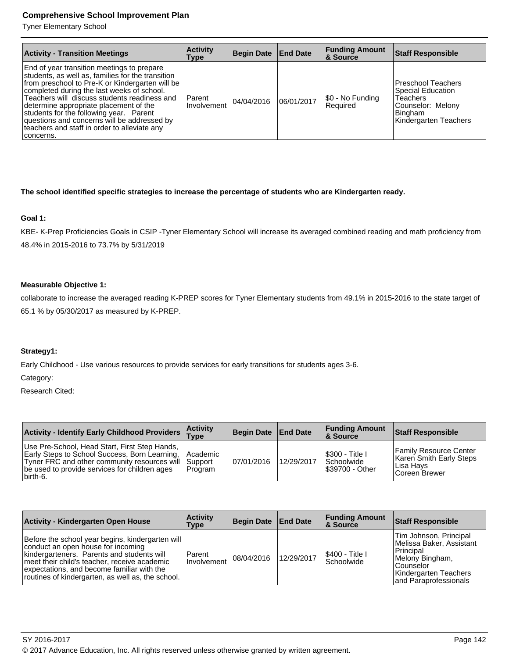Tyner Elementary School

| <b>Activity - Transition Meetings</b>                                                                                                                                                                                                                                                                                                                                                                                                             | <b>Activity</b><br>Type | Begin Date   End Date |            | <b>Funding Amount</b><br><b>&amp; Source</b> | <b>Staff Responsible</b>                                                                                                                 |
|---------------------------------------------------------------------------------------------------------------------------------------------------------------------------------------------------------------------------------------------------------------------------------------------------------------------------------------------------------------------------------------------------------------------------------------------------|-------------------------|-----------------------|------------|----------------------------------------------|------------------------------------------------------------------------------------------------------------------------------------------|
| End of year transition meetings to prepare<br>students, as well as, families for the transition<br>from preschool to Pre-K or Kindergarten will be<br>completed during the last weeks of school.<br>Teachers will discuss students readiness and<br>determine appropriate placement of the<br>students for the following year. Parent<br>questions and concerns will be addressed by<br>teachers and staff in order to alleviate any<br>concerns. | Parent<br>l Involvement | 04/04/2016            | 06/01/2017 | S0 - No Funding<br><b>Reauired</b>           | <b>Preschool Teachers</b><br><b>Special Education</b><br><b>Teachers</b><br>Counselor: Melony<br><b>Bingham</b><br>Kindergarten Teachers |

## **The school identified specific strategies to increase the percentage of students who are Kindergarten ready.**

## **Goal 1:**

KBE- K-Prep Proficiencies Goals in CSIP -Tyner Elementary School will increase its averaged combined reading and math proficiency from 48.4% in 2015-2016 to 73.7% by 5/31/2019

#### **Measurable Objective 1:**

collaborate to increase the averaged reading K-PREP scores for Tyner Elementary students from 49.1% in 2015-2016 to the state target of 65.1 % by 05/30/2017 as measured by K-PREP.

## **Strategy1:**

Early Childhood - Use various resources to provide services for early transitions for students ages 3-6.

Category:

| <b>Activity - Identify Early Childhood Providers</b>                                                                                                                                                                                 | <b>Activity</b><br><b>Type</b> | Begin Date   End Date |            | <b>Funding Amount</b><br><b>8 Source</b>                       | Staff Responsible                                                                        |
|--------------------------------------------------------------------------------------------------------------------------------------------------------------------------------------------------------------------------------------|--------------------------------|-----------------------|------------|----------------------------------------------------------------|------------------------------------------------------------------------------------------|
| Use Pre-School, Head Start, First Step Hands,<br><b>Early Steps to School Success, Born Learning, Academic</b><br>Tyner FRC and other community resources will Support<br>be used to provide services for children ages<br>lbirth-6. | Program                        | 07/01/2016            | 12/29/2017 | <b>S300 - Title I</b><br><b>Schoolwide</b><br>I\$39700 - Other | <b>Family Resource Center</b><br>Karen Smith Early Steps<br>l Lisa Havs<br>Coreen Brewer |

| <b>Activity - Kindergarten Open House</b>                                                                                                                                                                                                                                               | <b>Activity</b><br>Type | Begin Date End Date |            | <b>Funding Amount</b><br>∣& Source    | <b>Staff Responsible</b>                                                                                                                            |
|-----------------------------------------------------------------------------------------------------------------------------------------------------------------------------------------------------------------------------------------------------------------------------------------|-------------------------|---------------------|------------|---------------------------------------|-----------------------------------------------------------------------------------------------------------------------------------------------------|
| Before the school year begins, kindergarten will<br>conduct an open house for incoming<br>kindergarteners. Parents and students will<br>meet their child's teacher, receive academic<br>expectations, and become familiar with the<br>routines of kindergarten, as well as, the school. | Parent<br>Involvement   | 08/04/2016          | 12/29/2017 | <b>S400 - Title I</b><br>l Schoolwide | Tim Johnson, Principal<br>Melissa Baker, Assistant<br>Principal<br>Melony Bingham,<br>l Counselor<br>Kindergarten Teachers<br>and Paraprofessionals |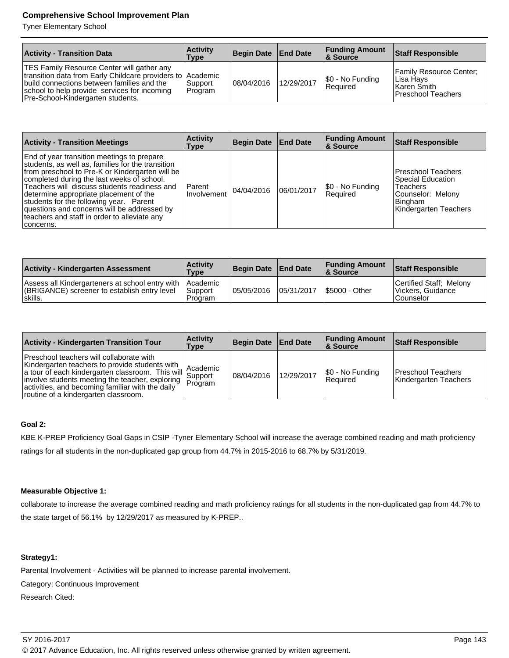Tyner Elementary School

| <b>Activity - Transition Data</b>                                                                                                                                                                                                           | <b>Activity</b><br>Type | Begin Date | <b>End Date</b> | <b>Funding Amount</b><br><b>&amp; Source</b> | Staff Responsible                                                               |
|---------------------------------------------------------------------------------------------------------------------------------------------------------------------------------------------------------------------------------------------|-------------------------|------------|-----------------|----------------------------------------------|---------------------------------------------------------------------------------|
| TES Family Resource Center will gather any<br>transition data from Early Childcare providers to Academic<br>build connections between families and the<br>school to help provide services for incoming<br>Pre-School-Kindergarten students. | Support <br>Program     | 08/04/2016 | 12/29/2017      | S0 - No Funding<br><b>Required</b>           | Family Resource Center:<br>Lisa Havs<br>l Karen Smith I<br>l Preschool Teachers |

| <b>Activity - Transition Meetings</b>                                                                                                                                                                                                                                                                                                                                                                                                             | <b>Activity</b><br>Type | Begin Date   End Date |            | <b>Funding Amount</b><br>∣& Source | <b>Staff Responsible</b>                                                                                            |
|---------------------------------------------------------------------------------------------------------------------------------------------------------------------------------------------------------------------------------------------------------------------------------------------------------------------------------------------------------------------------------------------------------------------------------------------------|-------------------------|-----------------------|------------|------------------------------------|---------------------------------------------------------------------------------------------------------------------|
| End of year transition meetings to prepare<br>students, as well as, families for the transition<br>from preschool to Pre-K or Kindergarten will be<br>completed during the last weeks of school.<br>Teachers will discuss students readiness and<br>determine appropriate placement of the<br>students for the following year. Parent<br>questions and concerns will be addressed by<br>teachers and staff in order to alleviate any<br>concerns. | Parent<br>Involvement   | 04/04/2016            | 06/01/2017 | \$0 - No Funding<br>Required       | <b>Preschool Teachers</b><br>Special Education<br>Teachers<br>Counselor: Melony<br>Bingham<br>Kindergarten Teachers |

| <b>Activity - Kindergarten Assessment</b>                                                                            | <b>Activity</b><br><b>Type</b> | Begin Date End Date |            | <b>Funding Amount</b><br><b>8 Source</b> | <b>Staff Responsible</b>                                   |
|----------------------------------------------------------------------------------------------------------------------|--------------------------------|---------------------|------------|------------------------------------------|------------------------------------------------------------|
| Assess all Kindergarteners at school entry with Academic<br>(BRIGANCE) screener to establish entry level<br>lskills. | Support<br>l Program           | 05/05/2016          | 05/31/2017 | <b>S5000 - Other</b>                     | Certified Staff: Melony<br> Vickers, Guidance<br>Counselor |

| <b>Activity - Kindergarten Transition Tour</b>                                                                                                                                                                                                                                                                                                                              | <b>Activity</b><br>Type | Begin Date   End Date |            | <b>Funding Amount</b><br>8 Source   | <b>Staff Responsible</b>                    |
|-----------------------------------------------------------------------------------------------------------------------------------------------------------------------------------------------------------------------------------------------------------------------------------------------------------------------------------------------------------------------------|-------------------------|-----------------------|------------|-------------------------------------|---------------------------------------------|
| Preschool teachers will collaborate with<br>Kindergarten teachers to provide students with<br>a tour of each kindergarten classroom. This will Academic<br>a tour of each kindergarten classroom. This will Support<br>involve students meeting the teacher, exploring   Duppon<br>activities, and becoming familiar with the daily<br>routine of a kindergarten classroom. |                         | 08/04/2016            | 12/29/2017 | \$0 - No Funding<br><b>Required</b> | Preschool Teachers<br>Kindergarten Teachers |

## **Goal 2:**

KBE K-PREP Proficiency Goal Gaps in CSIP -Tyner Elementary School will increase the average combined reading and math proficiency ratings for all students in the non-duplicated gap group from 44.7% in 2015-2016 to 68.7% by 5/31/2019.

#### **Measurable Objective 1:**

collaborate to increase the average combined reading and math proficiency ratings for all students in the non-duplicated gap from 44.7% to the state target of 56.1% by 12/29/2017 as measured by K-PREP..

# **Strategy1:**

Parental Involvement - Activities will be planned to increase parental involvement.

Category: Continuous Improvement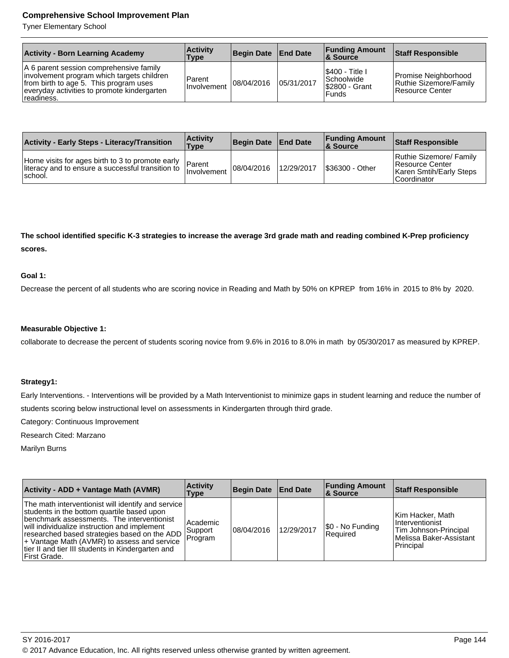Tyner Elementary School

| <b>Activity - Born Learning Academy</b>                                                                                                                                                      | <b>Activity</b><br>Type | Begin Date   End Date |            | <b>Funding Amount</b><br><b>8 Source</b>                            | <b>Staff Responsible</b>                                          |
|----------------------------------------------------------------------------------------------------------------------------------------------------------------------------------------------|-------------------------|-----------------------|------------|---------------------------------------------------------------------|-------------------------------------------------------------------|
| A 6 parent session comprehensive family<br>involvement program which targets children<br>from birth to age 5. This program uses<br>everyday activities to promote kindergarten<br>readiness. | Parent<br>Involvement   | 08/04/2016            | 05/31/2017 | I\$400 - Title I<br>l Schoolwide l<br>S2800 - Grant<br><b>Funds</b> | Promise Neighborhood<br>Ruthie Sizemore/Family<br>Resource Center |

| <b>Activity - Early Steps - Literacy/Transition</b>                                                                | <b>Activity</b><br>Type | Begin Date   End Date |            | <b>Funding Amount</b><br><b>&amp; Source</b> | <b>Staff Responsible</b>                                                             |
|--------------------------------------------------------------------------------------------------------------------|-------------------------|-----------------------|------------|----------------------------------------------|--------------------------------------------------------------------------------------|
| Home visits for ages birth to 3 to promote early<br>lliteracy and to ensure a successful transition to<br>⊺school. | Parent<br>I Involvement | 08/04/2016            | 12/29/2017 | S36300 - Other                               | Ruthie Sizemore/ Family<br>Resource Center<br>Karen Smtih/Early Steps<br>Coordinator |

**The school identified specific K-3 strategies to increase the average 3rd grade math and reading combined K-Prep proficiency scores.** 

#### **Goal 1:**

Decrease the percent of all students who are scoring novice in Reading and Math by 50% on KPREP from 16% in 2015 to 8% by 2020.

### **Measurable Objective 1:**

collaborate to decrease the percent of students scoring novice from 9.6% in 2016 to 8.0% in math by 05/30/2017 as measured by KPREP.

#### **Strategy1:**

Early Interventions. - Interventions will be provided by a Math Interventionist to minimize gaps in student learning and reduce the number of students scoring below instructional level on assessments in Kindergarten through third grade.

Category: Continuous Improvement

Research Cited: Marzano

Marilyn Burns

| Activity - ADD + Vantage Math (AVMR)                                                                                                                                                                                                                                                                                                                                       | <b>Activity</b><br>Type        | Begin Date End Date |            | <b>Funding Amount</b><br>8. Source | <b>Staff Responsible</b>                                                                                           |
|----------------------------------------------------------------------------------------------------------------------------------------------------------------------------------------------------------------------------------------------------------------------------------------------------------------------------------------------------------------------------|--------------------------------|---------------------|------------|------------------------------------|--------------------------------------------------------------------------------------------------------------------|
| The math interventionist will identify and service<br>students in the bottom quartile based upon<br><b>Ibenchmark assessments. The interventionist</b><br>will individualize instruction and implement<br>researched based strategies based on the ADD<br>+ Vantage Math (AVMR) to assess and service<br>tier II and tier III students in Kindergarten and<br>First Grade. | Academic<br>Support<br>Program | 08/04/2016          | 12/29/2017 | \$0 - No Funding<br>Required       | Kim Hacker, Math<br><i>Interventionist</i><br><b>Tim Johnson-Principal</b><br>Melissa Baker-Assistant<br>Principal |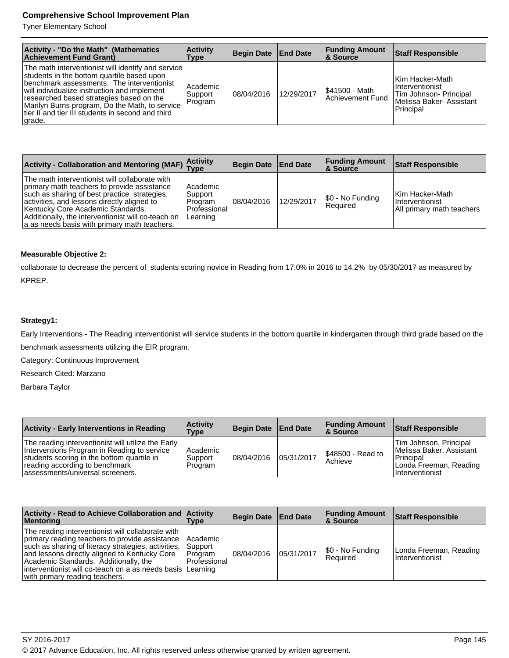Tyner Elementary School

| Activity - "Do the Math" (Mathematics<br><b>Achievement Fund Grant)</b>                                                                                                                                                                                                                                                                                       | <b>Activity</b><br><b>Type</b> | Begin Date End Date |            | <b>Funding Amount</b><br>∣& Source       | <b>Staff Responsible</b>                                                                               |
|---------------------------------------------------------------------------------------------------------------------------------------------------------------------------------------------------------------------------------------------------------------------------------------------------------------------------------------------------------------|--------------------------------|---------------------|------------|------------------------------------------|--------------------------------------------------------------------------------------------------------|
| The math interventionist will identify and service<br>students in the bottom quartile based upon<br>benchmark assessments. The interventionist<br>will individualize instruction and implement<br>researched based strategies based on the<br>Marilyn Burns program, Do the Math, to service<br>Itier II and tier III students in second and third<br>∣grade. | Academic<br>Support<br>Program | 08/04/2016          | 12/29/2017 | <b>S41500 - Math</b><br>Achievement Fund | Kim Hacker-Math<br>I Interventionist<br>Tim Johnson- Principal<br>Melissa Baker-Assistant<br>Principal |

| Activity - Collaboration and Mentoring (MAF) Activity                                                                                                                                                                                                                                                                                   |                                                             | Begin Date End Date |            | <b>Funding Amount</b><br>8 Source | <b>Staff Responsible</b>                                               |
|-----------------------------------------------------------------------------------------------------------------------------------------------------------------------------------------------------------------------------------------------------------------------------------------------------------------------------------------|-------------------------------------------------------------|---------------------|------------|-----------------------------------|------------------------------------------------------------------------|
| The math interventionist will collaborate with<br>primary math teachers to provide assistance<br>such as sharing of best practice strategies,<br>activities, and lessons directly aligned to<br>Kentucky Core Academic Standards.<br>Additionally, the interventionist will co-teach on<br>a as needs basis with primary math teachers. | Academic<br> Support<br>Program<br>Professional<br>Learning | 08/04/2016          | 12/29/2017 | \$0 - No Funding<br>Required      | Kim Hacker-Math<br><i>Interventionist</i><br>All primary math teachers |

# **Measurable Objective 2:**

collaborate to decrease the percent of students scoring novice in Reading from 17.0% in 2016 to 14.2% by 05/30/2017 as measured by KPREP.

## **Strategy1:**

Early Interventions - The Reading interventionist will service students in the bottom quartile in kindergarten through third grade based on the benchmark assessments utilizing the EIR program.

Category: Continuous Improvement

Research Cited: Marzano

Barbara Taylor

| <b>Activity - Early Interventions in Reading</b>                                                                                                                                                                       | <b>Activity</b><br><b>Type</b>   | Begin Date End Date |            | <b>Funding Amount</b><br>& Source    | <b>Staff Responsible</b>                                                                                       |
|------------------------------------------------------------------------------------------------------------------------------------------------------------------------------------------------------------------------|----------------------------------|---------------------|------------|--------------------------------------|----------------------------------------------------------------------------------------------------------------|
| The reading interventionist will utilize the Early<br>Interventions Program in Reading to service<br>students scoring in the bottom quartile in<br>reading according to benchmark<br>lassessments/universal screeners. | l Academic<br>Support<br>Program | 108/04/2016         | 05/31/2017 | <b>S48500 - Read to</b><br>l Achieve | Tim Johnson, Principal<br>Melissa Baker, Assistant<br>l Principal<br>Londa Freeman, Reading<br>Interventionist |

| Activity - Read to Achieve Collaboration and Activity<br>Mentoring                                                                                                                                                                                                                                                                                     | <b>Type</b>                                          | Begin Date End Date |            | <b>Funding Amount</b><br>∣& Source     | <b>Staff Responsible</b>                  |
|--------------------------------------------------------------------------------------------------------------------------------------------------------------------------------------------------------------------------------------------------------------------------------------------------------------------------------------------------------|------------------------------------------------------|---------------------|------------|----------------------------------------|-------------------------------------------|
| The reading interventionist will collaborate with<br>primary reading teachers to provide assistance<br>such as sharing of literacy strategies, activities,<br>and lessons directly aligned to Kentucky Core<br>Academic Standards. Additionally, the<br>interventionist will co-teach on a as needs basis   Learning<br>with primary reading teachers. | l Academic<br>Support<br>l Program<br>l Professional | 108/04/2016         | 05/31/2017 | $ \$0 - No Funding$<br><b>Required</b> | Londa Freeman, Reading<br>Interventionist |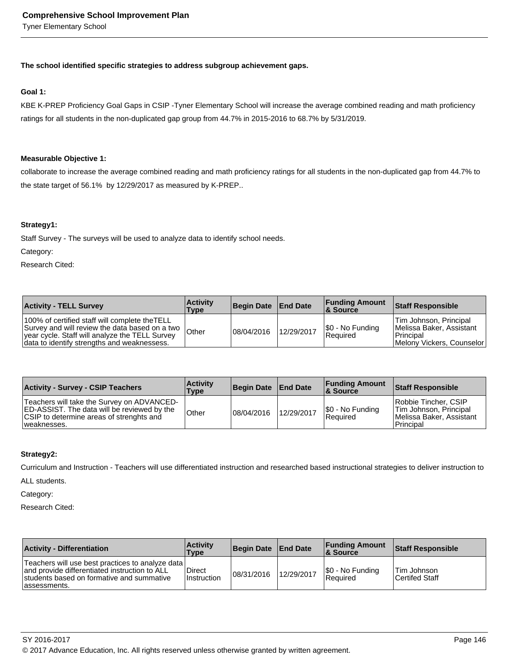Tyner Elementary School

#### **The school identified specific strategies to address subgroup achievement gaps.**

#### **Goal 1:**

KBE K-PREP Proficiency Goal Gaps in CSIP -Tyner Elementary School will increase the average combined reading and math proficiency ratings for all students in the non-duplicated gap group from 44.7% in 2015-2016 to 68.7% by 5/31/2019.

#### **Measurable Objective 1:**

collaborate to increase the average combined reading and math proficiency ratings for all students in the non-duplicated gap from 44.7% to the state target of 56.1% by 12/29/2017 as measured by K-PREP..

#### **Strategy1:**

Staff Survey - The surveys will be used to analyze data to identify school needs.

Category:

Research Cited:

| <b>Activity - TELL Survey</b>                                                                                                                                                                       | <b>Activity</b><br><b>Type</b> | Begin Date End Date |            | <b>Funding Amount</b><br>8 Source | <b>Staff Responsible</b>                                                                       |
|-----------------------------------------------------------------------------------------------------------------------------------------------------------------------------------------------------|--------------------------------|---------------------|------------|-----------------------------------|------------------------------------------------------------------------------------------------|
| 100% of certified staff will complete the TELL<br>Survey and will review the data based on a two  <br>vear cycle. Staff will analyze the TELL Survey<br>data to identify strengths and weaknessess. | Other                          | 108/04/2016         | 12/29/2017 | S0 - No Funding<br>Required       | Tim Johnson, Principal<br>Melissa Baker, Assistant<br>l Principal<br>Melony Vickers, Counselor |

| <b>Activity - Survey - CSIP Teachers</b>                                                                                                                    | <b>Activity</b><br>Type | Begin Date   End Date |            | <b>Funding Amount</b><br><b>&amp; Source</b> | <b>Staff Responsible</b>                                                                  |
|-------------------------------------------------------------------------------------------------------------------------------------------------------------|-------------------------|-----------------------|------------|----------------------------------------------|-------------------------------------------------------------------------------------------|
| Teachers will take the Survey on ADVANCED-<br><b>ED-ASSIST.</b> The data will be reviewed by the<br>CSIP to determine areas of strenghts and<br>weaknesses. | Other                   | 08/04/2016            | 12/29/2017 | S0 - No Funding<br><b>Required</b>           | Robbie Tincher, CSIP<br>Tim Johnson, Principal<br>l Melissa Baker. Assistant<br>Principal |

#### **Strategy2:**

Curriculum and Instruction - Teachers will use differentiated instruction and researched based instructional strategies to deliver instruction to

ALL students.

Category:

| <b>Activity - Differentiation</b>                                                                                                                                 | <b>Activity</b><br>Type | Begin Date End Date |            | <b>Funding Amount</b><br>8 Source | <b>Staff Responsible</b>                    |
|-------------------------------------------------------------------------------------------------------------------------------------------------------------------|-------------------------|---------------------|------------|-----------------------------------|---------------------------------------------|
| Teachers will use best practices to analyze data  <br>and provide differentiated instruction to ALL<br>students based on formative and summative<br>lassessments. | Direct<br>Instruction   | 08/31/2016          | 12/29/2017 | \$0 - No Funding<br>Required      | <b>Tim Johnson</b><br><b>Certifed Staff</b> |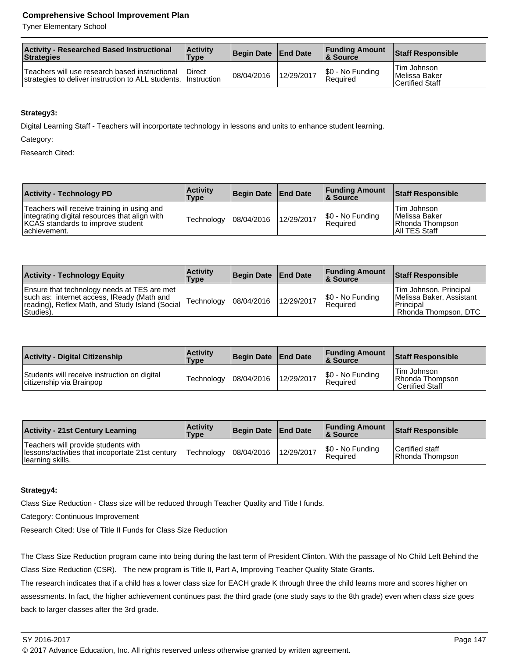Tyner Elementary School

| <b>Activity - Researched Based Instructional</b><br>Strategies                                                   | <b>Activity</b><br><b>Type</b> | Begin Date   End Date |            | <b>Funding Amount</b><br>& Source | <b>Staff Responsible</b>                         |
|------------------------------------------------------------------------------------------------------------------|--------------------------------|-----------------------|------------|-----------------------------------|--------------------------------------------------|
| Teachers will use research based instructional<br>strategies to deliver instruction to ALL students. Instruction | Direct                         | 08/04/2016            | 12/29/2017 | \$0 - No Funding<br>Required      | Tim Johnson <br>Melissa Baker<br>Certified Staff |

## **Strategy3:**

Digital Learning Staff - Teachers will incorportate technology in lessons and units to enhance student learning.

Category:

Research Cited:

| <b>Activity - Technology PD</b>                                                                                                                    | <b>Activity</b><br>Type | Begin Date   End Date |            | <b>Funding Amount</b><br>∣& Source | <b>Staff Responsible</b>                                                  |
|----------------------------------------------------------------------------------------------------------------------------------------------------|-------------------------|-----------------------|------------|------------------------------------|---------------------------------------------------------------------------|
| Teachers will receive training in using and<br>integrating digital resources that align with<br>KCAS standards to improve student<br>lachievement. | Technology              | 08/04/2016            | 12/29/2017 | $ \$0 - No Funding$<br>Required    | Tim Johnson<br><b>IMelissa Baker</b><br>Rhonda Thompson<br> All TES Staff |

| <b>Activity - Technology Equity</b>                                                                                                                       | <b>Activity</b><br>Type | Begin Date   End Date |            | <b>Funding Amount</b><br>8 Source | <b>Staff Responsible</b>                                                                  |
|-----------------------------------------------------------------------------------------------------------------------------------------------------------|-------------------------|-----------------------|------------|-----------------------------------|-------------------------------------------------------------------------------------------|
| Ensure that technology needs at TES are met<br>such as: internet access, IReady (Math and<br>reading), Reflex Math, and Study Island (Social<br>Studies). | Technology              | 08/04/2016            | 12/29/2017 | S0 - No Funding<br>Required       | Tim Johnson, Principal<br>Melissa Baker, Assistant<br>l Principal<br>Rhonda Thompson, DTC |

| <b>Activity - Digital Citizenship</b>                                    | <b>Activity</b><br>Type | Begin Date   End Date |            | <b>Funding Amount</b><br>& Source | <b>Staff Responsible</b>                                         |
|--------------------------------------------------------------------------|-------------------------|-----------------------|------------|-----------------------------------|------------------------------------------------------------------|
| Students will receive instruction on digital<br>citizenship via Brainpop | Technology              | 108/04/2016           | 12/29/2017 | \$0 - No Funding<br>Required      | ∣Tim Johnson<br><b>Rhonda Thompson</b><br><b>Certified Staff</b> |

| <b>Activity - 21st Century Learning</b>                                                                     | <b>Activity</b><br><b>Type</b> | Begin Date End Date |            | <b>Funding Amount</b><br>8 Source | <b>Staff Responsible</b>           |
|-------------------------------------------------------------------------------------------------------------|--------------------------------|---------------------|------------|-----------------------------------|------------------------------------|
| Teachers will provide students with<br>lessons/activities that incoportate 21st century<br>learning skills. | Technology                     | 108/04/2016         | 12/29/2017 | \$0 - No Funding<br>Required      | Certified staff<br>Rhonda Thompson |

## **Strategy4:**

Class Size Reduction - Class size will be reduced through Teacher Quality and Title I funds.

Category: Continuous Improvement

Research Cited: Use of Title II Funds for Class Size Reduction

The Class Size Reduction program came into being during the last term of President Clinton. With the passage of No Child Left Behind the Class Size Reduction (CSR). The new program is Title II, Part A, Improving Teacher Quality State Grants.

The research indicates that if a child has a lower class size for EACH grade K through three the child learns more and scores higher on assessments. In fact, the higher achievement continues past the third grade (one study says to the 8th grade) even when class size goes back to larger classes after the 3rd grade.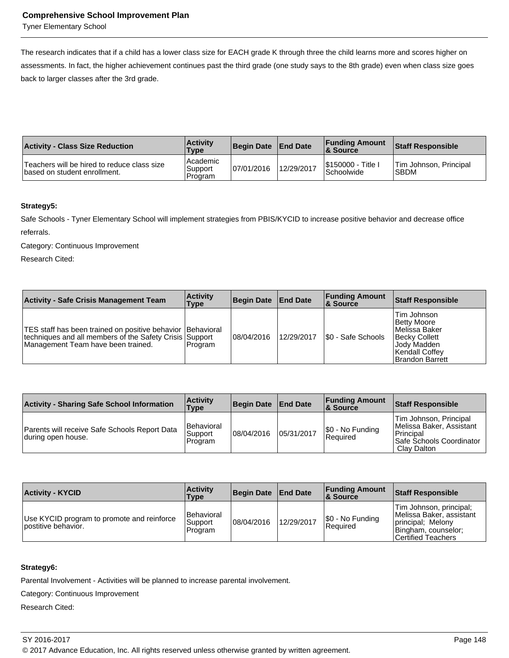Tyner Elementary School

The research indicates that if a child has a lower class size for EACH grade K through three the child learns more and scores higher on assessments. In fact, the higher achievement continues past the third grade (one study says to the 8th grade) even when class size goes back to larger classes after the 3rd grade.

| <b>Activity - Class Size Reduction</b>                                        | <b>Activity</b><br><b>Type</b>   | <b>Begin Date</b> | <b>End Date</b> | <b>Funding Amount</b><br>& Source | <b>Staff Responsible</b>              |
|-------------------------------------------------------------------------------|----------------------------------|-------------------|-----------------|-----------------------------------|---------------------------------------|
| Teachers will be hired to reduce class size<br>I based on student enrollment. | l Academic<br>Support<br>Program | 07/01/2016        | 12/29/2017      | I\$150000 - Title I<br>Schoolwide | Tim Johnson, Principal<br><b>SBDM</b> |

#### **Strategy5:**

Safe Schools - Tyner Elementary School will implement strategies from PBIS/KYCID to increase positive behavior and decrease office referrals.

Category: Continuous Improvement

Research Cited:

| <b>Activity - Safe Crisis Management Team</b>                                                                                                                 | <b>Activity</b><br>Type | <b>Begin Date End Date</b> |            | <b>Funding Amount</b><br>∣& Source | Staff Responsible                                                                                                         |
|---------------------------------------------------------------------------------------------------------------------------------------------------------------|-------------------------|----------------------------|------------|------------------------------------|---------------------------------------------------------------------------------------------------------------------------|
| TES staff has been trained on positive behavior   Behavioral<br>techniques and all members of the Safety Crisis Support<br>Management Team have been trained. | l Program               | 108/04/2016                | 12/29/2017 | I\$0 - Safe Schools                | Tim Johnson<br>Betty Moore<br>l Melissa Baker<br>Becky Collett<br>Jody Madden<br>Kendall Coffey<br><b>Brandon Barrett</b> |

| <b>Activity - Sharing Safe School Information</b>                   | <b>Activity</b><br><b>Type</b>     | Begin Date   End Date |            | <b>Funding Amount</b><br>8. Source  | Staff Responsible                                                                                          |
|---------------------------------------------------------------------|------------------------------------|-----------------------|------------|-------------------------------------|------------------------------------------------------------------------------------------------------------|
| Parents will receive Safe Schools Report Data<br>during open house. | Behavioral<br>Support<br>l Program | 08/04/2016            | 05/31/2017 | \$0 - No Funding<br><b>Required</b> | Tim Johnson, Principal<br>Melissa Baker, Assistant<br>Principal<br>Safe Schools Coordinator<br>Clay Dalton |

| <b>Activity - KYCID</b>                                            | <b>Activity</b><br>Type                 | Begin Date   End Date |            | <b>Funding Amount</b><br>∣& Source | <b>Staff Responsible</b>                                                                                              |
|--------------------------------------------------------------------|-----------------------------------------|-----------------------|------------|------------------------------------|-----------------------------------------------------------------------------------------------------------------------|
| Use KYCID program to promote and reinforce<br>lpostitive behavior. | <b>Behavioral</b><br>Support<br>Program | 108/04/2016           | 12/29/2017 | S0 - No Funding<br><b>Required</b> | Tim Johnson, principal;<br>Melissa Baker, assistant<br>principal; Melony<br>Bingham, counselor;<br>Certified Teachers |

# **Strategy6:**

Parental Involvement - Activities will be planned to increase parental involvement.

Category: Continuous Improvement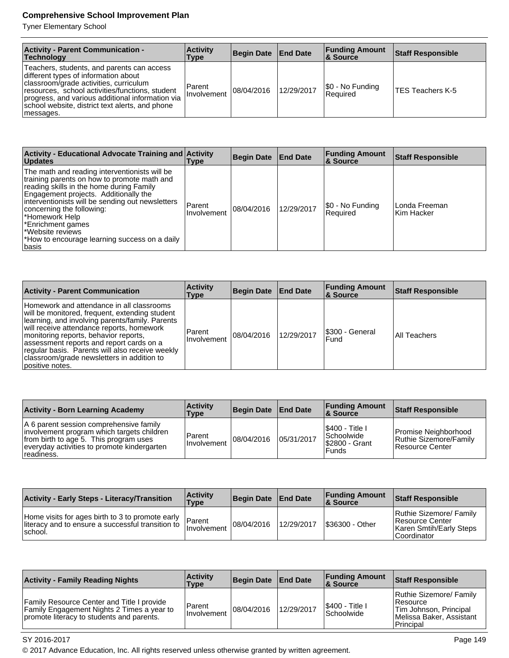Tyner Elementary School

| <b>Activity - Parent Communication -</b><br>Technology                                                                                                                                                                                                                                              | <b>Activity</b><br>Type | Begin Date   End Date |            | <b>Funding Amount</b><br>∣& Source | <b>Staff Responsible</b> |
|-----------------------------------------------------------------------------------------------------------------------------------------------------------------------------------------------------------------------------------------------------------------------------------------------------|-------------------------|-----------------------|------------|------------------------------------|--------------------------|
| Teachers, students, and parents can access<br>different types of information about<br>classroom/grade activities, curriculum<br>resources, school activities/functions, student<br>progress, and various additional information via<br>school website, district text alerts, and phone<br>messages. | Parent<br>I Involvement | 08/04/2016            | 12/29/2017 | \$0 - No Funding<br>l Reauired     | <b>ITES Teachers K-5</b> |

| Activity - Educational Advocate Training and Activity<br><b>Updates</b>                                                                                                                                                                                                                                                                                                                | Type                  | <b>Begin Date</b> | <b>End Date</b> | <b>Funding Amount</b><br><b>8 Source</b> | <b>Staff Responsible</b>    |
|----------------------------------------------------------------------------------------------------------------------------------------------------------------------------------------------------------------------------------------------------------------------------------------------------------------------------------------------------------------------------------------|-----------------------|-------------------|-----------------|------------------------------------------|-----------------------------|
| The math and reading interventionists will be<br>training parents on how to promote math and<br>reading skills in the home during Family<br>Engagement projects. Additionally the<br>interventionists will be sending out newsletters<br>concerning the following:<br>*Homework Help<br>Enrichment games<br>Website reviews<br>*How to encourage learning success on a daily<br>Ibasis | Parent<br>Involvement | 08/04/2016        | 12/29/2017      | \$0 - No Funding<br>Required             | Londa Freeman<br>Kim Hacker |

| <b>Activity - Parent Communication</b>                                                                                                                                                                                                                                                                                                                                                               | <b>Activity</b><br>Type | Begin Date End Date |            | <b>Funding Amount</b><br>∣& Source | <b>Staff Responsible</b> |
|------------------------------------------------------------------------------------------------------------------------------------------------------------------------------------------------------------------------------------------------------------------------------------------------------------------------------------------------------------------------------------------------------|-------------------------|---------------------|------------|------------------------------------|--------------------------|
| Homework and attendance in all classrooms<br>will be monitored, frequent, extending student<br>Iearning, and involving parents/family. Parents<br>will receive attendance reports, homework<br>monitoring reports, behavior reports,<br>assessment reports and report cards on a<br>regular basis. Parents will also receive weekly<br>classroom/grade newsletters in addition to<br>positive notes. | Parent<br>Involvement   | 08/04/2016          | 12/29/2017 | S300 - General<br>Fund             | All Teachers             |

| <b>Activity - Born Learning Academy</b>                                                                                                                                                      | <b>Activity</b><br>Type | Begin Date   End Date |            | <b>Funding Amount</b><br><b>&amp; Source</b>                           | <b>Staff Responsible</b>                                          |
|----------------------------------------------------------------------------------------------------------------------------------------------------------------------------------------------|-------------------------|-----------------------|------------|------------------------------------------------------------------------|-------------------------------------------------------------------|
| A 6 parent session comprehensive family<br>involvement program which targets children<br>from birth to age 5. This program uses<br>everyday activities to promote kindergarten<br>readiness. | Parent<br>Involvement   | 08/04/2016            | 05/31/2017 | I\$400 - Title I<br><b>Schoolwide</b><br>S2800 - Grant<br><b>Funds</b> | Promise Neighborhood<br>Ruthie Sizemore/Family<br>Resource Center |

| <b>Activity - Early Steps - Literacy/Transition</b>                                                               | <b>Activity</b><br>Type | Begin Date   End Date |            | <b>Funding Amount</b><br>& Source | <b>Staff Responsible</b>                                                               |
|-------------------------------------------------------------------------------------------------------------------|-------------------------|-----------------------|------------|-----------------------------------|----------------------------------------------------------------------------------------|
| Home visits for ages birth to 3 to promote early<br>literacy and to ensure a successful transition to<br>Ischool. | Parent<br>I Involvement | 08/04/2016            | 12/29/2017 | \$36300 - Other                   | Ruthie Sizemore/ Family<br>Resource Center<br>Karen Smtih/Early Steps<br>l Coordinator |

| <b>Activity - Family Reading Nights</b>                                                                                                             | <b>Activity</b><br>Type | <b>Begin Date</b> | <b>End Date</b> | <b>Funding Amount</b><br><b>8 Source</b> | <b>Staff Responsible</b>                                                                                 |
|-----------------------------------------------------------------------------------------------------------------------------------------------------|-------------------------|-------------------|-----------------|------------------------------------------|----------------------------------------------------------------------------------------------------------|
| <b>Family Resource Center and Title I provide</b><br><b>Family Engagement Nights 2 Times a year to</b><br>promote literacy to students and parents. | Parent<br>Involvement   | 108/04/2016       | 12/29/2017      | \$400 - Title I<br>Schoolwide            | Ruthie Sizemore/ Family<br>l Resource<br>Tim Johnson, Principal<br>Melissa Baker, Assistant<br>Principal |

SY 2016-2017 Page 149

© 2017 Advance Education, Inc. All rights reserved unless otherwise granted by written agreement.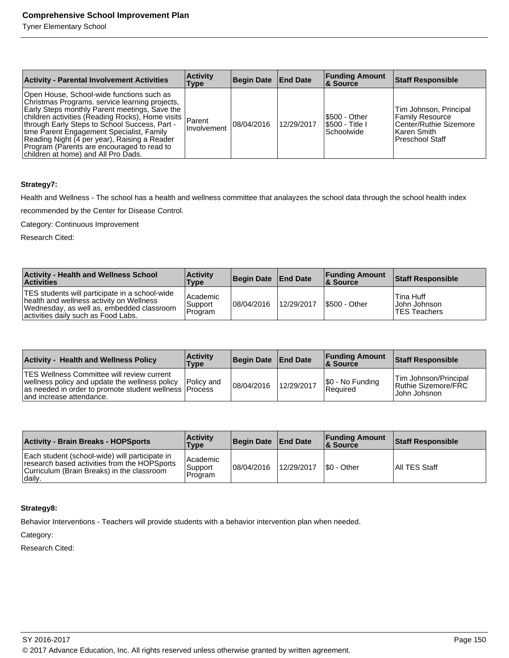Tyner Elementary School

| <b>Activity - Parental Involvement Activities</b>                                                                                                                                                                                                                                                                                                                                                                                          | <b>Activity</b><br>Type | Begin Date End Date |            | <b>Funding Amount</b><br><b>&amp; Source</b>          | Staff Responsible                                                                                                  |
|--------------------------------------------------------------------------------------------------------------------------------------------------------------------------------------------------------------------------------------------------------------------------------------------------------------------------------------------------------------------------------------------------------------------------------------------|-------------------------|---------------------|------------|-------------------------------------------------------|--------------------------------------------------------------------------------------------------------------------|
| Open House, School-wide functions such as<br>Christmas Programs, service learning projects,<br>Early Steps monthly Parent meetings, Save the<br>children activities (Reading Rocks), Home visits Parent<br>through Early Steps to School Success, Part -<br>time Parent Engagement Specialist, Family<br>Reading Night (4 per year), Raising a Reader<br>Program (Parents are encouraged to read to<br>children at home) and All Pro Dads. | Involvement             | 108/04/2016         | 12/29/2017 | I\$500 - Other<br><b>S500 - Title I</b><br>Schoolwide | Tim Johnson, Principal<br><b>Family Resource</b><br>Center/Ruthie Sizemore<br>l Karen Smith I<br>l Preschool Staff |

## **Strategy7:**

Health and Wellness - The school has a health and wellness committee that analayzes the school data through the school health index

recommended by the Center for Disease Control.

Category: Continuous Improvement

Research Cited:

| <b>Activity - Health and Wellness School</b><br><b>Activities</b>                                                                                                              | <b>Activity</b><br>Type        | Begin Date End Date |            | <b>Funding Amount</b><br>& Source | <b>Staff Responsible</b>                     |
|--------------------------------------------------------------------------------------------------------------------------------------------------------------------------------|--------------------------------|---------------------|------------|-----------------------------------|----------------------------------------------|
| TES students will participate in a school-wide<br>health and wellness activity on Wellness<br>Wednesday, as well as, embedded classroom<br>activities daily such as Food Labs. | Academic<br>Support<br>Program | 08/04/2016          | 12/29/2017 | <b>S500 - Other</b>               | Tina Huff<br> John Johnson <br>lTES Teachers |

| <b>Activity - Health and Wellness Policy</b>                                                                                                                                                              | <b>Activity</b><br><b>Type</b> | Begin Date End Date |            | <b>Funding Amount</b><br>8 Source | Staff Responsible                                               |
|-----------------------------------------------------------------------------------------------------------------------------------------------------------------------------------------------------------|--------------------------------|---------------------|------------|-----------------------------------|-----------------------------------------------------------------|
| <b>TES Wellness Committee will review current</b><br> wellness policy and update the wellness policy   Policy and<br>as needed in order to promote student wellness   Process<br>and increase attendance. |                                | 08/04/2016          | 12/29/2017 | \$0 - No Funding<br>Required      | Tim Johnson/Principal<br>Ruthie Sizemore/FRC<br>l John Johsnon. |

| <b>Activity - Brain Breaks - HOPSports</b>                                                                                                              | <b>Activity</b><br>Type          | Begin Date End Date |            | <b>Funding Amount</b><br>8 Source | Staff Responsible |
|---------------------------------------------------------------------------------------------------------------------------------------------------------|----------------------------------|---------------------|------------|-----------------------------------|-------------------|
| Each student (school-wide) will participate in<br>research based activities from the HOPSports<br>Curriculum (Brain Breaks) in the classroom<br> daily. | l Academic<br>Support<br>Program | 08/04/2016          | 12/29/2017 | I\$0 - Other                      | All TES Staff     |

#### **Strategy8:**

Behavior Interventions - Teachers will provide students with a behavior intervention plan when needed.

Category: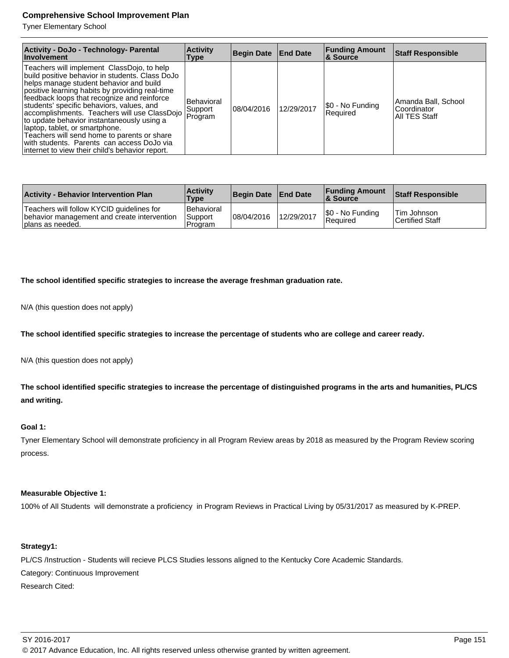Tyner Elementary School

| Activity - DoJo - Technology- Parental<br>Involvement                                                                                                                                                                                                                                                                                                                                                                                                                                                                                                                   | <b>Activity</b><br>Type                         | Begin Date End Date |            | <b>Funding Amount</b><br>∣& Source | <b>Staff Responsible</b>                            |
|-------------------------------------------------------------------------------------------------------------------------------------------------------------------------------------------------------------------------------------------------------------------------------------------------------------------------------------------------------------------------------------------------------------------------------------------------------------------------------------------------------------------------------------------------------------------------|-------------------------------------------------|---------------------|------------|------------------------------------|-----------------------------------------------------|
| Teachers will implement ClassDojo, to help<br>build positive behavior in students. Class DoJo<br>helps manage student behavior and build<br>positive learning habits by providing real-time<br>feedback loops that recognize and reinforce<br>students' specific behaviors, values, and<br>accomplishments. Teachers will use ClassDojo<br>to update behavior instantaneously using a<br>laptop, tablet, or smartphone.<br>Teachers will send home to parents or share<br>with students. Parents can access DoJo via<br>internet to view their child's behavior report. | <b>Behavioral</b><br>Support<br><b>IProgram</b> | 108/04/2016         | 12/29/2017 | \$0 - No Funding<br>Required       | Amanda Ball, School<br>Coordinator<br>All TES Staff |

| <b>Activity - Behavior Intervention Plan</b>                                                                 | <b>Activity</b><br>Type          | Begin Date   End Date |            | <b>Funding Amount</b><br><b>&amp; Source</b> | <b>Staff Responsible</b>                     |
|--------------------------------------------------------------------------------------------------------------|----------------------------------|-----------------------|------------|----------------------------------------------|----------------------------------------------|
| Teachers will follow KYCID guidelines for<br>behavior management and create intervention<br>plans as needed. | Behavioral<br>Support<br>Program | 08/04/2016            | 12/29/2017 | \$0 - No Funding<br>Required                 | <b>Tim Johnson</b><br><b>Certified Staff</b> |

**The school identified specific strategies to increase the average freshman graduation rate.**

N/A (this question does not apply)

**The school identified specific strategies to increase the percentage of students who are college and career ready.**

N/A (this question does not apply)

**The school identified specific strategies to increase the percentage of distinguished programs in the arts and humanities, PL/CS and writing.**

#### **Goal 1:**

Tyner Elementary School will demonstrate proficiency in all Program Review areas by 2018 as measured by the Program Review scoring process.

#### **Measurable Objective 1:**

100% of All Students will demonstrate a proficiency in Program Reviews in Practical Living by 05/31/2017 as measured by K-PREP.

# **Strategy1:**

PL/CS /Instruction - Students will recieve PLCS Studies lessons aligned to the Kentucky Core Academic Standards. Category: Continuous Improvement Research Cited: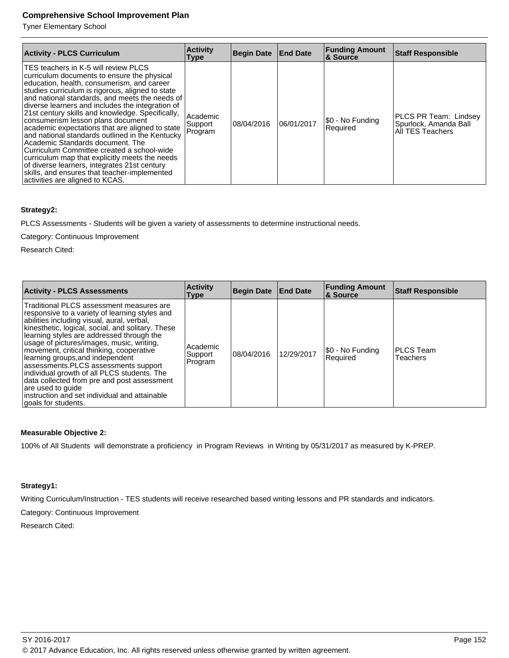Tyner Elementary School

| <b>Activity - PLCS Curriculum</b>                                                                                                                                                                                                                                                                                                                                                                                                                                                                                                                                                                                                                                                                                                                                 | <b>Activity</b><br><b>Type</b> | Begin Date End Date |            | <b>Funding Amount</b><br>& Source | <b>Staff Responsible</b>                                           |
|-------------------------------------------------------------------------------------------------------------------------------------------------------------------------------------------------------------------------------------------------------------------------------------------------------------------------------------------------------------------------------------------------------------------------------------------------------------------------------------------------------------------------------------------------------------------------------------------------------------------------------------------------------------------------------------------------------------------------------------------------------------------|--------------------------------|---------------------|------------|-----------------------------------|--------------------------------------------------------------------|
| TES teachers in K-5 will review PLCS<br>curriculum documents to ensure the physical<br>education, health, consumerism, and career<br>studies curriculum is rigorous, aligned to state<br>and national standards, and meets the needs of<br>diverse learners and includes the integration of<br>21st century skills and knowledge. Specifically,<br>consumerism lesson plans document<br>academic expectations that are aligned to state<br>and national standards outlined in the Kentucky<br>Academic Standards document. The<br>Curriculum Committee created a school-wide<br>curriculum map that explicitly meets the needs<br>of diverse learners, integrates 21st century<br>skills, and ensures that teacher-implemented<br>activities are aligned to KCAS. | Academic<br>Support<br>Program | 08/04/2016          | 06/01/2017 | \$0 - No Funding<br>Required      | PLCS PR Team: Lindsey<br>Spurlock, Amanda Ball<br>All TES Teachers |

# **Strategy2:**

PLCS Assessments - Students will be given a variety of assessments to determine instructional needs.

Category: Continuous Improvement

Research Cited:

| <b>Activity - PLCS Assessments</b>                                                                                                                                                                                                                                                                                                                                                                                                                                                                                                                                                                          | <b>Activity</b><br>Type        | <b>Begin Date</b> | <b>End Date</b> | <b>Funding Amount</b><br><b>8 Source</b> | <b>Staff Responsible</b>     |
|-------------------------------------------------------------------------------------------------------------------------------------------------------------------------------------------------------------------------------------------------------------------------------------------------------------------------------------------------------------------------------------------------------------------------------------------------------------------------------------------------------------------------------------------------------------------------------------------------------------|--------------------------------|-------------------|-----------------|------------------------------------------|------------------------------|
| Traditional PLCS assessment measures are<br>responsive to a variety of learning styles and<br>abilities including visual, aural, verbal,<br>kinesthetic, logical, social, and solitary. These<br>learning styles are addressed through the<br>usage of pictures/images, music, writing,<br>movement, critical thinking, cooperative<br>learning groups, and independent<br>assessments.PLCS assessments support<br>individual growth of all PLCS students. The<br>data collected from pre and post assessment<br>are used to quide<br>linstruction and set individual and attainable<br>goals for students. | Academic<br>Support<br>Program | 108/04/2016       | 12/29/2017      | \$0 - No Funding<br>Required             | <b>PLCS Team</b><br>Teachers |

## **Measurable Objective 2:**

100% of All Students will demonstrate a proficiency in Program Reviews in Writing by 05/31/2017 as measured by K-PREP.

## **Strategy1:**

Writing Curriculum/Instruction - TES students will receive researched based writing lessons and PR standards and indicators.

Category: Continuous Improvement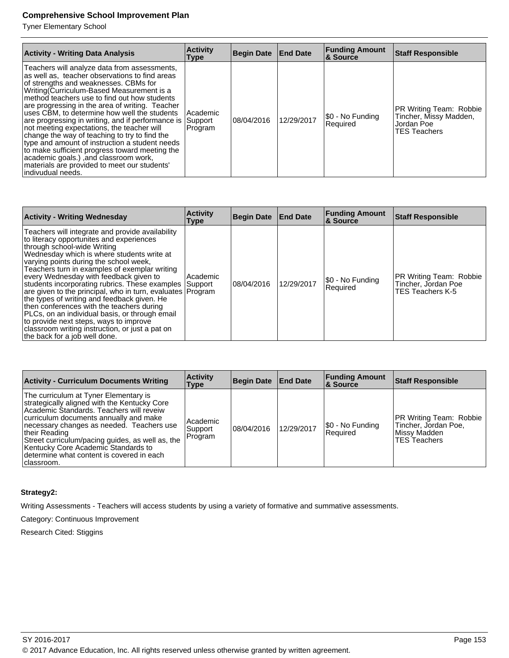Tyner Elementary School

| <b>Activity - Writing Data Analysis</b>                                                                                                                                                                                                                                                                                                                                                                                                                                                                                                                                                                                                                                                                                 | <b>Activity</b><br>Type | Begin Date | <b>End Date</b> | <b>Funding Amount</b><br>& Source | <b>Staff Responsible</b>                                                               |
|-------------------------------------------------------------------------------------------------------------------------------------------------------------------------------------------------------------------------------------------------------------------------------------------------------------------------------------------------------------------------------------------------------------------------------------------------------------------------------------------------------------------------------------------------------------------------------------------------------------------------------------------------------------------------------------------------------------------------|-------------------------|------------|-----------------|-----------------------------------|----------------------------------------------------------------------------------------|
| Teachers will analyze data from assessments,<br>as well as, teacher observations to find areas<br>of strengths and weaknesses. CBMs for<br>Writing Curriculum-Based Measurement is a<br>method teachers use to find out how students<br>are progressing in the area of writing. Teacher<br>uses CBM, to determine how well the students<br>are progressing in writing, and if performance is Support<br>not meeting expectations, the teacher will<br>change the way of teaching to try to find the<br>type and amount of instruction a student needs<br>to make sufficient progress toward meeting the<br>academic goals.) , and classroom work,<br>materials are provided to meet our students'<br>lindivudual needs. | Academic<br>Program     | 08/04/2016 | 12/29/2017      | \$0 - No Funding<br>Required      | PR Writing Team: Robbie<br>Tincher, Missy Madden,<br>Jordan Poe<br><b>TES Teachers</b> |

| <b>Activity - Writing Wednesday</b>                                                                                                                                                                                                                                                                                                                                                                                                                                                                                                                                                                                                                                                                                | <b>Activity</b><br>Type | Begin Date   End Date |            | <b>Funding Amount</b><br>& Source | <b>Staff Responsible</b>                                                  |
|--------------------------------------------------------------------------------------------------------------------------------------------------------------------------------------------------------------------------------------------------------------------------------------------------------------------------------------------------------------------------------------------------------------------------------------------------------------------------------------------------------------------------------------------------------------------------------------------------------------------------------------------------------------------------------------------------------------------|-------------------------|-----------------------|------------|-----------------------------------|---------------------------------------------------------------------------|
| Teachers will integrate and provide availability<br>to literacy opportunites and experiences<br>through school-wide Writing<br>Wednesday which is where students write at<br>varying points during the school week,<br>Teachers turn in examples of exemplar writing<br>every Wednesday with feedback given to<br>students incorporating rubrics. These examples Support<br>are given to the principal, who in turn, evaluates Program<br>the types of writing and feedback given. He<br>then conferences with the teachers during<br>PLCs, on an individual basis, or through email<br>to provide next steps, ways to improve<br>classroom writing instruction, or just a pat on<br>the back for a job well done. | Academic                | 08/04/2016            | 12/29/2017 | S0 - No Funding<br>Required       | PR Writing Team: Robbie<br>Tincher, Jordan Poe<br><b>TES Teachers K-5</b> |

| <b>Activity - Curriculum Documents Writing</b>                                                                                                                                                                                                                                                                                                                                                   | <b>Activity</b><br>Type        | Begin Date End Date |            | <b>Funding Amount</b><br><b>8 Source</b> | <b>Staff Responsible</b>                                                               |
|--------------------------------------------------------------------------------------------------------------------------------------------------------------------------------------------------------------------------------------------------------------------------------------------------------------------------------------------------------------------------------------------------|--------------------------------|---------------------|------------|------------------------------------------|----------------------------------------------------------------------------------------|
| The curriculum at Tyner Elementary is<br>strategically aligned with the Kentucky Core<br>Academic Standards. Teachers will reveiw<br>curriculum documents annually and make<br>necessary changes as needed. Teachers use<br>their Reading<br>Street curriculum/pacing guides, as well as, the<br>Kentucky Core Academic Standards to<br>determine what content is covered in each<br>Iclassroom. | Academic<br>Support<br>Program | 108/04/2016         | 12/29/2017 | \$0 - No Funding<br>Required             | PR Writing Team: Robbie<br>Tincher, Jordan Poe,<br>Missy Madden<br><b>TES Teachers</b> |

# **Strategy2:**

Writing Assessments - Teachers will access students by using a variety of formative and summative assessments.

Category: Continuous Improvement

Research Cited: Stiggins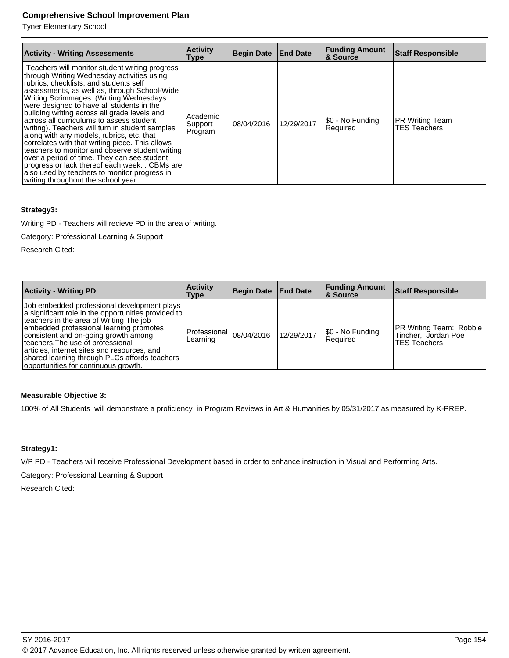Tyner Elementary School

| <b>Activity - Writing Assessments</b>                                                                                                                                                                                                                                                                                                                                                                                                                                                                                                                                                                                                                                                                                                                                    | <b>Activity</b><br><b>Type</b>   | <b>Begin Date End Date</b> |            | <b>Funding Amount</b><br><b>8 Source</b> | <b>Staff Responsible</b>                      |
|--------------------------------------------------------------------------------------------------------------------------------------------------------------------------------------------------------------------------------------------------------------------------------------------------------------------------------------------------------------------------------------------------------------------------------------------------------------------------------------------------------------------------------------------------------------------------------------------------------------------------------------------------------------------------------------------------------------------------------------------------------------------------|----------------------------------|----------------------------|------------|------------------------------------------|-----------------------------------------------|
| Teachers will monitor student writing progress<br>through Writing Wednesday activities using<br>rubrics, checklists, and students self<br>assessments, as well as, through School-Wide<br>Writing Scrimmages. (Writing Wednesdays<br>were designed to have all students in the<br>building writing across all grade levels and<br>across all curriculums to assess student<br>writing). Teachers will turn in student samples<br>along with any models, rubrics, etc. that<br>correlates with that writing piece. This allows<br>teachers to monitor and observe student writing<br>over a period of time. They can see student<br>progress or lack thereof each week. . CBMs are<br>also used by teachers to monitor progress in<br>writing throughout the school year. | Academic<br> Support <br>Program | 08/04/2016                 | 12/29/2017 | \$0 - No Funding<br>Required             | <b>PR Writing Team</b><br><b>TES Teachers</b> |

## **Strategy3:**

Writing PD - Teachers will recieve PD in the area of writing.

Category: Professional Learning & Support

Research Cited:

| <b>Activity - Writing PD</b>                                                                                                                                                                                                                                                                                                                                                                                  | <b>Activity</b><br>Type                | Begin Date End Date |            | <b>Funding Amount</b><br><b>8</b> Source | <b>Staff Responsible</b>                                                     |
|---------------------------------------------------------------------------------------------------------------------------------------------------------------------------------------------------------------------------------------------------------------------------------------------------------------------------------------------------------------------------------------------------------------|----------------------------------------|---------------------|------------|------------------------------------------|------------------------------------------------------------------------------|
| Job embedded professional development plays<br>a significant role in the opportunities provided to<br>teachers in the area of Writing The job<br>embedded professional learning promotes<br>consistent and on-going growth among<br>teachers. The use of professional<br>articles, internet sites and resources, and<br>shared learning through PLCs affords teachers<br>opportunities for continuous growth. | Professional $ 08/04/2016$<br>Learning |                     | 12/29/2017 | [\$0 - No Funding<br>Required            | <b>PR Writing Team: Robbie</b><br>Tincher, Jordan Poe<br><b>TES Teachers</b> |

# **Measurable Objective 3:**

100% of All Students will demonstrate a proficiency in Program Reviews in Art & Humanities by 05/31/2017 as measured by K-PREP.

# **Strategy1:**

V/P PD - Teachers will receive Professional Development based in order to enhance instruction in Visual and Performing Arts.

Category: Professional Learning & Support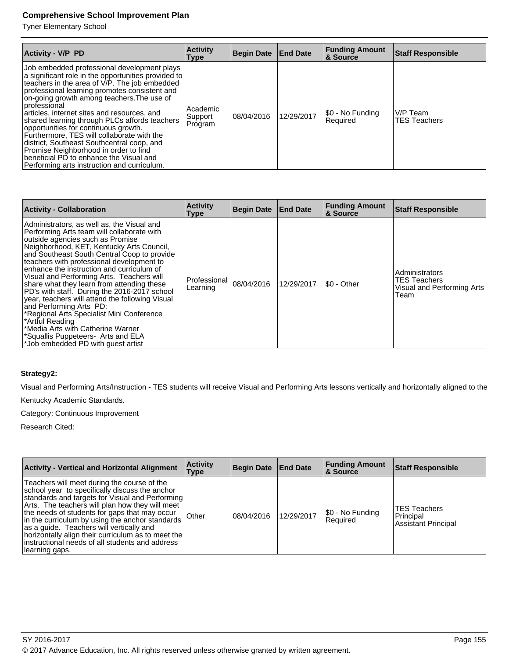Tyner Elementary School

| <b>Activity - V/P PD</b>                                                                                                                                                                                                                                                                                                                                                                                                                                                                                                                                                                                                                   | <b>Activity</b><br>Type        | <b>Begin Date</b> | <b>End Date</b> | <b>Funding Amount</b><br><b>&amp; Source</b> | <b>Staff Responsible</b> |
|--------------------------------------------------------------------------------------------------------------------------------------------------------------------------------------------------------------------------------------------------------------------------------------------------------------------------------------------------------------------------------------------------------------------------------------------------------------------------------------------------------------------------------------------------------------------------------------------------------------------------------------------|--------------------------------|-------------------|-----------------|----------------------------------------------|--------------------------|
| Job embedded professional development plays<br>a significant role in the opportunities provided to<br>teachers in the area of V/P. The job embedded<br>professional learning promotes consistent and<br>on-going growth among teachers. The use of<br>Iprofessional<br>articles, internet sites and resources, and<br>shared learning through PLCs affords teachers<br>opportunities for continuous growth.<br>Furthermore, TES will collaborate with the<br>district, Southeast Southcentral coop, and<br>Promise Neighborhood in order to find<br>beneficial PD to enhance the Visual and<br>Performing arts instruction and curriculum. | Academic<br>Support<br>Program | 08/04/2016        | 12/29/2017      | \$0 - No Funding<br>Required                 | V/P Team<br>TES Teachers |

| <b>Activity - Collaboration</b>                                                                                                                                                                                                                                                                                                                                                                                                                                                                                                                                                                                                                                                                                              | <b>Activity</b><br><b>Type</b> | <b>Begin Date</b> | <b>End Date</b> | <b>Funding Amount</b><br>& Source | Staff Responsible                                                           |
|------------------------------------------------------------------------------------------------------------------------------------------------------------------------------------------------------------------------------------------------------------------------------------------------------------------------------------------------------------------------------------------------------------------------------------------------------------------------------------------------------------------------------------------------------------------------------------------------------------------------------------------------------------------------------------------------------------------------------|--------------------------------|-------------------|-----------------|-----------------------------------|-----------------------------------------------------------------------------|
| Administrators, as well as, the Visual and<br>Performing Arts team will collaborate with<br>outside agencies such as Promise<br>Neighborhood, KET, Kentucky Arts Council,<br>and Southeast South Central Coop to provide<br>teachers with professional development to<br>enhance the instruction and curriculum of<br>Visual and Performing Arts. Teachers will<br>share what they learn from attending these<br>PD's with staff. During the 2016-2017 school<br>year, teachers will attend the following Visual<br>and Performing Arts PD:<br>*Regional Arts Specialist Mini Conference<br>*Artful Reading<br>*Media Arts with Catherine Warner<br>*Squallis Puppeteers- Arts and ELA<br>*Job embedded PD with quest artist | Professional<br>Learning       | 08/04/2016        | 12/29/2017      | I\$0 - Other                      | Administrators<br><b>TES Teachers</b><br>Visual and Performing Arts<br>Team |

## **Strategy2:**

Visual and Performing Arts/Instruction - TES students will receive Visual and Performing Arts lessons vertically and horizontally aligned to the

Kentucky Academic Standards.

Category: Continuous Improvement

| <b>Activity - Vertical and Horizontal Alignment</b>                                                                                                                                                                                                                                                                                                                                                                                                                            | <b>Activity</b><br>Type | Begin Date   End Date |            | <b>Funding Amount</b><br><b>&amp; Source</b> | <b>Staff Responsible</b>                                       |
|--------------------------------------------------------------------------------------------------------------------------------------------------------------------------------------------------------------------------------------------------------------------------------------------------------------------------------------------------------------------------------------------------------------------------------------------------------------------------------|-------------------------|-----------------------|------------|----------------------------------------------|----------------------------------------------------------------|
| Teachers will meet during the course of the<br>school year to specifically discuss the anchor<br>standards and targets for Visual and Performing<br>Arts. The teachers will plan how they will meet<br>the needs of students for gaps that may occur<br>in the curriculum by using the anchor standards<br>as a quide. Teachers will vertically and<br>horizontally align their curriculum as to meet the<br>instructional needs of all students and address<br>learning gaps. | <b>Other</b>            | 08/04/2016            | 12/29/2017 | [\$0 - No Funding<br>Required                | <b>TES Teachers</b><br>Principal<br><b>Assistant Principal</b> |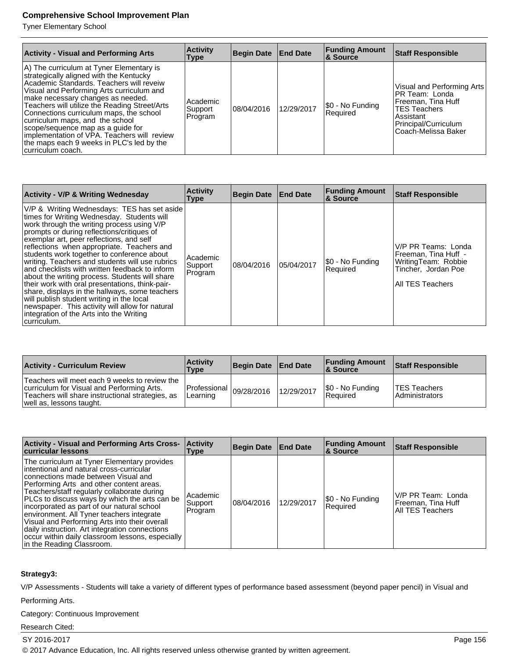Tyner Elementary School

| <b>Activity - Visual and Performing Arts</b>                                                                                                                                                                                                                                                                                                                                                                                                                                                            | <b>Activity</b><br>Type        | Begin Date   End Date |            | <b>Funding Amount</b><br>∣& Source | <b>Staff Responsible</b>                                                                                                                               |
|---------------------------------------------------------------------------------------------------------------------------------------------------------------------------------------------------------------------------------------------------------------------------------------------------------------------------------------------------------------------------------------------------------------------------------------------------------------------------------------------------------|--------------------------------|-----------------------|------------|------------------------------------|--------------------------------------------------------------------------------------------------------------------------------------------------------|
| A) The curriculum at Tyner Elementary is<br>strategically aligned with the Kentucky<br>Academic Standards. Teachers will reveiw<br>Visual and Performing Arts curriculum and<br>make necessary changes as needed.<br>Teachers will utilize the Reading Street/Arts<br>Connections curriculum maps, the school<br>curriculum maps, and the school<br>scope/sequence map as a quide for<br>implementation of VPA. Teachers will review<br>the maps each 9 weeks in PLC's led by the<br>Icurriculum coach. | Academic<br>Support<br>Program | 108/04/2016           | 12/29/2017 | \$0 - No Funding<br>Required       | Visual and Performing Arts<br>PR Team: Londa<br> Freeman, Tina Huff<br><b>TES Teachers</b><br>Assistant<br>Principal/Curriculum<br>Coach-Melissa Baker |

| <b>Activity - V/P &amp; Writing Wednesday</b>                                                                                                                                                                                                                                                                                                                                                                                                                                                                                                                                                                                                                                                                                                         | <b>Activity</b><br>Type        | Begin Date End Date |            | <b>Funding Amount</b><br><b>&amp; Source</b> | <b>Staff Responsible</b>                                                                                      |
|-------------------------------------------------------------------------------------------------------------------------------------------------------------------------------------------------------------------------------------------------------------------------------------------------------------------------------------------------------------------------------------------------------------------------------------------------------------------------------------------------------------------------------------------------------------------------------------------------------------------------------------------------------------------------------------------------------------------------------------------------------|--------------------------------|---------------------|------------|----------------------------------------------|---------------------------------------------------------------------------------------------------------------|
| V/P & Writing Wednesdays: TES has set aside<br>times for Writing Wednesday. Students will<br>work through the writing process using V/P<br>prompts or during reflections/critiques of<br>exemplar art, peer reflections, and self<br>reflections when appropriate. Teachers and<br>students work together to conference about<br>writing. Teachers and students will use rubrics<br>and checklists with written feedback to inform<br>about the writing process. Students will share<br>their work with oral presentations, think-pair-<br>share, displays in the hallways, some teachers<br>will publish student writing in the local<br>newspaper. This activity will allow for natural<br>integration of the Arts into the Writing<br>∣curriculum. | Academic<br>Support<br>Program | 08/04/2016          | 05/04/2017 | \$0 - No Funding<br>Required                 | V/P PR Teams: Londa<br>Freeman, Tina Huff -<br>WritingTeam: Robbie<br>Tincher, Jordan Poe<br>All TES Teachers |

| <b>Activity - Curriculum Review</b>                                                                                                                                         | <b>Activity</b><br>Type                   | Begin Date   End Date |            | <b>Funding Amount</b><br>8 Source   | <b>Staff Responsible</b>              |
|-----------------------------------------------------------------------------------------------------------------------------------------------------------------------------|-------------------------------------------|-----------------------|------------|-------------------------------------|---------------------------------------|
| Teachers will meet each 9 weeks to review the<br>curriculum for Visual and Performing Arts.<br>Teachers will share instructional strategies, as<br>well as, lessons taught. | Professional $ _{09/28/2016}$<br>Learning |                       | 12/29/2017 | \$0 - No Funding<br><b>Required</b> | <b>TES Teachers</b><br>Administrators |

| Activity - Visual and Performing Arts Cross-<br>curricular lessons                                                                                                                                                                                                                                                                                                                                                                                                                                                                                        | <b>Activity</b><br>Type         | Begin Date End Date |            | <b>Funding Amount</b><br><b>&amp; Source</b> | <b>Staff Responsible</b>                                            |
|-----------------------------------------------------------------------------------------------------------------------------------------------------------------------------------------------------------------------------------------------------------------------------------------------------------------------------------------------------------------------------------------------------------------------------------------------------------------------------------------------------------------------------------------------------------|---------------------------------|---------------------|------------|----------------------------------------------|---------------------------------------------------------------------|
| The curriculum at Tyner Elementary provides<br>intentional and natural cross-curricular<br>connections made between Visual and<br>Performing Arts and other content areas.<br>Teachers/staff regularly collaborate during<br>PLCs to discuss ways by which the arts can be<br>incorporated as part of our natural school<br>environment. All Tyner teachers integrate<br>Visual and Performing Arts into their overall<br>daily instruction. Art integration connections<br>occur within daily classroom lessons, especially<br>In the Reading Classroom. | Academic<br>Support<br> Program | 108/04/2016         | 12/29/2017 | \$0 - No Funding<br>Required                 | V/P PR Team: Londa<br>Freeman, Tina Huff<br><b>All TES Teachers</b> |

# **Strategy3:**

V/P Assessments - Students will take a variety of different types of performance based assessment (beyond paper pencil) in Visual and

Performing Arts.

Category: Continuous Improvement

Research Cited:

SY 2016-2017 Page 156

© 2017 Advance Education, Inc. All rights reserved unless otherwise granted by written agreement.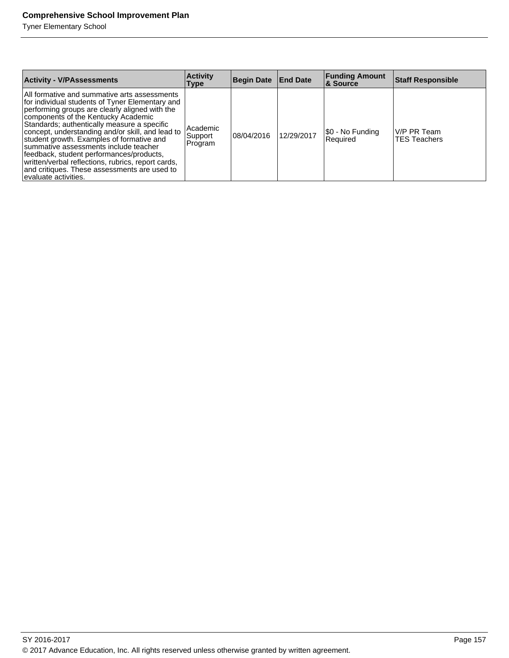Tyner Elementary School

| <b>Activity - V/PAssessments</b>                                                                                                                                                                                                                                                                                                                                                                                                                                                                                                                            | <b>Activity</b><br>Type        | <b>Begin Date End Date</b> |            | <b>Funding Amount</b><br>& Source | <b>Staff Responsible</b>           |
|-------------------------------------------------------------------------------------------------------------------------------------------------------------------------------------------------------------------------------------------------------------------------------------------------------------------------------------------------------------------------------------------------------------------------------------------------------------------------------------------------------------------------------------------------------------|--------------------------------|----------------------------|------------|-----------------------------------|------------------------------------|
| All formative and summative arts assessments<br>for individual students of Tyner Elementary and<br>performing groups are clearly aligned with the<br>components of the Kentucky Academic<br>Standards; authentically measure a specific<br>concept, understanding and/or skill, and lead to<br>student growth. Examples of formative and<br>summative assessments include teacher<br>feedback, student performances/products,<br>written/verbal reflections, rubrics, report cards,<br>and critiques. These assessments are used to<br>evaluate activities. | Academic<br>Support<br>Program | 108/04/2016                | 12/29/2017 | [\$0 - No Funding<br>Required     | V/P PR Team<br><b>TES Teachers</b> |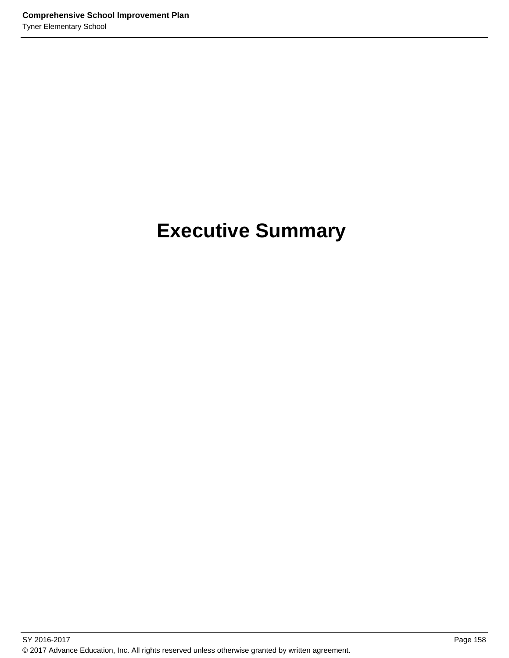# **Executive Summary**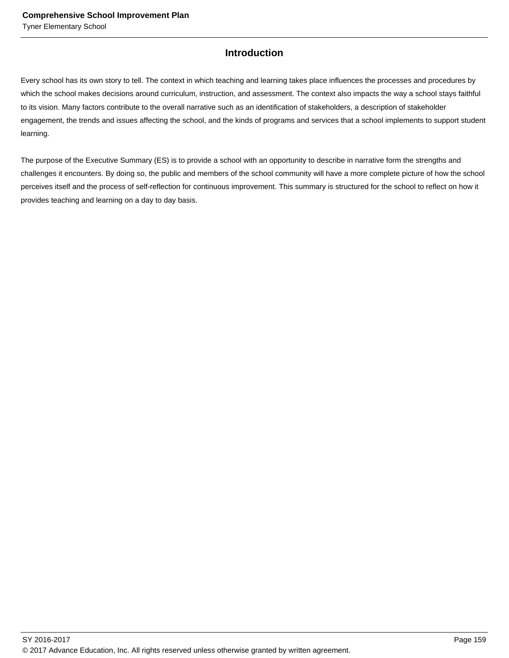# **Introduction**

Every school has its own story to tell. The context in which teaching and learning takes place influences the processes and procedures by which the school makes decisions around curriculum, instruction, and assessment. The context also impacts the way a school stays faithful to its vision. Many factors contribute to the overall narrative such as an identification of stakeholders, a description of stakeholder engagement, the trends and issues affecting the school, and the kinds of programs and services that a school implements to support student learning.

The purpose of the Executive Summary (ES) is to provide a school with an opportunity to describe in narrative form the strengths and challenges it encounters. By doing so, the public and members of the school community will have a more complete picture of how the school perceives itself and the process of self-reflection for continuous improvement. This summary is structured for the school to reflect on how it provides teaching and learning on a day to day basis.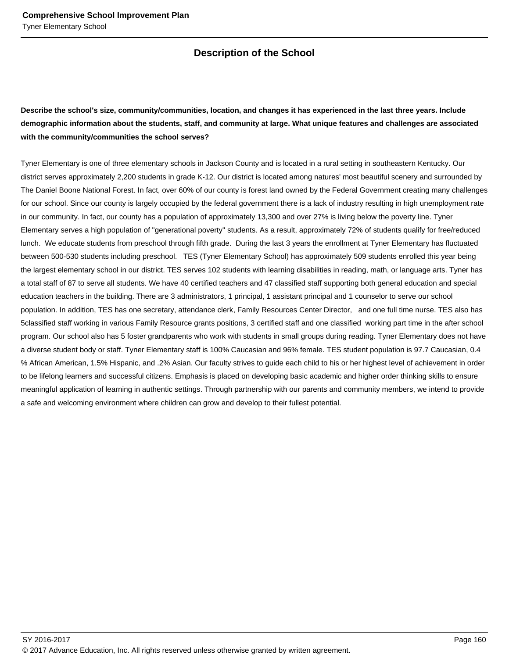# **Description of the School**

# **Describe the school's size, community/communities, location, and changes it has experienced in the last three years. Include demographic information about the students, staff, and community at large. What unique features and challenges are associated with the community/communities the school serves?**

Tyner Elementary is one of three elementary schools in Jackson County and is located in a rural setting in southeastern Kentucky. Our district serves approximately 2,200 students in grade K-12. Our district is located among natures' most beautiful scenery and surrounded by The Daniel Boone National Forest. In fact, over 60% of our county is forest land owned by the Federal Government creating many challenges for our school. Since our county is largely occupied by the federal government there is a lack of industry resulting in high unemployment rate in our community. In fact, our county has a population of approximately 13,300 and over 27% is living below the poverty line. Tyner Elementary serves a high population of "generational poverty" students. As a result, approximately 72% of students qualify for free/reduced lunch. We educate students from preschool through fifth grade. During the last 3 years the enrollment at Tyner Elementary has fluctuated between 500-530 students including preschool. TES (Tyner Elementary School) has approximately 509 students enrolled this year being the largest elementary school in our district. TES serves 102 students with learning disabilities in reading, math, or language arts. Tyner has a total staff of 87 to serve all students. We have 40 certified teachers and 47 classified staff supporting both general education and special education teachers in the building. There are 3 administrators, 1 principal, 1 assistant principal and 1 counselor to serve our school population. In addition, TES has one secretary, attendance clerk, Family Resources Center Director, and one full time nurse. TES also has 5classified staff working in various Family Resource grants positions, 3 certified staff and one classified working part time in the after school program. Our school also has 5 foster grandparents who work with students in small groups during reading. Tyner Elementary does not have a diverse student body or staff. Tyner Elementary staff is 100% Caucasian and 96% female. TES student population is 97.7 Caucasian, 0.4 % African American, 1.5% Hispanic, and .2% Asian. Our faculty strives to guide each child to his or her highest level of achievement in order to be lifelong learners and successful citizens. Emphasis is placed on developing basic academic and higher order thinking skills to ensure meaningful application of learning in authentic settings. Through partnership with our parents and community members, we intend to provide a safe and welcoming environment where children can grow and develop to their fullest potential.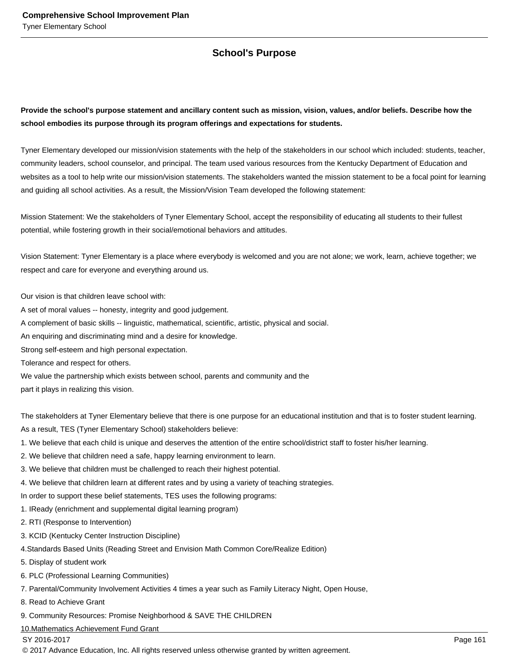# **School's Purpose**

**Provide the school's purpose statement and ancillary content such as mission, vision, values, and/or beliefs. Describe how the school embodies its purpose through its program offerings and expectations for students.**

Tyner Elementary developed our mission/vision statements with the help of the stakeholders in our school which included: students, teacher, community leaders, school counselor, and principal. The team used various resources from the Kentucky Department of Education and websites as a tool to help write our mission/vision statements. The stakeholders wanted the mission statement to be a focal point for learning and guiding all school activities. As a result, the Mission/Vision Team developed the following statement:

Mission Statement: We the stakeholders of Tyner Elementary School, accept the responsibility of educating all students to their fullest potential, while fostering growth in their social/emotional behaviors and attitudes.

Vision Statement: Tyner Elementary is a place where everybody is welcomed and you are not alone; we work, learn, achieve together; we respect and care for everyone and everything around us.

Our vision is that children leave school with:

A set of moral values -- honesty, integrity and good judgement.

A complement of basic skills -- linguistic, mathematical, scientific, artistic, physical and social.

An enquiring and discriminating mind and a desire for knowledge.

Strong self-esteem and high personal expectation.

Tolerance and respect for others.

We value the partnership which exists between school, parents and community and the

part it plays in realizing this vision.

The stakeholders at Tyner Elementary believe that there is one purpose for an educational institution and that is to foster student learning. As a result, TES (Tyner Elementary School) stakeholders believe:

- 1. We believe that each child is unique and deserves the attention of the entire school/district staff to foster his/her learning.
- 2. We believe that children need a safe, happy learning environment to learn.
- 3. We believe that children must be challenged to reach their highest potential.
- 4. We believe that children learn at different rates and by using a variety of teaching strategies.

In order to support these belief statements, TES uses the following programs:

1. IReady (enrichment and supplemental digital learning program)

2. RTI (Response to Intervention)

3. KCID (Kentucky Center Instruction Discipline)

4.Standards Based Units (Reading Street and Envision Math Common Core/Realize Edition)

- 5. Display of student work
- 6. PLC (Professional Learning Communities)
- 7. Parental/Community Involvement Activities 4 times a year such as Family Literacy Night, Open House,

8. Read to Achieve Grant

9. Community Resources: Promise Neighborhood & SAVE THE CHILDREN

10.Mathematics Achievement Fund Grant

SY 2016-2017 Page 161

© 2017 Advance Education, Inc. All rights reserved unless otherwise granted by written agreement.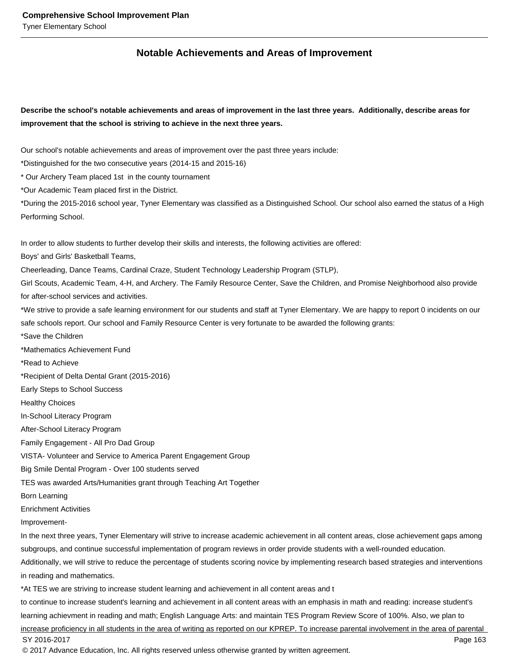# **Notable Achievements and Areas of Improvement**

**Describe the school's notable achievements and areas of improvement in the last three years. Additionally, describe areas for improvement that the school is striving to achieve in the next three years.**

Our school's notable achievements and areas of improvement over the past three years include:

\*Distinguished for the two consecutive years (2014-15 and 2015-16)

\* Our Archery Team placed 1st in the county tournament

\*Our Academic Team placed first in the District.

\*During the 2015-2016 school year, Tyner Elementary was classified as a Distinguished School. Our school also earned the status of a High Performing School.

In order to allow students to further develop their skills and interests, the following activities are offered:

Boys' and Girls' Basketball Teams,

Cheerleading, Dance Teams, Cardinal Craze, Student Technology Leadership Program (STLP),

Girl Scouts, Academic Team, 4-H, and Archery. The Family Resource Center, Save the Children, and Promise Neighborhood also provide for after-school services and activities.

\*We strive to provide a safe learning environment for our students and staff at Tyner Elementary. We are happy to report 0 incidents on our safe schools report. Our school and Family Resource Center is very fortunate to be awarded the following grants:

\*Save the Children

\*Mathematics Achievement Fund

\*Read to Achieve

\*Recipient of Delta Dental Grant (2015-2016)

Early Steps to School Success

Healthy Choices

In-School Literacy Program

After-School Literacy Program

Family Engagement - All Pro Dad Group

VISTA- Volunteer and Service to America Parent Engagement Group

Big Smile Dental Program - Over 100 students served

TES was awarded Arts/Humanities grant through Teaching Art Together

Born Learning

Enrichment Activities

Improvement-

In the next three years, Tyner Elementary will strive to increase academic achievement in all content areas, close achievement gaps among subgroups, and continue successful implementation of program reviews in order provide students with a well-rounded education.

Additionally, we will strive to reduce the percentage of students scoring novice by implementing research based strategies and interventions in reading and mathematics.

\*At TES we are striving to increase student learning and achievement in all content areas and t

to continue to increase student's learning and achievement in all content areas with an emphasis in math and reading: increase student's learning achievment in reading and math; English Language Arts: and maintain TES Program Review Score of 100%. Also, we plan to increase proficiency in all students in the area of writing as reported on our KPREP. To increase parental involvement in the area of parental SY 2016-2017 Page 163 © 2017 Advance Education, Inc. All rights reserved unless otherwise granted by written agreement.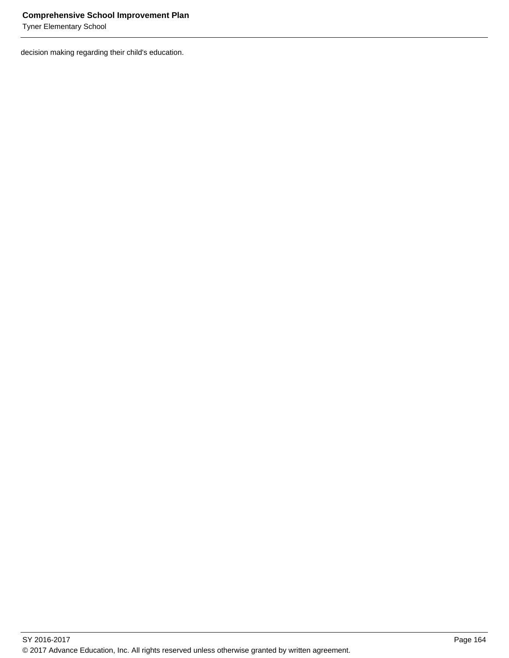Tyner Elementary School

decision making regarding their child's education.